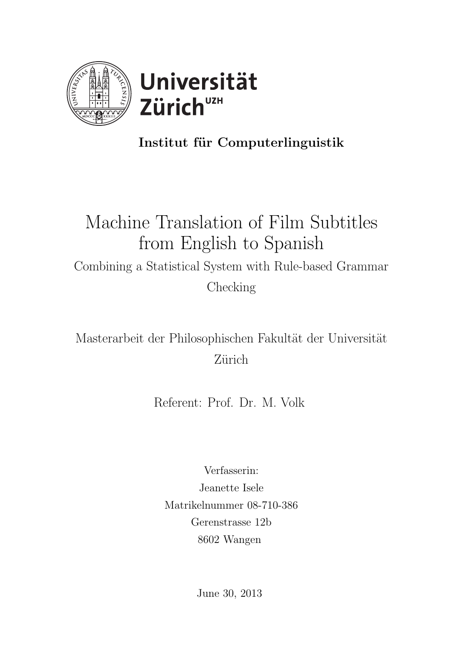



### Institut für Computerlinguistik

# Machine Translation of Film Subtitles from English to Spanish Combining a Statistical System with Rule-based Grammar Checking

Masterarbeit der Philosophischen Fakultät der Universität Zürich

Referent: Prof. Dr. M. Volk

Verfasserin: Jeanette Isele Matrikelnummer 08-710-386 Gerenstrasse 12b 8602 Wangen

June 30, 2013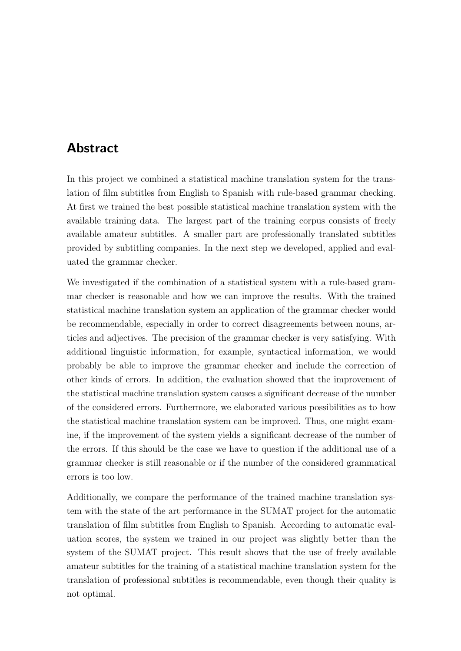### <span id="page-1-0"></span>Abstract

In this project we combined a statistical machine translation system for the translation of film subtitles from English to Spanish with rule-based grammar checking. At first we trained the best possible statistical machine translation system with the available training data. The largest part of the training corpus consists of freely available amateur subtitles. A smaller part are professionally translated subtitles provided by subtitling companies. In the next step we developed, applied and evaluated the grammar checker.

We investigated if the combination of a statistical system with a rule-based grammar checker is reasonable and how we can improve the results. With the trained statistical machine translation system an application of the grammar checker would be recommendable, especially in order to correct disagreements between nouns, articles and adjectives. The precision of the grammar checker is very satisfying. With additional linguistic information, for example, syntactical information, we would probably be able to improve the grammar checker and include the correction of other kinds of errors. In addition, the evaluation showed that the improvement of the statistical machine translation system causes a significant decrease of the number of the considered errors. Furthermore, we elaborated various possibilities as to how the statistical machine translation system can be improved. Thus, one might examine, if the improvement of the system yields a significant decrease of the number of the errors. If this should be the case we have to question if the additional use of a grammar checker is still reasonable or if the number of the considered grammatical errors is too low.

Additionally, we compare the performance of the trained machine translation system with the state of the art performance in the SUMAT project for the automatic translation of film subtitles from English to Spanish. According to automatic evaluation scores, the system we trained in our project was slightly better than the system of the SUMAT project. This result shows that the use of freely available amateur subtitles for the training of a statistical machine translation system for the translation of professional subtitles is recommendable, even though their quality is not optimal.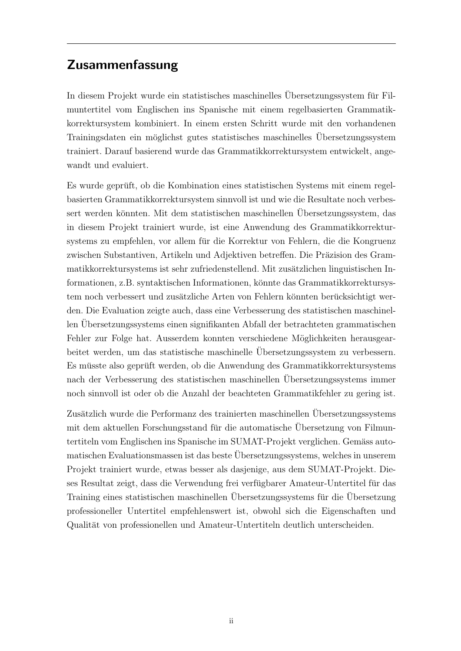### Zusammenfassung

In diesem Projekt wurde ein statistisches maschinelles Übersetzungssystem für Filmuntertitel vom Englischen ins Spanische mit einem regelbasierten Grammatikkorrektursystem kombiniert. In einem ersten Schritt wurde mit den vorhandenen Trainingsdaten ein möglichst gutes statistisches maschinelles Übersetzungssystem trainiert. Darauf basierend wurde das Grammatikkorrektursystem entwickelt, angewandt und evaluiert.

Es wurde gepruft, ob die Kombination eines statistischen Systems mit einem regel- ¨ basierten Grammatikkorrektursystem sinnvoll ist und wie die Resultate noch verbessert werden könnten. Mit dem statistischen maschinellen Ubersetzungssystem, das in diesem Projekt trainiert wurde, ist eine Anwendung des Grammatikkorrektursystems zu empfehlen, vor allem für die Korrektur von Fehlern, die die Kongruenz zwischen Substantiven, Artikeln und Adjektiven betreffen. Die Präzision des Grammatikkorrektursystems ist sehr zufriedenstellend. Mit zusätzlichen linguistischen Informationen, z.B. syntaktischen Informationen, könnte das Grammatikkorrektursystem noch verbessert und zusätzliche Arten von Fehlern könnten berücksichtigt werden. Die Evaluation zeigte auch, dass eine Verbesserung des statistischen maschinellen Ubersetzungssystems einen signifikanten Abfall der betrachteten grammatischen ¨ Fehler zur Folge hat. Ausserdem konnten verschiedene Möglichkeiten herausgearbeitet werden, um das statistische maschinelle Übersetzungssystem zu verbessern. Es müsste also geprüft werden, ob die Anwendung des Grammatikkorrektursystems nach der Verbesserung des statistischen maschinellen Ubersetzungssystems immer ¨ noch sinnvoll ist oder ob die Anzahl der beachteten Grammatikfehler zu gering ist.

Zusätzlich wurde die Performanz des trainierten maschinellen Übersetzungssystems mit dem aktuellen Forschungsstand für die automatische Übersetzung von Filmuntertiteln vom Englischen ins Spanische im SUMAT-Projekt verglichen. Gemäss automatischen Evaluationsmassen ist das beste Ubersetzungssystems, welches in unserem ¨ Projekt trainiert wurde, etwas besser als dasjenige, aus dem SUMAT-Projekt. Dieses Resultat zeigt, dass die Verwendung frei verfügbarer Amateur-Untertitel für das Training eines statistischen maschinellen Übersetzungssystems für die Übersetzung professioneller Untertitel empfehlenswert ist, obwohl sich die Eigenschaften und Qualität von professionellen und Amateur-Untertiteln deutlich unterscheiden.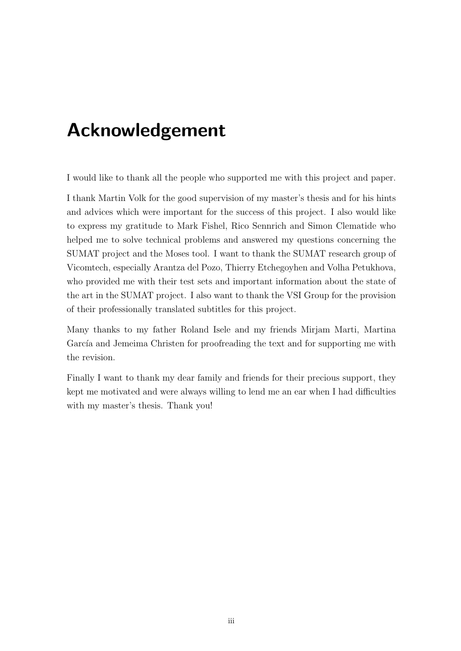# <span id="page-3-0"></span>Acknowledgement

I would like to thank all the people who supported me with this project and paper.

I thank Martin Volk for the good supervision of my master's thesis and for his hints and advices which were important for the success of this project. I also would like to express my gratitude to Mark Fishel, Rico Sennrich and Simon Clematide who helped me to solve technical problems and answered my questions concerning the SUMAT project and the Moses tool. I want to thank the SUMAT research group of Vicomtech, especially Arantza del Pozo, Thierry Etchegoyhen and Volha Petukhova, who provided me with their test sets and important information about the state of the art in the SUMAT project. I also want to thank the VSI Group for the provision of their professionally translated subtitles for this project.

Many thanks to my father Roland Isele and my friends Mirjam Marti, Martina García and Jemeima Christen for proofreading the text and for supporting me with the revision.

Finally I want to thank my dear family and friends for their precious support, they kept me motivated and were always willing to lend me an ear when I had difficulties with my master's thesis. Thank you!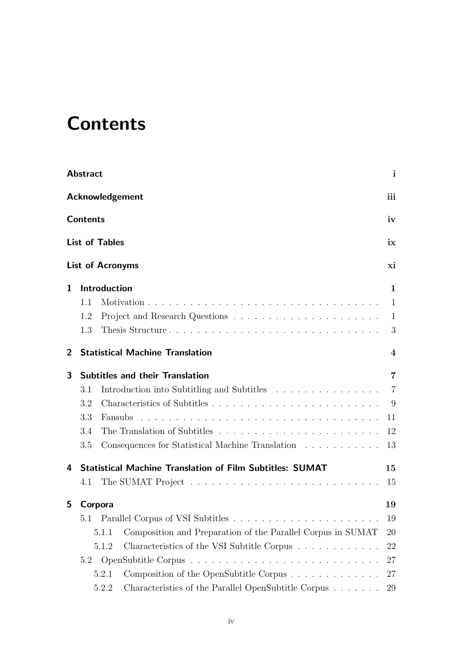# <span id="page-4-0"></span>**Contents**

|                | <b>Abstract</b> |                                                                      | $\mathbf{i}$             |
|----------------|-----------------|----------------------------------------------------------------------|--------------------------|
|                |                 | <b>Acknowledgement</b>                                               | iii                      |
|                | <b>Contents</b> |                                                                      | iv                       |
|                |                 | <b>List of Tables</b>                                                | ix                       |
|                |                 | <b>List of Acronyms</b>                                              | xi                       |
| 1              |                 | Introduction                                                         | 1                        |
|                | 1.1             |                                                                      | 1                        |
|                | 1.2             |                                                                      | 1                        |
|                | 1.3             | Thesis Structure                                                     | 3                        |
| $\overline{2}$ |                 | <b>Statistical Machine Translation</b>                               | $\overline{\mathcal{A}}$ |
| 3              |                 | <b>Subtitles and their Translation</b>                               | 7                        |
|                | 3.1             | Introduction into Subtitling and Subtitles                           | $\overline{7}$           |
|                | 3.2             |                                                                      | 9                        |
|                | 3.3             |                                                                      | 11                       |
|                | 3.4             |                                                                      | 12                       |
|                | 3.5             | Consequences for Statistical Machine Translation                     | 13                       |
| 4              |                 | <b>Statistical Machine Translation of Film Subtitles: SUMAT</b>      | 15                       |
|                | 4.1             |                                                                      | 15                       |
| 5              | Corpora         |                                                                      | 19                       |
|                | 5.1             |                                                                      | 19                       |
|                |                 | Composition and Preparation of the Parallel Corpus in SUMAT<br>5.1.1 | 20                       |
|                |                 | Characteristics of the VSI Subtitle Corpus<br>5.1.2                  | 22                       |
|                | 5.2             |                                                                      | 27                       |
|                |                 | Composition of the OpenSubtitle Corpus<br>5.2.1                      | 27                       |
|                |                 | Characteristics of the Parallel OpenSubtitle Corpus<br>5.2.2         | 29                       |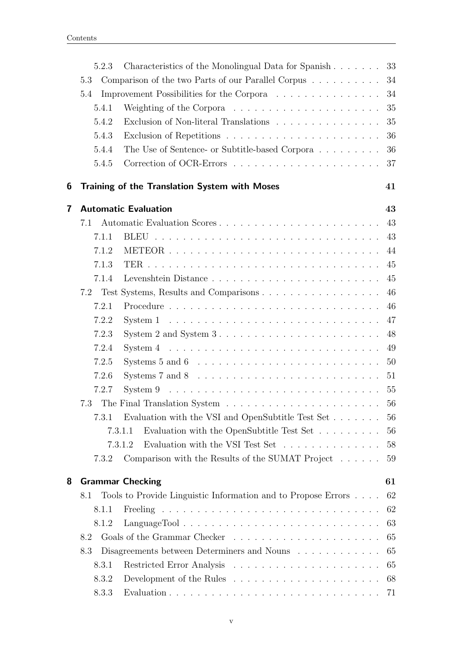|   | 5.2.3 | Characteristics of the Monolingual Data for Spanish                                        | 33 |
|---|-------|--------------------------------------------------------------------------------------------|----|
|   | 5.3   | Comparison of the two Parts of our Parallel Corpus                                         | 34 |
|   | 5.4   | Improvement Possibilities for the Corpora                                                  | 34 |
|   | 5.4.1 | Weighting of the Corpora $\dots \dots \dots \dots \dots \dots \dots$                       | 35 |
|   | 5.4.2 | Exclusion of Non-literal Translations                                                      | 35 |
|   | 5.4.3 |                                                                                            | 36 |
|   | 5.4.4 | The Use of Sentence- or Subtitle-based Corpora $\ldots \ldots \ldots$                      | 36 |
|   | 5.4.5 |                                                                                            | 37 |
| 6 |       | Training of the Translation System with Moses                                              | 41 |
| 7 |       | <b>Automatic Evaluation</b>                                                                | 43 |
|   | 7.1   |                                                                                            | 43 |
|   | 7.1.1 |                                                                                            | 43 |
|   | 7.1.2 |                                                                                            | 44 |
|   | 7.1.3 |                                                                                            | 45 |
|   | 7.1.4 |                                                                                            | 45 |
|   | 7.2   |                                                                                            | 46 |
|   | 7.2.1 |                                                                                            | 46 |
|   | 7.2.2 | System $1 \ldots \ldots \ldots \ldots \ldots \ldots \ldots \ldots \ldots \ldots$           | 47 |
|   | 7.2.3 | System 2 and System $3 \ldots \ldots \ldots \ldots \ldots \ldots \ldots \ldots$            | 48 |
|   | 7.2.4 |                                                                                            | 49 |
|   | 7.2.5 | Systems 5 and 6 $\dots \dots \dots \dots \dots \dots \dots \dots \dots \dots \dots$        | 50 |
|   | 7.2.6 |                                                                                            | 51 |
|   | 7.2.7 |                                                                                            | 55 |
|   |       |                                                                                            | 56 |
|   | 7.3.1 | Evaluation with the VSI and OpenSubtitle Test Set $\dots \dots \dots$ 56                   |    |
|   |       | Evaluation with the OpenSubtitle Test Set<br>7.3.1.1                                       | 56 |
|   |       | Evaluation with the VSI Test Set $\dots \dots \dots \dots \dots \dots \dots$ 58<br>7.3.1.2 |    |
|   | 7.3.2 | Comparison with the Results of the SUMAT Project $\dots$                                   | 59 |
| 8 |       | <b>Grammar Checking</b>                                                                    | 61 |
|   | 8.1   | Tools to Provide Linguistic Information and to Propose Errors                              | 62 |
|   | 8.1.1 |                                                                                            | 62 |
|   | 8.1.2 |                                                                                            | 63 |
|   | 8.2   |                                                                                            | 65 |
|   | 8.3   | Disagreements between Determiners and Nouns                                                | 65 |
|   | 8.3.1 |                                                                                            | 65 |
|   | 8.3.2 | Development of the Rules $\dots \dots \dots \dots \dots \dots \dots$                       | 68 |
|   | 8.3.3 |                                                                                            |    |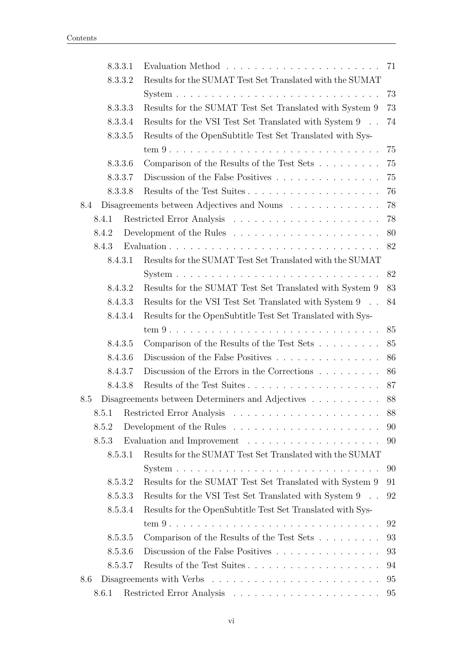| 8.3.3.1 |                                                                         | 71 |
|---------|-------------------------------------------------------------------------|----|
| 8.3.3.2 | Results for the SUMAT Test Set Translated with the SUMAT                |    |
|         |                                                                         | 73 |
| 8.3.3.3 | Results for the SUMAT Test Set Translated with System $9$               | 73 |
| 8.3.3.4 | Results for the VSI Test Set Translated with System 9                   | 74 |
| 8.3.3.5 | Results of the OpenSubtitle Test Set Translated with Sys-               |    |
|         |                                                                         | 75 |
| 8.3.3.6 | Comparison of the Results of the Test Sets                              | 75 |
| 8.3.3.7 | Discussion of the False Positives                                       | 75 |
| 8.3.3.8 | Results of the Test Suites                                              | 76 |
| 8.4     | Disagreements between Adjectives and Nouns                              | 78 |
| 8.4.1   |                                                                         | 78 |
| 8.4.2   |                                                                         | 80 |
| 8.4.3   |                                                                         | 82 |
| 8.4.3.1 | Results for the SUMAT Test Set Translated with the SUMAT                |    |
|         |                                                                         | 82 |
| 8.4.3.2 | Results for the SUMAT Test Set Translated with System 9                 | 83 |
| 8.4.3.3 | Results for the VSI Test Set Translated with System 9                   | 84 |
| 8.4.3.4 | Results for the OpenSubtitle Test Set Translated with Sys-              |    |
|         |                                                                         | 85 |
| 8.4.3.5 | Comparison of the Results of the Test Sets                              | 85 |
| 8.4.3.6 | Discussion of the False Positives                                       | 86 |
| 8.4.3.7 | Discussion of the Errors in the Corrections $\ldots \ldots \ldots$      | 86 |
| 8.4.3.8 | Results of the Test Suites                                              | 87 |
| 8.5     | Disagreements between Determiners and Adjectives                        | 88 |
| 8.5.1   |                                                                         | 88 |
| 8.5.2   |                                                                         | 90 |
| 8.5.3   | Evaluation and Improvement $\dots \dots \dots \dots \dots \dots \dots$  | 90 |
| 8.5.3.1 | Results for the SUMAT Test Set Translated with the SUMAT                |    |
|         |                                                                         | 90 |
| 8.5.3.2 | Results for the SUMAT Test Set Translated with System 9                 | 91 |
| 8.5.3.3 | Results for the VSI Test Set Translated with System $9 \quad . \quad .$ | 92 |
| 8.5.3.4 | Results for the OpenSubtitle Test Set Translated with Sys-              |    |
|         |                                                                         | 92 |
| 8.5.3.5 | Comparison of the Results of the Test Sets                              | 93 |
| 8.5.3.6 | Discussion of the False Positives                                       | 93 |
| 8.5.3.7 | Results of the Test Suites                                              | 94 |
| 8.6     |                                                                         | 95 |
| 8.6.1   |                                                                         | 95 |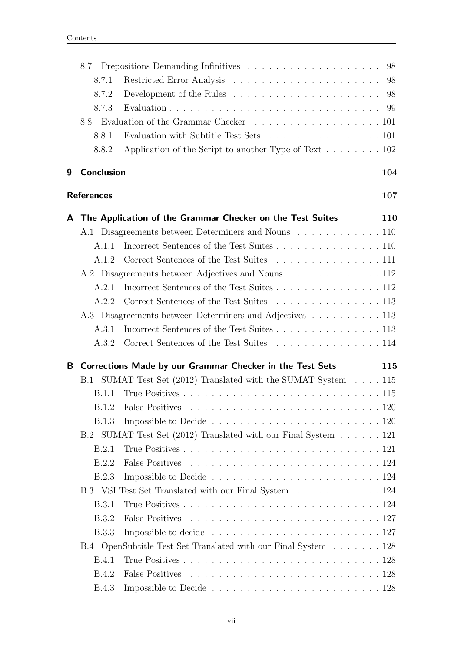|   | 8.7               |                                                                                    | 98         |
|---|-------------------|------------------------------------------------------------------------------------|------------|
|   | 8.7.1             |                                                                                    | 98         |
|   | 8.7.2             |                                                                                    | 98         |
|   | 8.7.3             |                                                                                    | 99         |
|   | 8.8               | Evaluation of the Grammar Checker 101                                              |            |
|   | 8.8.1             | Evaluation with Subtitle Test Sets 101                                             |            |
|   | 8.8.2             | Application of the Script to another Type of Text $\dots \dots \dots \dots 102$    |            |
| 9 | <b>Conclusion</b> |                                                                                    | 104        |
|   | <b>References</b> |                                                                                    | 107        |
|   |                   | A The Application of the Grammar Checker on the Test Suites                        | <b>110</b> |
|   |                   | A.1 Disagreements between Determiners and Nouns 110                                |            |
|   | A.1.1             |                                                                                    |            |
|   | A.1.2             | Correct Sentences of the Test Suites 111                                           |            |
|   |                   | A.2 Disagreements between Adjectives and Nouns 112                                 |            |
|   | A.2.1             |                                                                                    |            |
|   | A.2.2             | Correct Sentences of the Test Suites 113                                           |            |
|   |                   | A.3 Disagreements between Determiners and Adjectives 113                           |            |
|   | A.3.1             | Incorrect Sentences of the Test Suites 113                                         |            |
|   | A.3.2             | Correct Sentences of the Test Suites 114                                           |            |
|   |                   | B Corrections Made by our Grammar Checker in the Test Sets                         | 115        |
|   |                   | B.1 SUMAT Test Set (2012) Translated with the SUMAT System 115                     |            |
|   | B.1.1             |                                                                                    |            |
|   |                   |                                                                                    |            |
|   | B.1.3             | Impossible to Decide $\ldots \ldots \ldots \ldots \ldots \ldots \ldots \ldots 120$ |            |
|   |                   | B.2 SUMAT Test Set (2012) Translated with our Final System 121                     |            |
|   | B.2.1             |                                                                                    |            |
|   | B.2.2             |                                                                                    |            |
|   | B.2.3             |                                                                                    |            |
|   |                   | B.3 VSI Test Set Translated with our Final System 124                              |            |
|   | <b>B.3.1</b>      |                                                                                    |            |
|   | <b>B.3.2</b>      |                                                                                    |            |
|   | <b>B.3.3</b>      | Impossible to decide $\ldots \ldots \ldots \ldots \ldots \ldots \ldots \ldots 127$ |            |
|   |                   | B.4 OpenSubtitle Test Set Translated with our Final System 128                     |            |
|   | <b>B.4.1</b>      |                                                                                    |            |
|   | <b>B.4.2</b>      |                                                                                    |            |
|   | <b>B.4.3</b>      |                                                                                    |            |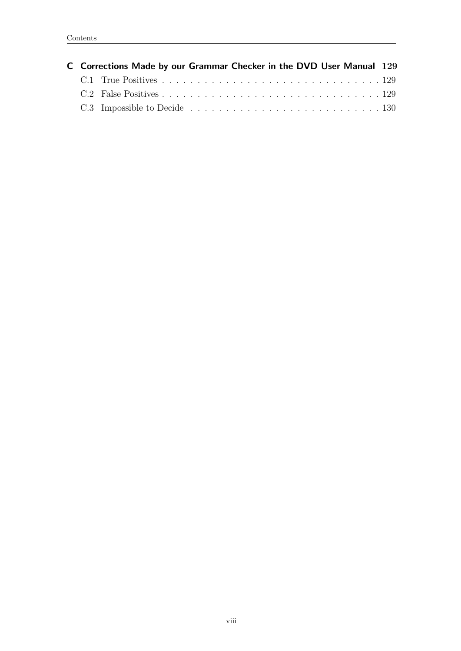|  | C Corrections Made by our Grammar Checker in the DVD User Manual 129 |  |
|--|----------------------------------------------------------------------|--|
|  |                                                                      |  |
|  |                                                                      |  |
|  |                                                                      |  |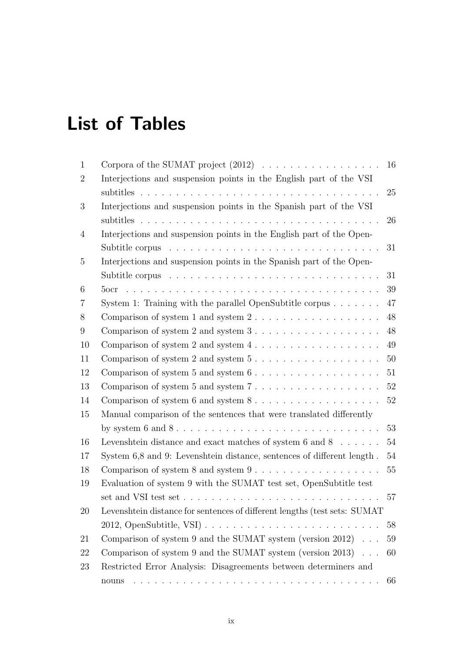# <span id="page-9-0"></span>List of Tables

| $\mathbf{1}$   |                                                                                                 | 16     |  |
|----------------|-------------------------------------------------------------------------------------------------|--------|--|
| $\overline{2}$ | Interjections and suspension points in the English part of the VSI                              |        |  |
|                |                                                                                                 | 25     |  |
| 3              | Interjections and suspension points in the Spanish part of the VSI                              |        |  |
|                |                                                                                                 | 26     |  |
| $\overline{4}$ | Interjections and suspension points in the English part of the Open-                            |        |  |
|                |                                                                                                 | 31     |  |
| $\overline{5}$ | Interjections and suspension points in the Spanish part of the Open-                            |        |  |
|                |                                                                                                 | 31     |  |
| 6              |                                                                                                 | 39     |  |
| 7              | System 1: Training with the parallel OpenSubtitle corpus $\ldots \ldots$                        | 47     |  |
| 8              | Comparison of system 1 and system $2 \ldots \ldots \ldots \ldots \ldots$                        | $48\,$ |  |
| 9              |                                                                                                 | 48     |  |
| 10             | Comparison of system 2 and system $4 \ldots \ldots \ldots \ldots \ldots \ldots$                 | 49     |  |
| 11             | Comparison of system 2 and system $5 \ldots \ldots \ldots \ldots \ldots \ldots$                 | 50     |  |
| 12             | Comparison of system $5$ and system $6 \ldots \ldots \ldots \ldots \ldots$                      | 51     |  |
| 13             | Comparison of system $5$ and system $7 \ldots \ldots \ldots \ldots \ldots \ldots$               | $52\,$ |  |
| 14             |                                                                                                 | 52     |  |
| 15             | Manual comparison of the sentences that were translated differently                             |        |  |
|                |                                                                                                 | 53     |  |
| 16             | Levenshtein distance and exact matches of system $6$ and $8$                                    | $54\,$ |  |
| 17             | System 6,8 and 9: Levenshtein distance, sentences of different length.                          | $54\,$ |  |
| 18             |                                                                                                 | 55     |  |
| 19             | Evaluation of system 9 with the SUMAT test set, OpenSubtitle test                               |        |  |
|                | set and VSI test set $\dots \dots \dots \dots \dots \dots \dots \dots \dots \dots \dots$        | 57     |  |
| 20             | Levenshtein distance for sentences of different lengths (test sets: SUMAT)                      |        |  |
|                |                                                                                                 | 58     |  |
| 21             | Comparison of system 9 and the SUMAT system (version 2012) $\ldots$                             | 59     |  |
| 22             | Comparison of system 9 and the SUMAT system (version $2013$ )                                   | 60     |  |
| 23             | Restricted Error Analysis: Disagreements between determiners and                                |        |  |
|                | a de la caractería de la caractería de la caractería de la caractería de la caractería<br>nouns | 66     |  |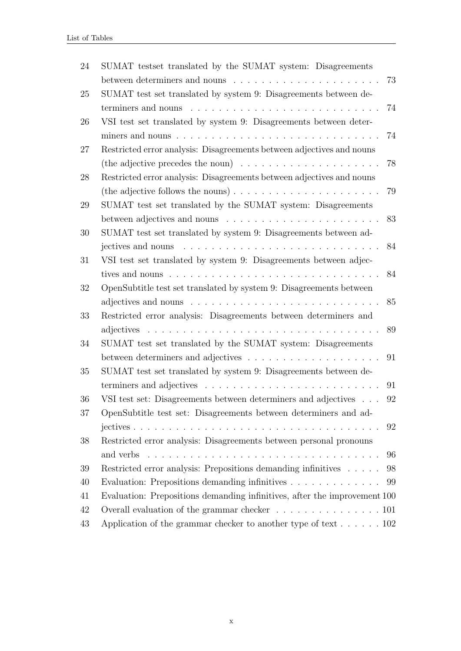| 24 | SUMAT testset translated by the SUMAT system: Disagreements                                            |      |
|----|--------------------------------------------------------------------------------------------------------|------|
|    | between determiners and nouns                                                                          | 73   |
| 25 | SUMAT test set translated by system 9: Disagreements between de-                                       |      |
|    | terminers and nouns $\ldots \ldots \ldots \ldots \ldots \ldots \ldots \ldots \ldots \ldots$            | 74   |
| 26 | VSI test set translated by system 9: Disagreements between deter-                                      |      |
|    |                                                                                                        | 74   |
| 27 | Restricted error analysis: Disagreements between adjectives and nouns                                  |      |
|    | (the adjective precedes the noun) $\ldots \ldots \ldots \ldots \ldots \ldots$                          | 78   |
| 28 | Restricted error analysis: Disagreements between adjectives and nouns                                  |      |
|    |                                                                                                        | 79   |
| 29 | SUMAT test set translated by the SUMAT system: Disagreements                                           |      |
|    | between adjectives and nouns $\dots \dots \dots \dots \dots \dots \dots$                               | 83   |
| 30 | SUMAT test set translated by system 9: Disagreements between ad-                                       |      |
|    | jectives and nouns $\dots \dots \dots \dots \dots \dots \dots \dots \dots \dots \dots$                 | 84   |
| 31 | VSI test set translated by system 9: Disagreements between adjec-                                      |      |
|    | tives and nouns $\ldots \ldots \ldots \ldots \ldots \ldots \ldots \ldots \ldots \ldots$                | 84   |
| 32 | OpenSubtitle test set translated by system 9: Disagreements between                                    |      |
|    | adjectives and nouns $\dots \dots \dots \dots \dots \dots \dots \dots \dots \dots$                     | 85   |
| 33 | Restricted error analysis: Disagreements between determiners and                                       |      |
|    |                                                                                                        | 89   |
| 34 | SUMAT test set translated by the SUMAT system: Disagreements                                           |      |
|    |                                                                                                        | 91   |
| 35 | SUMAT test set translated by system 9: Disagreements between de-                                       |      |
|    | terminers and adjectives $\ldots \ldots \ldots \ldots \ldots \ldots \ldots \ldots$                     | 91   |
| 36 | VSI test set: Disagreements between determiners and adjectives 92                                      |      |
| 37 | OpenSubtitle test set: Disagreements between determiners and ad-                                       |      |
|    | $\text{jectives } \ldots \ldots \ldots \ldots \ldots \ldots \ldots \ldots \ldots \ldots \ldots \ldots$ | 92   |
| 38 | Restricted error analysis: Disagreements between personal pronouns                                     |      |
|    | and verbs $\ldots \ldots \ldots \ldots \ldots \ldots \ldots \ldots \ldots \ldots \ldots$               | 96   |
| 39 | Restricted error analysis: Prepositions demanding infinitives                                          | 98   |
| 40 | Evaluation: Prepositions demanding infinitives $\dots \dots \dots \dots$                               | - 99 |
| 41 | Evaluation: Prepositions demanding infinitives, after the improvement 100                              |      |
| 42 |                                                                                                        |      |
| 43 | Application of the grammar checker to another type of text 102                                         |      |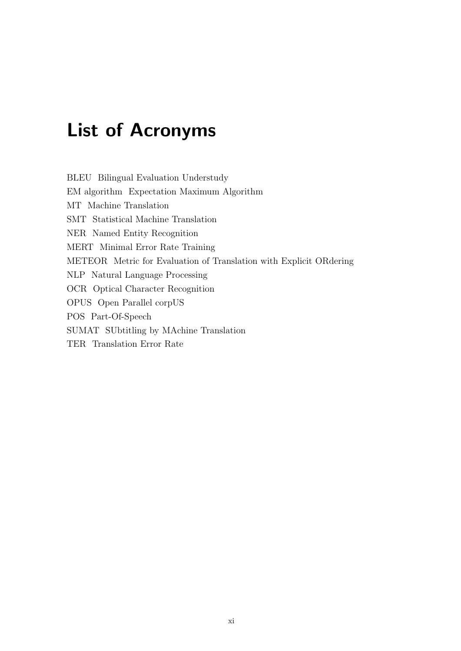# <span id="page-11-0"></span>List of Acronyms

BLEU Bilingual Evaluation Understudy EM algorithm Expectation Maximum Algorithm MT Machine Translation SMT Statistical Machine Translation NER Named Entity Recognition MERT Minimal Error Rate Training METEOR Metric for Evaluation of Translation with Explicit ORdering NLP Natural Language Processing OCR Optical Character Recognition OPUS Open Parallel corpUS POS Part-Of-Speech SUMAT SUbtitling by MAchine Translation TER Translation Error Rate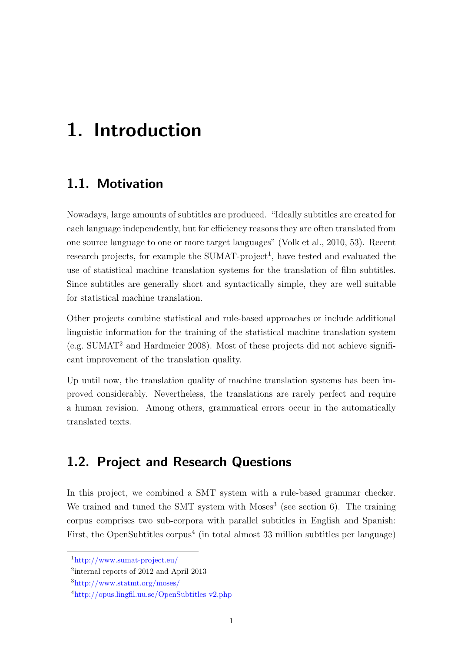# <span id="page-12-0"></span>1. Introduction

### <span id="page-12-1"></span>1.1. Motivation

Nowadays, large amounts of subtitles are produced. "Ideally subtitles are created for each language independently, but for efficiency reasons they are often translated from one source language to one or more target languages" [\(Volk et al., 2010,](#page-120-0) 53). Recent research projects, for example the  $SUMAT\text{-}project^1$ , have tested and evaluated the use of statistical machine translation systems for the translation of film subtitles. Since subtitles are generally short and syntactically simple, they are well suitable for statistical machine translation.

Other projects combine statistical and rule-based approaches or include additional linguistic information for the training of the statistical machine translation system  $(e.g. SUMAT<sup>2</sup> and Hardmeier 2008)$  $(e.g. SUMAT<sup>2</sup> and Hardmeier 2008)$ . Most of these projects did not achieve significant improvement of the translation quality.

Up until now, the translation quality of machine translation systems has been improved considerably. Nevertheless, the translations are rarely perfect and require a human revision. Among others, grammatical errors occur in the automatically translated texts.

### <span id="page-12-2"></span>1.2. Project and Research Questions

In this project, we combined a SMT system with a rule-based grammar checker. We trained and tuned the SMT system with  $M$ oses<sup>3</sup> (see section [6\)](#page-52-0). The training corpus comprises two sub-corpora with parallel subtitles in English and Spanish: First, the OpenSubtitles corpus<sup>4</sup> (in total almost 33 million subtitles per language)

<sup>1</sup>http://www.sumat-project.eu/

<sup>2</sup> internal reports of 2012 and April 2013

<sup>3</sup>http://www.statmt.org/moses/

 $^{4}$ http://opus.lingfil.uu.se/OpenSubtitles\_v2.php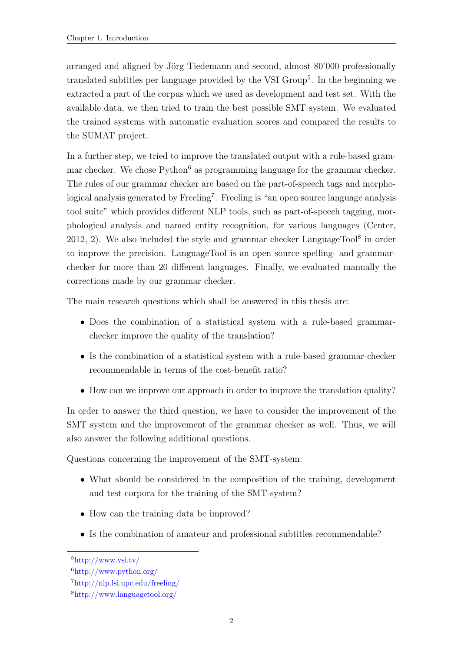arranged and aligned by Jörg Tiedemann and second, almost 80'000 professionally translated subtitles per language provided by the VSI Group<sup>5</sup>. In the beginning we extracted a part of the corpus which we used as development and test set. With the available data, we then tried to train the best possible SMT system. We evaluated the trained systems with automatic evaluation scores and compared the results to the SUMAT project.

In a further step, we tried to improve the translated output with a rule-based grammar checker. We chose  $Python<sup>6</sup>$  as programming language for the grammar checker. The rules of our grammar checker are based on the part-of-speech tags and morphological analysis generated by Freeling<sup>7</sup>. Freeling is "an open source language analysis tool suite" which provides different NLP tools, such as part-of-speech tagging, morphological analysis and named entity recognition, for various languages [\(Center,](#page-118-1)  $2012, 2$  $2012, 2$ ). We also included the style and grammar checker LanguageTool<sup>8</sup> in order to improve the precision. LanguageTool is an open source spelling- and grammarchecker for more than 20 different languages. Finally, we evaluated manually the corrections made by our grammar checker.

The main research questions which shall be answered in this thesis are:

- Does the combination of a statistical system with a rule-based grammarchecker improve the quality of the translation?
- Is the combination of a statistical system with a rule-based grammar-checker recommendable in terms of the cost-benefit ratio?
- How can we improve our approach in order to improve the translation quality?

In order to answer the third question, we have to consider the improvement of the SMT system and the improvement of the grammar checker as well. Thus, we will also answer the following additional questions.

Questions concerning the improvement of the SMT-system:

- What should be considered in the composition of the training, development and test corpora for the training of the SMT-system?
- How can the training data be improved?
- Is the combination of amateur and professional subtitles recommendable?

 $5$ http://www.vsi.tv/

<sup>6</sup>http://www.python.org/

<sup>7</sup>http://nlp.lsi.upc.edu/freeling/

<sup>8</sup>http://www.languagetool.org/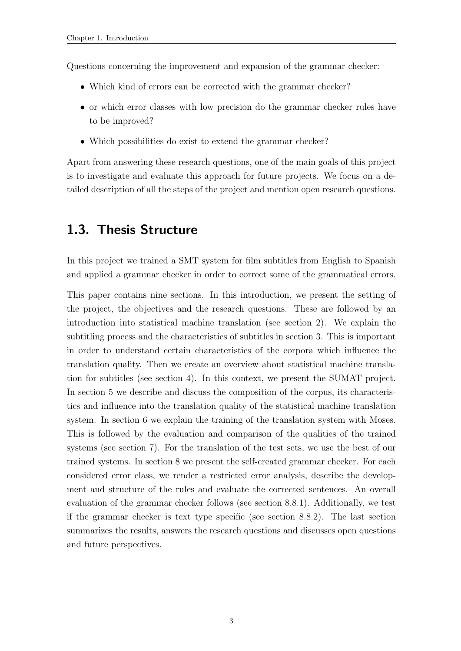Questions concerning the improvement and expansion of the grammar checker:

- Which kind of errors can be corrected with the grammar checker?
- or which error classes with low precision do the grammar checker rules have to be improved?
- Which possibilities do exist to extend the grammar checker?

Apart from answering these research questions, one of the main goals of this project is to investigate and evaluate this approach for future projects. We focus on a detailed description of all the steps of the project and mention open research questions.

#### <span id="page-14-0"></span>1.3. Thesis Structure

In this project we trained a SMT system for film subtitles from English to Spanish and applied a grammar checker in order to correct some of the grammatical errors.

This paper contains nine sections. In this introduction, we present the setting of the project, the objectives and the research questions. These are followed by an introduction into statistical machine translation (see section 2). We explain the subtitling process and the characteristics of subtitles in section 3. This is important in order to understand certain characteristics of the corpora which influence the translation quality. Then we create an overview about statistical machine translation for subtitles (see section [4\)](#page-26-0). In this context, we present the SUMAT project. In section [5](#page-30-0) we describe and discuss the composition of the corpus, its characteristics and influence into the translation quality of the statistical machine translation system. In section [6](#page-52-0) we explain the training of the translation system with Moses. This is followed by the evaluation and comparison of the qualities of the trained systems (see section [7\)](#page-54-0). For the translation of the test sets, we use the best of our trained systems. In section 8 we present the self-created grammar checker. For each considered error class, we render a restricted error analysis, describe the development and structure of the rules and evaluate the corrected sentences. An overall evaluation of the grammar checker follows (see section [8.8.1\)](#page-112-1). Additionally, we test if the grammar checker is text type specific (see section [8.8.2\)](#page-113-0). The last section summarizes the results, answers the research questions and discusses open questions and future perspectives.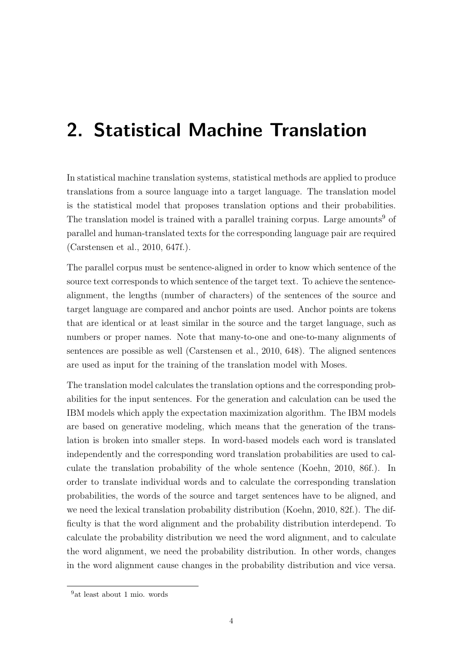# <span id="page-15-0"></span>2. Statistical Machine Translation

In statistical machine translation systems, statistical methods are applied to produce translations from a source language into a target language. The translation model is the statistical model that proposes translation options and their probabilities. The translation model is trained with a parallel training corpus. Large amounts<sup>9</sup> of parallel and human-translated texts for the corresponding language pair are required [\(Carstensen et al., 2010,](#page-118-2) 647f.).

The parallel corpus must be sentence-aligned in order to know which sentence of the source text corresponds to which sentence of the target text. To achieve the sentencealignment, the lengths (number of characters) of the sentences of the source and target language are compared and anchor points are used. Anchor points are tokens that are identical or at least similar in the source and the target language, such as numbers or proper names. Note that many-to-one and one-to-many alignments of sentences are possible as well [\(Carstensen et al., 2010,](#page-118-2) 648). The aligned sentences are used as input for the training of the translation model with Moses.

The translation model calculates the translation options and the corresponding probabilities for the input sentences. For the generation and calculation can be used the IBM models which apply the expectation maximization algorithm. The IBM models are based on generative modeling, which means that the generation of the translation is broken into smaller steps. In word-based models each word is translated independently and the corresponding word translation probabilities are used to calculate the translation probability of the whole sentence [\(Koehn, 2010,](#page-119-1) 86f.). In order to translate individual words and to calculate the corresponding translation probabilities, the words of the source and target sentences have to be aligned, and we need the lexical translation probability distribution [\(Koehn, 2010,](#page-119-1) 82f.). The difficulty is that the word alignment and the probability distribution interdepend. To calculate the probability distribution we need the word alignment, and to calculate the word alignment, we need the probability distribution. In other words, changes in the word alignment cause changes in the probability distribution and vice versa.

<sup>9</sup>at least about 1 mio. words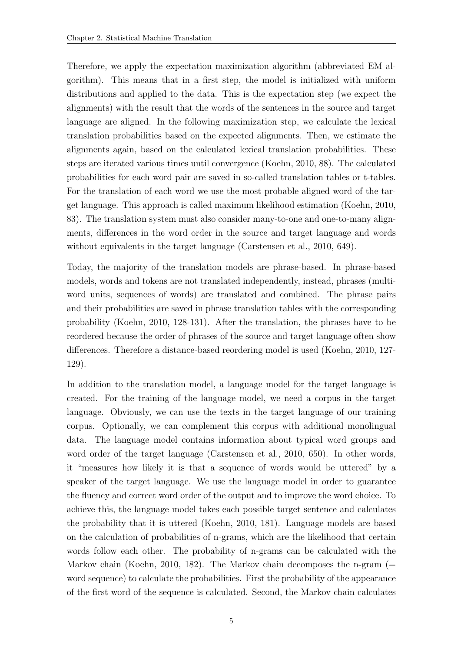Therefore, we apply the expectation maximization algorithm (abbreviated EM algorithm). This means that in a first step, the model is initialized with uniform distributions and applied to the data. This is the expectation step (we expect the alignments) with the result that the words of the sentences in the source and target language are aligned. In the following maximization step, we calculate the lexical translation probabilities based on the expected alignments. Then, we estimate the alignments again, based on the calculated lexical translation probabilities. These steps are iterated various times until convergence [\(Koehn, 2010,](#page-119-1) 88). The calculated probabilities for each word pair are saved in so-called translation tables or t-tables. For the translation of each word we use the most probable aligned word of the target language. This approach is called maximum likelihood estimation [\(Koehn, 2010,](#page-119-1) 83). The translation system must also consider many-to-one and one-to-many alignments, differences in the word order in the source and target language and words without equivalents in the target language [\(Carstensen et al., 2010,](#page-118-2) 649).

Today, the majority of the translation models are phrase-based. In phrase-based models, words and tokens are not translated independently, instead, phrases (multiword units, sequences of words) are translated and combined. The phrase pairs and their probabilities are saved in phrase translation tables with the corresponding probability [\(Koehn, 2010,](#page-119-1) 128-131). After the translation, the phrases have to be reordered because the order of phrases of the source and target language often show differences. Therefore a distance-based reordering model is used [\(Koehn, 2010,](#page-119-1) 127- 129).

In addition to the translation model, a language model for the target language is created. For the training of the language model, we need a corpus in the target language. Obviously, we can use the texts in the target language of our training corpus. Optionally, we can complement this corpus with additional monolingual data. The language model contains information about typical word groups and word order of the target language [\(Carstensen et al., 2010,](#page-118-2) 650). In other words, it "measures how likely it is that a sequence of words would be uttered" by a speaker of the target language. We use the language model in order to guarantee the fluency and correct word order of the output and to improve the word choice. To achieve this, the language model takes each possible target sentence and calculates the probability that it is uttered [\(Koehn, 2010,](#page-119-1) 181). Language models are based on the calculation of probabilities of n-grams, which are the likelihood that certain words follow each other. The probability of n-grams can be calculated with the Markov chain [\(Koehn, 2010,](#page-119-1) 182). The Markov chain decomposes the n-gram  $(=$ word sequence) to calculate the probabilities. First the probability of the appearance of the first word of the sequence is calculated. Second, the Markov chain calculates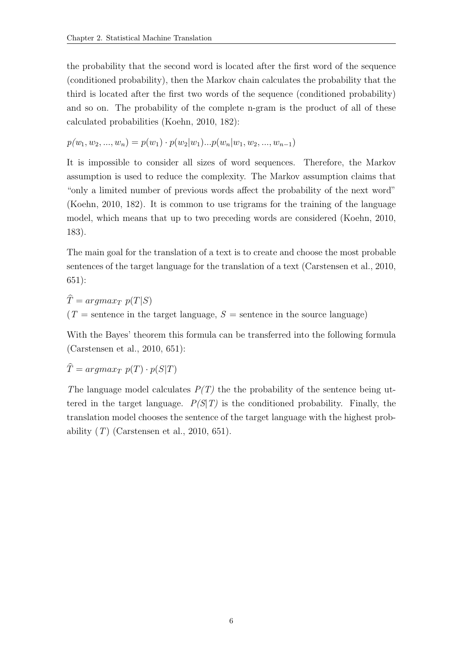the probability that the second word is located after the first word of the sequence (conditioned probability), then the Markov chain calculates the probability that the third is located after the first two words of the sequence (conditioned probability) and so on. The probability of the complete n-gram is the product of all of these calculated probabilities [\(Koehn, 2010,](#page-119-1) 182):

$$
p(w_1, w_2, ..., w_n) = p(w_1) \cdot p(w_2|w_1)...p(w_n|w_1, w_2, ..., w_{n-1})
$$

It is impossible to consider all sizes of word sequences. Therefore, the Markov assumption is used to reduce the complexity. The Markov assumption claims that "only a limited number of previous words affect the probability of the next word" [\(Koehn, 2010,](#page-119-1) 182). It is common to use trigrams for the training of the language model, which means that up to two preceding words are considered [\(Koehn, 2010,](#page-119-1) 183).

The main goal for the translation of a text is to create and choose the most probable sentences of the target language for the translation of a text [\(Carstensen et al., 2010,](#page-118-2) 651):

 $\widehat{T} = argmax_T p(T|S)$  $(T =$  sentence in the target language,  $S =$  sentence in the source language)

With the Bayes' theorem this formula can be transferred into the following formula [\(Carstensen et al., 2010,](#page-118-2) 651):

$$
\widehat{T} = argmax_{T} p(T) \cdot p(S|T)
$$

The language model calculates  $P(T)$  the the probability of the sentence being uttered in the target language.  $P(S|T)$  is the conditioned probability. Finally, the translation model chooses the sentence of the target language with the highest probability  $(T)$  [\(Carstensen et al., 2010,](#page-118-2) 651).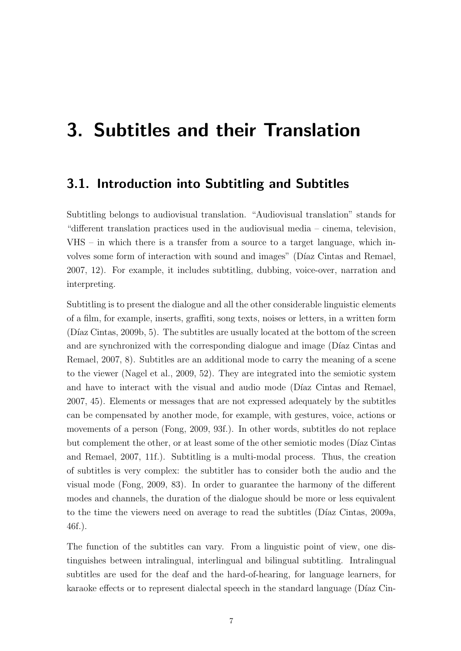## <span id="page-18-0"></span>3. Subtitles and their Translation

#### <span id="page-18-1"></span>3.1. Introduction into Subtitling and Subtitles

Subtitling belongs to audiovisual translation. "Audiovisual translation" stands for "different translation practices used in the audiovisual media – cinema, television, VHS – in which there is a transfer from a source to a target language, which involves some form of interaction with sound and images" (Díaz Cintas and Remael, [2007,](#page-118-3) 12). For example, it includes subtitling, dubbing, voice-over, narration and interpreting.

Subtitling is to present the dialogue and all the other considerable linguistic elements of a film, for example, inserts, graffiti, song texts, noises or letters, in a written form  $(Díaz Cintas, 2009b, 5)$ . The subtitles are usually located at the bottom of the screen and are synchronized with the corresponding dialogue and image (Díaz Cintas and [Remael, 2007,](#page-118-3) 8). Subtitles are an additional mode to carry the meaning of a scene to the viewer [\(Nagel et al., 2009,](#page-119-2) 52). They are integrated into the semiotic system and have to interact with the visual and audio mode (Díaz Cintas and Remael, [2007,](#page-118-3) 45). Elements or messages that are not expressed adequately by the subtitles can be compensated by another mode, for example, with gestures, voice, actions or movements of a person [\(Fong, 2009,](#page-118-5) 93f.). In other words, subtitles do not replace but complement the other, or at least some of the other semiotic modes (Díaz Cintas [and Remael, 2007,](#page-118-3) 11f.). Subtitling is a multi-modal process. Thus, the creation of subtitles is very complex: the subtitler has to consider both the audio and the visual mode [\(Fong, 2009,](#page-118-5) 83). In order to guarantee the harmony of the different modes and channels, the duration of the dialogue should be more or less equivalent to the time the viewers need on average to read the subtitles (Díaz Cintas, 2009a, 46f.).

The function of the subtitles can vary. From a linguistic point of view, one distinguishes between intralingual, interlingual and bilingual subtitling. Intralingual subtitles are used for the deaf and the hard-of-hearing, for language learners, for karaoke effects or to represent dialectal speech in the standard language (Díaz Cin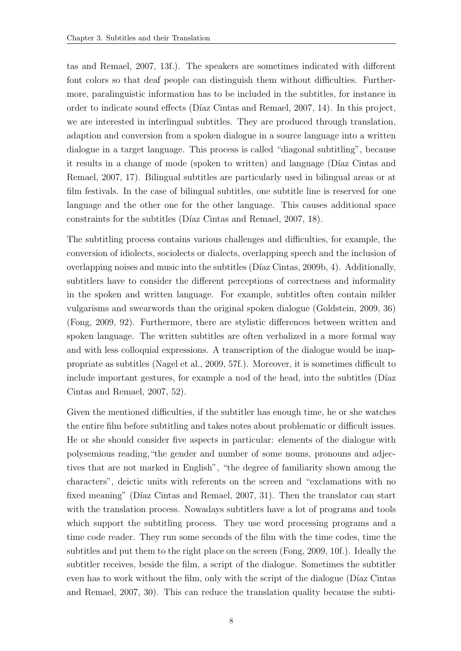[tas and Remael, 2007,](#page-118-3) 13f.). The speakers are sometimes indicated with different font colors so that deaf people can distinguish them without difficulties. Furthermore, paralinguistic information has to be included in the subtitles, for instance in order to indicate sound effects (Díaz Cintas and Remael, 2007, 14). In this project, we are interested in interlingual subtitles. They are produced through translation, adaption and conversion from a spoken dialogue in a source language into a written dialogue in a target language. This process is called "diagonal subtitling", because it results in a change of mode (spoken to written) and language (Díaz Cintas and [Remael, 2007,](#page-118-3) 17). Bilingual subtitles are particularly used in bilingual areas or at film festivals. In the case of bilingual subtitles, one subtitle line is reserved for one language and the other one for the other language. This causes additional space constraints for the subtitles (Díaz Cintas and Remael, 2007, 18).

The subtitling process contains various challenges and difficulties, for example, the conversion of idiolects, sociolects or dialects, overlapping speech and the inclusion of overlapping noises and music into the subtitles ( $Díaz Cintas$ , 2009b, 4). Additionally, subtitlers have to consider the different perceptions of correctness and informality in the spoken and written language. For example, subtitles often contain milder vulgarisms and swearwords than the original spoken dialogue [\(Goldstein, 2009,](#page-118-7) 36) [\(Fong, 2009,](#page-118-5) 92). Furthermore, there are stylistic differences between written and spoken language. The written subtitles are often verbalized in a more formal way and with less colloquial expressions. A transcription of the dialogue would be inappropriate as subtitles [\(Nagel et al., 2009,](#page-119-2) 57f.). Moreover, it is sometimes difficult to include important gestures, for example a nod of the head, into the subtitles (Díaz [Cintas and Remael, 2007,](#page-118-3) 52).

Given the mentioned difficulties, if the subtitler has enough time, he or she watches the entire film before subtitling and takes notes about problematic or difficult issues. He or she should consider five aspects in particular: elements of the dialogue with polysemious reading,"the gender and number of some nouns, pronouns and adjectives that are not marked in English", "the degree of familiarity shown among the characters", deictic units with referents on the screen and "exclamations with no fixed meaning" (Díaz Cintas and Remael, 2007, 31). Then the translator can start with the translation process. Nowadays subtitlers have a lot of programs and tools which support the subtitling process. They use word processing programs and a time code reader. They run some seconds of the film with the time codes, time the subtitles and put them to the right place on the screen [\(Fong, 2009,](#page-118-5) 10f.). Ideally the subtitler receives, beside the film, a script of the dialogue. Sometimes the subtitler even has to work without the film, only with the script of the dialogue (Díaz Cintas [and Remael, 2007,](#page-118-3) 30). This can reduce the translation quality because the subti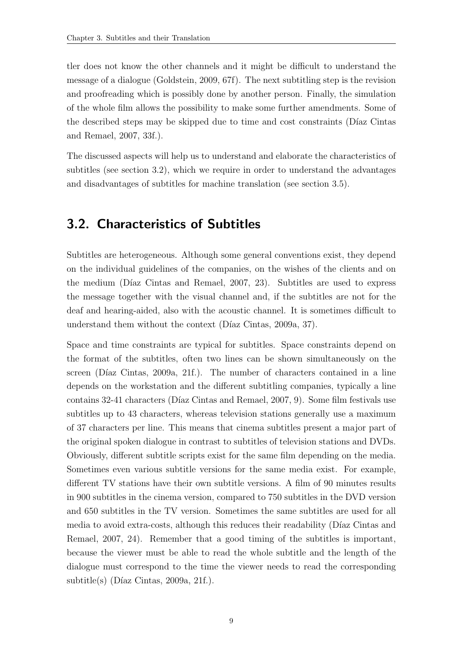tler does not know the other channels and it might be difficult to understand the message of a dialogue [\(Goldstein, 2009,](#page-118-7) 67f). The next subtitling step is the revision and proofreading which is possibly done by another person. Finally, the simulation of the whole film allows the possibility to make some further amendments. Some of the described steps may be skipped due to time and cost constraints (Díaz Cintas [and Remael, 2007,](#page-118-3) 33f.).

The discussed aspects will help us to understand and elaborate the characteristics of subtitles (see section [3.2\)](#page-20-0), which we require in order to understand the advantages and disadvantages of subtitles for machine translation (see section [3.5\)](#page-24-0).

#### <span id="page-20-0"></span>3.2. Characteristics of Subtitles

Subtitles are heterogeneous. Although some general conventions exist, they depend on the individual guidelines of the companies, on the wishes of the clients and on the medium (Díaz Cintas and Remael, 2007, 23). Subtitles are used to express the message together with the visual channel and, if the subtitles are not for the deaf and hearing-aided, also with the acoustic channel. It is sometimes difficult to understand them without the context (Díaz Cintas, 2009a, 37).

Space and time constraints are typical for subtitles. Space constraints depend on the format of the subtitles, often two lines can be shown simultaneously on the screen (Díaz Cintas, 2009a, 21f.). The number of characters contained in a line depends on the workstation and the different subtitling companies, typically a line contains 32-41 characters (Díaz Cintas and Remael, 2007, 9). Some film festivals use subtitles up to 43 characters, whereas television stations generally use a maximum of 37 characters per line. This means that cinema subtitles present a major part of the original spoken dialogue in contrast to subtitles of television stations and DVDs. Obviously, different subtitle scripts exist for the same film depending on the media. Sometimes even various subtitle versions for the same media exist. For example, different TV stations have their own subtitle versions. A film of 90 minutes results in 900 subtitles in the cinema version, compared to 750 subtitles in the DVD version and 650 subtitles in the TV version. Sometimes the same subtitles are used for all media to avoid extra-costs, although this reduces their readability (Díaz Cintas and [Remael, 2007,](#page-118-3) 24). Remember that a good timing of the subtitles is important, because the viewer must be able to read the whole subtitle and the length of the dialogue must correspond to the time the viewer needs to read the corresponding  $subtitle(s)$  (Díaz Cintas, 2009a, 21f.).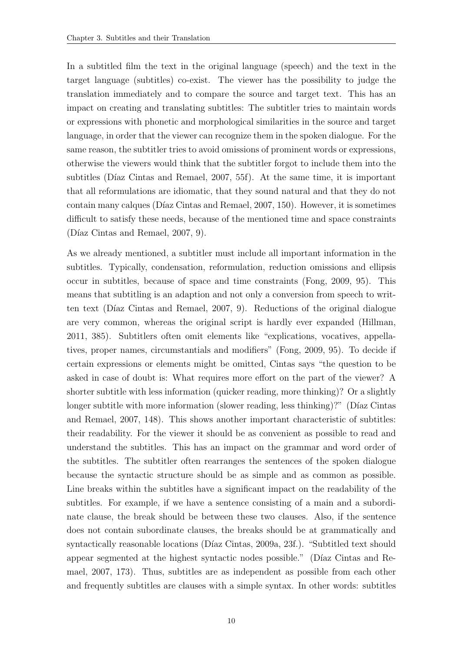In a subtitled film the text in the original language (speech) and the text in the target language (subtitles) co-exist. The viewer has the possibility to judge the translation immediately and to compare the source and target text. This has an impact on creating and translating subtitles: The subtitler tries to maintain words or expressions with phonetic and morphological similarities in the source and target language, in order that the viewer can recognize them in the spoken dialogue. For the same reason, the subtitler tries to avoid omissions of prominent words or expressions, otherwise the viewers would think that the subtitler forgot to include them into the subtitles (Díaz Cintas and Remael, 2007, 55f). At the same time, it is important that all reformulations are idiomatic, that they sound natural and that they do not contain many calques (Díaz Cintas and Remael, 2007, 150). However, it is sometimes difficult to satisfy these needs, because of the mentioned time and space constraints (Díaz Cintas and Remael,  $2007, 9$ ).

As we already mentioned, a subtitler must include all important information in the subtitles. Typically, condensation, reformulation, reduction omissions and ellipsis occur in subtitles, because of space and time constraints [\(Fong, 2009,](#page-118-5) 95). This means that subtitling is an adaption and not only a conversion from speech to written text (Díaz Cintas and Remael, 2007, 9). Reductions of the original dialogue are very common, whereas the original script is hardly ever expanded [\(Hillman,](#page-119-3) [2011,](#page-119-3) 385). Subtitlers often omit elements like "explications, vocatives, appellatives, proper names, circumstantials and modifiers" [\(Fong, 2009,](#page-118-5) 95). To decide if certain expressions or elements might be omitted, Cintas says "the question to be asked in case of doubt is: What requires more effort on the part of the viewer? A shorter subtitle with less information (quicker reading, more thinking)? Or a slightly longer subtitle with more information (slower reading, less thinking)?" (Díaz Cintas [and Remael, 2007,](#page-118-3) 148). This shows another important characteristic of subtitles: their readability. For the viewer it should be as convenient as possible to read and understand the subtitles. This has an impact on the grammar and word order of the subtitles. The subtitler often rearranges the sentences of the spoken dialogue because the syntactic structure should be as simple and as common as possible. Line breaks within the subtitles have a significant impact on the readability of the subtitles. For example, if we have a sentence consisting of a main and a subordinate clause, the break should be between these two clauses. Also, if the sentence does not contain subordinate clauses, the breaks should be at grammatically and syntactically reasonable locations (Díaz Cintas, 2009a, 23f.). "Subtitled text should appear segmented at the highest syntactic nodes possible." (Díaz Cintas and Re[mael, 2007,](#page-118-3) 173). Thus, subtitles are as independent as possible from each other and frequently subtitles are clauses with a simple syntax. In other words: subtitles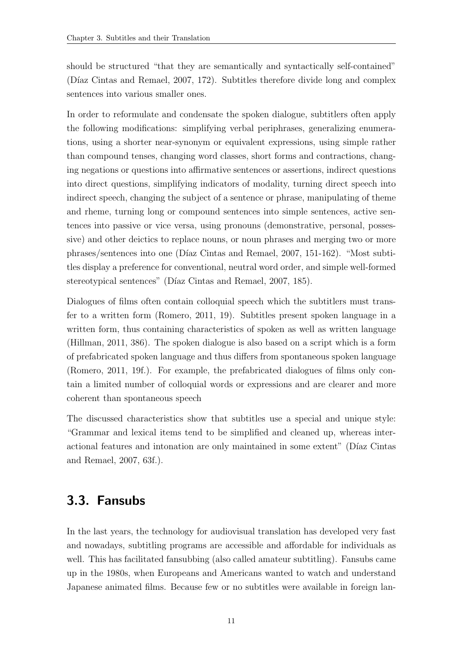should be structured "that they are semantically and syntactically self-contained" (Díaz Cintas and Remael,  $2007, 172$ ). Subtitles therefore divide long and complex sentences into various smaller ones.

In order to reformulate and condensate the spoken dialogue, subtitlers often apply the following modifications: simplifying verbal periphrases, generalizing enumerations, using a shorter near-synonym or equivalent expressions, using simple rather than compound tenses, changing word classes, short forms and contractions, changing negations or questions into affirmative sentences or assertions, indirect questions into direct questions, simplifying indicators of modality, turning direct speech into indirect speech, changing the subject of a sentence or phrase, manipulating of theme and rheme, turning long or compound sentences into simple sentences, active sentences into passive or vice versa, using pronouns (demonstrative, personal, possessive) and other deictics to replace nouns, or noun phrases and merging two or more phrases/sentences into one [\(D´ıaz Cintas and Remael, 2007,](#page-118-3) 151-162). "Most subtitles display a preference for conventional, neutral word order, and simple well-formed stereotypical sentences" (Díaz Cintas and Remael, 2007, 185).

Dialogues of films often contain colloquial speech which the subtitlers must transfer to a written form [\(Romero, 2011,](#page-119-4) 19). Subtitles present spoken language in a written form, thus containing characteristics of spoken as well as written language [\(Hillman, 2011,](#page-119-3) 386). The spoken dialogue is also based on a script which is a form of prefabricated spoken language and thus differs from spontaneous spoken language [\(Romero, 2011,](#page-119-4) 19f.). For example, the prefabricated dialogues of films only contain a limited number of colloquial words or expressions and are clearer and more coherent than spontaneous speech

The discussed characteristics show that subtitles use a special and unique style: "Grammar and lexical items tend to be simplified and cleaned up, whereas interactional features and intonation are only maintained in some extent" (Díaz Cintas [and Remael, 2007,](#page-118-3) 63f.).

### <span id="page-22-0"></span>3.3. Fansubs

In the last years, the technology for audiovisual translation has developed very fast and nowadays, subtitling programs are accessible and affordable for individuals as well. This has facilitated fansubbing (also called amateur subtitling). Fansubs came up in the 1980s, when Europeans and Americans wanted to watch and understand Japanese animated films. Because few or no subtitles were available in foreign lan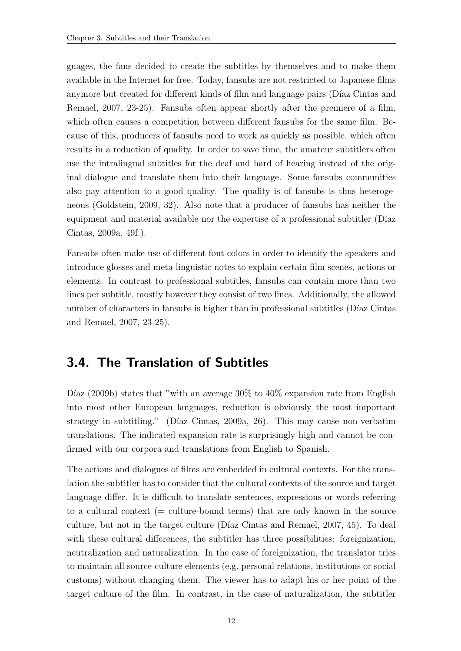guages, the fans decided to create the subtitles by themselves and to make them available in the Internet for free. Today, fansubs are not restricted to Japanese films anymore but created for different kinds of film and language pairs (Díaz Cintas and [Remael, 2007,](#page-118-3) 23-25). Fansubs often appear shortly after the premiere of a film, which often causes a competition between different fansubs for the same film. Because of this, producers of fansubs need to work as quickly as possible, which often results in a reduction of quality. In order to save time, the amateur subtitlers often use the intralingual subtitles for the deaf and hard of hearing instead of the original dialogue and translate them into their language. Some fansubs communities also pay attention to a good quality. The quality is of fansubs is thus heterogeneous [\(Goldstein, 2009,](#page-118-7) 32). Also note that a producer of fansubs has neither the equipment and material available nor the expertise of a professional subtitler (Díaz [Cintas, 2009a,](#page-118-6) 49f.).

Fansubs often make use of different font colors in order to identify the speakers and introduce glosses and meta linguistic notes to explain certain film scenes, actions or elements. In contrast to professional subtitles, fansubs can contain more than two lines per subtitle, mostly however they consist of two lines. Additionally, the allowed number of characters in fansubs is higher than in professional subtitles (Díaz Cintas [and Remael, 2007,](#page-118-3) 23-25).

#### <span id="page-23-0"></span>3.4. The Translation of Subtitles

Díaz (2009b) states that "with an average  $30\%$  to  $40\%$  expansion rate from English into most other European languages, reduction is obviously the most important strategy in subtitling." (Díaz Cintas, 2009a, 26). This may cause non-verbatim translations. The indicated expansion rate is surprisingly high and cannot be confirmed with our corpora and translations from English to Spanish.

The actions and dialogues of films are embedded in cultural contexts. For the translation the subtitler has to consider that the cultural contexts of the source and target language differ. It is difficult to translate sentences, expressions or words referring to a cultural context (= culture-bound terms) that are only known in the source culture, but not in the target culture (Díaz Cintas and Remael, 2007, 45). To deal with these cultural differences, the subtitler has three possibilities: foreignization, neutralization and naturalization. In the case of foreignization, the translator tries to maintain all source-culture elements (e.g. personal relations, institutions or social customs) without changing them. The viewer has to adapt his or her point of the target culture of the film. In contrast, in the case of naturalization, the subtitler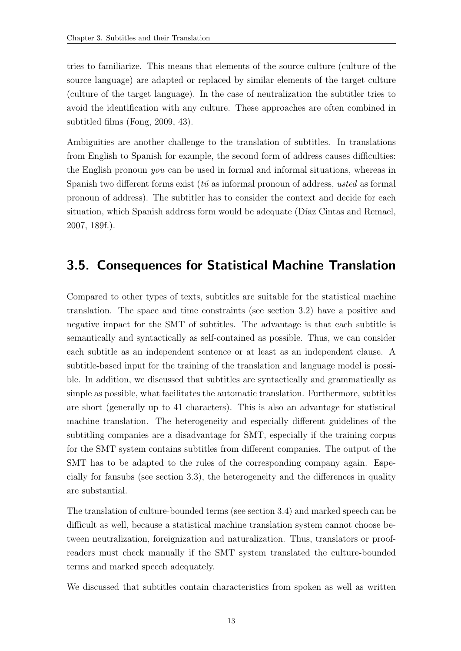tries to familiarize. This means that elements of the source culture (culture of the source language) are adapted or replaced by similar elements of the target culture (culture of the target language). In the case of neutralization the subtitler tries to avoid the identification with any culture. These approaches are often combined in subtitled films [\(Fong, 2009,](#page-118-5) 43).

Ambiguities are another challenge to the translation of subtitles. In translations from English to Spanish for example, the second form of address causes difficulties: the English pronoun you can be used in formal and informal situations, whereas in Spanish two different forms exist ( $t\acute{u}$  as informal pronoun of address, usted as formal pronoun of address). The subtitler has to consider the context and decide for each situation, which Spanish address form would be adequate (Díaz Cintas and Remael, [2007,](#page-118-3) 189f.).

### <span id="page-24-0"></span>3.5. Consequences for Statistical Machine Translation

Compared to other types of texts, subtitles are suitable for the statistical machine translation. The space and time constraints (see section [3.2\)](#page-20-0) have a positive and negative impact for the SMT of subtitles. The advantage is that each subtitle is semantically and syntactically as self-contained as possible. Thus, we can consider each subtitle as an independent sentence or at least as an independent clause. A subtitle-based input for the training of the translation and language model is possible. In addition, we discussed that subtitles are syntactically and grammatically as simple as possible, what facilitates the automatic translation. Furthermore, subtitles are short (generally up to 41 characters). This is also an advantage for statistical machine translation. The heterogeneity and especially different guidelines of the subtitling companies are a disadvantage for SMT, especially if the training corpus for the SMT system contains subtitles from different companies. The output of the SMT has to be adapted to the rules of the corresponding company again. Especially for fansubs (see section [3.3\)](#page-22-0), the heterogeneity and the differences in quality are substantial.

The translation of culture-bounded terms (see section [3.4\)](#page-23-0) and marked speech can be difficult as well, because a statistical machine translation system cannot choose between neutralization, foreignization and naturalization. Thus, translators or proofreaders must check manually if the SMT system translated the culture-bounded terms and marked speech adequately.

We discussed that subtitles contain characteristics from spoken as well as written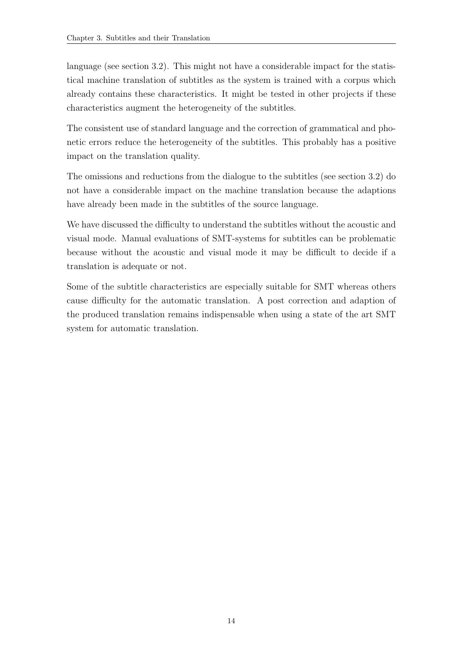language (see section [3.2\)](#page-20-0). This might not have a considerable impact for the statistical machine translation of subtitles as the system is trained with a corpus which already contains these characteristics. It might be tested in other projects if these characteristics augment the heterogeneity of the subtitles.

The consistent use of standard language and the correction of grammatical and phonetic errors reduce the heterogeneity of the subtitles. This probably has a positive impact on the translation quality.

The omissions and reductions from the dialogue to the subtitles (see section [3.2\)](#page-20-0) do not have a considerable impact on the machine translation because the adaptions have already been made in the subtitles of the source language.

We have discussed the difficulty to understand the subtitles without the acoustic and visual mode. Manual evaluations of SMT-systems for subtitles can be problematic because without the acoustic and visual mode it may be difficult to decide if a translation is adequate or not.

Some of the subtitle characteristics are especially suitable for SMT whereas others cause difficulty for the automatic translation. A post correction and adaption of the produced translation remains indispensable when using a state of the art SMT system for automatic translation.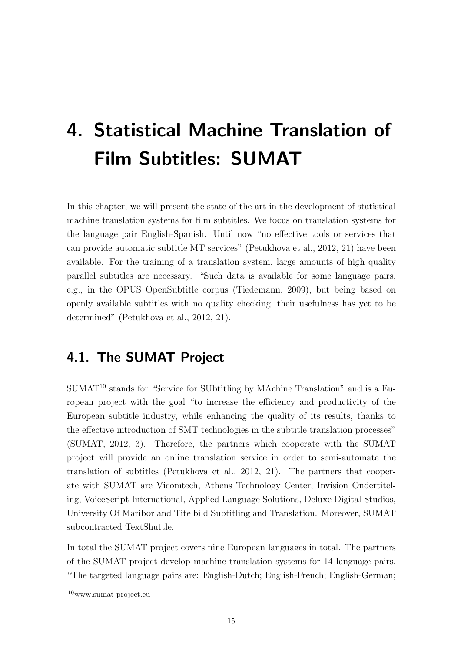# <span id="page-26-0"></span>4. Statistical Machine Translation of Film Subtitles: SUMAT

In this chapter, we will present the state of the art in the development of statistical machine translation systems for film subtitles. We focus on translation systems for the language pair English-Spanish. Until now "no effective tools or services that can provide automatic subtitle MT services" [\(Petukhova et al., 2012,](#page-119-5) 21) have been available. For the training of a translation system, large amounts of high quality parallel subtitles are necessary. "Such data is available for some language pairs, e.g., in the OPUS OpenSubtitle corpus [\(Tiedemann, 2009\)](#page-120-1), but being based on openly available subtitles with no quality checking, their usefulness has yet to be determined" [\(Petukhova et al., 2012,](#page-119-5) 21).

### <span id="page-26-1"></span>4.1. The SUMAT Project

 $SUMAT<sup>10</sup>$  stands for "Service for SUbtitling by MAchine Translation" and is a European project with the goal "to increase the efficiency and productivity of the European subtitle industry, while enhancing the quality of its results, thanks to the effective introduction of SMT technologies in the subtitle translation processes" [\(SUMAT, 2012,](#page-120-2) 3). Therefore, the partners which cooperate with the SUMAT project will provide an online translation service in order to semi-automate the translation of subtitles [\(Petukhova et al., 2012,](#page-119-5) 21). The partners that cooperate with SUMAT are Vicomtech, Athens Technology Center, Invision Ondertiteling, VoiceScript International, Applied Language Solutions, Deluxe Digital Studios, University Of Maribor and Titelbild Subtitling and Translation. Moreover, SUMAT subcontracted TextShuttle.

In total the SUMAT project covers nine European languages in total. The partners of the SUMAT project develop machine translation systems for 14 language pairs. "The targeted language pairs are: English-Dutch; English-French; English-German;

<sup>10</sup>www.sumat-project.eu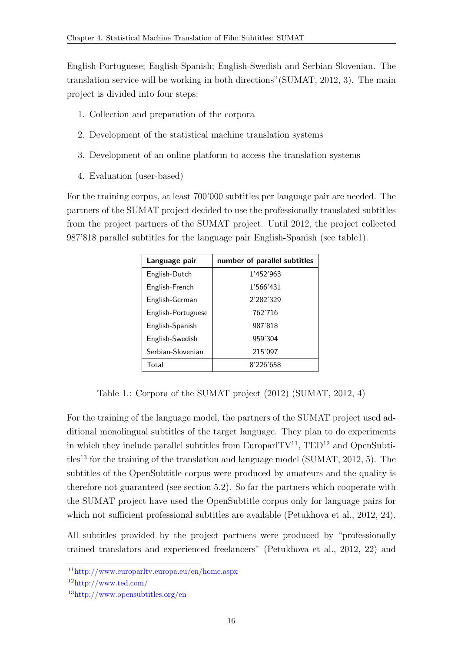English-Portuguese; English-Spanish; English-Swedish and Serbian-Slovenian. The translation service will be working in both directions"[\(SUMAT, 2012,](#page-120-2) 3). The main project is divided into four steps:

- 1. Collection and preparation of the corpora
- 2. Development of the statistical machine translation systems
- 3. Development of an online platform to access the translation systems
- 4. Evaluation (user-based)

For the training corpus, at least 700'000 subtitles per language pair are needed. The partners of the SUMAT project decided to use the professionally translated subtitles from the project partners of the SUMAT project. Until 2012, the project collected 987'818 parallel subtitles for the language pair English-Spanish (see tabl[e1\)](#page-27-0).

| Language pair      | number of parallel subtitles |
|--------------------|------------------------------|
| English-Dutch      | 1'452'963                    |
| English-French     | 1'566'431                    |
| English-German     | 2'282'329                    |
| English-Portuguese | 762'716                      |
| English-Spanish    | 987'818                      |
| English-Swedish    | 959'304                      |
| Serbian-Slovenian  | 215'097                      |
| Total              | 8'226'658                    |

<span id="page-27-0"></span>Table 1.: Corpora of the SUMAT project (2012) [\(SUMAT, 2012,](#page-120-2) 4)

For the training of the language model, the partners of the SUMAT project used additional monolingual subtitles of the target language. They plan to do experiments in which they include parallel subtitles from EuroparlTV<sup>11</sup>, TED<sup>12</sup> and OpenSubti $t$ les<sup>13</sup> for the training of the translation and language model [\(SUMAT, 2012,](#page-120-2) 5). The subtitles of the OpenSubtitle corpus were produced by amateurs and the quality is therefore not guaranteed (see section [5.2\)](#page-38-0). So far the partners which cooperate with the SUMAT project have used the OpenSubtitle corpus only for language pairs for which not sufficient professional subtitles are available [\(Petukhova et al., 2012,](#page-119-5) 24).

All subtitles provided by the project partners were produced by "professionally trained translators and experienced freelancers" [\(Petukhova et al., 2012,](#page-119-5) 22) and

<sup>11</sup>http://www.europarltv.europa.eu/en/home.aspx

<sup>12</sup>http://www.ted.com/

<sup>13</sup>http://www.opensubtitles.org/en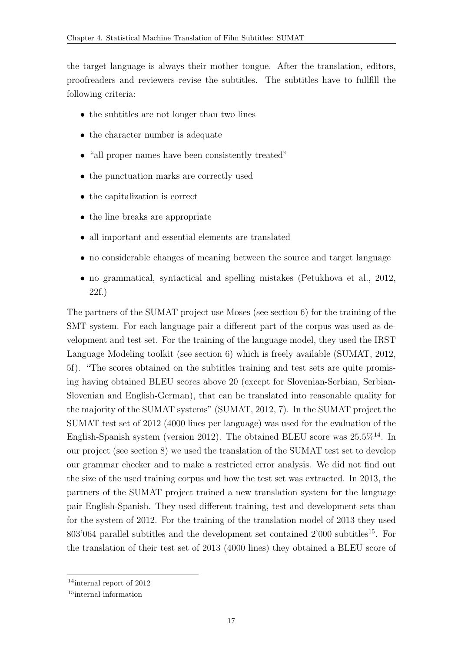the target language is always their mother tongue. After the translation, editors, proofreaders and reviewers revise the subtitles. The subtitles have to fullfill the following criteria:

- the subtitles are not longer than two lines
- the character number is adequate
- "all proper names have been consistently treated"
- the punctuation marks are correctly used
- the capitalization is correct
- the line breaks are appropriate
- all important and essential elements are translated
- no considerable changes of meaning between the source and target language
- no grammatical, syntactical and spelling mistakes [\(Petukhova et al., 2012,](#page-119-5) 22f.)

The partners of the SUMAT project use Moses (see section [6\)](#page-52-0) for the training of the SMT system. For each language pair a different part of the corpus was used as development and test set. For the training of the language model, they used the IRST Language Modeling toolkit (see section [6\)](#page-52-0) which is freely available [\(SUMAT, 2012,](#page-120-2) 5f). "The scores obtained on the subtitles training and test sets are quite promising having obtained BLEU scores above 20 (except for Slovenian-Serbian, Serbian-Slovenian and English-German), that can be translated into reasonable quality for the majority of the SUMAT systems" [\(SUMAT, 2012,](#page-120-2) 7). In the SUMAT project the SUMAT test set of 2012 (4000 lines per language) was used for the evaluation of the English-Spanish system (version 2012). The obtained BLEU score was 25.5%<sup>14</sup>. In our project (see section 8) we used the translation of the SUMAT test set to develop our grammar checker and to make a restricted error analysis. We did not find out the size of the used training corpus and how the test set was extracted. In 2013, the partners of the SUMAT project trained a new translation system for the language pair English-Spanish. They used different training, test and development sets than for the system of 2012. For the training of the translation model of 2013 they used 803'064 parallel subtitles and the development set contained  $2'000$  subtitles<sup>15</sup>. For the translation of their test set of 2013 (4000 lines) they obtained a BLEU score of

<sup>14</sup>internal report of 2012

<sup>15</sup>internal information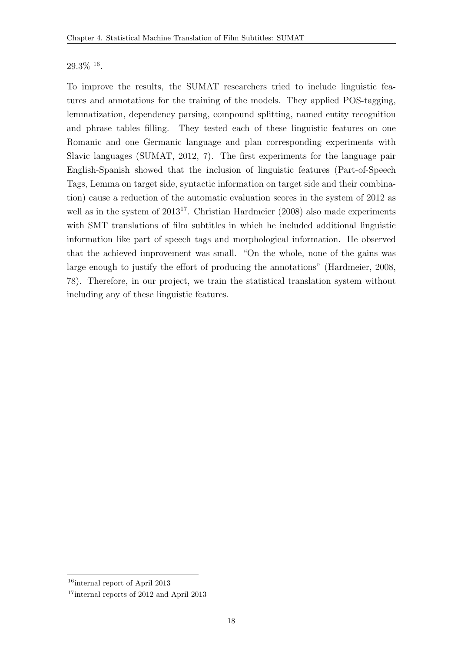#### $29.3\%$  <sup>16</sup>.

To improve the results, the SUMAT researchers tried to include linguistic features and annotations for the training of the models. They applied POS-tagging, lemmatization, dependency parsing, compound splitting, named entity recognition and phrase tables filling. They tested each of these linguistic features on one Romanic and one Germanic language and plan corresponding experiments with Slavic languages [\(SUMAT, 2012,](#page-120-2) 7). The first experiments for the language pair English-Spanish showed that the inclusion of linguistic features (Part-of-Speech Tags, Lemma on target side, syntactic information on target side and their combination) cause a reduction of the automatic evaluation scores in the system of 2012 as well as in the system of 2013<sup>17</sup>. Christian Hardmeier (2008) also made experiments with SMT translations of film subtitles in which he included additional linguistic information like part of speech tags and morphological information. He observed that the achieved improvement was small. "On the whole, none of the gains was large enough to justify the effort of producing the annotations" [\(Hardmeier, 2008,](#page-119-0) 78). Therefore, in our project, we train the statistical translation system without including any of these linguistic features.

<sup>16</sup>internal report of April 2013

<sup>&</sup>lt;sup>17</sup>internal reports of 2012 and April 2013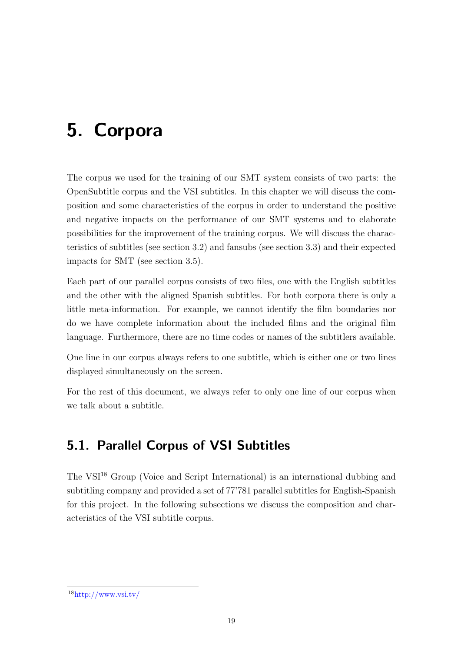# <span id="page-30-0"></span>5. Corpora

The corpus we used for the training of our SMT system consists of two parts: the OpenSubtitle corpus and the VSI subtitles. In this chapter we will discuss the composition and some characteristics of the corpus in order to understand the positive and negative impacts on the performance of our SMT systems and to elaborate possibilities for the improvement of the training corpus. We will discuss the characteristics of subtitles (see section [3.2\)](#page-20-0) and fansubs (see section [3.3\)](#page-22-0) and their expected impacts for SMT (see section [3.5\)](#page-24-0).

Each part of our parallel corpus consists of two files, one with the English subtitles and the other with the aligned Spanish subtitles. For both corpora there is only a little meta-information. For example, we cannot identify the film boundaries nor do we have complete information about the included films and the original film language. Furthermore, there are no time codes or names of the subtitlers available.

One line in our corpus always refers to one subtitle, which is either one or two lines displayed simultaneously on the screen.

For the rest of this document, we always refer to only one line of our corpus when we talk about a subtitle.

### <span id="page-30-1"></span>5.1. Parallel Corpus of VSI Subtitles

The VSI<sup>18</sup> Group (Voice and Script International) is an international dubbing and subtitling company and provided a set of 77'781 parallel subtitles for English-Spanish for this project. In the following subsections we discuss the composition and characteristics of the VSI subtitle corpus.

 $18$ http://www.vsi.tv/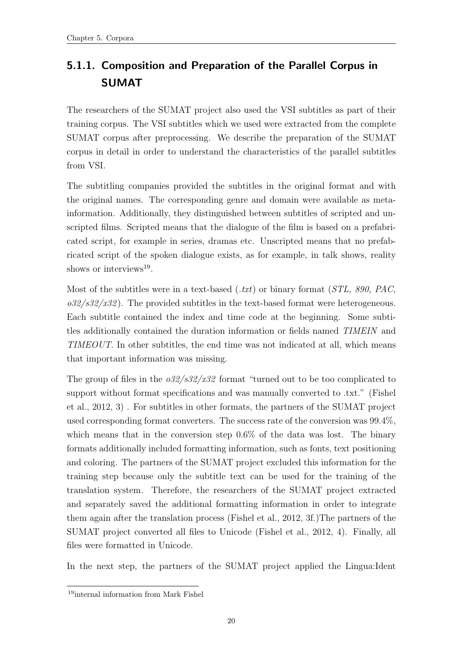### <span id="page-31-0"></span>5.1.1. Composition and Preparation of the Parallel Corpus in SUMAT

The researchers of the SUMAT project also used the VSI subtitles as part of their training corpus. The VSI subtitles which we used were extracted from the complete SUMAT corpus after preprocessing. We describe the preparation of the SUMAT corpus in detail in order to understand the characteristics of the parallel subtitles from VSI.

The subtitling companies provided the subtitles in the original format and with the original names. The corresponding genre and domain were available as metainformation. Additionally, they distinguished between subtitles of scripted and unscripted films. Scripted means that the dialogue of the film is based on a prefabricated script, for example in series, dramas etc. Unscripted means that no prefabricated script of the spoken dialogue exists, as for example, in talk shows, reality shows or interviews<sup>19</sup>.

Most of the subtitles were in a text-based  $(xxt)$  or binary format  $(STL, 890, PAC,$  $\frac{0.32}{s32 \cdot 32}$ . The provided subtitles in the text-based format were heterogeneous. Each subtitle contained the index and time code at the beginning. Some subtitles additionally contained the duration information or fields named TIMEIN and TIMEOUT. In other subtitles, the end time was not indicated at all, which means that important information was missing.

The group of files in the  $\frac{\partial 32}{\partial 32}$  format "turned out to be too complicated to support without format specifications and was manually converted to .txt." [\(Fishel](#page-118-8) [et al., 2012,](#page-118-8) 3) . For subtitles in other formats, the partners of the SUMAT project used corresponding format converters. The success rate of the conversion was 99.4%, which means that in the conversion step  $0.6\%$  of the data was lost. The binary formats additionally included formatting information, such as fonts, text positioning and coloring. The partners of the SUMAT project excluded this information for the training step because only the subtitle text can be used for the training of the translation system. Therefore, the researchers of the SUMAT project extracted and separately saved the additional formatting information in order to integrate them again after the translation process [\(Fishel et al., 2012,](#page-118-8) 3f.)The partners of the SUMAT project converted all files to Unicode [\(Fishel et al., 2012,](#page-118-8) 4). Finally, all files were formatted in Unicode.

In the next step, the partners of the SUMAT project applied the Lingua:Ident

<sup>19</sup>internal information from Mark Fishel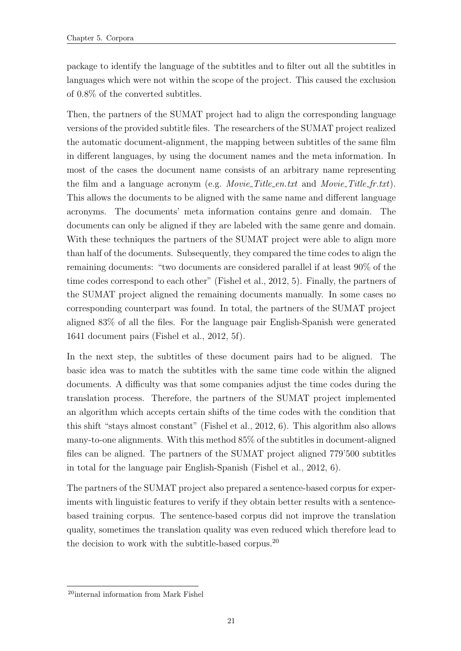package to identify the language of the subtitles and to filter out all the subtitles in languages which were not within the scope of the project. This caused the exclusion of 0.8% of the converted subtitles.

Then, the partners of the SUMAT project had to align the corresponding language versions of the provided subtitle files. The researchers of the SUMAT project realized the automatic document-alignment, the mapping between subtitles of the same film in different languages, by using the document names and the meta information. In most of the cases the document name consists of an arbitrary name representing the film and a language acronym (e.g. *Movie Title en.txt* and *Movie Title fr.txt*). This allows the documents to be aligned with the same name and different language acronyms. The documents' meta information contains genre and domain. The documents can only be aligned if they are labeled with the same genre and domain. With these techniques the partners of the SUMAT project were able to align more than half of the documents. Subsequently, they compared the time codes to align the remaining documents: "two documents are considered parallel if at least 90% of the time codes correspond to each other" [\(Fishel et al., 2012,](#page-118-8) 5). Finally, the partners of the SUMAT project aligned the remaining documents manually. In some cases no corresponding counterpart was found. In total, the partners of the SUMAT project aligned 83% of all the files. For the language pair English-Spanish were generated 1641 document pairs [\(Fishel et al., 2012,](#page-118-8) 5f).

In the next step, the subtitles of these document pairs had to be aligned. The basic idea was to match the subtitles with the same time code within the aligned documents. A difficulty was that some companies adjust the time codes during the translation process. Therefore, the partners of the SUMAT project implemented an algorithm which accepts certain shifts of the time codes with the condition that this shift "stays almost constant" [\(Fishel et al., 2012,](#page-118-8) 6). This algorithm also allows many-to-one alignments. With this method 85% of the subtitles in document-aligned files can be aligned. The partners of the SUMAT project aligned 779'500 subtitles in total for the language pair English-Spanish [\(Fishel et al., 2012,](#page-118-8) 6).

The partners of the SUMAT project also prepared a sentence-based corpus for experiments with linguistic features to verify if they obtain better results with a sentencebased training corpus. The sentence-based corpus did not improve the translation quality, sometimes the translation quality was even reduced which therefore lead to the decision to work with the subtitle-based corpus.<sup>20</sup>

<sup>20</sup>internal information from Mark Fishel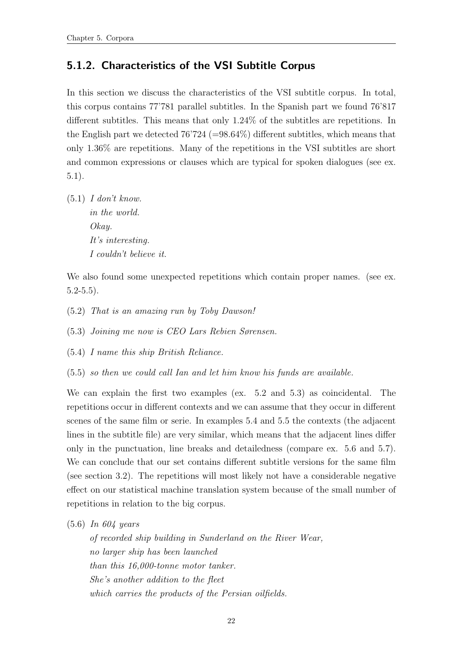#### <span id="page-33-0"></span>5.1.2. Characteristics of the VSI Subtitle Corpus

In this section we discuss the characteristics of the VSI subtitle corpus. In total, this corpus contains 77'781 parallel subtitles. In the Spanish part we found 76'817 different subtitles. This means that only 1.24% of the subtitles are repetitions. In the English part we detected  $76'724$  (=98.64%) different subtitles, which means that only 1.36% are repetitions. Many of the repetitions in the VSI subtitles are short and common expressions or clauses which are typical for spoken dialogues (see ex. [5.1\)](#page-33-1).

<span id="page-33-1"></span> $(5.1)$  I don't know. in the world. Okay. It's interesting. I couldn't believe it.

We also found some unexpected repetitions which contain proper names. (see ex.  $5.2 - 5.5$  $5.2 - 5.5$ ).

- <span id="page-33-4"></span><span id="page-33-2"></span>(5.2) That is an amazing run by Toby Dawson!
- <span id="page-33-5"></span>(5.3) Joining me now is CEO Lars Rebien Sørensen.
- <span id="page-33-3"></span>(5.4) I name this ship British Reliance.
- (5.5) so then we could call Ian and let him know his funds are available.

We can explain the first two examples (ex. [5.2](#page-33-2) and [5.3\)](#page-33-4) as coincidental. The repetitions occur in different contexts and we can assume that they occur in different scenes of the same film or serie. In examples [5.4](#page-33-5) and [5.5](#page-33-3) the contexts (the adjacent lines in the subtitle file) are very similar, which means that the adjacent lines differ only in the punctuation, line breaks and detailedness (compare ex. [5.6](#page-33-6) and [5.7\)](#page-34-0). We can conclude that our set contains different subtitle versions for the same film (see section [3.2\)](#page-20-0). The repetitions will most likely not have a considerable negative effect on our statistical machine translation system because of the small number of repetitions in relation to the big corpus.

<span id="page-33-6"></span>(5.6) In 604 years

of recorded ship building in Sunderland on the River Wear, no larger ship has been launched than this 16,000-tonne motor tanker. She's another addition to the fleet which carries the products of the Persian oilfields.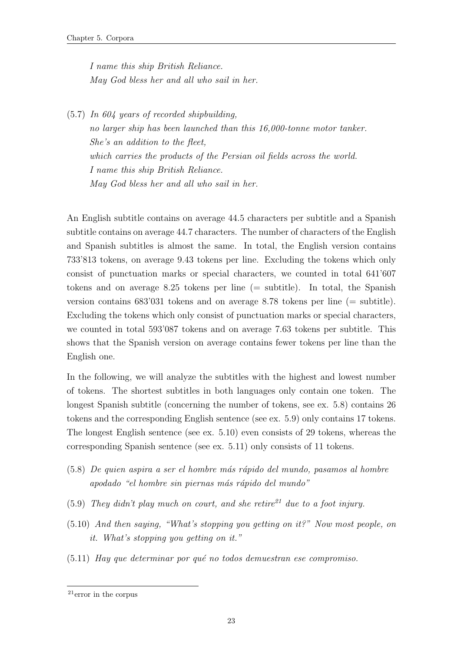I name this ship British Reliance. May God bless her and all who sail in her.

<span id="page-34-0"></span>(5.7) In 604 years of recorded shipbuilding, no larger ship has been launched than this 16,000-tonne motor tanker. She's an addition to the fleet, which carries the products of the Persian oil fields across the world. I name this ship British Reliance. May God bless her and all who sail in her.

An English subtitle contains on average 44.5 characters per subtitle and a Spanish subtitle contains on average 44.7 characters. The number of characters of the English and Spanish subtitles is almost the same. In total, the English version contains 733'813 tokens, on average 9.43 tokens per line. Excluding the tokens which only consist of punctuation marks or special characters, we counted in total 641'607 tokens and on average 8.25 tokens per line (= subtitle). In total, the Spanish version contains 683'031 tokens and on average 8.78 tokens per line (= subtitle). Excluding the tokens which only consist of punctuation marks or special characters, we counted in total 593'087 tokens and on average 7.63 tokens per subtitle. This shows that the Spanish version on average contains fewer tokens per line than the English one.

In the following, we will analyze the subtitles with the highest and lowest number of tokens. The shortest subtitles in both languages only contain one token. The longest Spanish subtitle (concerning the number of tokens, see ex. [5.8\)](#page-34-1) contains 26 tokens and the corresponding English sentence (see ex. [5.9\)](#page-34-2) only contains 17 tokens. The longest English sentence (see ex. [5.10\)](#page-34-3) even consists of 29 tokens, whereas the corresponding Spanish sentence (see ex. [5.11\)](#page-34-4) only consists of 11 tokens.

- <span id="page-34-1"></span>(5.8) De quien aspira a ser el hombre m´as r´apido del mundo, pasamos al hombre apodado "el hombre sin piernas más rápido del mundo"
- <span id="page-34-3"></span><span id="page-34-2"></span>(5.9) They didn't play much on court, and she retire<sup>21</sup> due to a foot injury.
- (5.10) And then saying, "What's stopping you getting on it?" Now most people, on it. What's stopping you getting on it."
- <span id="page-34-4"></span> $(5.11)$  Hay que determinar por qué no todos demuestran ese compromiso.

<sup>21</sup>error in the corpus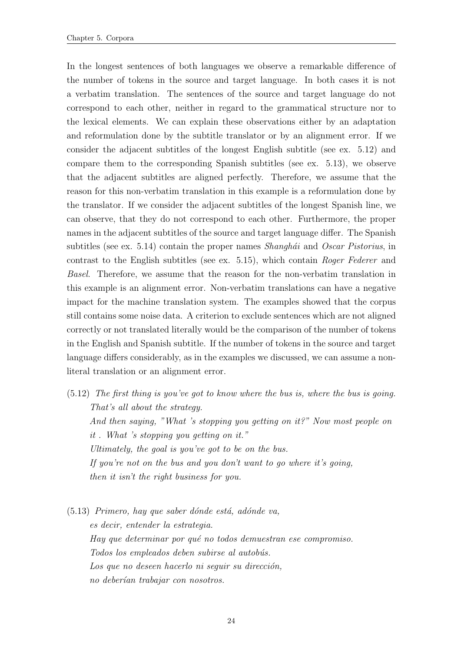In the longest sentences of both languages we observe a remarkable difference of the number of tokens in the source and target language. In both cases it is not a verbatim translation. The sentences of the source and target language do not correspond to each other, neither in regard to the grammatical structure nor to the lexical elements. We can explain these observations either by an adaptation and reformulation done by the subtitle translator or by an alignment error. If we consider the adjacent subtitles of the longest English subtitle (see ex. [5.12\)](#page-35-0) and compare them to the corresponding Spanish subtitles (see ex. [5.13\)](#page-35-1), we observe that the adjacent subtitles are aligned perfectly. Therefore, we assume that the reason for this non-verbatim translation in this example is a reformulation done by the translator. If we consider the adjacent subtitles of the longest Spanish line, we can observe, that they do not correspond to each other. Furthermore, the proper names in the adjacent subtitles of the source and target language differ. The Spanish subtitles (see ex. [5.14\)](#page-36-1) contain the proper names *Shanghái* and *Oscar Pistorius*, in contrast to the English subtitles (see ex. [5.15\)](#page-36-2), which contain Roger Federer and Basel. Therefore, we assume that the reason for the non-verbatim translation in this example is an alignment error. Non-verbatim translations can have a negative impact for the machine translation system. The examples showed that the corpus still contains some noise data. A criterion to exclude sentences which are not aligned correctly or not translated literally would be the comparison of the number of tokens in the English and Spanish subtitle. If the number of tokens in the source and target language differs considerably, as in the examples we discussed, we can assume a nonliteral translation or an alignment error.

<span id="page-35-0"></span>(5.12) The first thing is you've got to know where the bus is, where the bus is going. That's all about the strategy. And then saying, "What 's stopping you getting on it?" Now most people on it . What 's stopping you getting on it." Ultimately, the goal is you've got to be on the bus. If you're not on the bus and you don't want to go where it's going, then it isn't the right business for you.

<span id="page-35-1"></span> $(5.13)$  Primero, hay que saber dónde está, adónde va, es decir, entender la estrategia. Hay que determinar por qué no todos demuestran ese compromiso. Todos los empleados deben subirse al autobús. Los que no deseen hacerlo ni seguir su dirección, no deberían trabajar con nosotros.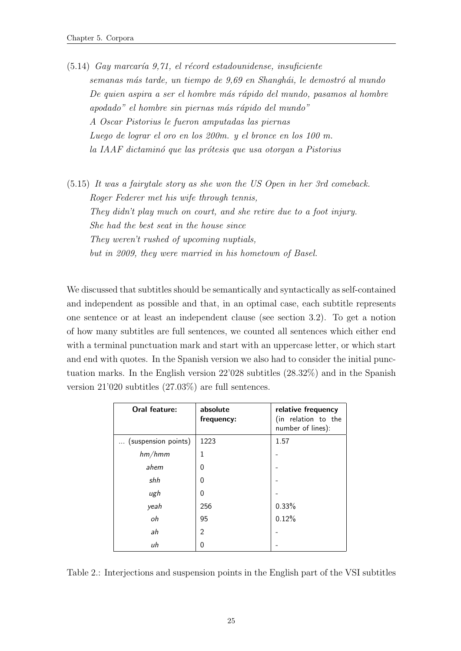$(5.14)$  Gay marcaría 9,71, el récord estadounidense, insuficiente semanas más tarde, un tiempo de 9,69 en Shanghái, le demostró al mundo De quien aspira a ser el hombre más rápido del mundo, pasamos al hombre apodado" el hombre sin piernas más rápido del mundo" A Oscar Pistorius le fueron amputadas las piernas Luego de lograr el oro en los 200m. y el bronce en los 100 m. la IAAF dictaminó que las prótesis que usa otorgan a Pistorius

(5.15) It was a fairytale story as she won the US Open in her 3rd comeback. Roger Federer met his wife through tennis, They didn't play much on court, and she retire due to a foot injury. She had the best seat in the house since They weren't rushed of upcoming nuptials, but in 2009, they were married in his hometown of Basel.

We discussed that subtitles should be semantically and syntactically as self-contained and independent as possible and that, in an optimal case, each subtitle represents one sentence or at least an independent clause (see section [3.2\)](#page-20-0). To get a notion of how many subtitles are full sentences, we counted all sentences which either end with a terminal punctuation mark and start with an uppercase letter, or which start and end with quotes. In the Spanish version we also had to consider the initial punctuation marks. In the English version 22'028 subtitles (28.32%) and in the Spanish version 21'020 subtitles (27.03%) are full sentences.

| Oral feature:       | absolute<br>frequency: | relative frequency<br>(in relation to the<br>number of lines): |
|---------------------|------------------------|----------------------------------------------------------------|
| (suspension points) | 1223                   | 1.57                                                           |
| hm/hmm              | 1                      |                                                                |
| ahem                | $\Omega$               |                                                                |
| shh                 | $\Omega$               |                                                                |
| ugh                 | $\Omega$               |                                                                |
| yeah                | 256                    | 0.33%                                                          |
| oh                  | 95                     | 0.12%                                                          |
| ah                  | $\overline{2}$         |                                                                |
| иh                  | 0                      |                                                                |

<span id="page-36-0"></span>Table 2.: Interjections and suspension points in the English part of the VSI subtitles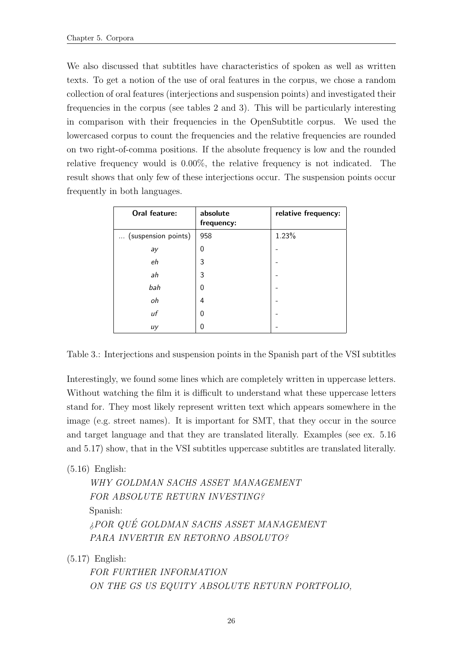We also discussed that subtitles have characteristics of spoken as well as written texts. To get a notion of the use of oral features in the corpus, we chose a random collection of oral features (interjections and suspension points) and investigated their frequencies in the corpus (see tables [2](#page-36-0) and [3\)](#page-37-0). This will be particularly interesting in comparison with their frequencies in the OpenSubtitle corpus. We used the lowercased corpus to count the frequencies and the relative frequencies are rounded on two right-of-comma positions. If the absolute frequency is low and the rounded relative frequency would is 0.00%, the relative frequency is not indicated. The result shows that only few of these interjections occur. The suspension points occur frequently in both languages.

| Oral feature:       | absolute<br>frequency: | relative frequency: |
|---------------------|------------------------|---------------------|
| (suspension points) | 958                    | 1.23%               |
| ay                  | $\overline{0}$         |                     |
| eh                  | 3                      |                     |
| ah                  | 3                      |                     |
| bah                 | $\Omega$               |                     |
| oh                  | 4                      |                     |
| uf                  | $\overline{0}$         |                     |
| uy                  | $\Omega$               |                     |

<span id="page-37-0"></span>Table 3.: Interjections and suspension points in the Spanish part of the VSI subtitles

Interestingly, we found some lines which are completely written in uppercase letters. Without watching the film it is difficult to understand what these uppercase letters stand for. They most likely represent written text which appears somewhere in the image (e.g. street names). It is important for SMT, that they occur in the source and target language and that they are translated literally. Examples (see ex. [5.16](#page-37-1) and [5.17\)](#page-37-2) show, that in the VSI subtitles uppercase subtitles are translated literally.

<span id="page-37-1"></span>(5.16) English:

WHY GOLDMAN SACHS ASSET MANAGEMENT FOR ABSOLUTE RETURN INVESTING? Spanish: ¿POR QUE GOLDMAN SACHS ASSET MANAGEMENT ´ PARA INVERTIR EN RETORNO ABSOLUTO?

<span id="page-37-2"></span> $(5.17)$  English:

FOR FURTHER INFORMATION ON THE GS US EQUITY ABSOLUTE RETURN PORTFOLIO,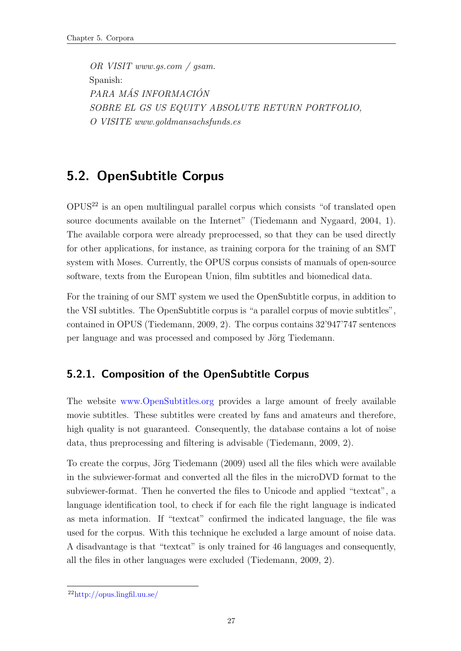OR VISIT www.gs.com / gsam. Spanish: PARA MÁS INFORMACIÓN SOBRE EL GS US EQUITY ABSOLUTE RETURN PORTFOLIO, O VISITE www.goldmansachsfunds.es

## <span id="page-38-1"></span>5.2. OpenSubtitle Corpus

 $OPUS<sup>22</sup>$  is an open multilingual parallel corpus which consists "of translated open source documents available on the Internet" [\(Tiedemann and Nygaard, 2004,](#page-120-0) 1). The available corpora were already preprocessed, so that they can be used directly for other applications, for instance, as training corpora for the training of an SMT system with Moses. Currently, the OPUS corpus consists of manuals of open-source software, texts from the European Union, film subtitles and biomedical data.

For the training of our SMT system we used the OpenSubtitle corpus, in addition to the VSI subtitles. The OpenSubtitle corpus is "a parallel corpus of movie subtitles", contained in OPUS [\(Tiedemann, 2009,](#page-120-1) 2). The corpus contains 32'947'747 sentences per language and was processed and composed by Jörg Tiedemann.

#### <span id="page-38-0"></span>5.2.1. Composition of the OpenSubtitle Corpus

The website www.OpenSubtitles.org provides a large amount of freely available movie subtitles. These subtitles were created by fans and amateurs and therefore, high quality is not guaranteed. Consequently, the database contains a lot of noise data, thus preprocessing and filtering is advisable [\(Tiedemann, 2009,](#page-120-1) 2).

To create the corpus, Jörg Tiedemann (2009) used all the files which were available in the subviewer-format and converted all the files in the microDVD format to the subviewer-format. Then he converted the files to Unicode and applied "textcat", a language identification tool, to check if for each file the right language is indicated as meta information. If "textcat" confirmed the indicated language, the file was used for the corpus. With this technique he excluded a large amount of noise data. A disadvantage is that "textcat" is only trained for 46 languages and consequently, all the files in other languages were excluded [\(Tiedemann, 2009,](#page-120-1) 2).

<sup>22</sup>http://opus.lingfil.uu.se/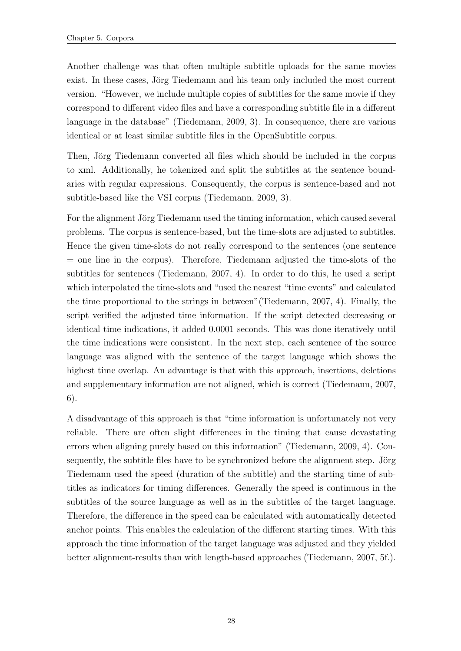Another challenge was that often multiple subtitle uploads for the same movies exist. In these cases, Jörg Tiedemann and his team only included the most current version. "However, we include multiple copies of subtitles for the same movie if they correspond to different video files and have a corresponding subtitle file in a different language in the database" [\(Tiedemann, 2009,](#page-120-1) 3). In consequence, there are various identical or at least similar subtitle files in the OpenSubtitle corpus.

Then, Jörg Tiedemann converted all files which should be included in the corpus to xml. Additionally, he tokenized and split the subtitles at the sentence boundaries with regular expressions. Consequently, the corpus is sentence-based and not subtitle-based like the VSI corpus [\(Tiedemann, 2009,](#page-120-1) 3).

For the alignment Jörg Tiedemann used the timing information, which caused several problems. The corpus is sentence-based, but the time-slots are adjusted to subtitles. Hence the given time-slots do not really correspond to the sentences (one sentence  $=$  one line in the corpus). Therefore, Tiedemann adjusted the time-slots of the subtitles for sentences [\(Tiedemann, 2007,](#page-120-2) 4). In order to do this, he used a script which interpolated the time-slots and "used the nearest "time events" and calculated the time proportional to the strings in between"[\(Tiedemann, 2007,](#page-120-2) 4). Finally, the script verified the adjusted time information. If the script detected decreasing or identical time indications, it added 0.0001 seconds. This was done iteratively until the time indications were consistent. In the next step, each sentence of the source language was aligned with the sentence of the target language which shows the highest time overlap. An advantage is that with this approach, insertions, deletions and supplementary information are not aligned, which is correct [\(Tiedemann, 2007,](#page-120-2) 6).

A disadvantage of this approach is that "time information is unfortunately not very reliable. There are often slight differences in the timing that cause devastating errors when aligning purely based on this information" [\(Tiedemann, 2009,](#page-120-1) 4). Consequently, the subtitle files have to be synchronized before the alignment step. Jörg Tiedemann used the speed (duration of the subtitle) and the starting time of subtitles as indicators for timing differences. Generally the speed is continuous in the subtitles of the source language as well as in the subtitles of the target language. Therefore, the difference in the speed can be calculated with automatically detected anchor points. This enables the calculation of the different starting times. With this approach the time information of the target language was adjusted and they yielded better alignment-results than with length-based approaches [\(Tiedemann, 2007,](#page-120-2) 5f.).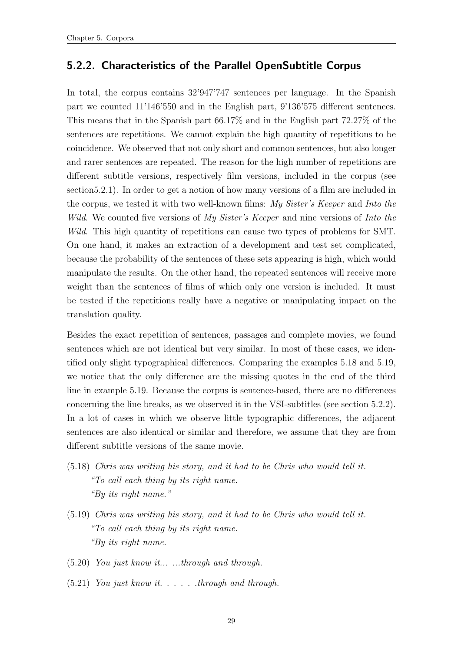#### <span id="page-40-2"></span>5.2.2. Characteristics of the Parallel OpenSubtitle Corpus

In total, the corpus contains 32'947'747 sentences per language. In the Spanish part we counted 11'146'550 and in the English part, 9'136'575 different sentences. This means that in the Spanish part 66.17% and in the English part 72.27% of the sentences are repetitions. We cannot explain the high quantity of repetitions to be coincidence. We observed that not only short and common sentences, but also longer and rarer sentences are repeated. The reason for the high number of repetitions are different subtitle versions, respectively film versions, included in the corpus (see sectio[n5.2.1\)](#page-38-0). In order to get a notion of how many versions of a film are included in the corpus, we tested it with two well-known films:  $My Sister's Keeper$  and Into the Wild. We counted five versions of My Sister's Keeper and nine versions of Into the Wild. This high quantity of repetitions can cause two types of problems for SMT. On one hand, it makes an extraction of a development and test set complicated, because the probability of the sentences of these sets appearing is high, which would manipulate the results. On the other hand, the repeated sentences will receive more weight than the sentences of films of which only one version is included. It must be tested if the repetitions really have a negative or manipulating impact on the translation quality.

Besides the exact repetition of sentences, passages and complete movies, we found sentences which are not identical but very similar. In most of these cases, we identified only slight typographical differences. Comparing the examples [5.18](#page-40-0) and [5.19,](#page-40-1) we notice that the only difference are the missing quotes in the end of the third line in example [5.19.](#page-40-1) Because the corpus is sentence-based, there are no differences concerning the line breaks, as we observed it in the VSI-subtitles (see section [5.2.2\)](#page-40-2). In a lot of cases in which we observe little typographic differences, the adjacent sentences are also identical or similar and therefore, we assume that they are from different subtitle versions of the same movie.

- <span id="page-40-0"></span>(5.18) Chris was writing his story, and it had to be Chris who would tell it. "To call each thing by its right name. "By its right name."
- <span id="page-40-1"></span>(5.19) Chris was writing his story, and it had to be Chris who would tell it. "To call each thing by its right name. "By its right name.
- <span id="page-40-4"></span><span id="page-40-3"></span>(5.20) You just know it... ...through and through.
- $(5.21)$  You just know it. . . . . through and through.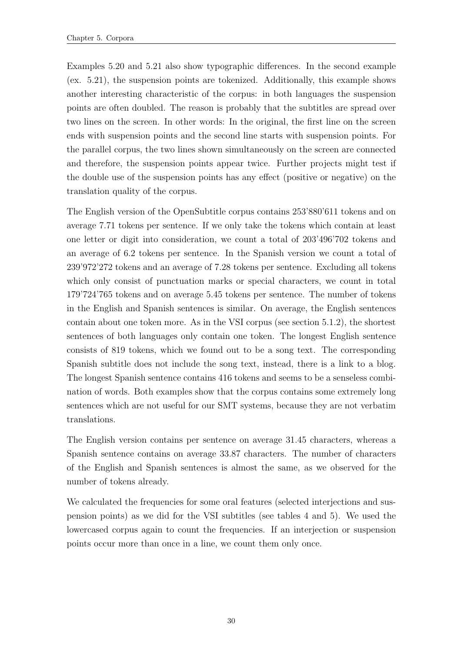Examples [5.20](#page-40-3) and [5.21](#page-40-4) also show typographic differences. In the second example (ex. [5.21\)](#page-40-4), the suspension points are tokenized. Additionally, this example shows another interesting characteristic of the corpus: in both languages the suspension points are often doubled. The reason is probably that the subtitles are spread over two lines on the screen. In other words: In the original, the first line on the screen ends with suspension points and the second line starts with suspension points. For the parallel corpus, the two lines shown simultaneously on the screen are connected and therefore, the suspension points appear twice. Further projects might test if the double use of the suspension points has any effect (positive or negative) on the translation quality of the corpus.

The English version of the OpenSubtitle corpus contains 253'880'611 tokens and on average 7.71 tokens per sentence. If we only take the tokens which contain at least one letter or digit into consideration, we count a total of 203'496'702 tokens and an average of 6.2 tokens per sentence. In the Spanish version we count a total of 239'972'272 tokens and an average of 7.28 tokens per sentence. Excluding all tokens which only consist of punctuation marks or special characters, we count in total 179'724'765 tokens and on average 5.45 tokens per sentence. The number of tokens in the English and Spanish sentences is similar. On average, the English sentences contain about one token more. As in the VSI corpus (see section [5.1.2\)](#page-33-0), the shortest sentences of both languages only contain one token. The longest English sentence consists of 819 tokens, which we found out to be a song text. The corresponding Spanish subtitle does not include the song text, instead, there is a link to a blog. The longest Spanish sentence contains 416 tokens and seems to be a senseless combination of words. Both examples show that the corpus contains some extremely long sentences which are not useful for our SMT systems, because they are not verbatim translations.

The English version contains per sentence on average 31.45 characters, whereas a Spanish sentence contains on average 33.87 characters. The number of characters of the English and Spanish sentences is almost the same, as we observed for the number of tokens already.

We calculated the frequencies for some oral features (selected interjections and suspension points) as we did for the VSI subtitles (see tables [4](#page-42-0) and [5\)](#page-42-1). We used the lowercased corpus again to count the frequencies. If an interjection or suspension points occur more than once in a line, we count them only once.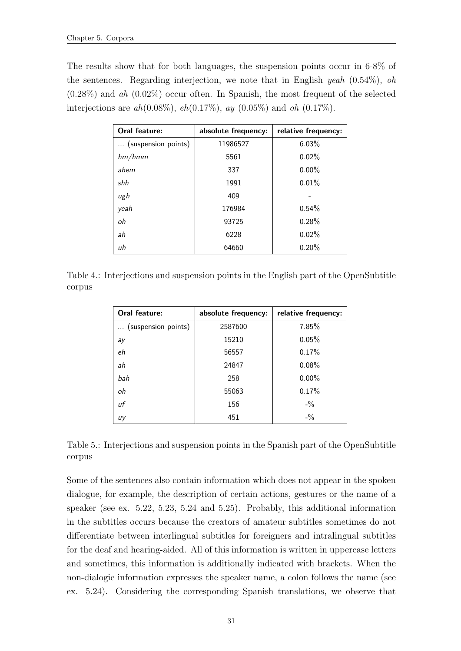The results show that for both languages, the suspension points occur in 6-8% of the sentences. Regarding interjection, we note that in English yeah  $(0.54\%)$ , oh  $(0.28\%)$  and ah  $(0.02\%)$  occur often. In Spanish, the most frequent of the selected interjections are  $ah(0.08\%)$ ,  $eh(0.17\%)$ ,  $ay(0.05\%)$  and  $oh(0.17\%)$ .

| Oral feature:       | absolute frequency: | relative frequency: |
|---------------------|---------------------|---------------------|
| (suspension points) | 11986527            | 6.03%               |
| hm/hmm              | 5561                | 0.02%               |
| ahem                | 337                 | $0.00\%$            |
| shh                 | 1991                | 0.01%               |
| ugh                 | 409                 |                     |
| yeah                | 176984              | 0.54%               |
| оh                  | 93725               | 0.28%               |
| ah                  | 6228                | 0.02%               |
| иh                  | 64660               | 0.20%               |

<span id="page-42-0"></span>Table 4.: Interjections and suspension points in the English part of the OpenSubtitle corpus

| Oral feature:       | absolute frequency: | relative frequency: |
|---------------------|---------------------|---------------------|
| (suspension points) | 2587600             | 7.85%               |
| ay                  | 15210               | 0.05%               |
| eh                  | 56557               | 0.17%               |
| ah                  | 24847               | $0.08\%$            |
| bah                 | 258                 | $0.00\%$            |
| oh                  | 55063               | 0.17%               |
| uf                  | 156                 | $- \frac{0}{2}$     |
| uy                  | 451                 | $-$ %               |

<span id="page-42-1"></span>Table 5.: Interjections and suspension points in the Spanish part of the OpenSubtitle corpus

Some of the sentences also contain information which does not appear in the spoken dialogue, for example, the description of certain actions, gestures or the name of a speaker (see ex. [5.22,](#page-43-0) [5.23,](#page-43-1) [5.24](#page-43-2) and [5.25\)](#page-43-3). Probably, this additional information in the subtitles occurs because the creators of amateur subtitles sometimes do not differentiate between interlingual subtitles for foreigners and intralingual subtitles for the deaf and hearing-aided. All of this information is written in uppercase letters and sometimes, this information is additionally indicated with brackets. When the non-dialogic information expresses the speaker name, a colon follows the name (see ex. [5.24\)](#page-43-2). Considering the corresponding Spanish translations, we observe that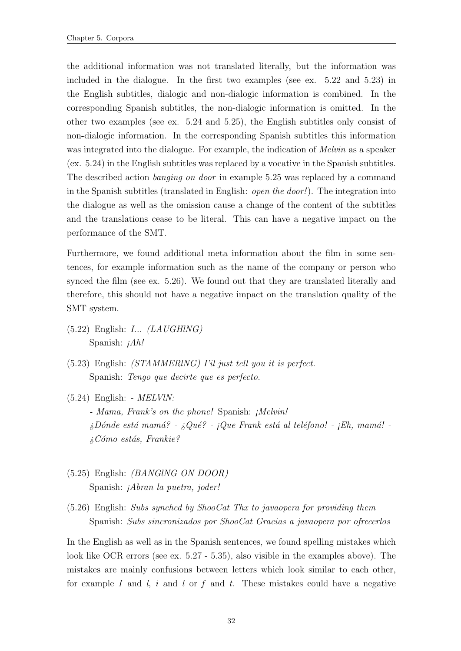the additional information was not translated literally, but the information was included in the dialogue. In the first two examples (see ex. [5.22](#page-43-0) and [5.23\)](#page-43-1) in the English subtitles, dialogic and non-dialogic information is combined. In the corresponding Spanish subtitles, the non-dialogic information is omitted. In the other two examples (see ex. [5.24](#page-43-2) and [5.25\)](#page-43-3), the English subtitles only consist of non-dialogic information. In the corresponding Spanish subtitles this information was integrated into the dialogue. For example, the indication of *Melvin* as a speaker (ex. [5.24\)](#page-43-2) in the English subtitles was replaced by a vocative in the Spanish subtitles. The described action banging on door in example [5.25](#page-43-3) was replaced by a command in the Spanish subtitles (translated in English: open the door!). The integration into the dialogue as well as the omission cause a change of the content of the subtitles and the translations cease to be literal. This can have a negative impact on the performance of the SMT.

Furthermore, we found additional meta information about the film in some sentences, for example information such as the name of the company or person who synced the film (see ex. [5.26\)](#page-43-4). We found out that they are translated literally and therefore, this should not have a negative impact on the translation quality of the SMT system.

- <span id="page-43-0"></span> $(5.22)$  English:  $I...$   $(LAUGHING)$ Spanish:  $iAh!$
- <span id="page-43-1"></span>(5.23) English: (STAMMERlNG) I'il just tell you it is perfect. Spanish: Tengo que decirte que es perfecto.
- <span id="page-43-2"></span> $(5.24)$  English: -  $MELVlN$ : - Mama, Frank's on the phone! Spanish: ¡Melvin!  $i_D$ Dónde está mamá? -  $i_Q$ ué? - ¡Que Frank está al teléfono! - ¡Eh, mamá!  $i_{\mathcal{E}}$ Cómo estás, Frankie?
- <span id="page-43-3"></span>(5.25) English: (BANGlNG ON DOOR) Spanish: ¡Abran la puetra, joder!
- <span id="page-43-4"></span>(5.26) English: Subs synched by ShooCat Thx to javaopera for providing them Spanish: Subs sincronizados por ShooCat Gracias a javaopera por ofrecerlos

In the English as well as in the Spanish sentences, we found spelling mistakes which look like OCR errors (see ex. [5.27](#page-44-0) - [5.35\)](#page-44-1), also visible in the examples above). The mistakes are mainly confusions between letters which look similar to each other, for example I and  $l$ , i and  $l$  or f and t. These mistakes could have a negative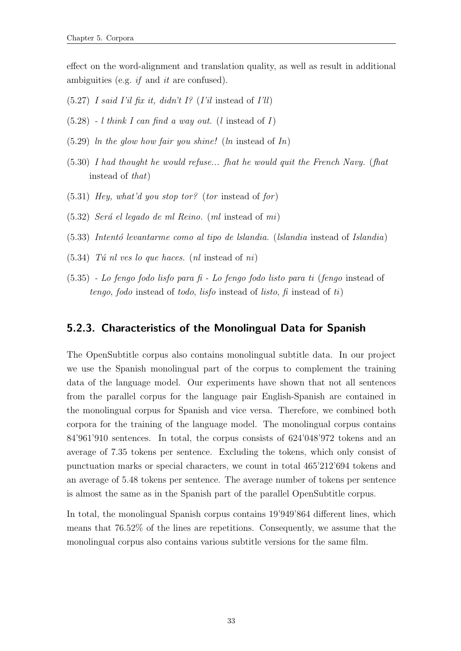effect on the word-alignment and translation quality, as well as result in additional ambiguities (e.g. if and it are confused).

- <span id="page-44-0"></span> $(5.27)$  *I said I'il fix it, didn't I?* (*I'il* instead of *I'll*)
- $(5.28)$  l think I can find a way out. (l instead of I)
- $(5.29)$  ln the glow how fair you shine! (ln instead of In)
- (5.30) I had thought he would refuse... fhat he would quit the French Navy. (fhat instead of that)
- $(5.31)$  Hey, what'd you stop tor? (tor instead of for)
- $(5.32)$  Será el legado de ml Reino. (ml instead of mi)
- $(5.33)$  Intentó levantarme como al tipo de Islandia. (Islandia instead of Islandia)
- <span id="page-44-1"></span> $(5.34)$  Tú nl ves lo que haces. (nl instead of ni)
- (5.35) Lo fengo fodo lisfo para fi Lo fengo fodo listo para ti (fengo instead of tengo, fodo instead of todo, lisfo instead of listo, fi instead of  $t_i$ )

#### 5.2.3. Characteristics of the Monolingual Data for Spanish

The OpenSubtitle corpus also contains monolingual subtitle data. In our project we use the Spanish monolingual part of the corpus to complement the training data of the language model. Our experiments have shown that not all sentences from the parallel corpus for the language pair English-Spanish are contained in the monolingual corpus for Spanish and vice versa. Therefore, we combined both corpora for the training of the language model. The monolingual corpus contains 84'961'910 sentences. In total, the corpus consists of 624'048'972 tokens and an average of 7.35 tokens per sentence. Excluding the tokens, which only consist of punctuation marks or special characters, we count in total 465'212'694 tokens and an average of 5.48 tokens per sentence. The average number of tokens per sentence is almost the same as in the Spanish part of the parallel OpenSubtitle corpus.

In total, the monolingual Spanish corpus contains 19'949'864 different lines, which means that 76.52% of the lines are repetitions. Consequently, we assume that the monolingual corpus also contains various subtitle versions for the same film.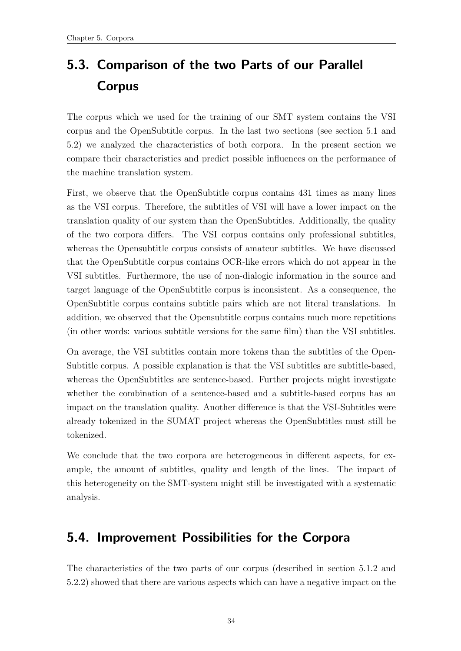## <span id="page-45-1"></span>5.3. Comparison of the two Parts of our Parallel Corpus

The corpus which we used for the training of our SMT system contains the VSI corpus and the OpenSubtitle corpus. In the last two sections (see section [5.1](#page-30-0) and [5.2\)](#page-38-1) we analyzed the characteristics of both corpora. In the present section we compare their characteristics and predict possible influences on the performance of the machine translation system.

First, we observe that the OpenSubtitle corpus contains 431 times as many lines as the VSI corpus. Therefore, the subtitles of VSI will have a lower impact on the translation quality of our system than the OpenSubtitles. Additionally, the quality of the two corpora differs. The VSI corpus contains only professional subtitles, whereas the Opensubtitle corpus consists of amateur subtitles. We have discussed that the OpenSubtitle corpus contains OCR-like errors which do not appear in the VSI subtitles. Furthermore, the use of non-dialogic information in the source and target language of the OpenSubtitle corpus is inconsistent. As a consequence, the OpenSubtitle corpus contains subtitle pairs which are not literal translations. In addition, we observed that the Opensubtitle corpus contains much more repetitions (in other words: various subtitle versions for the same film) than the VSI subtitles.

On average, the VSI subtitles contain more tokens than the subtitles of the Open-Subtitle corpus. A possible explanation is that the VSI subtitles are subtitle-based, whereas the OpenSubtitles are sentence-based. Further projects might investigate whether the combination of a sentence-based and a subtitle-based corpus has an impact on the translation quality. Another difference is that the VSI-Subtitles were already tokenized in the SUMAT project whereas the OpenSubtitles must still be tokenized.

We conclude that the two corpora are heterogeneous in different aspects, for example, the amount of subtitles, quality and length of the lines. The impact of this heterogeneity on the SMT-system might still be investigated with a systematic analysis.

## <span id="page-45-0"></span>5.4. Improvement Possibilities for the Corpora

The characteristics of the two parts of our corpus (described in section [5.1.2](#page-33-0) and [5.2.2\)](#page-40-2) showed that there are various aspects which can have a negative impact on the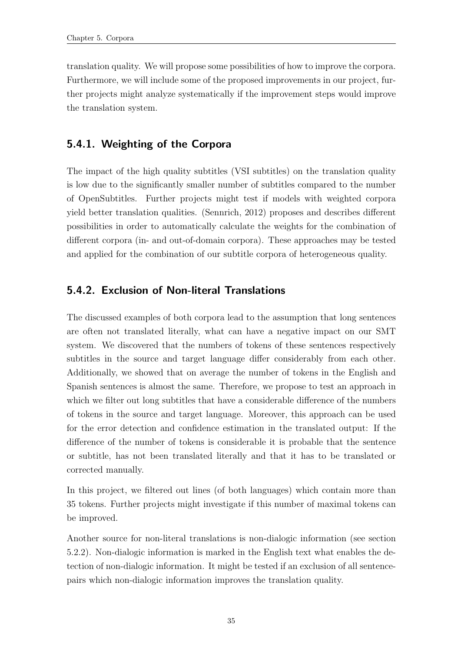translation quality. We will propose some possibilities of how to improve the corpora. Furthermore, we will include some of the proposed improvements in our project, further projects might analyze systematically if the improvement steps would improve the translation system.

### 5.4.1. Weighting of the Corpora

The impact of the high quality subtitles (VSI subtitles) on the translation quality is low due to the significantly smaller number of subtitles compared to the number of OpenSubtitles. Further projects might test if models with weighted corpora yield better translation qualities. [\(Sennrich, 2012\)](#page-119-0) proposes and describes different possibilities in order to automatically calculate the weights for the combination of different corpora (in- and out-of-domain corpora). These approaches may be tested and applied for the combination of our subtitle corpora of heterogeneous quality.

#### 5.4.2. Exclusion of Non-literal Translations

The discussed examples of both corpora lead to the assumption that long sentences are often not translated literally, what can have a negative impact on our SMT system. We discovered that the numbers of tokens of these sentences respectively subtitles in the source and target language differ considerably from each other. Additionally, we showed that on average the number of tokens in the English and Spanish sentences is almost the same. Therefore, we propose to test an approach in which we filter out long subtitles that have a considerable difference of the numbers of tokens in the source and target language. Moreover, this approach can be used for the error detection and confidence estimation in the translated output: If the difference of the number of tokens is considerable it is probable that the sentence or subtitle, has not been translated literally and that it has to be translated or corrected manually.

In this project, we filtered out lines (of both languages) which contain more than 35 tokens. Further projects might investigate if this number of maximal tokens can be improved.

Another source for non-literal translations is non-dialogic information (see section [5.2.2\)](#page-40-2). Non-dialogic information is marked in the English text what enables the detection of non-dialogic information. It might be tested if an exclusion of all sentencepairs which non-dialogic information improves the translation quality.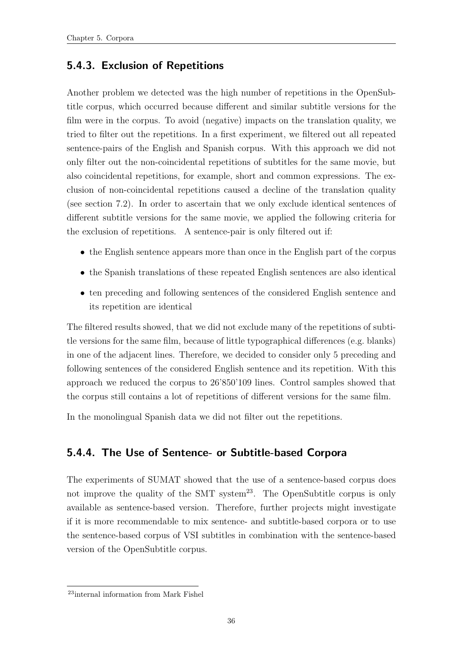#### 5.4.3. Exclusion of Repetitions

Another problem we detected was the high number of repetitions in the OpenSubtitle corpus, which occurred because different and similar subtitle versions for the film were in the corpus. To avoid (negative) impacts on the translation quality, we tried to filter out the repetitions. In a first experiment, we filtered out all repeated sentence-pairs of the English and Spanish corpus. With this approach we did not only filter out the non-coincidental repetitions of subtitles for the same movie, but also coincidental repetitions, for example, short and common expressions. The exclusion of non-coincidental repetitions caused a decline of the translation quality (see section [7.2\)](#page-57-0). In order to ascertain that we only exclude identical sentences of different subtitle versions for the same movie, we applied the following criteria for the exclusion of repetitions. A sentence-pair is only filtered out if:

- the English sentence appears more than once in the English part of the corpus
- the Spanish translations of these repeated English sentences are also identical
- ten preceding and following sentences of the considered English sentence and its repetition are identical

The filtered results showed, that we did not exclude many of the repetitions of subtitle versions for the same film, because of little typographical differences (e.g. blanks) in one of the adjacent lines. Therefore, we decided to consider only 5 preceding and following sentences of the considered English sentence and its repetition. With this approach we reduced the corpus to 26'850'109 lines. Control samples showed that the corpus still contains a lot of repetitions of different versions for the same film.

In the monolingual Spanish data we did not filter out the repetitions.

#### 5.4.4. The Use of Sentence- or Subtitle-based Corpora

The experiments of SUMAT showed that the use of a sentence-based corpus does not improve the quality of the SMT system<sup>23</sup>. The OpenSubtitle corpus is only available as sentence-based version. Therefore, further projects might investigate if it is more recommendable to mix sentence- and subtitle-based corpora or to use the sentence-based corpus of VSI subtitles in combination with the sentence-based version of the OpenSubtitle corpus.

<sup>23</sup>internal information from Mark Fishel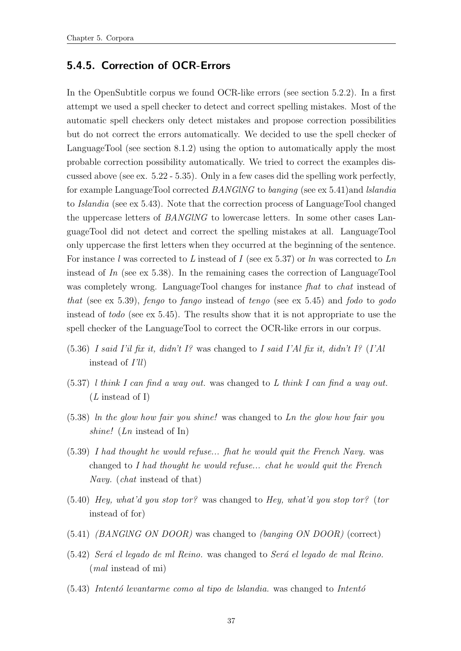#### 5.4.5. Correction of OCR-Errors

In the OpenSubtitle corpus we found OCR-like errors (see section [5.2.2\)](#page-40-2). In a first attempt we used a spell checker to detect and correct spelling mistakes. Most of the automatic spell checkers only detect mistakes and propose correction possibilities but do not correct the errors automatically. We decided to use the spell checker of LanguageTool (see section [8.1.2\)](#page-74-0) using the option to automatically apply the most probable correction possibility automatically. We tried to correct the examples discussed above (see ex. [5.22](#page-43-0) - [5.35\)](#page-44-1). Only in a few cases did the spelling work perfectly, for example LanguageTool corrected BANGlNG to banging (see ex [5.41\)](#page-48-0)and lslandia to Islandia (see ex [5.43\)](#page-48-1). Note that the correction process of LanguageTool changed the uppercase letters of BANGlNG to lowercase letters. In some other cases LanguageTool did not detect and correct the spelling mistakes at all. LanguageTool only uppercase the first letters when they occurred at the beginning of the sentence. For instance l was corrected to L instead of I (see ex [5.37\)](#page-48-2) or ln was corrected to  $Ln$ instead of  $In$  (see ex [5.38\)](#page-48-3). In the remaining cases the correction of LanguageTool was completely wrong. LanguageTool changes for instance *fhat* to *chat* instead of that (see ex [5.39\)](#page-48-4), fengo to fango instead of tengo (see ex [5.45\)](#page-49-0) and fodo to godo instead of todo (see ex [5.45\)](#page-49-0). The results show that it is not appropriate to use the spell checker of the LanguageTool to correct the OCR-like errors in our corpus.

- $(5.36)$  I said I'il fix it, didn't I? was changed to I said I'Al fix it, didn't I? (I'Al instead of I'll)
- <span id="page-48-2"></span> $(5.37)$  l think I can find a way out. was changed to L think I can find a way out.  $(L \text{ instead of } I)$
- <span id="page-48-3"></span>(5.38) ln the glow how fair you shine! was changed to Ln the glow how fair you shine! (Ln instead of In)
- <span id="page-48-4"></span>(5.39) I had thought he would refuse... fhat he would quit the French Navy. was changed to I had thought he would refuse... chat he would quit the French Navy. (chat instead of that)
- (5.40) Hey, what'd you stop tor? was changed to Hey, what'd you stop tor? (tor instead of for)
- <span id="page-48-0"></span>(5.41) (BANGlNG ON DOOR) was changed to (banging ON DOOR) (correct)
- $(5.42)$  Será el legado de ml Reino. was changed to Será el legado de mal Reino. (mal instead of mi)
- <span id="page-48-1"></span> $(5.43)$  Intentó levantarme como al tipo de Islandia. was changed to Intentó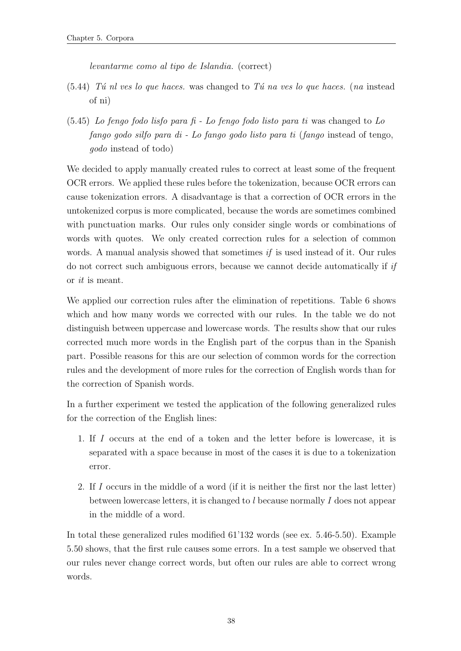levantarme como al tipo de Islandia. (correct)

- $(5.44)$  Tú nl ves lo que haces. was changed to Tú na ves lo que haces. (na instead of ni)
- <span id="page-49-0"></span> $(5.45)$  Lo fengo fodo lisfo para fi - Lo fengo fodo listo para ti was changed to Lo fango godo silfo para di - Lo fango godo listo para ti (fango instead of tengo, godo instead of todo)

We decided to apply manually created rules to correct at least some of the frequent OCR errors. We applied these rules before the tokenization, because OCR errors can cause tokenization errors. A disadvantage is that a correction of OCR errors in the untokenized corpus is more complicated, because the words are sometimes combined with punctuation marks. Our rules only consider single words or combinations of words with quotes. We only created correction rules for a selection of common words. A manual analysis showed that sometimes *if* is used instead of it. Our rules do not correct such ambiguous errors, because we cannot decide automatically if if or it is meant.

We applied our correction rules after the elimination of repetitions. Table [6](#page-50-0) shows which and how many words we corrected with our rules. In the table we do not distinguish between uppercase and lowercase words. The results show that our rules corrected much more words in the English part of the corpus than in the Spanish part. Possible reasons for this are our selection of common words for the correction rules and the development of more rules for the correction of English words than for the correction of Spanish words.

In a further experiment we tested the application of the following generalized rules for the correction of the English lines:

- 1. If I occurs at the end of a token and the letter before is lowercase, it is separated with a space because in most of the cases it is due to a tokenization error.
- 2. If I occurs in the middle of a word (if it is neither the first nor the last letter) between lowercase letters, it is changed to l because normally I does not appear in the middle of a word.

<span id="page-49-1"></span>In total these generalized rules modified 61'132 words (see ex. [5.46-](#page-49-1)[5.50\)](#page-51-0). Example [5.50](#page-51-0) shows, that the first rule causes some errors. In a test sample we observed that our rules never change correct words, but often our rules are able to correct wrong words.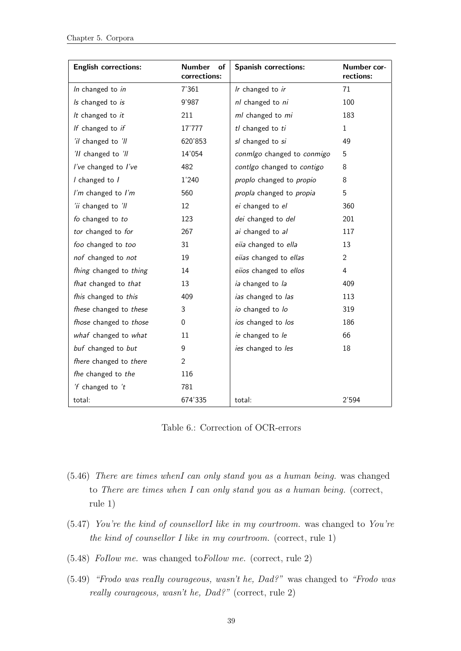| <b>English corrections:</b> | <b>Number</b><br>of<br>corrections: | <b>Spanish corrections:</b> | Number cor-<br>rections: |
|-----------------------------|-------------------------------------|-----------------------------|--------------------------|
| In changed to in            | 7'361                               | Ir changed to ir            | 71                       |
| Is changed to is            | 9'987                               | nl changed to ni            | 100                      |
| It changed to it            | 211                                 | ml changed to mi            | 183                      |
| If changed to if            | 17'777                              | tl changed to ti            | 1                        |
| 'il changed to 'll          | 620'853                             | sl changed to si            | 49                       |
| 'Il changed to 'Il          | 14'054                              | conmlgo changed to conmigo  | 5                        |
| I've changed to I've        | 482                                 | contlgo changed to contigo  | 8                        |
| I changed to I              | 1'240                               | proplo changed to propio    | 8                        |
| I'm changed to I'm          | 560                                 | propla changed to propia    | 5                        |
| 'ii changed to 'll          | 12                                  | ei changed to el            | 360                      |
| fo changed to to            | 123                                 | dei changed to del          | 201                      |
| tor changed to for          | 267                                 | ai changed to al            | 117                      |
| foo changed to too          | 31                                  | eiia changed to ella        | 13                       |
| nof changed to not          | 19                                  | eiias changed to ellas      | $\overline{2}$           |
| fhing changed to thing      | 14                                  | eiios changed to ellos      | 4                        |
| fhat changed to that        | 13                                  | ia changed to la            | 409                      |
| fhis changed to this        | 409                                 | ias changed to las          | 113                      |
| fhese changed to these      | 3                                   | io changed to lo            | 319                      |
| fhose changed to those      | $\overline{0}$                      | ios changed to los          | 186                      |
| whaf changed to what        | 11                                  | ie changed to le            | 66                       |
| buf changed to but          | 9                                   | ies changed to les          | 18                       |
| fhere changed to there      | $\overline{2}$                      |                             |                          |
| fhe changed to the          | 116                                 |                             |                          |
| 'f changed to 't            | 781                                 |                             |                          |
| total:                      | 674'335                             | total:                      | 2'594                    |

Table 6.: Correction of OCR-errors

- <span id="page-50-0"></span>(5.46) There are times whenI can only stand you as a human being. was changed to There are times when I can only stand you as a human being. (correct, rule 1)
- (5.47) You're the kind of counsellorI like in my courtroom. was changed to You're the kind of counsellor I like in my courtroom. (correct, rule 1)
- (5.48) FoIlow me. was changed toFollow me. (correct, rule 2)
- (5.49) "Frodo was reaIly courageous, wasn't he, Dad?" was changed to "Frodo was really courageous, wasn't he, Dad?" (correct, rule 2)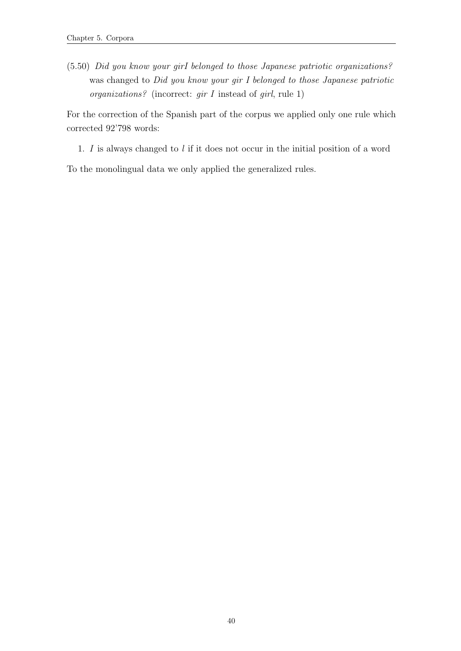<span id="page-51-0"></span>(5.50) Did you know your girI belonged to those Japanese patriotic organizations? was changed to Did you know your gir I belonged to those Japanese patriotic organizations? (incorrect:  $gir I$  instead of girl, rule 1)

For the correction of the Spanish part of the corpus we applied only one rule which corrected 92'798 words:

1. I is always changed to l if it does not occur in the initial position of a word

To the monolingual data we only applied the generalized rules.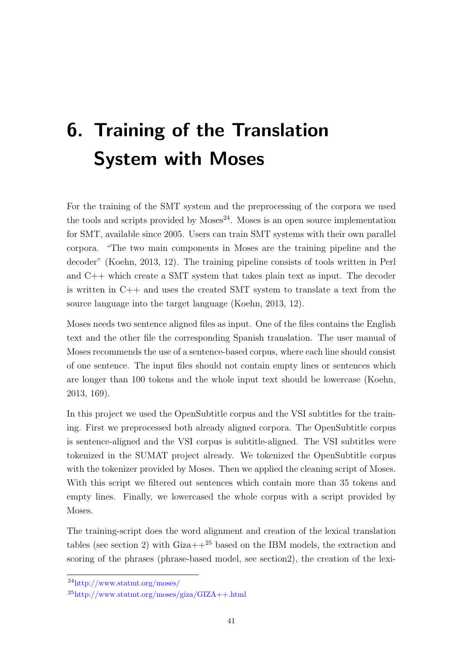# <span id="page-52-0"></span>6. Training of the Translation System with Moses

For the training of the SMT system and the preprocessing of the corpora we used the tools and scripts provided by  $M$ oses<sup>24</sup>. Moses is an open source implementation for SMT, available since 2005. Users can train SMT systems with their own parallel corpora. "The two main components in Moses are the training pipeline and the decoder" [\(Koehn, 2013,](#page-119-1) 12). The training pipeline consists of tools written in Perl and C++ which create a SMT system that takes plain text as input. The decoder is written in C++ and uses the created SMT system to translate a text from the source language into the target language [\(Koehn, 2013,](#page-119-1) 12).

Moses needs two sentence aligned files as input. One of the files contains the English text and the other file the corresponding Spanish translation. The user manual of Moses recommends the use of a sentence-based corpus, where each line should consist of one sentence. The input files should not contain empty lines or sentences which are longer than 100 tokens and the whole input text should be lowercase [\(Koehn,](#page-119-1) [2013,](#page-119-1) 169).

In this project we used the OpenSubtitle corpus and the VSI subtitles for the training. First we preprocessed both already aligned corpora. The OpenSubtitle corpus is sentence-aligned and the VSI corpus is subtitle-aligned. The VSI subtitles were tokenized in the SUMAT project already. We tokenized the OpenSubtitle corpus with the tokenizer provided by Moses. Then we applied the cleaning script of Moses. With this script we filtered out sentences which contain more than 35 tokens and empty lines. Finally, we lowercased the whole corpus with a script provided by Moses.

The training-script does the word alignment and creation of the lexical translation tables (see section [2\)](#page-15-0) with  $Giza++^{25}$  based on the IBM models, the extraction and scoring of the phrases (phrase-based model, see sectio[n2\)](#page-15-0), the creation of the lexi-

<sup>24</sup>http://www.statmt.org/moses/

 $^{25}$ http://www.statmt.org/moses/giza/GIZA++.html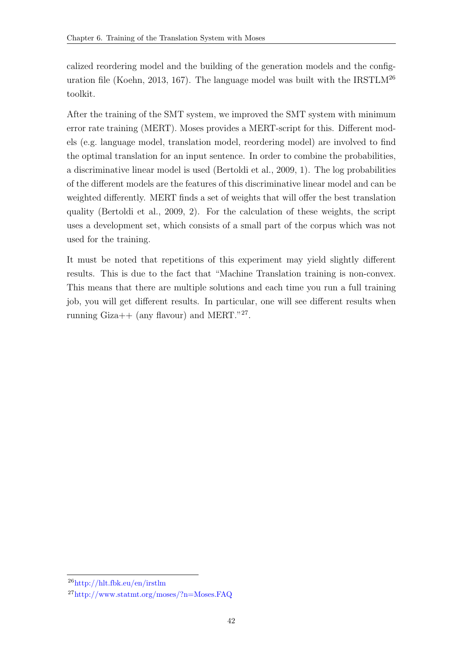calized reordering model and the building of the generation models and the config-uration file [\(Koehn, 2013,](#page-119-1) 167). The language model was built with the IRSTLM<sup>26</sup> toolkit.

After the training of the SMT system, we improved the SMT system with minimum error rate training (MERT). Moses provides a MERT-script for this. Different models (e.g. language model, translation model, reordering model) are involved to find the optimal translation for an input sentence. In order to combine the probabilities, a discriminative linear model is used [\(Bertoldi et al., 2009,](#page-118-0) 1). The log probabilities of the different models are the features of this discriminative linear model and can be weighted differently. MERT finds a set of weights that will offer the best translation quality [\(Bertoldi et al., 2009,](#page-118-0) 2). For the calculation of these weights, the script uses a development set, which consists of a small part of the corpus which was not used for the training.

It must be noted that repetitions of this experiment may yield slightly different results. This is due to the fact that "Machine Translation training is non-convex. This means that there are multiple solutions and each time you run a full training job, you will get different results. In particular, one will see different results when running  $\text{Giza++}$  (any flavour) and MERT."<sup>27</sup>.

<sup>26</sup>http://hlt.fbk.eu/en/irstlm

<sup>27</sup>http://www.statmt.org/moses/?n=Moses.FAQ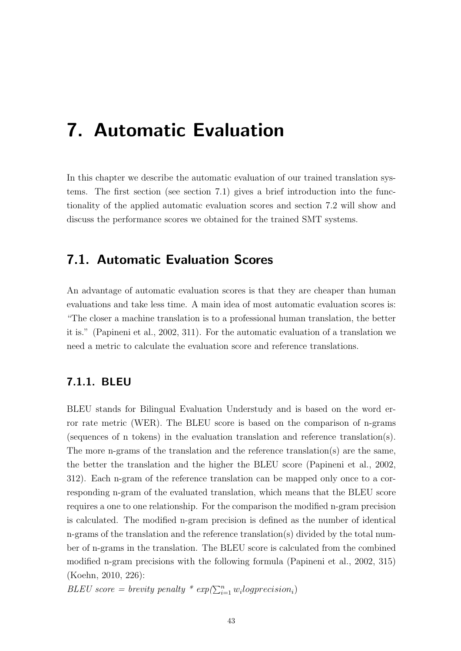## 7. Automatic Evaluation

In this chapter we describe the automatic evaluation of our trained translation systems. The first section (see section [7.1\)](#page-54-0) gives a brief introduction into the functionality of the applied automatic evaluation scores and section [7.2](#page-57-0) will show and discuss the performance scores we obtained for the trained SMT systems.

## <span id="page-54-0"></span>7.1. Automatic Evaluation Scores

An advantage of automatic evaluation scores is that they are cheaper than human evaluations and take less time. A main idea of most automatic evaluation scores is: "The closer a machine translation is to a professional human translation, the better it is." [\(Papineni et al., 2002,](#page-119-2) 311). For the automatic evaluation of a translation we need a metric to calculate the evaluation score and reference translations.

#### <span id="page-54-1"></span>7.1.1. BLEU

BLEU stands for Bilingual Evaluation Understudy and is based on the word error rate metric (WER). The BLEU score is based on the comparison of n-grams (sequences of n tokens) in the evaluation translation and reference translation(s). The more n-grams of the translation and the reference translation(s) are the same, the better the translation and the higher the BLEU score [\(Papineni et al., 2002,](#page-119-2) 312). Each n-gram of the reference translation can be mapped only once to a corresponding n-gram of the evaluated translation, which means that the BLEU score requires a one to one relationship. For the comparison the modified n-gram precision is calculated. The modified n-gram precision is defined as the number of identical n-grams of the translation and the reference translation(s) divided by the total number of n-grams in the translation. The BLEU score is calculated from the combined modified n-gram precisions with the following formula [\(Papineni et al., 2002,](#page-119-2) 315) [\(Koehn, 2010,](#page-119-3) 226):

BLEU score = brevity penalty \*  $exp(\sum_{i=1}^{n} w_i log precision_i)$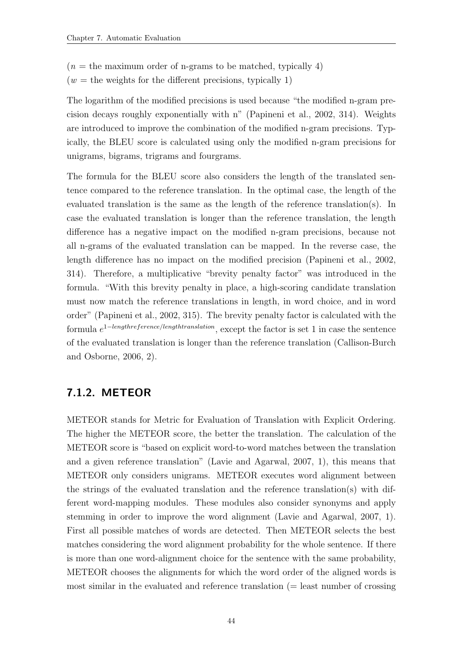$(n =$  the maximum order of n-grams to be matched, typically 4)

 $(w =$  the weights for the different precisions, typically 1)

The logarithm of the modified precisions is used because "the modified n-gram precision decays roughly exponentially with n" [\(Papineni et al., 2002,](#page-119-2) 314). Weights are introduced to improve the combination of the modified n-gram precisions. Typically, the BLEU score is calculated using only the modified n-gram precisions for unigrams, bigrams, trigrams and fourgrams.

The formula for the BLEU score also considers the length of the translated sentence compared to the reference translation. In the optimal case, the length of the evaluated translation is the same as the length of the reference translation(s). In case the evaluated translation is longer than the reference translation, the length difference has a negative impact on the modified n-gram precisions, because not all n-grams of the evaluated translation can be mapped. In the reverse case, the length difference has no impact on the modified precision [\(Papineni et al., 2002,](#page-119-2) 314). Therefore, a multiplicative "brevity penalty factor" was introduced in the formula. "With this brevity penalty in place, a high-scoring candidate translation must now match the reference translations in length, in word choice, and in word order" [\(Papineni et al., 2002,](#page-119-2) 315). The brevity penalty factor is calculated with the formula  $e^{1-lengthreference/length translation}$ , except the factor is set 1 in case the sentence of the evaluated translation is longer than the reference translation [\(Callison-Burch](#page-118-1) [and Osborne, 2006,](#page-118-1) 2).

#### <span id="page-55-0"></span>7.1.2. METEOR

METEOR stands for Metric for Evaluation of Translation with Explicit Ordering. The higher the METEOR score, the better the translation. The calculation of the METEOR score is "based on explicit word-to-word matches between the translation and a given reference translation" [\(Lavie and Agarwal, 2007,](#page-119-4) 1), this means that METEOR only considers unigrams. METEOR executes word alignment between the strings of the evaluated translation and the reference translation(s) with different word-mapping modules. These modules also consider synonyms and apply stemming in order to improve the word alignment [\(Lavie and Agarwal, 2007,](#page-119-4) 1). First all possible matches of words are detected. Then METEOR selects the best matches considering the word alignment probability for the whole sentence. If there is more than one word-alignment choice for the sentence with the same probability, METEOR chooses the alignments for which the word order of the aligned words is most similar in the evaluated and reference translation (= least number of crossing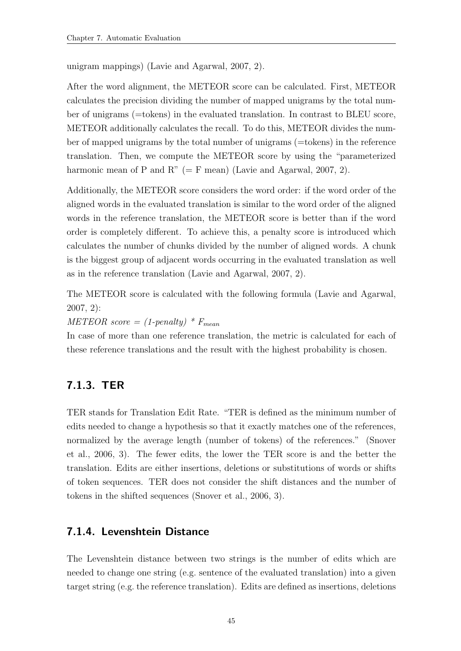unigram mappings) [\(Lavie and Agarwal, 2007,](#page-119-4) 2).

After the word alignment, the METEOR score can be calculated. First, METEOR calculates the precision dividing the number of mapped unigrams by the total number of unigrams (=tokens) in the evaluated translation. In contrast to BLEU score, METEOR additionally calculates the recall. To do this, METEOR divides the number of mapped unigrams by the total number of unigrams (=tokens) in the reference translation. Then, we compute the METEOR score by using the "parameterized harmonic mean of P and R" (= F mean) [\(Lavie and Agarwal, 2007,](#page-119-4) 2).

Additionally, the METEOR score considers the word order: if the word order of the aligned words in the evaluated translation is similar to the word order of the aligned words in the reference translation, the METEOR score is better than if the word order is completely different. To achieve this, a penalty score is introduced which calculates the number of chunks divided by the number of aligned words. A chunk is the biggest group of adjacent words occurring in the evaluated translation as well as in the reference translation [\(Lavie and Agarwal, 2007,](#page-119-4) 2).

The METEOR score is calculated with the following formula [\(Lavie and Agarwal,](#page-119-4) [2007,](#page-119-4) 2):

 $METEOR score = (1-penalty) * F_{mean}$ 

In case of more than one reference translation, the metric is calculated for each of these reference translations and the result with the highest probability is chosen.

#### <span id="page-56-0"></span>7.1.3. TER

TER stands for Translation Edit Rate. "TER is defined as the minimum number of edits needed to change a hypothesis so that it exactly matches one of the references, normalized by the average length (number of tokens) of the references." [\(Snover](#page-120-3) [et al., 2006,](#page-120-3) 3). The fewer edits, the lower the TER score is and the better the translation. Edits are either insertions, deletions or substitutions of words or shifts of token sequences. TER does not consider the shift distances and the number of tokens in the shifted sequences [\(Snover et al., 2006,](#page-120-3) 3).

#### <span id="page-56-1"></span>7.1.4. Levenshtein Distance

The Levenshtein distance between two strings is the number of edits which are needed to change one string (e.g. sentence of the evaluated translation) into a given target string (e.g. the reference translation). Edits are defined as insertions, deletions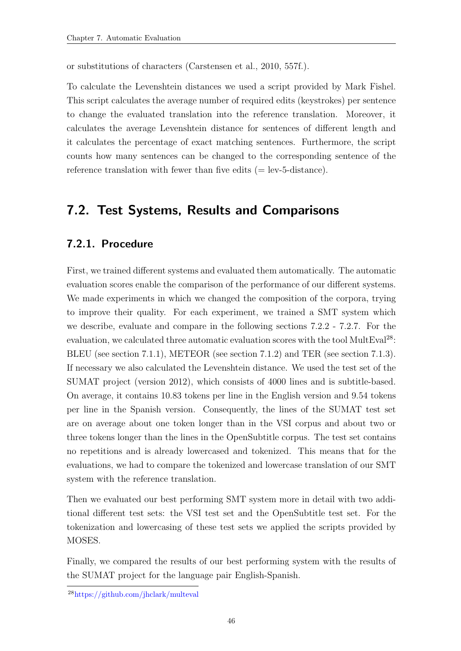or substitutions of characters [\(Carstensen et al., 2010,](#page-118-2) 557f.).

To calculate the Levenshtein distances we used a script provided by Mark Fishel. This script calculates the average number of required edits (keystrokes) per sentence to change the evaluated translation into the reference translation. Moreover, it calculates the average Levenshtein distance for sentences of different length and it calculates the percentage of exact matching sentences. Furthermore, the script counts how many sentences can be changed to the corresponding sentence of the reference translation with fewer than five edits  $(=$  lev-5-distance).

## <span id="page-57-0"></span>7.2. Test Systems, Results and Comparisons

#### 7.2.1. Procedure

First, we trained different systems and evaluated them automatically. The automatic evaluation scores enable the comparison of the performance of our different systems. We made experiments in which we changed the composition of the corpora, trying to improve their quality. For each experiment, we trained a SMT system which we describe, evaluate and compare in the following sections [7.2.2](#page-58-0) - [7.2.7.](#page-66-0) For the evaluation, we calculated three automatic evaluation scores with the tool MultEval<sup>28</sup>: BLEU (see section [7.1.1\)](#page-54-1), METEOR (see section [7.1.2\)](#page-55-0) and TER (see section [7.1.3\)](#page-56-0). If necessary we also calculated the Levenshtein distance. We used the test set of the SUMAT project (version 2012), which consists of 4000 lines and is subtitle-based. On average, it contains 10.83 tokens per line in the English version and 9.54 tokens per line in the Spanish version. Consequently, the lines of the SUMAT test set are on average about one token longer than in the VSI corpus and about two or three tokens longer than the lines in the OpenSubtitle corpus. The test set contains no repetitions and is already lowercased and tokenized. This means that for the evaluations, we had to compare the tokenized and lowercase translation of our SMT system with the reference translation.

Then we evaluated our best performing SMT system more in detail with two additional different test sets: the VSI test set and the OpenSubtitle test set. For the tokenization and lowercasing of these test sets we applied the scripts provided by MOSES.

Finally, we compared the results of our best performing system with the results of the SUMAT project for the language pair English-Spanish.

<sup>28</sup>https://github.com/jhclark/multeval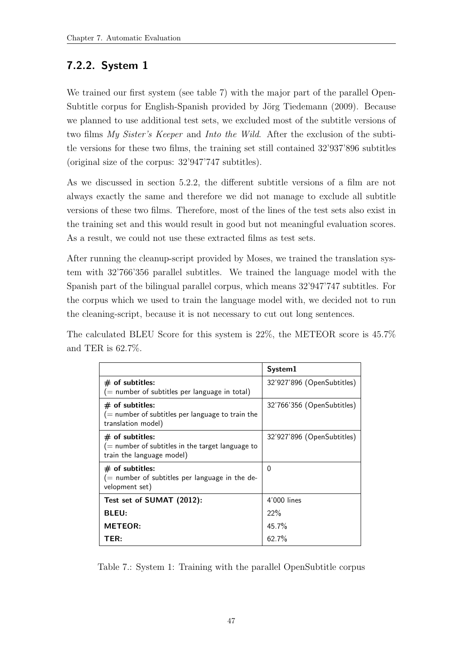## <span id="page-58-0"></span>7.2.2. System 1

We trained our first system (see table [7\)](#page-58-1) with the major part of the parallel Open-Subtitle corpus for English-Spanish provided by Jörg Tiedemann (2009). Because we planned to use additional test sets, we excluded most of the subtitle versions of two films My Sister's Keeper and Into the Wild. After the exclusion of the subtitle versions for these two films, the training set still contained 32'937'896 subtitles (original size of the corpus: 32'947'747 subtitles).

As we discussed in section [5.2.2,](#page-40-2) the different subtitle versions of a film are not always exactly the same and therefore we did not manage to exclude all subtitle versions of these two films. Therefore, most of the lines of the test sets also exist in the training set and this would result in good but not meaningful evaluation scores. As a result, we could not use these extracted films as test sets.

After running the cleanup-script provided by Moses, we trained the translation system with 32'766'356 parallel subtitles. We trained the language model with the Spanish part of the bilingual parallel corpus, which means 32'947'747 subtitles. For the corpus which we used to train the language model with, we decided not to run the cleaning-script, because it is not necessary to cut out long sentences.

The calculated BLEU Score for this system is 22%, the METEOR score is 45.7% and TER is 62.7%.

|                                                                                                       | System1                    |
|-------------------------------------------------------------------------------------------------------|----------------------------|
| $#$ of subtitles:<br>$($ = number of subtitles per language in total)                                 | 32'927'896 (OpenSubtitles) |
| $#$ of subtitles:<br>$($ = number of subtitles per language to train the<br>translation model)        | 32'766'356 (OpenSubtitles) |
| $#$ of subtitles:<br>$($ = number of subtitles in the target language to<br>train the language model) | 32'927'896 (OpenSubtitles) |
| $#$ of subtitles:<br>$($ number of subtitles per language in the de-<br>velopment set)                | 0                          |
| Test set of SUMAT (2012):                                                                             | 4'000 lines                |
| <b>BLEU:</b>                                                                                          | 22%                        |
| <b>METEOR:</b>                                                                                        | 45.7%                      |
| TER:                                                                                                  | 62.7%                      |

<span id="page-58-1"></span>Table 7.: System 1: Training with the parallel OpenSubtitle corpus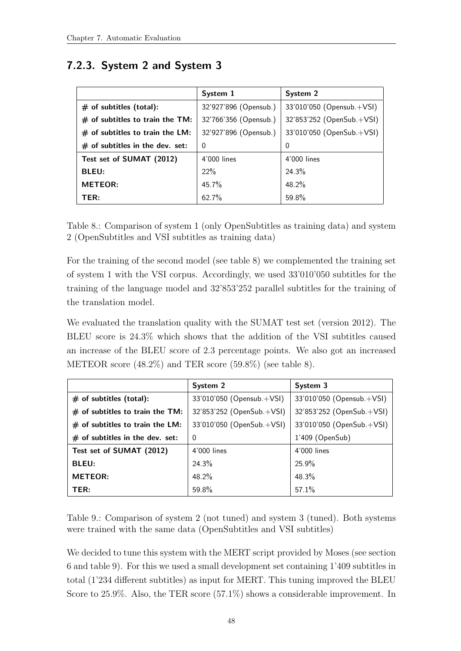## <span id="page-59-2"></span>7.2.3. System 2 and System 3

|                                   | System 1              | System 2                  |
|-----------------------------------|-----------------------|---------------------------|
| $#$ of subtitles (total):         | 32'927'896 (Opensub.) | 33'010'050 (Opensub.+VSI) |
| $#$ of subtitles to train the TM: | 32'766'356 (Opensub.) | 32'853'252 (OpenSub.+VSI) |
| $#$ of subtitles to train the LM: | 32'927'896 (Opensub.) | 33'010'050 (OpenSub.+VSI) |
| $#$ of subtitles in the dev. set: | $\Omega$              | 0                         |
| Test set of SUMAT (2012)          | 4'000 lines           | 4'000 lines               |
| <b>BLEU:</b>                      | 22%                   | 24.3%                     |
| <b>METEOR:</b>                    | 45.7%                 | $48.2\%$                  |
| TER:                              | 62.7%                 | 59.8%                     |

<span id="page-59-0"></span>Table 8.: Comparison of system 1 (only OpenSubtitles as training data) and system 2 (OpenSubtitles and VSI subtitles as training data)

For the training of the second model (see table [8\)](#page-59-0) we complemented the training set of system 1 with the VSI corpus. Accordingly, we used 33'010'050 subtitles for the training of the language model and 32'853'252 parallel subtitles for the training of the translation model.

We evaluated the translation quality with the SUMAT test set (version 2012). The BLEU score is 24.3% which shows that the addition of the VSI subtitles caused an increase of the BLEU score of 2.3 percentage points. We also got an increased METEOR score (48.2%) and TER score (59.8%) (see table [8\)](#page-59-0).

|                                   | System 2                  | System 3                  |
|-----------------------------------|---------------------------|---------------------------|
| $#$ of subtitles (total):         | 33'010'050 (Opensub.+VSI) | 33'010'050 (Opensub.+VSI) |
| $#$ of subtitles to train the TM: | 32'853'252 (OpenSub.+VSI) | 32'853'252 (OpenSub.+VSI) |
| $#$ of subtitles to train the LM: | 33'010'050 (OpenSub.+VSI) | 33'010'050 (OpenSub.+VSI) |
| $#$ of subtitles in the dev. set: | $\Omega$                  | $1'409$ (OpenSub)         |
| Test set of SUMAT (2012)          | 4'000 lines               | 4'000 lines               |
| <b>BLEU:</b>                      | 24.3%                     | 25.9%                     |
| <b>METEOR:</b>                    | 48.2%                     | 48.3%                     |
| TER:                              | 59.8%                     | 57.1%                     |

<span id="page-59-1"></span>Table 9.: Comparison of system 2 (not tuned) and system 3 (tuned). Both systems were trained with the same data (OpenSubtitles and VSI subtitles)

We decided to tune this system with the MERT script provided by Moses (see section [6](#page-52-0) and table [9\)](#page-59-1). For this we used a small development set containing 1'409 subtitles in total (1'234 different subtitles) as input for MERT. This tuning improved the BLEU Score to 25.9%. Also, the TER score (57.1%) shows a considerable improvement. In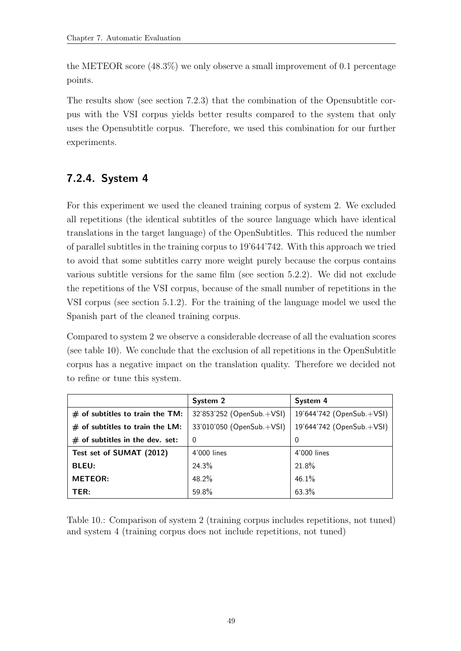the METEOR score (48.3%) we only observe a small improvement of 0.1 percentage points.

The results show (see section [7.2.3\)](#page-59-2) that the combination of the Opensubtitle corpus with the VSI corpus yields better results compared to the system that only uses the Opensubtitle corpus. Therefore, we used this combination for our further experiments.

## 7.2.4. System 4

For this experiment we used the cleaned training corpus of system 2. We excluded all repetitions (the identical subtitles of the source language which have identical translations in the target language) of the OpenSubtitles. This reduced the number of parallel subtitles in the training corpus to 19'644'742. With this approach we tried to avoid that some subtitles carry more weight purely because the corpus contains various subtitle versions for the same film (see section [5.2.2\)](#page-40-2). We did not exclude the repetitions of the VSI corpus, because of the small number of repetitions in the VSI corpus (see section [5.1.2\)](#page-33-0). For the training of the language model we used the Spanish part of the cleaned training corpus.

Compared to system 2 we observe a considerable decrease of all the evaluation scores (see table [10\)](#page-60-0). We conclude that the exclusion of all repetitions in the OpenSubtitle corpus has a negative impact on the translation quality. Therefore we decided not to refine or tune this system.

|                                   | System 2                  | System 4                  |
|-----------------------------------|---------------------------|---------------------------|
| $#$ of subtitles to train the TM: | 32'853'252 (OpenSub.+VSI) | 19'644'742 (OpenSub.+VSI) |
| $#$ of subtitles to train the LM: | 33'010'050 (OpenSub.+VSI) | 19'644'742 (OpenSub.+VSI) |
| $#$ of subtitles in the dev. set: | 0                         | 0                         |
| Test set of SUMAT (2012)          | 4'000 lines               | 4'000 lines               |
| <b>BLEU:</b>                      | 24.3%                     | 21.8%                     |
| <b>METEOR:</b>                    | 48.2%                     | 46.1%                     |
| TER:                              | 59.8%                     | 63.3%                     |

<span id="page-60-0"></span>Table 10.: Comparison of system 2 (training corpus includes repetitions, not tuned) and system 4 (training corpus does not include repetitions, not tuned)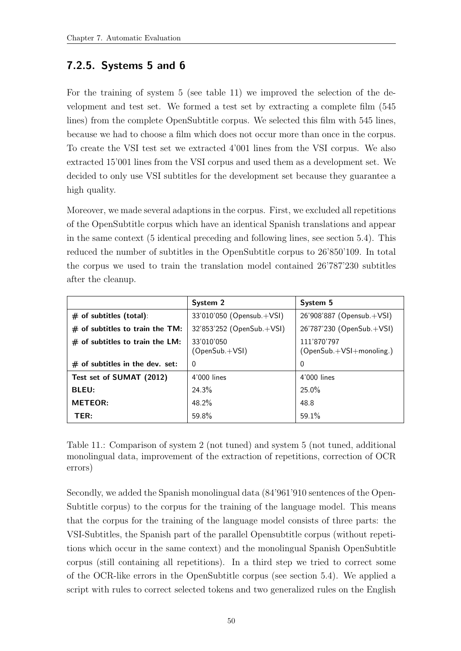## 7.2.5. Systems 5 and 6

For the training of system 5 (see table [11\)](#page-61-0) we improved the selection of the development and test set. We formed a test set by extracting a complete film (545 lines) from the complete OpenSubtitle corpus. We selected this film with 545 lines, because we had to choose a film which does not occur more than once in the corpus. To create the VSI test set we extracted 4'001 lines from the VSI corpus. We also extracted 15'001 lines from the VSI corpus and used them as a development set. We decided to only use VSI subtitles for the development set because they guarantee a high quality.

Moreover, we made several adaptions in the corpus. First, we excluded all repetitions of the OpenSubtitle corpus which have an identical Spanish translations and appear in the same context (5 identical preceding and following lines, see section [5.4\)](#page-45-0). This reduced the number of subtitles in the OpenSubtitle corpus to 26'850'109. In total the corpus we used to train the translation model contained 26'787'230 subtitles after the cleanup.

|                                   | System 2                       | System 5                                |
|-----------------------------------|--------------------------------|-----------------------------------------|
| $#$ of subtitles (total):         | 33'010'050 (Opensub.+VSI)      | 26'908'887 (Opensub.+VSI)               |
| $#$ of subtitles to train the TM: | 32'853'252 (OpenSub.+VSI)      | 26'787'230 (OpenSub.+VSI)               |
| $#$ of subtitles to train the LM: | 33'010'050<br>$(OpenSub.+VSI)$ | 111'870'797<br>(OpenSub.+VSI+monoling.) |
| $#$ of subtitles in the dev. set: | $\Omega$                       | $\mathbf 0$                             |
| Test set of SUMAT (2012)          | 4'000 lines                    | 4'000 lines                             |
| <b>BLEU:</b>                      | 24.3%                          | $25.0\%$                                |
| <b>METEOR:</b>                    | 48.2%                          | 48.8                                    |
| TER:                              | 59.8%                          | 59.1%                                   |

<span id="page-61-0"></span>Table 11.: Comparison of system 2 (not tuned) and system 5 (not tuned, additional monolingual data, improvement of the extraction of repetitions, correction of OCR errors)

Secondly, we added the Spanish monolingual data (84'961'910 sentences of the Open-Subtitle corpus) to the corpus for the training of the language model. This means that the corpus for the training of the language model consists of three parts: the VSI-Subtitles, the Spanish part of the parallel Opensubtitle corpus (without repetitions which occur in the same context) and the monolingual Spanish OpenSubtitle corpus (still containing all repetitions). In a third step we tried to correct some of the OCR-like errors in the OpenSubtitle corpus (see section [5.4\)](#page-45-0). We applied a script with rules to correct selected tokens and two generalized rules on the English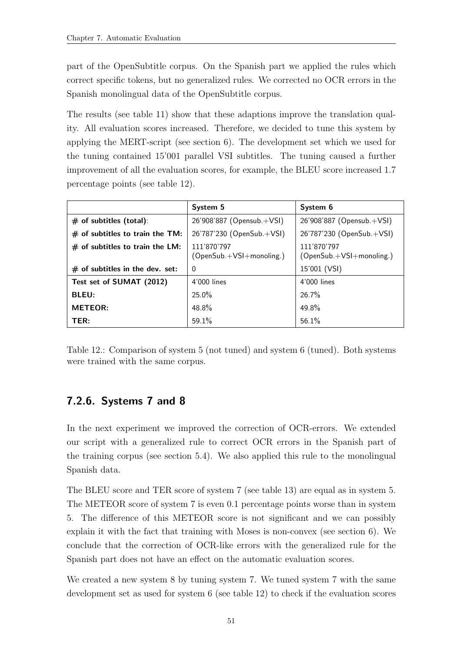part of the OpenSubtitle corpus. On the Spanish part we applied the rules which correct specific tokens, but no generalized rules. We corrected no OCR errors in the Spanish monolingual data of the OpenSubtitle corpus.

The results (see table [11\)](#page-61-0) show that these adaptions improve the translation quality. All evaluation scores increased. Therefore, we decided to tune this system by applying the MERT-script (see section [6\)](#page-52-0). The development set which we used for the tuning contained 15'001 parallel VSI subtitles. The tuning caused a further improvement of all the evaluation scores, for example, the BLEU score increased 1.7 percentage points (see table [12\)](#page-62-0).

|                                   | System 5                                | System 6                                |
|-----------------------------------|-----------------------------------------|-----------------------------------------|
| $#$ of subtitles (total):         | 26'908'887 (Opensub.+VSI)               | 26'908'887 (Opensub.+VSI)               |
| $#$ of subtitles to train the TM: | 26'787'230 (OpenSub.+VSI)               | 26'787'230 (OpenSub.+VSI)               |
| $#$ of subtitles to train the LM: | 111'870'797<br>(OpenSub.+VSI+monoling.) | 111'870'797<br>(OpenSub.+VSI+monoling.) |
| $#$ of subtitles in the dev. set: | $\Omega$                                | 15'001 (VSI)                            |
| Test set of SUMAT (2012)          | 4'000 lines                             | 4'000 lines                             |
| <b>BLEU:</b>                      | 25.0%                                   | 26.7%                                   |
| <b>METEOR:</b>                    | 48.8%                                   | 49.8%                                   |
| TER:                              | 59.1%                                   | 56.1%                                   |

<span id="page-62-0"></span>Table 12.: Comparison of system 5 (not tuned) and system 6 (tuned). Both systems were trained with the same corpus.

## 7.2.6. Systems 7 and 8

In the next experiment we improved the correction of OCR-errors. We extended our script with a generalized rule to correct OCR errors in the Spanish part of the training corpus (see section [5.4\)](#page-45-0). We also applied this rule to the monolingual Spanish data.

The BLEU score and TER score of system 7 (see table [13\)](#page-63-0) are equal as in system 5. The METEOR score of system 7 is even 0.1 percentage points worse than in system 5. The difference of this METEOR score is not significant and we can possibly explain it with the fact that training with Moses is non-convex (see section [6\)](#page-52-0). We conclude that the correction of OCR-like errors with the generalized rule for the Spanish part does not have an effect on the automatic evaluation scores.

We created a new system 8 by tuning system 7. We tuned system 7 with the same development set as used for system 6 (see table [12\)](#page-62-0) to check if the evaluation scores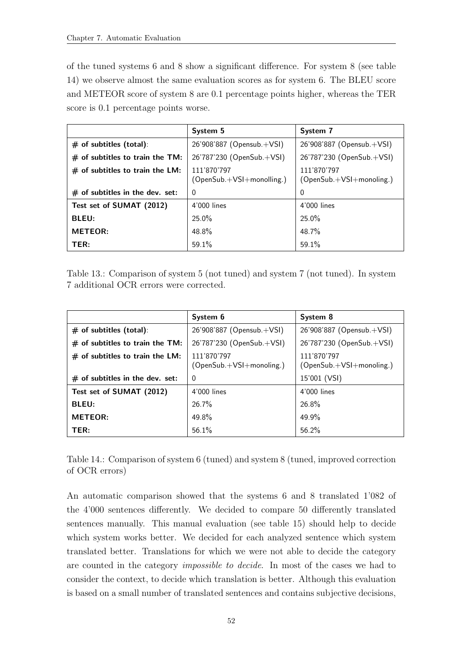of the tuned systems 6 and 8 show a significant difference. For system 8 (see table [14\)](#page-63-1) we observe almost the same evaluation scores as for system 6. The BLEU score and METEOR score of system 8 are 0.1 percentage points higher, whereas the TER score is 0.1 percentage points worse.

|                                   | System 5                                   | System 7                                |
|-----------------------------------|--------------------------------------------|-----------------------------------------|
| $#$ of subtitles (total):         | 26'908'887 (Opensub.+VSI)                  | 26'908'887 (Opensub.+VSI)               |
| $#$ of subtitles to train the TM: | 26'787'230 (OpenSub.+VSI)                  | 26'787'230 (OpenSub.+VSI)               |
| $#$ of subtitles to train the LM: | 111'870'797<br>$(OpenSub.+VSI+monolling.)$ | 111'870'797<br>(OpenSub.+VSI+monoling.) |
| $#$ of subtitles in the dev. set: | $\Omega$                                   | $\Omega$                                |
| Test set of SUMAT (2012)          | 4'000 lines                                | 4'000 lines                             |
| <b>BLEU:</b>                      | $25.0\%$                                   | $25.0\%$                                |
| <b>METEOR:</b>                    | 48.8%                                      | 48.7%                                   |
| TER:                              | 59.1%                                      | 59.1%                                   |

<span id="page-63-0"></span>Table 13.: Comparison of system 5 (not tuned) and system 7 (not tuned). In system 7 additional OCR errors were corrected.

|                                   | System 6                                | System 8                                |
|-----------------------------------|-----------------------------------------|-----------------------------------------|
| $#$ of subtitles (total):         | 26'908'887 (Opensub.+VSI)               | 26'908'887 (Opensub.+VSI)               |
| $#$ of subtitles to train the TM: | 26'787'230 (OpenSub.+VSI)               | 26'787'230 (OpenSub.+VSI)               |
| $#$ of subtitles to train the LM: | 111'870'797<br>(OpenSub.+VSI+monoling.) | 111'870'797<br>(OpenSub.+VSI+monoling.) |
| $#$ of subtitles in the dev. set: | $\Omega$                                | 15'001 (VSI)                            |
| Test set of SUMAT (2012)          | 4'000 lines                             | 4'000 lines                             |
| <b>BLEU:</b>                      | $26.7\%$                                | $26.8\%$                                |
| <b>METEOR:</b>                    | 49.8%                                   | 49.9%                                   |
| TER:                              | 56.1%                                   | 56.2%                                   |

<span id="page-63-1"></span>Table 14.: Comparison of system 6 (tuned) and system 8 (tuned, improved correction of OCR errors)

An automatic comparison showed that the systems 6 and 8 translated 1'082 of the 4'000 sentences differently. We decided to compare 50 differently translated sentences manually. This manual evaluation (see table [15\)](#page-64-0) should help to decide which system works better. We decided for each analyzed sentence which system translated better. Translations for which we were not able to decide the category are counted in the category impossible to decide. In most of the cases we had to consider the context, to decide which translation is better. Although this evaluation is based on a small number of translated sentences and contains subjective decisions,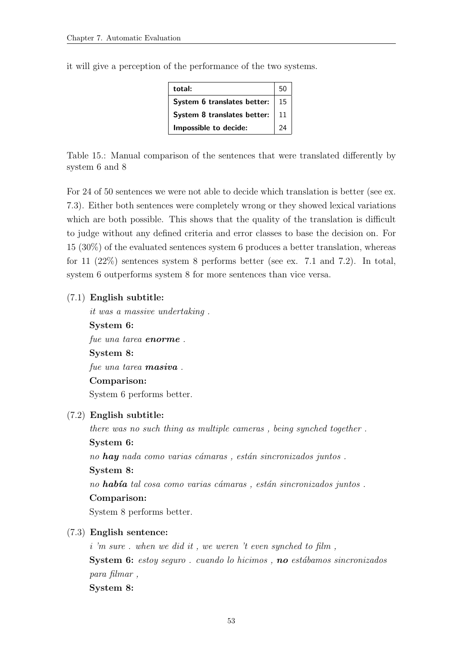| total:                      | 50 |
|-----------------------------|----|
| System 6 translates better: | 15 |
| System 8 translates better: | 11 |
| Impossible to decide:       | 9Δ |

it will give a perception of the performance of the two systems.

<span id="page-64-0"></span>Table 15.: Manual comparison of the sentences that were translated differently by system 6 and 8

For 24 of 50 sentences we were not able to decide which translation is better (see ex. [7.3\)](#page-64-1). Either both sentences were completely wrong or they showed lexical variations which are both possible. This shows that the quality of the translation is difficult to judge without any defined criteria and error classes to base the decision on. For 15 (30%) of the evaluated sentences system 6 produces a better translation, whereas for 11 (22%) sentences system 8 performs better (see ex. [7.1](#page-64-2) and [7.2\)](#page-64-3). In total, system 6 outperforms system 8 for more sentences than vice versa.

#### <span id="page-64-2"></span>(7.1) English subtitle:

it was a massive undertaking .

System 6: fue una tarea **enorme**. System 8: fue una tarea **masiva**. Comparison:

System 6 performs better.

#### <span id="page-64-3"></span>(7.2) English subtitle:

there was no such thing as multiple cameras , being synched together . System 6: no  $\boldsymbol{hay}$  nada como varias cámaras, están sincronizados juntos. System 8: no había tal cosa como varias cámaras, están sincronizados juntos. Comparison: System 8 performs better.

#### <span id="page-64-1"></span>(7.3) English sentence:

i 'm sure . when we did it , we weren 't even synched to film , **System 6:** estoy seguro . cuando lo hicimos , **no** estábamos sincronizados para filmar , System 8: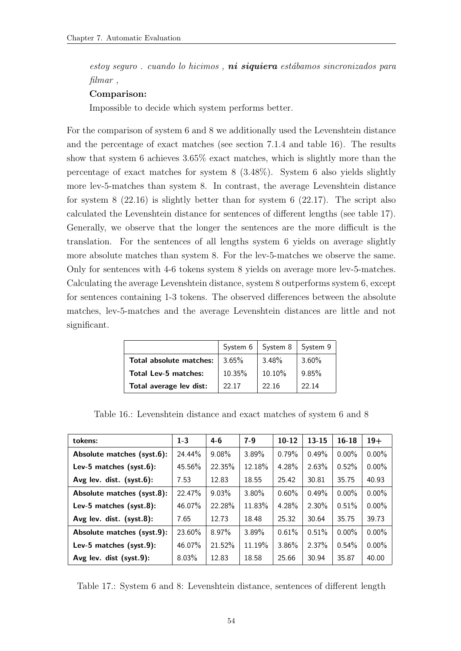estoy seguro . cuando lo hicimos, **ni siquiera** estábamos sincronizados para filmar,

#### Comparison:

Impossible to decide which system performs better.

For the comparison of system 6 and 8 we additionally used the Levenshtein distance and the percentage of exact matches (see section [7.1.4](#page-56-1) and table [16\)](#page-65-0). The results show that system 6 achieves 3.65% exact matches, which is slightly more than the percentage of exact matches for system 8 (3.48%). System 6 also yields slightly more lev-5-matches than system 8. In contrast, the average Levenshtein distance for system  $8$   $(22.16)$  is slightly better than for system 6  $(22.17)$ . The script also calculated the Levenshtein distance for sentences of different lengths (see table [17\)](#page-65-1). Generally, we observe that the longer the sentences are the more difficult is the translation. For the sentences of all lengths system 6 yields on average slightly more absolute matches than system 8. For the lev-5-matches we observe the same. Only for sentences with 4-6 tokens system 8 yields on average more lev-5-matches. Calculating the average Levenshtein distance, system 8 outperforms system 6, except for sentences containing 1-3 tokens. The observed differences between the absolute matches, lev-5-matches and the average Levenshtein distances are little and not significant.

|                             | System 6 | System 8   System 9 |          |
|-----------------------------|----------|---------------------|----------|
| Total absolute matches:     | $3.65\%$ | $3.48\%$            | $3.60\%$ |
| <b>Total Lev-5 matches:</b> | 10.35%   | 10.10%              | 9.85%    |
| Total average lev dist:     | 22.17    | 22.16               | 22 14    |

| tokens:                    | $1 - 3$  | $4-6$    | $7-9$    | $10 - 12$ | $13 - 15$ | $16 - 18$ | $19+$    |
|----------------------------|----------|----------|----------|-----------|-----------|-----------|----------|
| Absolute matches (syst.6): | 24.44%   | $9.08\%$ | 3.89%    | 0.79%     | 0.49%     | $0.00\%$  | $0.00\%$ |
| Lev-5 matches (syst.6):    | 45.56%   | 22.35%   | 12.18%   | 4.28%     | 2.63%     | 0.52%     | $0.00\%$ |
| Avg lev. dist. (syst.6):   | 7.53     | 12.83    | 18.55    | 25.42     | 30.81     | 35.75     | 40.93    |
| Absolute matches (syst.8): | 22.47%   | $9.03\%$ | $3.80\%$ | 0.60%     | 0.49%     | $0.00\%$  | $0.00\%$ |
| Lev-5 matches (syst.8):    | 46.07%   | 22.28%   | 11.83%   | 4.28%     | 2.30%     | 0.51%     | $0.00\%$ |
| Avg lev. dist. (syst.8):   | 7.65     | 12.73    | 18.48    | 25.32     | 30.64     | 35.75     | 39.73    |
| Absolute matches (syst.9): | 23.60%   | 8.97%    | 3.89%    | 0.61%     | 0.51%     | $0.00\%$  | $0.00\%$ |
| Lev-5 matches (syst.9):    | 46.07%   | 21.52%   | 11.19%   | 3.86%     | 2.37%     | 0.54%     | $0.00\%$ |
| Avg lev. dist (syst.9):    | $8.03\%$ | 12.83    | 18.58    | 25.66     | 30.94     | 35.87     | 40.00    |

<span id="page-65-0"></span>Table 16.: Levenshtein distance and exact matches of system 6 and 8

<span id="page-65-1"></span>Table 17.: System 6 and 8: Levenshtein distance, sentences of different length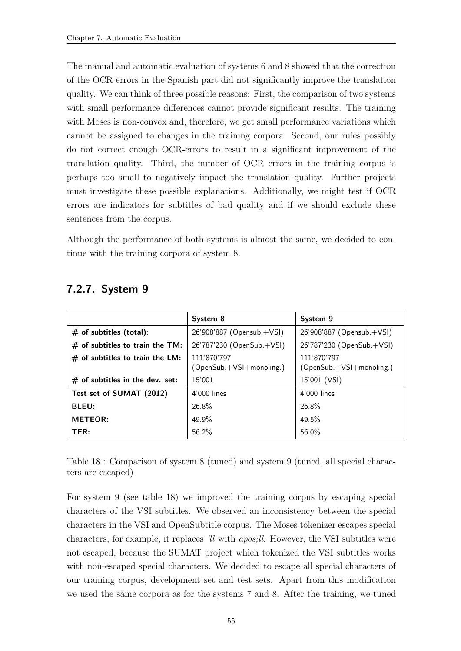The manual and automatic evaluation of systems 6 and 8 showed that the correction of the OCR errors in the Spanish part did not significantly improve the translation quality. We can think of three possible reasons: First, the comparison of two systems with small performance differences cannot provide significant results. The training with Moses is non-convex and, therefore, we get small performance variations which cannot be assigned to changes in the training corpora. Second, our rules possibly do not correct enough OCR-errors to result in a significant improvement of the translation quality. Third, the number of OCR errors in the training corpus is perhaps too small to negatively impact the translation quality. Further projects must investigate these possible explanations. Additionally, we might test if OCR errors are indicators for subtitles of bad quality and if we should exclude these sentences from the corpus.

Although the performance of both systems is almost the same, we decided to continue with the training corpora of system 8.

|                                   | System 8                                | System 9                                  |
|-----------------------------------|-----------------------------------------|-------------------------------------------|
| $#$ of subtitles (total):         | 26'908'887 (Opensub.+VSI)               | 26'908'887 (Opensub.+VSI)                 |
| $#$ of subtitles to train the TM: | 26'787'230 (OpenSub.+VSI)               | 26'787'230 (OpenSub.+VSI)                 |
| $#$ of subtitles to train the LM: | 111'870'797<br>(OpenSub.+VSI+monoling.) | 111'870'797<br>$(OpenSub.+VSI+monoling.)$ |
| $#$ of subtitles in the dev. set: | 15'001                                  | 15'001 (VSI)                              |
| Test set of SUMAT (2012)          | 4'000 lines                             | 4'000 lines                               |
| <b>BLEU:</b>                      | 26.8%                                   | $26.8\%$                                  |
| <b>METEOR:</b>                    | $49.9\%$                                | 49.5%                                     |
| TER:                              | 56.2%                                   | 56.0%                                     |

#### <span id="page-66-0"></span>7.2.7. System 9

<span id="page-66-1"></span>Table 18.: Comparison of system 8 (tuned) and system 9 (tuned, all special characters are escaped)

For system 9 (see table [18\)](#page-66-1) we improved the training corpus by escaping special characters of the VSI subtitles. We observed an inconsistency between the special characters in the VSI and OpenSubtitle corpus. The Moses tokenizer escapes special characters, for example, it replaces 'll with apos;ll. However, the VSI subtitles were not escaped, because the SUMAT project which tokenized the VSI subtitles works with non-escaped special characters. We decided to escape all special characters of our training corpus, development set and test sets. Apart from this modification we used the same corpora as for the systems 7 and 8. After the training, we tuned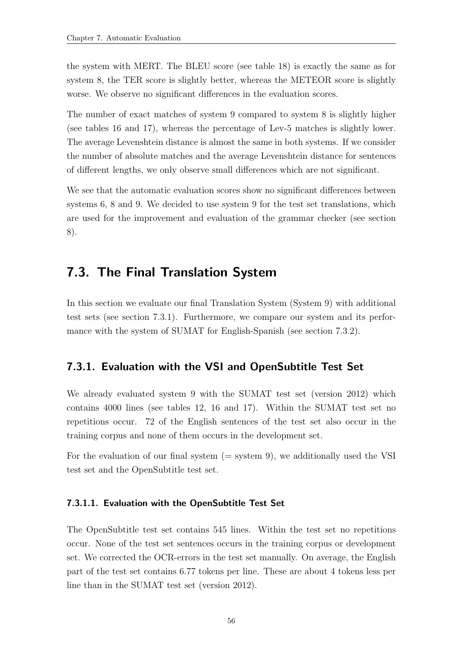the system with MERT. The BLEU score (see table [18\)](#page-66-1) is exactly the same as for system 8, the TER score is slightly better, whereas the METEOR score is slightly worse. We observe no significant differences in the evaluation scores.

The number of exact matches of system 9 compared to system 8 is slightly higher (see tables [16](#page-65-0) and [17\)](#page-65-1), whereas the percentage of Lev-5 matches is slightly lower. The average Levenshtein distance is almost the same in both systems. If we consider the number of absolute matches and the average Levenshtein distance for sentences of different lengths, we only observe small differences which are not significant.

We see that the automatic evaluation scores show no significant differences between systems 6, 8 and 9. We decided to use system 9 for the test set translations, which are used for the improvement and evaluation of the grammar checker (see section [8\)](#page-72-0).

## 7.3. The Final Translation System

In this section we evaluate our final Translation System (System 9) with additional test sets (see section [7.3.1\)](#page-67-0). Furthermore, we compare our system and its performance with the system of SUMAT for English-Spanish (see section [7.3.2\)](#page-70-0).

#### <span id="page-67-0"></span>7.3.1. Evaluation with the VSI and OpenSubtitle Test Set

We already evaluated system 9 with the SUMAT test set (version 2012) which contains 4000 lines (see tables [12,](#page-62-0) [16](#page-65-0) and [17\)](#page-65-1). Within the SUMAT test set no repetitions occur. 72 of the English sentences of the test set also occur in the training corpus and none of them occurs in the development set.

For the evaluation of our final system  $(=$  system 9), we additionally used the VSI test set and the OpenSubtitle test set.

#### 7.3.1.1. Evaluation with the OpenSubtitle Test Set

The OpenSubtitle test set contains 545 lines. Within the test set no repetitions occur. None of the test set sentences occurs in the training corpus or development set. We corrected the OCR-errors in the test set manually. On average, the English part of the test set contains 6.77 tokens per line. These are about 4 tokens less per line than in the SUMAT test set (version 2012).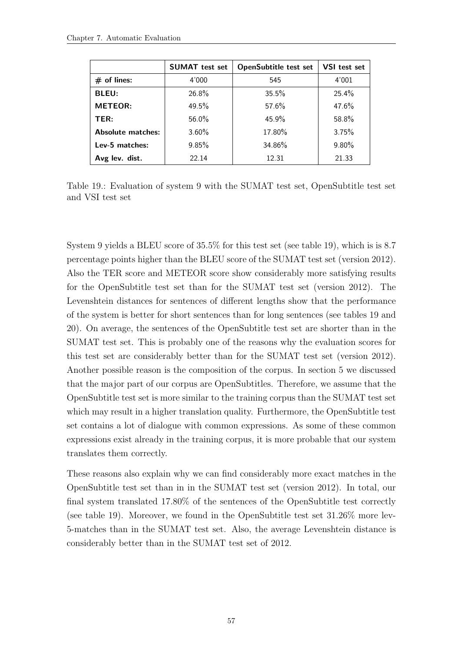|                   | <b>SUMAT</b> test set | <b>OpenSubtitle test set</b> | VSI test set |
|-------------------|-----------------------|------------------------------|--------------|
| $#$ of lines:     | 4'000                 | 545                          | 4'001        |
| <b>BLEU:</b>      | 26.8%                 | 35.5%                        | 25.4%        |
| <b>METEOR:</b>    | 49.5%                 | 57.6%                        | 47.6%        |
| TER:              | 56.0%                 | 45.9%                        | 58.8%        |
| Absolute matches: | $3.60\%$              | 17.80%                       | 3.75%        |
| Lev-5 matches:    | 9.85%                 | 34.86%                       | $9.80\%$     |
| Avg lev. dist.    | 22.14                 | 12.31                        | 21.33        |

<span id="page-68-0"></span>Table 19.: Evaluation of system 9 with the SUMAT test set, OpenSubtitle test set and VSI test set

System 9 yields a BLEU score of 35.5% for this test set (see table [19\)](#page-68-0), which is is 8.7 percentage points higher than the BLEU score of the SUMAT test set (version 2012). Also the TER score and METEOR score show considerably more satisfying results for the OpenSubtitle test set than for the SUMAT test set (version 2012). The Levenshtein distances for sentences of different lengths show that the performance of the system is better for short sentences than for long sentences (see tables [19](#page-68-0) and [20\)](#page-69-0). On average, the sentences of the OpenSubtitle test set are shorter than in the SUMAT test set. This is probably one of the reasons why the evaluation scores for this test set are considerably better than for the SUMAT test set (version 2012). Another possible reason is the composition of the corpus. In section 5 we discussed that the major part of our corpus are OpenSubtitles. Therefore, we assume that the OpenSubtitle test set is more similar to the training corpus than the SUMAT test set which may result in a higher translation quality. Furthermore, the OpenSubtitle test set contains a lot of dialogue with common expressions. As some of these common expressions exist already in the training corpus, it is more probable that our system translates them correctly.

These reasons also explain why we can find considerably more exact matches in the OpenSubtitle test set than in in the SUMAT test set (version 2012). In total, our final system translated 17.80% of the sentences of the OpenSubtitle test correctly (see table [19\)](#page-68-0). Moreover, we found in the OpenSubtitle test set 31.26% more lev-5-matches than in the SUMAT test set. Also, the average Levenshtein distance is considerably better than in the SUMAT test set of 2012.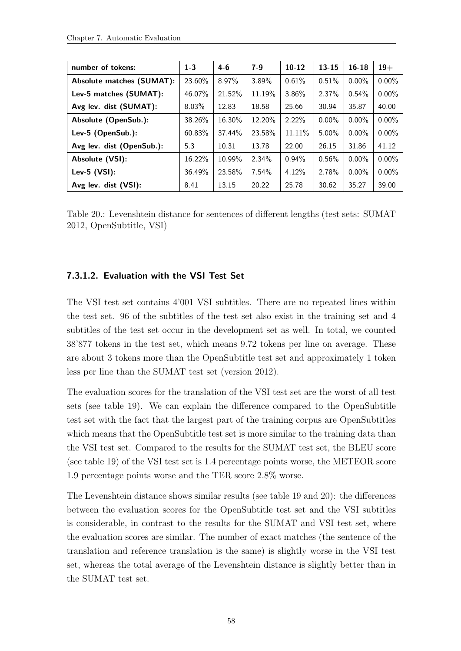| number of tokens:                | $1-3$  | $4-6$    | $7-9$  | $10-12$  | $13 - 15$ | $16 - 18$ | $19+$    |
|----------------------------------|--------|----------|--------|----------|-----------|-----------|----------|
| <b>Absolute matches (SUMAT):</b> | 23.60% | $8.97\%$ | 3.89%  | 0.61%    | 0.51%     | $0.00\%$  | $0.00\%$ |
| Lev-5 matches (SUMAT):           | 46.07% | 21.52%   | 11.19% | $3.86\%$ | $2.37\%$  | $0.54\%$  | $0.00\%$ |
| Avg lev. dist (SUMAT):           | 8.03%  | 12.83    | 18.58  | 25.66    | 30.94     | 35.87     | 40.00    |
| Absolute (OpenSub.):             | 38.26% | 16.30%   | 12.20% | 2.22%    | $0.00\%$  | $0.00\%$  | $0.00\%$ |
| Lev-5 (OpenSub.):                | 60.83% | 37.44%   | 23.58% | 11.11%   | $5.00\%$  | $0.00\%$  | $0.00\%$ |
| Avg lev. dist (OpenSub.):        | 5.3    | 10.31    | 13.78  | 22.00    | 26.15     | 31.86     | 41.12    |
| Absolute (VSI):                  | 16.22% | 10.99%   | 2.34%  | $0.94\%$ | 0.56%     | $0.00\%$  | $0.00\%$ |
| Lev-5 $(VSI)$ :                  | 36.49% | 23.58%   | 7.54%  | 4.12%    | 2.78%     | $0.00\%$  | $0.00\%$ |
| Avg lev. dist (VSI):             | 8.41   | 13.15    | 20.22  | 25.78    | 30.62     | 35.27     | 39.00    |

<span id="page-69-0"></span>Table 20.: Levenshtein distance for sentences of different lengths (test sets: SUMAT 2012, OpenSubtitle, VSI)

#### 7.3.1.2. Evaluation with the VSI Test Set

The VSI test set contains 4'001 VSI subtitles. There are no repeated lines within the test set. 96 of the subtitles of the test set also exist in the training set and 4 subtitles of the test set occur in the development set as well. In total, we counted 38'877 tokens in the test set, which means 9.72 tokens per line on average. These are about 3 tokens more than the OpenSubtitle test set and approximately 1 token less per line than the SUMAT test set (version 2012).

The evaluation scores for the translation of the VSI test set are the worst of all test sets (see table [19\)](#page-68-0). We can explain the difference compared to the OpenSubtitle test set with the fact that the largest part of the training corpus are OpenSubtitles which means that the OpenSubtitle test set is more similar to the training data than the VSI test set. Compared to the results for the SUMAT test set, the BLEU score (see table [19\)](#page-68-0) of the VSI test set is 1.4 percentage points worse, the METEOR score 1.9 percentage points worse and the TER score 2.8% worse.

The Levenshtein distance shows similar results (see table [19](#page-68-0) and [20\)](#page-69-0): the differences between the evaluation scores for the OpenSubtitle test set and the VSI subtitles is considerable, in contrast to the results for the SUMAT and VSI test set, where the evaluation scores are similar. The number of exact matches (the sentence of the translation and reference translation is the same) is slightly worse in the VSI test set, whereas the total average of the Levenshtein distance is slightly better than in the SUMAT test set.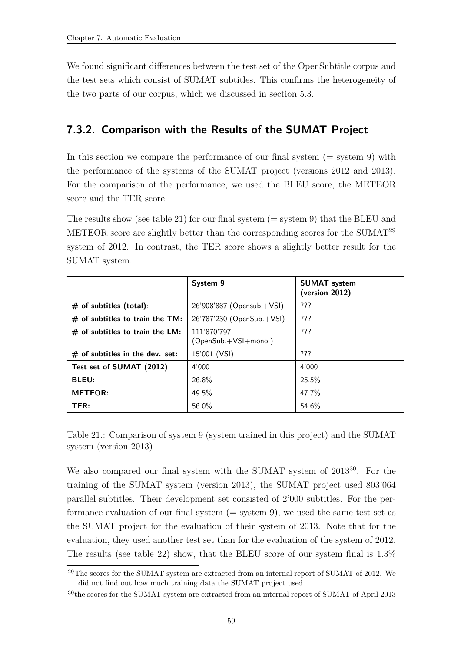We found significant differences between the test set of the OpenSubtitle corpus and the test sets which consist of SUMAT subtitles. This confirms the heterogeneity of the two parts of our corpus, which we discussed in section [5.3.](#page-45-1)

#### <span id="page-70-0"></span>7.3.2. Comparison with the Results of the SUMAT Project

In this section we compare the performance of our final system  $(=$  system 9) with the performance of the systems of the SUMAT project (versions 2012 and 2013). For the comparison of the performance, we used the BLEU score, the METEOR score and the TER score.

The results show (see table [21\)](#page-70-1) for our final system  $(=$  system 9) that the BLEU and METEOR score are slightly better than the corresponding scores for the SUMAT<sup>29</sup> system of 2012. In contrast, the TER score shows a slightly better result for the SUMAT system.

|                                   | System 9                              | <b>SUMAT</b> system<br>(version 2012) |
|-----------------------------------|---------------------------------------|---------------------------------------|
| $#$ of subtitles (total):         | 26'908'887 (Opensub.+VSI)             | ???                                   |
| $#$ of subtitles to train the TM: | 26'787'230 (OpenSub.+VSI)             | ???                                   |
| $#$ of subtitles to train the LM: | 111'870'797<br>$(OpenSub.+VSI+mono.)$ | ???                                   |
| $#$ of subtitles in the dev. set: | 15'001 (VSI)                          | 777                                   |
| Test set of SUMAT (2012)          | 4'000                                 | 4'000                                 |
| <b>BLEU:</b>                      | 26.8%                                 | $25.5\%$                              |
| <b>METEOR:</b>                    | $49.5\%$                              | 47.7%                                 |
| TER:                              | 56.0%                                 | 54.6%                                 |

<span id="page-70-1"></span>Table 21.: Comparison of system 9 (system trained in this project) and the SUMAT system (version 2013)

We also compared our final system with the SUMAT system of 2013<sup>30</sup>. For the training of the SUMAT system (version 2013), the SUMAT project used 803'064 parallel subtitles. Their development set consisted of 2'000 subtitles. For the performance evaluation of our final system  $(=$  system 9), we used the same test set as the SUMAT project for the evaluation of their system of 2013. Note that for the evaluation, they used another test set than for the evaluation of the system of 2012. The results (see table [22\)](#page-71-0) show, that the BLEU score of our system final is 1.3%

<sup>29</sup>The scores for the SUMAT system are extracted from an internal report of SUMAT of 2012. We did not find out how much training data the SUMAT project used.

<sup>30</sup>the scores for the SUMAT system are extracted from an internal report of SUMAT of April 2013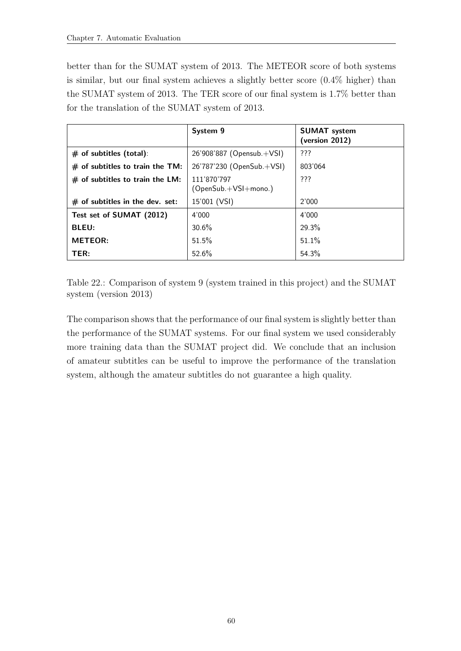better than for the SUMAT system of 2013. The METEOR score of both systems is similar, but our final system achieves a slightly better score (0.4% higher) than the SUMAT system of 2013. The TER score of our final system is 1.7% better than for the translation of the SUMAT system of 2013.

|                                   | System 9                               | <b>SUMAT</b> system<br>(version 2012) |
|-----------------------------------|----------------------------------------|---------------------------------------|
| $#$ of subtitles (total):         | $26'908'887$ (Opensub. $+\text{VSI}$ ) | ???                                   |
| $#$ of subtitles to train the TM: | 26'787'230 (OpenSub.+VSI)              | 803'064                               |
| $#$ of subtitles to train the LM: | 111'870'797<br>(OpenSub.+VSI+mono.)    | ???                                   |
| $#$ of subtitles in the dev. set: | 15'001 (VSI)                           | 2'000                                 |
| Test set of SUMAT (2012)          | 4'000                                  | 4'000                                 |
| <b>BLEU:</b>                      | 30.6%                                  | 29.3%                                 |
| <b>METEOR:</b>                    | 51.5%                                  | 51.1%                                 |
| TER:                              | 52.6%                                  | 54.3%                                 |

<span id="page-71-0"></span>Table 22.: Comparison of system 9 (system trained in this project) and the SUMAT system (version 2013)

The comparison shows that the performance of our final system is slightly better than the performance of the SUMAT systems. For our final system we used considerably more training data than the SUMAT project did. We conclude that an inclusion of amateur subtitles can be useful to improve the performance of the translation system, although the amateur subtitles do not guarantee a high quality.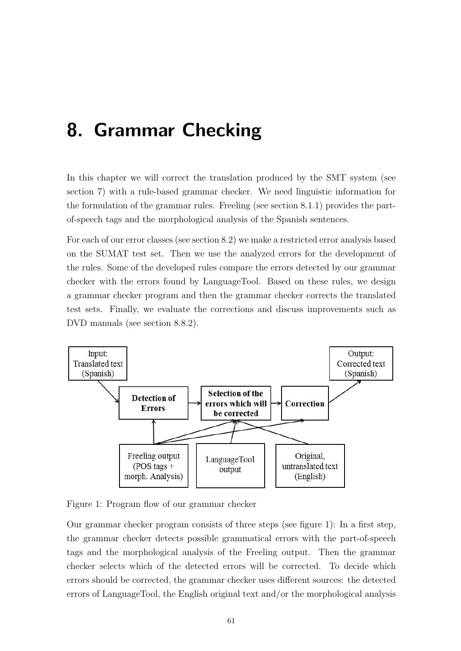# 8. Grammar Checking

In this chapter we will correct the translation produced by the SMT system (see section [7\)](#page-54-0) with a rule-based grammar checker. We need linguistic information for the formulation of the grammar rules. Freeling (see section [8.1.1\)](#page-73-0) provides the partof-speech tags and the morphological analysis of the Spanish sentences.

For each of our error classes (see section [8.2\)](#page-76-0) we make a restricted error analysis based on the SUMAT test set. Then we use the analyzed errors for the development of the rules. Some of the developed rules compare the errors detected by our grammar checker with the errors found by LanguageTool. Based on these rules, we design a grammar checker program and then the grammar checker corrects the translated test sets. Finally, we evaluate the corrections and discuss improvements such as DVD manuals (see section [8.8.2\)](#page-113-0).



Figure 1: Program flow of our grammar checker

Our grammar checker program consists of three steps (see figure 1): In a first step, the grammar checker detects possible grammatical errors with the part-of-speech tags and the morphological analysis of the Freeling output. Then the grammar checker selects which of the detected errors will be corrected. To decide which errors should be corrected, the grammar checker uses different sources: the detected errors of LanguageTool, the English original text and/or the morphological analysis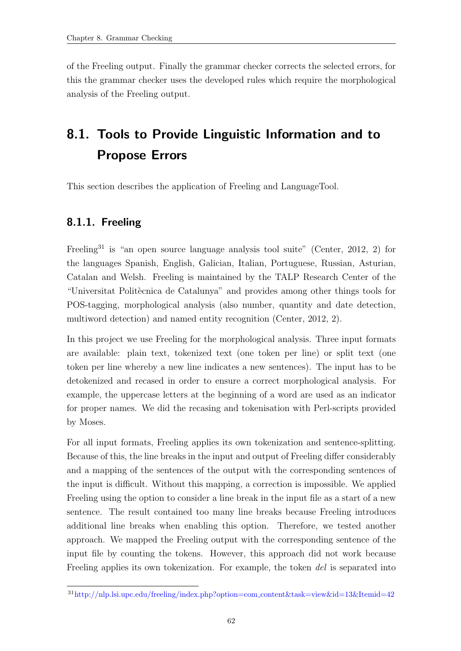of the Freeling output. Finally the grammar checker corrects the selected errors, for this the grammar checker uses the developed rules which require the morphological analysis of the Freeling output.

# 8.1. Tools to Provide Linguistic Information and to Propose Errors

This section describes the application of Freeling and LanguageTool.

# <span id="page-73-0"></span>8.1.1. Freeling

Freeling<sup>31</sup> is "an open source language analysis tool suite" [\(Center, 2012,](#page-118-0) 2) for the languages Spanish, English, Galician, Italian, Portuguese, Russian, Asturian, Catalan and Welsh. Freeling is maintained by the TALP Research Center of the "Universitat Politècnica de Catalunya" and provides among other things tools for POS-tagging, morphological analysis (also number, quantity and date detection, multiword detection) and named entity recognition [\(Center, 2012,](#page-118-0) 2).

In this project we use Freeling for the morphological analysis. Three input formats are available: plain text, tokenized text (one token per line) or split text (one token per line whereby a new line indicates a new sentences). The input has to be detokenized and recased in order to ensure a correct morphological analysis. For example, the uppercase letters at the beginning of a word are used as an indicator for proper names. We did the recasing and tokenisation with Perl-scripts provided by Moses.

For all input formats, Freeling applies its own tokenization and sentence-splitting. Because of this, the line breaks in the input and output of Freeling differ considerably and a mapping of the sentences of the output with the corresponding sentences of the input is difficult. Without this mapping, a correction is impossible. We applied Freeling using the option to consider a line break in the input file as a start of a new sentence. The result contained too many line breaks because Freeling introduces additional line breaks when enabling this option. Therefore, we tested another approach. We mapped the Freeling output with the corresponding sentence of the input file by counting the tokens. However, this approach did not work because Freeling applies its own tokenization. For example, the token del is separated into

<sup>31</sup>http://nlp.lsi.upc.edu/freeling/index.php?option=com content&task=view&id=13&Itemid=42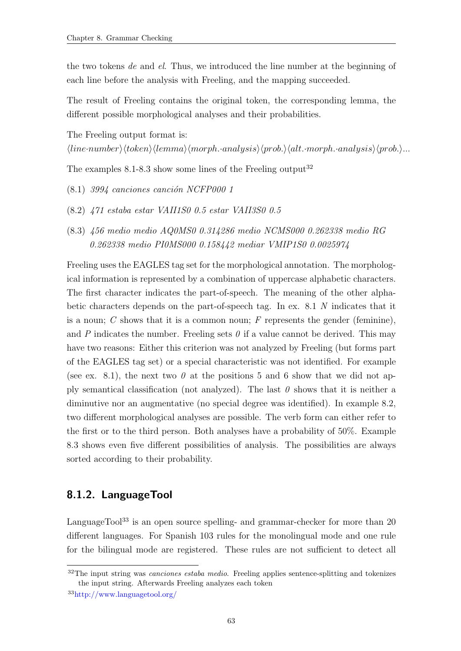the two tokens de and el. Thus, we introduced the line number at the beginning of each line before the analysis with Freeling, and the mapping succeeded.

The result of Freeling contains the original token, the corresponding lemma, the different possible morphological analyses and their probabilities.

The Freeling output format is:

 $\langle line\text{-}number\rangle\langle token\rangle\langle lemma\rangle\langle morph.\text{-}analysis\rangle\langle prob.\rangle\langle alt.\text{-}morph.\text{-}analysis\rangle\langle prob.\rangle...$ 

<span id="page-74-0"></span>The examples  $8.1-8.3$  $8.1-8.3$  show some lines of the Freeling output<sup>32</sup>

- <span id="page-74-2"></span> $(8.1)$  3994 canciones canción NCFP000 1
- <span id="page-74-1"></span>(8.2) 471 estaba estar VAII1S0 0.5 estar VAII3S0 0.5
- (8.3) 456 medio medio AQ0MS0 0.314286 medio NCMS000 0.262338 medio RG 0.262338 medio PI0MS000 0.158442 mediar VMIP1S0 0.0025974

Freeling uses the EAGLES tag set for the morphological annotation. The morphological information is represented by a combination of uppercase alphabetic characters. The first character indicates the part-of-speech. The meaning of the other alphabetic characters depends on the part-of-speech tag. In ex. [8.1](#page-74-0) N indicates that it is a noun;  $C$  shows that it is a common noun;  $F$  represents the gender (feminine), and P indicates the number. Freeling sets  $\theta$  if a value cannot be derived. This may have two reasons: Either this criterion was not analyzed by Freeling (but forms part of the EAGLES tag set) or a special characteristic was not identified. For example (see ex. [8.1\)](#page-74-0), the next two  $\theta$  at the positions 5 and 6 show that we did not apply semantical classification (not analyzed). The last  $\theta$  shows that it is neither a diminutive nor an augmentative (no special degree was identified). In example [8.2,](#page-74-2) two different morphological analyses are possible. The verb form can either refer to the first or to the third person. Both analyses have a probability of 50%. Example [8.3](#page-74-1) shows even five different possibilities of analysis. The possibilities are always sorted according to their probability.

# 8.1.2. LanguageTool

LanguageTool<sup>33</sup> is an open source spelling- and grammar-checker for more than  $20$ different languages. For Spanish 103 rules for the monolingual mode and one rule for the bilingual mode are registered. These rules are not sufficient to detect all

 $32$ The input string was *canciones estaba medio*. Freeling applies sentence-splitting and tokenizes the input string. Afterwards Freeling analyzes each token

<sup>33</sup>http://www.languagetool.org/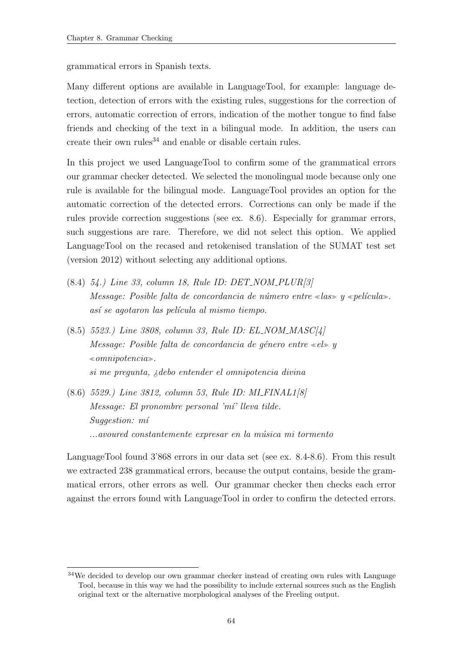grammatical errors in Spanish texts.

Many different options are available in LanguageTool, for example: language detection, detection of errors with the existing rules, suggestions for the correction of errors, automatic correction of errors, indication of the mother tongue to find false friends and checking of the text in a bilingual mode. In addition, the users can create their own rules<sup>34</sup> and enable or disable certain rules.

In this project we used LanguageTool to confirm some of the grammatical errors our grammar checker detected. We selected the monolingual mode because only one rule is available for the bilingual mode. LanguageTool provides an option for the automatic correction of the detected errors. Corrections can only be made if the rules provide correction suggestions (see ex. [8.6\)](#page-75-0). Especially for grammar errors, such suggestions are rare. Therefore, we did not select this option. We applied LanguageTool on the recased and retokenised translation of the SUMAT test set (version 2012) without selecting any additional options.

- <span id="page-75-1"></span>(8.4) 54.) Line 33, column 18, Rule ID: DET NOM PLUR[3] Message: Posible falta de concordancia de número entre «las» y «película». así se agotaron las película al mismo tiempo.
- (8.5) 5523.) Line 3808, column 33, Rule ID: EL NOM MASC[4] Message: Posible falta de concordancia de género entre «el» y  $\infty$ omnipotencia. si me pregunta, ¿debo entender el omnipotencia divina
- <span id="page-75-0"></span>(8.6) 5529.) Line 3812, column 53, Rule ID: MI FINAL1[8]  $Message: El pronombre personal 'mi' lleva tilde.$ Suggestion: mí ...avoured constantemente expresar en la música mi tormento

LanguageTool found 3'868 errors in our data set (see ex. [8.4-](#page-75-1)[8.6\)](#page-75-0). From this result we extracted 238 grammatical errors, because the output contains, beside the grammatical errors, other errors as well. Our grammar checker then checks each error against the errors found with LanguageTool in order to confirm the detected errors.

<sup>&</sup>lt;sup>34</sup>We decided to develop our own grammar checker instead of creating own rules with Language Tool, because in this way we had the possibility to include external sources such as the English original text or the alternative morphological analyses of the Freeling output.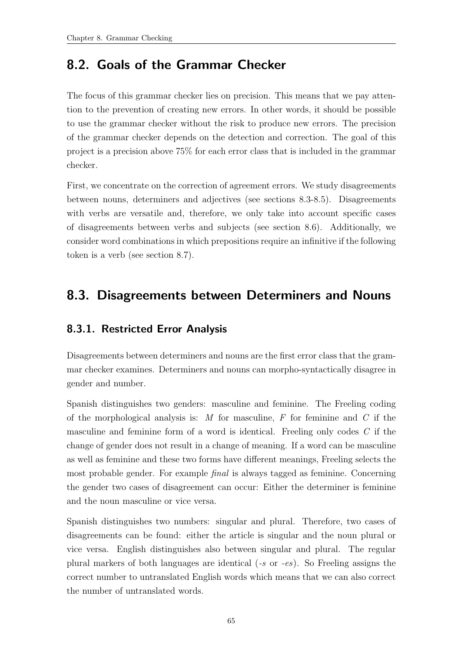# <span id="page-76-0"></span>8.2. Goals of the Grammar Checker

The focus of this grammar checker lies on precision. This means that we pay attention to the prevention of creating new errors. In other words, it should be possible to use the grammar checker without the risk to produce new errors. The precision of the grammar checker depends on the detection and correction. The goal of this project is a precision above 75% for each error class that is included in the grammar checker.

First, we concentrate on the correction of agreement errors. We study disagreements between nouns, determiners and adjectives (see sections [8.3](#page-76-1)[-8.5\)](#page-99-0). Disagreements with verbs are versatile and, therefore, we only take into account specific cases of disagreements between verbs and subjects (see section [8.6\)](#page-106-0). Additionally, we consider word combinations in which prepositions require an infinitive if the following token is a verb (see section [8.7\)](#page-109-0).

# <span id="page-76-1"></span>8.3. Disagreements between Determiners and Nouns

# 8.3.1. Restricted Error Analysis

Disagreements between determiners and nouns are the first error class that the grammar checker examines. Determiners and nouns can morpho-syntactically disagree in gender and number.

Spanish distinguishes two genders: masculine and feminine. The Freeling coding of the morphological analysis is: M for masculine, F for feminine and C if the masculine and feminine form of a word is identical. Freeling only codes C if the change of gender does not result in a change of meaning. If a word can be masculine as well as feminine and these two forms have different meanings, Freeling selects the most probable gender. For example final is always tagged as feminine. Concerning the gender two cases of disagreement can occur: Either the determiner is feminine and the noun masculine or vice versa.

Spanish distinguishes two numbers: singular and plural. Therefore, two cases of disagreements can be found: either the article is singular and the noun plural or vice versa. English distinguishes also between singular and plural. The regular plural markers of both languages are identical  $(-s \text{ or } -es)$ . So Freeling assigns the correct number to untranslated English words which means that we can also correct the number of untranslated words.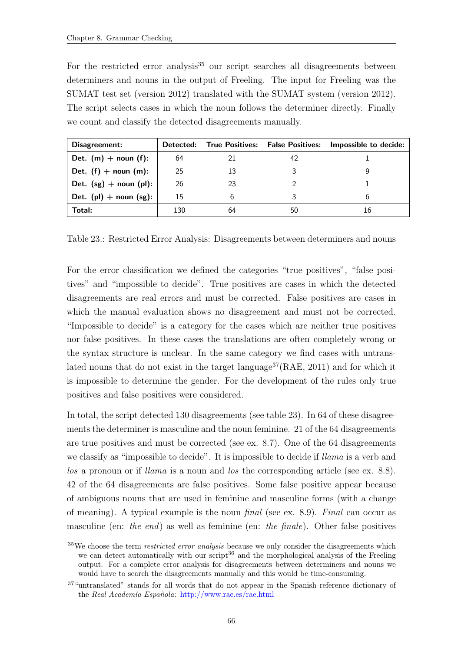For the restricted error analysis<sup>35</sup> our script searches all disagreements between determiners and nouns in the output of Freeling. The input for Freeling was the SUMAT test set (version 2012) translated with the SUMAT system (version 2012). The script selects cases in which the noun follows the determiner directly. Finally we count and classify the detected disagreements manually.

| Disagreement:               |     |    |    | Detected: True Positives: False Positives: Impossible to decide: |
|-----------------------------|-----|----|----|------------------------------------------------------------------|
| Det. $(m)$ + noun (f):      | 64  | 21 | 42 |                                                                  |
| Det. $(f)$ + noun $(m)$ :   | 25  | 13 |    |                                                                  |
| Det. $(sg)$ + noun (pl):    | 26  | 23 |    |                                                                  |
| Det. $(pl)$ + noun $(sg)$ : | 15  | 6  |    | h                                                                |
| Total:                      | 130 | 64 | 50 | 16                                                               |

<span id="page-77-0"></span>Table 23.: Restricted Error Analysis: Disagreements between determiners and nouns

For the error classification we defined the categories "true positives", "false positives" and "impossible to decide". True positives are cases in which the detected disagreements are real errors and must be corrected. False positives are cases in which the manual evaluation shows no disagreement and must not be corrected. "Impossible to decide" is a category for the cases which are neither true positives nor false positives. In these cases the translations are often completely wrong or the syntax structure is unclear. In the same category we find cases with untrans-lated nouns that do not exist in the target language<sup>37</sup>[\(RAE, 2011\)](#page-119-0) and for which it is impossible to determine the gender. For the development of the rules only true positives and false positives were considered.

In total, the script detected 130 disagreements (see table [23\)](#page-77-0). In 64 of these disagreements the determiner is masculine and the noun feminine. 21 of the 64 disagreements are true positives and must be corrected (see ex. [8.7\)](#page-78-0). One of the 64 disagreements we classify as "impossible to decide". It is impossible to decide if *llama* is a verb and los a pronoun or if *llama* is a noun and los the corresponding article (see ex. [8.8\)](#page-78-1). 42 of the 64 disagreements are false positives. Some false positive appear because of ambiguous nouns that are used in feminine and masculine forms (with a change of meaning). A typical example is the noun final (see ex. [8.9\)](#page-78-2). Final can occur as masculine (en: the end) as well as feminine (en: the finale). Other false positives

 $35$ We choose the term *restricted error analysis* because we only consider the disagreements which we can detect automatically with our script<sup>36</sup> and the morphological analysis of the Freeling output. For a complete error analysis for disagreements between determiners and nouns we would have to search the disagreements manually and this would be time-consuming.

<sup>37</sup>"untranslated" stands for all words that do not appear in the Spanish reference dictionary of the Real Academía Española: http://www.rae.es/rae.html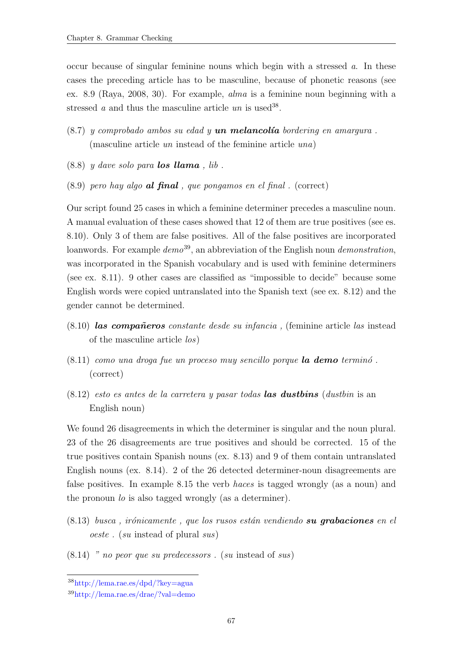occur because of singular feminine nouns which begin with a stressed  $a$ . In these cases the preceding article has to be masculine, because of phonetic reasons (see ex. [8.9](#page-78-2) [\(Raya, 2008,](#page-119-1) 30). For example, alma is a feminine noun beginning with a stressed *a* and thus the masculine article  $un$  is used<sup>38</sup>.

- <span id="page-78-0"></span> $(8.7)$  y comprobado ambos su edad y **un melancolía** bordering en amargura. (masculine article un instead of the feminine article una)
- <span id="page-78-2"></span><span id="page-78-1"></span> $(8.8)$  y dave solo para **los llama**, lib.
- $(8.9)$  pero hay algo **al final**, que pongamos en el final. (correct)

Our script found 25 cases in which a feminine determiner precedes a masculine noun. A manual evaluation of these cases showed that 12 of them are true positives (see es. [8.10\)](#page-78-3). Only 3 of them are false positives. All of the false positives are incorporated loanwords. For example  $demo^{39}$ , an abbreviation of the English noun *demonstration*, was incorporated in the Spanish vocabulary and is used with feminine determiners (see ex. [8.11\)](#page-78-4). 9 other cases are classified as "impossible to decide" because some English words were copied untranslated into the Spanish text (see ex. [8.12\)](#page-78-5) and the gender cannot be determined.

- <span id="page-78-3"></span> $(8.10)$  las compañeros constante desde su infancia, (feminine article las instead of the masculine article los)
- <span id="page-78-4"></span> $(8.11)$  como una droga fue un proceso muy sencillo porque **la demo** terminó. (correct)
- <span id="page-78-5"></span> $(8.12)$  esto es antes de la carretera y pasar todas **las dustbins** (dustbin is an English noun)

We found 26 disagreements in which the determiner is singular and the noun plural. 23 of the 26 disagreements are true positives and should be corrected. 15 of the true positives contain Spanish nouns (ex. [8.13\)](#page-78-6) and 9 of them contain untranslated English nouns (ex. [8.14\)](#page-78-7). 2 of the 26 detected determiner-noun disagreements are false positives. In example [8.15](#page-78-8) the verb haces is tagged wrongly (as a noun) and the pronoun lo is also tagged wrongly (as a determiner).

- <span id="page-78-6"></span> $(8.13)$  busca, irónicamente, que los rusos están vendiendo su grabaciones en el oeste . (su instead of plural sus)
- <span id="page-78-8"></span><span id="page-78-7"></span> $(8.14)$  " no peor que su predecessors.  $(su$  instead of sus)

<sup>38</sup>http://lema.rae.es/dpd/?key=agua

<sup>39</sup>http://lema.rae.es/drae/?val=demo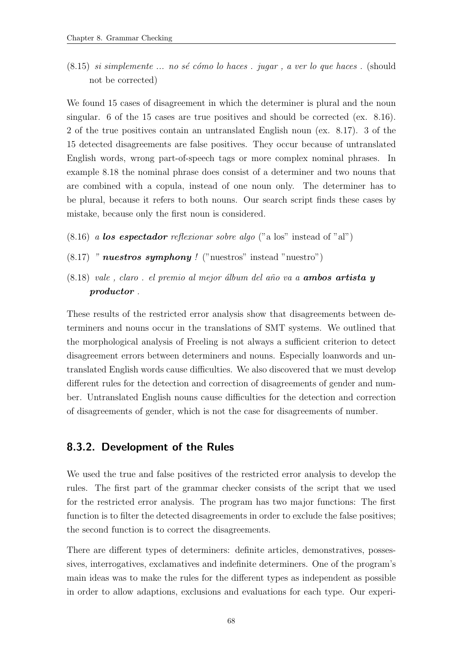$(8.15)$  si simplemente ... no sé cómo lo haces . jugar, a ver lo que haces . (should not be corrected)

We found 15 cases of disagreement in which the determiner is plural and the noun singular. 6 of the 15 cases are true positives and should be corrected (ex. [8.16\)](#page-79-0). 2 of the true positives contain an untranslated English noun (ex. [8.17\)](#page-79-1). 3 of the 15 detected disagreements are false positives. They occur because of untranslated English words, wrong part-of-speech tags or more complex nominal phrases. In example [8.18](#page-79-2) the nominal phrase does consist of a determiner and two nouns that are combined with a copula, instead of one noun only. The determiner has to be plural, because it refers to both nouns. Our search script finds these cases by mistake, because only the first noun is considered.

- <span id="page-79-1"></span><span id="page-79-0"></span> $(8.16)$  a los espectador reflexionar sobre algo ("a los" instead of "al")
- <span id="page-79-2"></span> $(8.17)$  " nuestros symphony ! ("nuestros" instead "nuestro")
- $(8.18)$  vale, claro. el premio al mejor álbum del año va a **ambos artista y** productor .

These results of the restricted error analysis show that disagreements between determiners and nouns occur in the translations of SMT systems. We outlined that the morphological analysis of Freeling is not always a sufficient criterion to detect disagreement errors between determiners and nouns. Especially loanwords and untranslated English words cause difficulties. We also discovered that we must develop different rules for the detection and correction of disagreements of gender and number. Untranslated English nouns cause difficulties for the detection and correction of disagreements of gender, which is not the case for disagreements of number.

# <span id="page-79-3"></span>8.3.2. Development of the Rules

We used the true and false positives of the restricted error analysis to develop the rules. The first part of the grammar checker consists of the script that we used for the restricted error analysis. The program has two major functions: The first function is to filter the detected disagreements in order to exclude the false positives; the second function is to correct the disagreements.

There are different types of determiners: definite articles, demonstratives, possessives, interrogatives, exclamatives and indefinite determiners. One of the program's main ideas was to make the rules for the different types as independent as possible in order to allow adaptions, exclusions and evaluations for each type. Our experi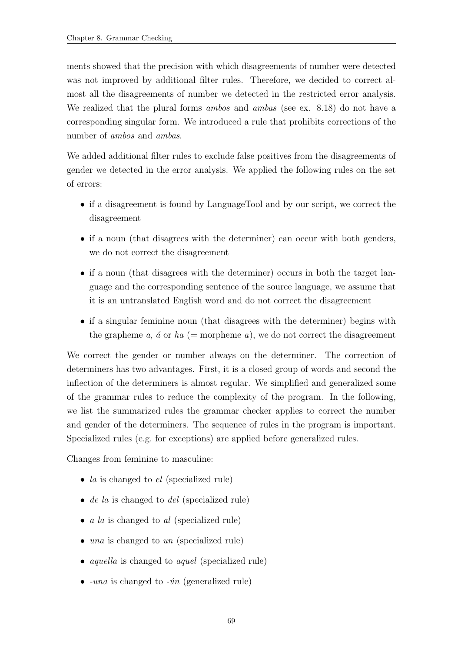ments showed that the precision with which disagreements of number were detected was not improved by additional filter rules. Therefore, we decided to correct almost all the disagreements of number we detected in the restricted error analysis. We realized that the plural forms *ambos* and *ambas* (see ex. [8.18\)](#page-79-2) do not have a corresponding singular form. We introduced a rule that prohibits corrections of the number of *ambos* and *ambas*.

We added additional filter rules to exclude false positives from the disagreements of gender we detected in the error analysis. We applied the following rules on the set of errors:

- if a disagreement is found by LanguageTool and by our script, we correct the disagreement
- if a noun (that disagrees with the determiner) can occur with both genders, we do not correct the disagreement
- if a noun (that disagrees with the determiner) occurs in both the target language and the corresponding sentence of the source language, we assume that it is an untranslated English word and do not correct the disagreement
- if a singular feminine noun (that disagrees with the determiner) begins with the grapheme a,  $\acute{a}$  or  $ha$  (= morpheme a), we do not correct the disagreement

We correct the gender or number always on the determiner. The correction of determiners has two advantages. First, it is a closed group of words and second the inflection of the determiners is almost regular. We simplified and generalized some of the grammar rules to reduce the complexity of the program. In the following, we list the summarized rules the grammar checker applies to correct the number and gender of the determiners. The sequence of rules in the program is important. Specialized rules (e.g. for exceptions) are applied before generalized rules.

Changes from feminine to masculine:

- *la* is changed to  $el$  (specialized rule)
- $\bullet$  *de la* is changed to *del* (specialized rule)
- $a \, la$  is changed to  $al$  (specialized rule)
- una is changed to un (specialized rule)
- *aquella* is changed to *aquel* (specialized rule)
- $-una$  is changed to  $-i\hat{n}$  (generalized rule)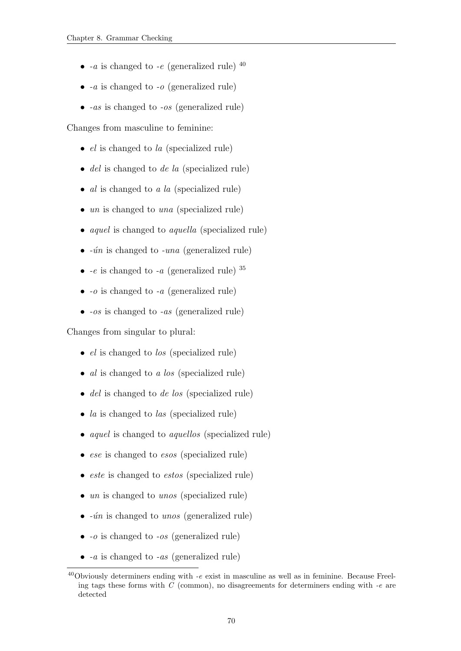- $-a$  is changed to  $-e$  (generalized rule)  $40$
- $\bullet$  -*a* is changed to -*o* (generalized rule)
- $\bullet$  -as is changed to -os (generalized rule)

Changes from masculine to feminine:

- $\bullet$  *el* is changed to *la* (specialized rule)
- del is changed to de la (specialized rule)
- $al$  is changed to  $a \text{ } la$  (specialized rule)
- $\bullet$  un is changed to una (specialized rule)
- *aquel* is changed to *aquella* (specialized rule)
- $\bullet$  - $\acute{u}n$  is changed to -una (generalized rule)
- $\bullet$  -e is changed to -a (generalized rule)  $35$
- $\bullet$  -*o* is changed to -*a* (generalized rule)
- $\bullet$  -os is changed to -as (generalized rule)

Changes from singular to plural:

- *el* is changed to *los* (specialized rule)
- $al$  is changed to  $a \text{ } los$  (specialized rule)
- *del* is changed to *de los* (specialized rule)
- *la* is changed to *las* (specialized rule)
- *aquel* is changed to *aquellos* (specialized rule)
- ese is changed to esos (specialized rule)
- *este* is changed to *estos* (specialized rule)
- un is changed to unos (specialized rule)
- $\bullet$  - $\hat{u}n$  is changed to unos (generalized rule)
- $\bullet$  -o is changed to -os (generalized rule)
- $\bullet$  -a is changed to -as (generalized rule)

<sup>40</sup>Obviously determiners ending with -e exist in masculine as well as in feminine. Because Freeling tags these forms with  $C$  (common), no disagreements for determiners ending with  $-e$  are detected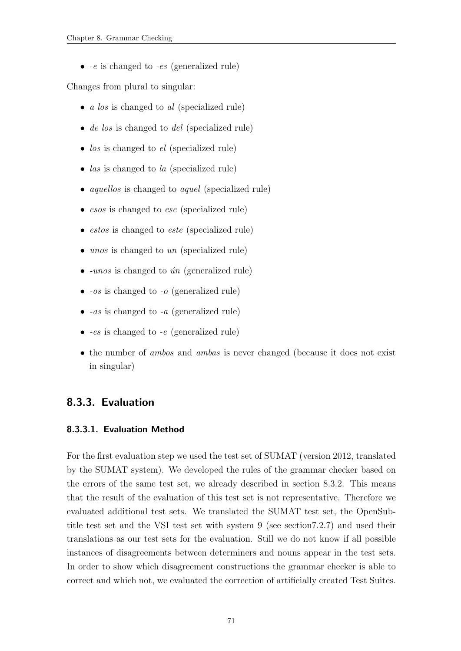$\bullet$  -e is changed to -es (generalized rule)

Changes from plural to singular:

- $a \text{ } los$  is changed to  $al$  (specialized rule)
- *de los* is changed to *del* (specialized rule)
- $\bullet$  los is changed to el (specialized rule)
- *las* is changed to *la* (specialized rule)
- *aquellos* is changed to *aquel* (specialized rule)
- esos is changed to ese (specialized rule)
- *estos* is changed to *este* (specialized rule)
- unos is changed to un (specialized rule)
- $-unos$  is changed to  $ún$  (generalized rule)
- $\bullet$  -os is changed to -o (generalized rule)
- $\bullet$  -as is changed to -a (generalized rule)
- $\bullet$  -es is changed to -e (generalized rule)
- the number of *ambos* and *ambas* is never changed (because it does not exist in singular)

# <span id="page-82-1"></span>8.3.3. Evaluation

#### <span id="page-82-0"></span>8.3.3.1. Evaluation Method

For the first evaluation step we used the test set of SUMAT (version 2012, translated by the SUMAT system). We developed the rules of the grammar checker based on the errors of the same test set, we already described in section [8.3.2.](#page-79-3) This means that the result of the evaluation of this test set is not representative. Therefore we evaluated additional test sets. We translated the SUMAT test set, the OpenSubtitle test set and the VSI test set with system 9 (see sectio[n7.2.7\)](#page-66-0) and used their translations as our test sets for the evaluation. Still we do not know if all possible instances of disagreements between determiners and nouns appear in the test sets. In order to show which disagreement constructions the grammar checker is able to correct and which not, we evaluated the correction of artificially created Test Suites.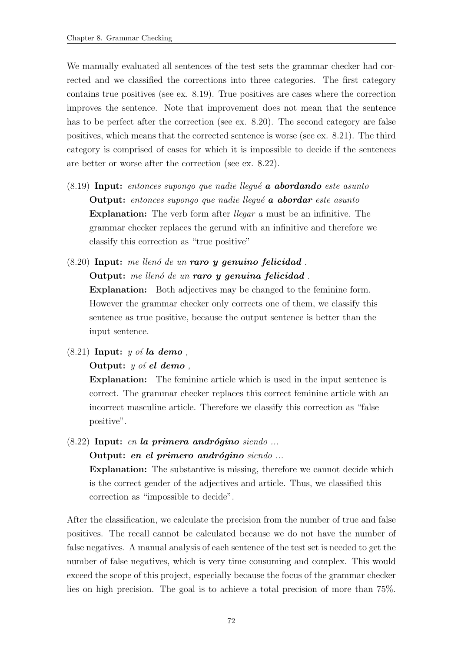We manually evaluated all sentences of the test sets the grammar checker had corrected and we classified the corrections into three categories. The first category contains true positives (see ex. [8.19\)](#page-83-0). True positives are cases where the correction improves the sentence. Note that improvement does not mean that the sentence has to be perfect after the correction (see ex. [8.20\)](#page-83-1). The second category are false positives, which means that the corrected sentence is worse (see ex. [8.21\)](#page-83-2). The third category is comprised of cases for which it is impossible to decide if the sentences are better or worse after the correction (see ex. [8.22\)](#page-83-3).

- <span id="page-83-0"></span> $(8.19)$  Input: entonces supongo que nadie llegué **a abordando** este asunto Output: entonces supongo que nadie llequé a abordar este asunto Explanation: The verb form after *llegar a* must be an infinitive. The grammar checker replaces the gerund with an infinitive and therefore we classify this correction as "true positive"
- <span id="page-83-1"></span> $(8.20)$  Input: me llenó de un raro y genuino felicidad. Output: me llenó de un raro y genuina felicidad. Explanation: Both adjectives may be changed to the feminine form. However the grammar checker only corrects one of them, we classify this sentence as true positive, because the output sentence is better than the input sentence.
- <span id="page-83-2"></span> $(8.21)$  Input: y oi la demo,

#### **Output:**  $y$  of el demo,

Explanation: The feminine article which is used in the input sentence is correct. The grammar checker replaces this correct feminine article with an incorrect masculine article. Therefore we classify this correction as "false positive".

<span id="page-83-3"></span> $(8.22)$  Input: en la primera andrógino siendo ... Output: en el primero andrógino siendo ...

> Explanation: The substantive is missing, therefore we cannot decide which is the correct gender of the adjectives and article. Thus, we classified this correction as "impossible to decide".

After the classification, we calculate the precision from the number of true and false positives. The recall cannot be calculated because we do not have the number of false negatives. A manual analysis of each sentence of the test set is needed to get the number of false negatives, which is very time consuming and complex. This would exceed the scope of this project, especially because the focus of the grammar checker lies on high precision. The goal is to achieve a total precision of more than 75%.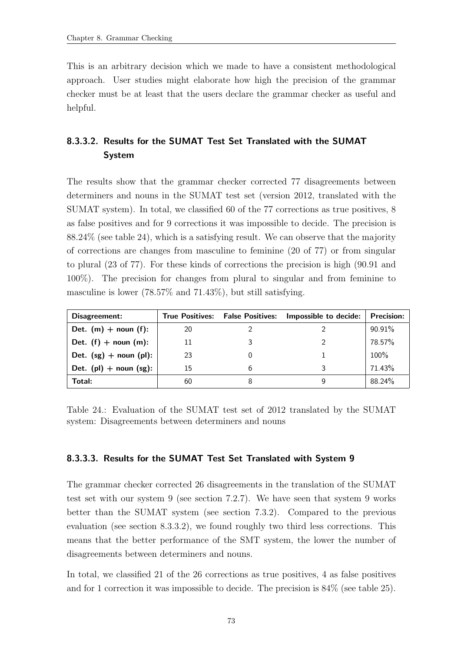This is an arbitrary decision which we made to have a consistent methodological approach. User studies might elaborate how high the precision of the grammar checker must be at least that the users declare the grammar checker as useful and helpful.

# <span id="page-84-1"></span>8.3.3.2. Results for the SUMAT Test Set Translated with the SUMAT System

The results show that the grammar checker corrected 77 disagreements between determiners and nouns in the SUMAT test set (version 2012, translated with the SUMAT system). In total, we classified 60 of the 77 corrections as true positives, 8 as false positives and for 9 corrections it was impossible to decide. The precision is 88.24% (see table [24\)](#page-84-0), which is a satisfying result. We can observe that the majority of corrections are changes from masculine to feminine (20 of 77) or from singular to plural (23 of 77). For these kinds of corrections the precision is high (90.91 and 100%). The precision for changes from plural to singular and from feminine to masculine is lower (78.57% and 71.43%), but still satisfying.

| Disagreement:               |    | True Positives: False Positives: | Impossible to decide: | <b>Precision:</b> |
|-----------------------------|----|----------------------------------|-----------------------|-------------------|
| Det. $(m)$ + noun (f):      | 20 |                                  |                       | 90.91%            |
| Det. $(f)$ + noun $(m)$ :   | 11 |                                  |                       | 78.57%            |
| Det. $(sg)$ + noun (pl):    | 23 |                                  |                       | 100%              |
| Det. $(pl)$ + noun $(sg)$ : | 15 |                                  |                       | 71.43%            |
| Total:                      | 60 |                                  |                       | 88.24%            |

<span id="page-84-0"></span>Table 24.: Evaluation of the SUMAT test set of 2012 translated by the SUMAT system: Disagreements between determiners and nouns

# <span id="page-84-2"></span>8.3.3.3. Results for the SUMAT Test Set Translated with System 9

The grammar checker corrected 26 disagreements in the translation of the SUMAT test set with our system 9 (see section [7.2.7\)](#page-66-0). We have seen that system 9 works better than the SUMAT system (see section [7.3.2\)](#page-70-0). Compared to the previous evaluation (see section [8.3.3.2\)](#page-84-1), we found roughly two third less corrections. This means that the better performance of the SMT system, the lower the number of disagreements between determiners and nouns.

In total, we classified 21 of the 26 corrections as true positives, 4 as false positives and for 1 correction it was impossible to decide. The precision is 84% (see table [25\)](#page-85-0).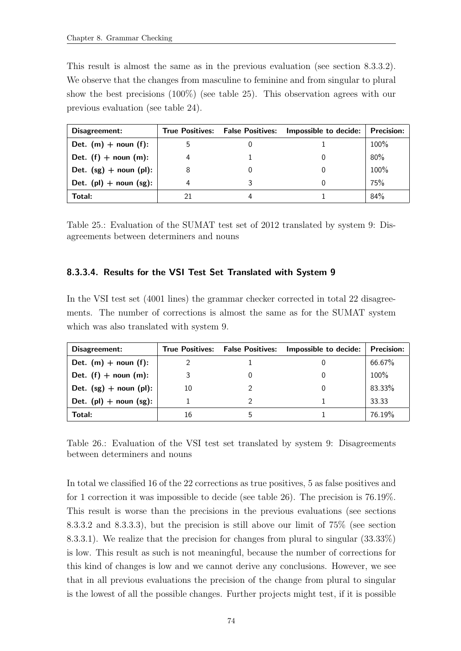This result is almost the same as in the previous evaluation (see section [8.3.3.2\)](#page-84-1). We observe that the changes from masculine to feminine and from singular to plural show the best precisions (100%) (see table [25\)](#page-85-0). This observation agrees with our previous evaluation (see table [24\)](#page-84-0).

| Disagreement:               |    | True Positives: False Positives: Impossible to decide: | <b>Precision:</b> |
|-----------------------------|----|--------------------------------------------------------|-------------------|
| Det. $(m)$ + noun $(f)$ :   |    |                                                        | 100%              |
| Det. $(f)$ + noun $(m)$ :   | 4  |                                                        | 80%               |
| Det. $(sg)$ + noun (pl):    |    |                                                        | 100%              |
| Det. $(pl)$ + noun $(sg)$ : | 4  |                                                        | 75%               |
| Total:                      | 21 |                                                        | 84%               |

<span id="page-85-0"></span>Table 25.: Evaluation of the SUMAT test set of 2012 translated by system 9: Disagreements between determiners and nouns

# 8.3.3.4. Results for the VSI Test Set Translated with System 9

In the VSI test set (4001 lines) the grammar checker corrected in total 22 disagreements. The number of corrections is almost the same as for the SUMAT system which was also translated with system 9.

| Disagreement:               |    | True Positives: False Positives: | Impossible to decide: | <b>Precision:</b> |
|-----------------------------|----|----------------------------------|-----------------------|-------------------|
| Det. $(m)$ + noun $(f)$ :   |    |                                  |                       | 66.67%            |
| Det. $(f)$ + noun $(m)$ :   |    |                                  |                       | 100%              |
| Det. $(sg)$ + noun (pl):    | 10 |                                  |                       | 83.33%            |
| Det. $(pl)$ + noun $(sg)$ : |    |                                  |                       | 33.33             |
| Total:                      | 16 |                                  |                       | 76.19%            |

<span id="page-85-1"></span>Table 26.: Evaluation of the VSI test set translated by system 9: Disagreements between determiners and nouns

In total we classified 16 of the 22 corrections as true positives, 5 as false positives and for 1 correction it was impossible to decide (see table [26\)](#page-85-1). The precision is 76.19%. This result is worse than the precisions in the previous evaluations (see sections [8.3.3.2](#page-84-1) and [8.3.3.3\)](#page-84-2), but the precision is still above our limit of 75% (see section [8.3.3.1\)](#page-82-0). We realize that the precision for changes from plural to singular (33.33%) is low. This result as such is not meaningful, because the number of corrections for this kind of changes is low and we cannot derive any conclusions. However, we see that in all previous evaluations the precision of the change from plural to singular is the lowest of all the possible changes. Further projects might test, if it is possible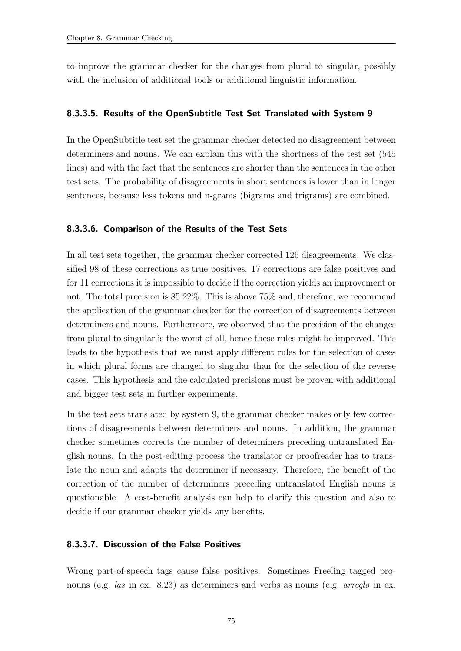to improve the grammar checker for the changes from plural to singular, possibly with the inclusion of additional tools or additional linguistic information.

#### 8.3.3.5. Results of the OpenSubtitle Test Set Translated with System 9

In the OpenSubtitle test set the grammar checker detected no disagreement between determiners and nouns. We can explain this with the shortness of the test set (545 lines) and with the fact that the sentences are shorter than the sentences in the other test sets. The probability of disagreements in short sentences is lower than in longer sentences, because less tokens and n-grams (bigrams and trigrams) are combined.

#### 8.3.3.6. Comparison of the Results of the Test Sets

In all test sets together, the grammar checker corrected 126 disagreements. We classified 98 of these corrections as true positives. 17 corrections are false positives and for 11 corrections it is impossible to decide if the correction yields an improvement or not. The total precision is 85.22%. This is above 75% and, therefore, we recommend the application of the grammar checker for the correction of disagreements between determiners and nouns. Furthermore, we observed that the precision of the changes from plural to singular is the worst of all, hence these rules might be improved. This leads to the hypothesis that we must apply different rules for the selection of cases in which plural forms are changed to singular than for the selection of the reverse cases. This hypothesis and the calculated precisions must be proven with additional and bigger test sets in further experiments.

In the test sets translated by system 9, the grammar checker makes only few corrections of disagreements between determiners and nouns. In addition, the grammar checker sometimes corrects the number of determiners preceding untranslated English nouns. In the post-editing process the translator or proofreader has to translate the noun and adapts the determiner if necessary. Therefore, the benefit of the correction of the number of determiners preceding untranslated English nouns is questionable. A cost-benefit analysis can help to clarify this question and also to decide if our grammar checker yields any benefits.

#### 8.3.3.7. Discussion of the False Positives

Wrong part-of-speech tags cause false positives. Sometimes Freeling tagged pronouns (e.g. *las* in ex. [8.23\)](#page-87-0) as determiners and verbs as nouns (e.g. *arreglo* in ex.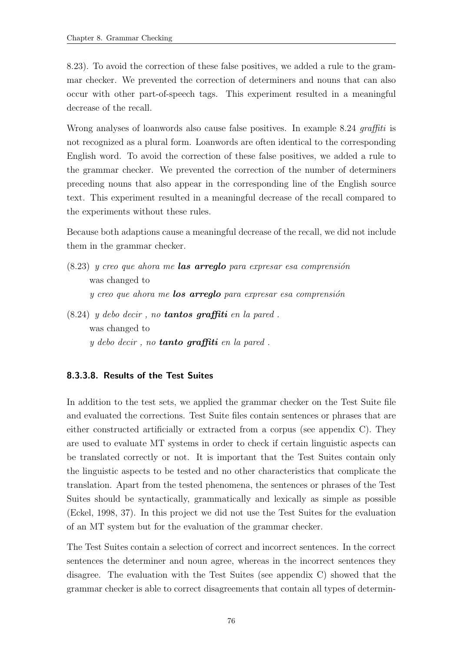[8.23\)](#page-87-0). To avoid the correction of these false positives, we added a rule to the grammar checker. We prevented the correction of determiners and nouns that can also occur with other part-of-speech tags. This experiment resulted in a meaningful decrease of the recall.

Wrong analyses of loanwords also cause false positives. In example [8.24](#page-87-1) graffiti is not recognized as a plural form. Loanwords are often identical to the corresponding English word. To avoid the correction of these false positives, we added a rule to the grammar checker. We prevented the correction of the number of determiners preceding nouns that also appear in the corresponding line of the English source text. This experiment resulted in a meaningful decrease of the recall compared to the experiments without these rules.

Because both adaptions cause a meaningful decrease of the recall, we did not include them in the grammar checker.

- <span id="page-87-0"></span> $(8.23)$  y creo que ahora me **las arreglo** para expresar esa comprensión was changed to  $y$  creo que ahora me **los arreglo** para expresar esa comprensión
- <span id="page-87-1"></span> $(8.24)$  y debo decir, no **tantos graffiti** en la pared. was changed to y debo decir , no tanto graffiti en la pared .

# <span id="page-87-2"></span>8.3.3.8. Results of the Test Suites

In addition to the test sets, we applied the grammar checker on the Test Suite file and evaluated the corrections. Test Suite files contain sentences or phrases that are either constructed artificially or extracted from a corpus (see appendix [C\)](#page-140-0). They are used to evaluate MT systems in order to check if certain linguistic aspects can be translated correctly or not. It is important that the Test Suites contain only the linguistic aspects to be tested and no other characteristics that complicate the translation. Apart from the tested phenomena, the sentences or phrases of the Test Suites should be syntactically, grammatically and lexically as simple as possible [\(Eckel, 1998,](#page-118-1) 37). In this project we did not use the Test Suites for the evaluation of an MT system but for the evaluation of the grammar checker.

The Test Suites contain a selection of correct and incorrect sentences. In the correct sentences the determiner and noun agree, whereas in the incorrect sentences they disagree. The evaluation with the Test Suites (see appendix [C\)](#page-140-0) showed that the grammar checker is able to correct disagreements that contain all types of determin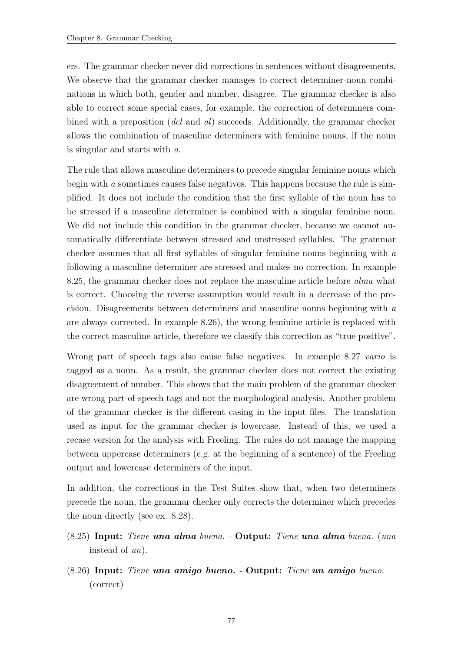ers. The grammar checker never did corrections in sentences without disagreements. We observe that the grammar checker manages to correct determiner-noun combinations in which both, gender and number, disagree. The grammar checker is also able to correct some special cases, for example, the correction of determiners combined with a preposition (del and al) succeeds. Additionally, the grammar checker allows the combination of masculine determiners with feminine nouns, if the noun is singular and starts with a.

The rule that allows masculine determiners to precede singular feminine nouns which begin with a sometimes causes false negatives. This happens because the rule is simplified. It does not include the condition that the first syllable of the noun has to be stressed if a masculine determiner is combined with a singular feminine noun. We did not include this condition in the grammar checker, because we cannot automatically differentiate between stressed and unstressed syllables. The grammar checker assumes that all first syllables of singular feminine nouns beginning with a following a masculine determiner are stressed and makes no correction. In example [8.25,](#page-88-0) the grammar checker does not replace the masculine article before alma what is correct. Choosing the reverse assumption would result in a decrease of the precision. Disagreements between determiners and masculine nouns beginning with a are always corrected. In example [8.26\)](#page-88-1), the wrong feminine article is replaced with the correct masculine article, therefore we classify this correction as "true positive".

Wrong part of speech tags also cause false negatives. In example [8.27](#page-88-2) vario is tagged as a noun. As a result, the grammar checker does not correct the existing disagreement of number. This shows that the main problem of the grammar checker are wrong part-of-speech tags and not the morphological analysis. Another problem of the grammar checker is the different casing in the input files. The translation used as input for the grammar checker is lowercase. Instead of this, we used a recase version for the analysis with Freeling. The rules do not manage the mapping between uppercase determiners (e.g. at the beginning of a sentence) of the Freeling output and lowercase determiners of the input.

In addition, the corrections in the Test Suites show that, when two determiners precede the noun, the grammar checker only corrects the determiner which precedes the noun directly (see ex. [8.28\)](#page-89-0).

- <span id="page-88-0"></span>(8.25) Input: Tiene una alma buena. - Output: Tiene una alma buena. (una instead of un).
- <span id="page-88-2"></span><span id="page-88-1"></span>(8.26) Input: Tiene una amigo bueno. - Output: Tiene un amigo bueno. (correct)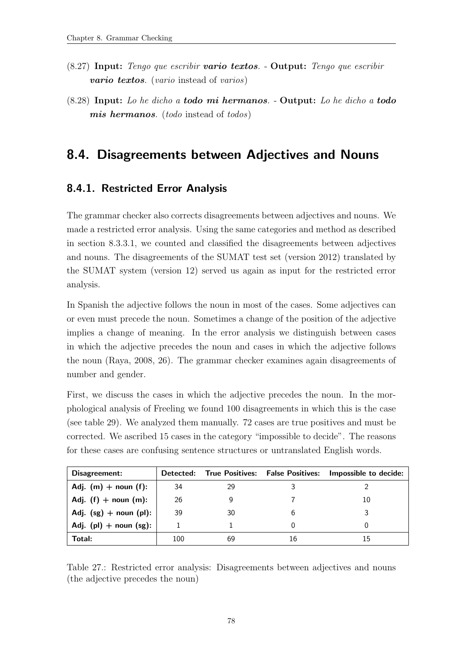- (8.27) Input: Tengo que escribir vario textos. Output: Tengo que escribir vario textos. (vario instead of varios)
- <span id="page-89-0"></span>(8.28) Input: Lo he dicho a todo mi hermanos. - Output: Lo he dicho a todo mis hermanos. (todo instead of todos)

# 8.4. Disagreements between Adjectives and Nouns

# <span id="page-89-1"></span>8.4.1. Restricted Error Analysis

The grammar checker also corrects disagreements between adjectives and nouns. We made a restricted error analysis. Using the same categories and method as described in section [8.3.3.1,](#page-82-0) we counted and classified the disagreements between adjectives and nouns. The disagreements of the SUMAT test set (version 2012) translated by the SUMAT system (version 12) served us again as input for the restricted error analysis.

In Spanish the adjective follows the noun in most of the cases. Some adjectives can or even must precede the noun. Sometimes a change of the position of the adjective implies a change of meaning. In the error analysis we distinguish between cases in which the adjective precedes the noun and cases in which the adjective follows the noun [\(Raya, 2008,](#page-119-1) 26). The grammar checker examines again disagreements of number and gender.

First, we discuss the cases in which the adjective precedes the noun. In the morphological analysis of Freeling we found 100 disagreements in which this is the case (see table [29\)](#page-94-0). We analyzed them manually. 72 cases are true positives and must be corrected. We ascribed 15 cases in the category "impossible to decide". The reasons for these cases are confusing sentence structures or untranslated English words.

| Disagreement:               | Detected: |    |    | True Positives: False Positives: Impossible to decide: |
|-----------------------------|-----------|----|----|--------------------------------------------------------|
| Adj. $(m)$ + noun $(f)$ :   | 34        | 29 |    |                                                        |
| Adj. $(f)$ + noun $(m)$ :   | 26        |    |    | 10                                                     |
| Adj. $(sg)$ + noun $(pl)$ : | 39        | 30 |    |                                                        |
| Adj. $(pl)$ + noun $(sg)$ : |           |    |    |                                                        |
| Total:                      | 100       | 69 | 16 | 15                                                     |

Table 27.: Restricted error analysis: Disagreements between adjectives and nouns (the adjective precedes the noun)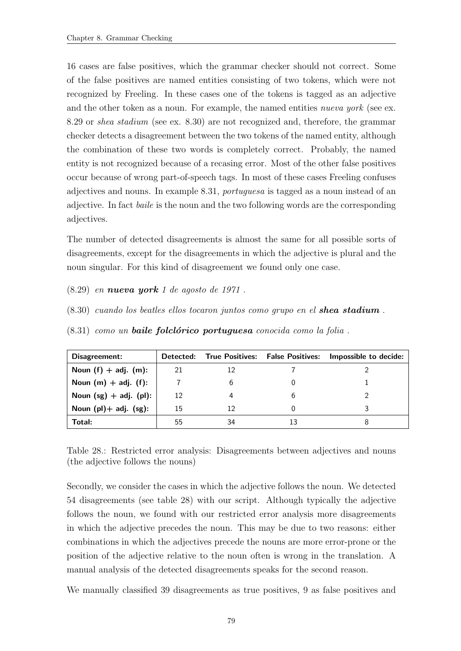16 cases are false positives, which the grammar checker should not correct. Some of the false positives are named entities consisting of two tokens, which were not recognized by Freeling. In these cases one of the tokens is tagged as an adjective and the other token as a noun. For example, the named entities *nueva york* (see ex. [8.29](#page-90-0) or shea stadium (see ex. [8.30\)](#page-90-1) are not recognized and, therefore, the grammar checker detects a disagreement between the two tokens of the named entity, although the combination of these two words is completely correct. Probably, the named entity is not recognized because of a recasing error. Most of the other false positives occur because of wrong part-of-speech tags. In most of these cases Freeling confuses adjectives and nouns. In example [8.31,](#page-90-2) portuguesa is tagged as a noun instead of an adjective. In fact baile is the noun and the two following words are the corresponding adjectives.

The number of detected disagreements is almost the same for all possible sorts of disagreements, except for the disagreements in which the adjective is plural and the noun singular. For this kind of disagreement we found only one case.

- <span id="page-90-1"></span><span id="page-90-0"></span> $(8.29)$  en **nueva york** 1 de agosto de 1971.
- <span id="page-90-2"></span>(8.30) cuando los beatles ellos tocaron juntos como grupo en el shea stadium .
- $(8.31)$  como un **baile folclórico portuguesa** conocida como la folia.

| Disagreement:               | Detected: |    | <b>True Positives: False Positives:</b> | Impossible to decide: |
|-----------------------------|-----------|----|-----------------------------------------|-----------------------|
| Noun $(f)$ + adj. $(m)$ :   | 21        | 12 |                                         |                       |
| Noun $(m)$ + adj. $(f)$ :   |           |    |                                         |                       |
| Noun $(sg) + adj.$ (pl):    | 12        |    |                                         |                       |
| Noun $(pl)$ + adj. $(sg)$ : | 15        | 12 |                                         |                       |
| Total:                      | 55        | 34 |                                         |                       |

<span id="page-90-3"></span>Table 28.: Restricted error analysis: Disagreements between adjectives and nouns (the adjective follows the nouns)

Secondly, we consider the cases in which the adjective follows the noun. We detected 54 disagreements (see table [28\)](#page-90-3) with our script. Although typically the adjective follows the noun, we found with our restricted error analysis more disagreements in which the adjective precedes the noun. This may be due to two reasons: either combinations in which the adjectives precede the nouns are more error-prone or the position of the adjective relative to the noun often is wrong in the translation. A manual analysis of the detected disagreements speaks for the second reason.

We manually classified 39 disagreements as true positives, 9 as false positives and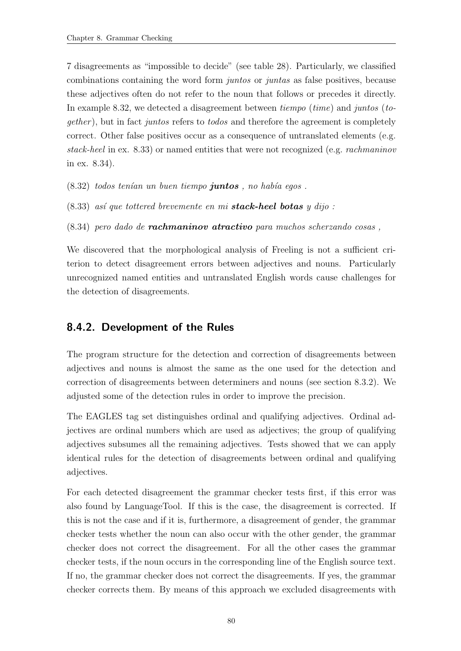7 disagreements as "impossible to decide" (see table [28\)](#page-90-3). Particularly, we classified combinations containing the word form juntos or juntas as false positives, because these adjectives often do not refer to the noun that follows or precedes it directly. In example [8.32,](#page-91-0) we detected a disagreement between *tiempo* (*time*) and *juntos* (*to*gether ), but in fact juntos refers to todos and therefore the agreement is completely correct. Other false positives occur as a consequence of untranslated elements (e.g. stack-heel in ex. [8.33\)](#page-91-1) or named entities that were not recognized (e.g. rachmaninov in ex. [8.34\)](#page-91-2).

<span id="page-91-1"></span><span id="page-91-0"></span> $(8.32)$  todos tenían un buen tiempo **juntos**, no había egos.

<span id="page-91-2"></span> $(8.33)$  así que tottered brevemente en mi **stack-heel botas** y dijo :

 $(8.34)$  pero dado de **rachmaninov atractivo** para muchos scherzando cosas,

We discovered that the morphological analysis of Freeling is not a sufficient criterion to detect disagreement errors between adjectives and nouns. Particularly unrecognized named entities and untranslated English words cause challenges for the detection of disagreements.

# <span id="page-91-3"></span>8.4.2. Development of the Rules

The program structure for the detection and correction of disagreements between adjectives and nouns is almost the same as the one used for the detection and correction of disagreements between determiners and nouns (see section [8.3.2\)](#page-79-3). We adjusted some of the detection rules in order to improve the precision.

The EAGLES tag set distinguishes ordinal and qualifying adjectives. Ordinal adjectives are ordinal numbers which are used as adjectives; the group of qualifying adjectives subsumes all the remaining adjectives. Tests showed that we can apply identical rules for the detection of disagreements between ordinal and qualifying adjectives.

For each detected disagreement the grammar checker tests first, if this error was also found by LanguageTool. If this is the case, the disagreement is corrected. If this is not the case and if it is, furthermore, a disagreement of gender, the grammar checker tests whether the noun can also occur with the other gender, the grammar checker does not correct the disagreement. For all the other cases the grammar checker tests, if the noun occurs in the corresponding line of the English source text. If no, the grammar checker does not correct the disagreements. If yes, the grammar checker corrects them. By means of this approach we excluded disagreements with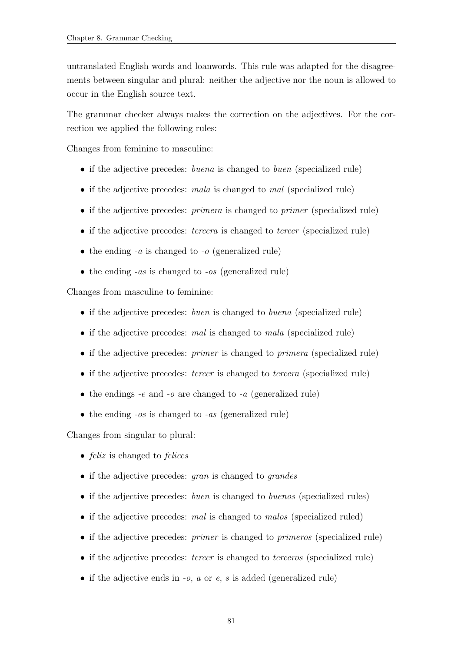untranslated English words and loanwords. This rule was adapted for the disagreements between singular and plural: neither the adjective nor the noun is allowed to occur in the English source text.

The grammar checker always makes the correction on the adjectives. For the correction we applied the following rules:

Changes from feminine to masculine:

- if the adjective precedes: *buena* is changed to *buen* (specialized rule)
- if the adjective precedes: mala is changed to mal (specialized rule)
- if the adjective precedes: *primera* is changed to *primer* (specialized rule)
- if the adjective precedes: *tercera* is changed to *tercer* (specialized rule)
- the ending  $-a$  is changed to  $-a$  (generalized rule)
- $\bullet$  the ending *-as* is changed to *-os* (generalized rule)

Changes from masculine to feminine:

- if the adjective precedes: *buen* is changed to *buena* (specialized rule)
- if the adjective precedes: mal is changed to mala (specialized rule)
- if the adjective precedes: *primer* is changed to *primera* (specialized rule)
- if the adjective precedes: *tercer* is changed to *tercera* (specialized rule)
- the endings  $-e$  and  $-o$  are changed to  $-a$  (generalized rule)
- the ending  $-os$  is changed to  $-as$  (generalized rule)

Changes from singular to plural:

- *feliz* is changed to *felices*
- if the adjective precedes: *gran* is changed to *grandes*
- if the adjective precedes: *buen* is changed to *buenos* (specialized rules)
- if the adjective precedes: mal is changed to malos (specialized ruled)
- if the adjective precedes: *primer* is changed to *primeros* (specialized rule)
- if the adjective precedes: *tercer* is changed to *terceros* (specialized rule)
- if the adjective ends in  $-a$ ,  $a$  or  $e$ ,  $s$  is added (generalized rule)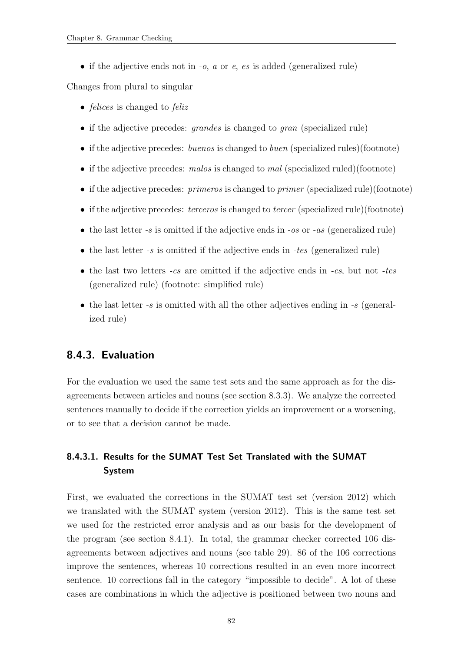• if the adjective ends not in  $-o$ ,  $a$  or  $e$ ,  $es$  is added (generalized rule)

Changes from plural to singular

- *felices* is changed to *feliz*
- if the adjective precedes: *grandes* is changed to *gran* (specialized rule)
- if the adjective precedes: buenos is changed to buen (specialized rules)(footnote)
- if the adjective precedes: malos is changed to mal (specialized ruled)(footnote)
- if the adjective precedes: *primeros* is changed to *primer* (specialized rule)(footnote)
- if the adjective precedes: *terceros* is changed to *tercer* (specialized rule)(footnote)
- the last letter  $-s$  is omitted if the adjective ends in  $-os$  or  $-as$  (generalized rule)
- the last letter  $-s$  is omitted if the adjective ends in  $-tes$  (generalized rule)
- the last two letters  $-es$  are omitted if the adjective ends in  $-es$ , but not  $-tes$ (generalized rule) (footnote: simplified rule)
- the last letter  $-s$  is omitted with all the other adjectives ending in  $-s$  (generalized rule)

# 8.4.3. Evaluation

For the evaluation we used the same test sets and the same approach as for the disagreements between articles and nouns (see section [8.3.3\)](#page-82-1). We analyze the corrected sentences manually to decide if the correction yields an improvement or a worsening, or to see that a decision cannot be made.

# <span id="page-93-0"></span>8.4.3.1. Results for the SUMAT Test Set Translated with the SUMAT System

First, we evaluated the corrections in the SUMAT test set (version 2012) which we translated with the SUMAT system (version 2012). This is the same test set we used for the restricted error analysis and as our basis for the development of the program (see section [8.4.1\)](#page-89-1). In total, the grammar checker corrected 106 disagreements between adjectives and nouns (see table [29\)](#page-94-0). 86 of the 106 corrections improve the sentences, whereas 10 corrections resulted in an even more incorrect sentence. 10 corrections fall in the category "impossible to decide". A lot of these cases are combinations in which the adjective is positioned between two nouns and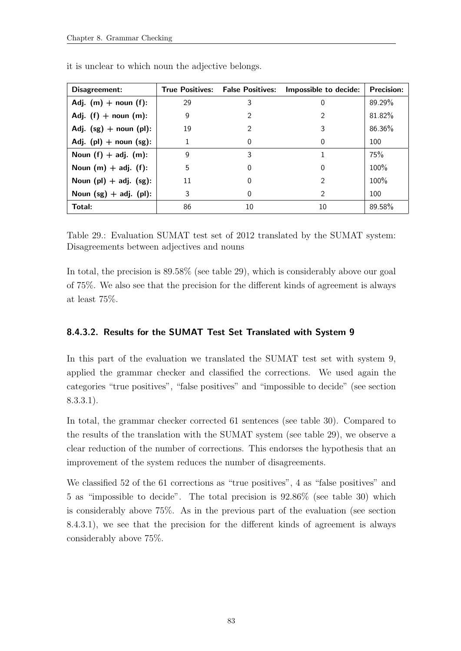| Disagreement:               |    | <b>True Positives: False Positives:</b> | Impossible to decide: | <b>Precision:</b> |
|-----------------------------|----|-----------------------------------------|-----------------------|-------------------|
| Adj. $(m)$ + noun $(f)$ :   | 29 | 3                                       | 0                     | 89.29%            |
| Adj. $(f)$ + noun $(m)$ :   | 9  | $\mathcal{P}$                           |                       | 81.82%            |
| Adj. $(sg)$ + noun (pl):    | 19 | $\mathcal{P}$                           | 3                     | 86.36%            |
| Adj. $(pl)$ + noun $(sg)$ : | 1  | 0                                       | 0                     | 100               |
| Noun $(f) + adj.$ (m):      | 9  | 3                                       |                       | 75%               |
| Noun $(m)$ + adj. $(f)$ :   | 5  | 0                                       | 0                     | 100%              |
| Noun $(pl)$ + adj. $(sg)$ : | 11 | $\Omega$                                | $\mathcal{P}$         | 100%              |
| Noun $(sg) + adj.$ (pl):    | 3  | $\Omega$                                | $\mathcal{P}$         | 100               |
| Total:                      | 86 | 10                                      | 10                    | 89.58%            |

it is unclear to which noun the adjective belongs.

<span id="page-94-0"></span>Table 29.: Evaluation SUMAT test set of 2012 translated by the SUMAT system: Disagreements between adjectives and nouns

In total, the precision is 89.58% (see table [29\)](#page-94-0), which is considerably above our goal of 75%. We also see that the precision for the different kinds of agreement is always at least 75%.

# <span id="page-94-1"></span>8.4.3.2. Results for the SUMAT Test Set Translated with System 9

In this part of the evaluation we translated the SUMAT test set with system 9, applied the grammar checker and classified the corrections. We used again the categories "true positives", "false positives" and "impossible to decide" (see section [8.3.3.1\)](#page-82-0).

In total, the grammar checker corrected 61 sentences (see table [30\)](#page-95-0). Compared to the results of the translation with the SUMAT system (see table [29\)](#page-94-0), we observe a clear reduction of the number of corrections. This endorses the hypothesis that an improvement of the system reduces the number of disagreements.

We classified 52 of the 61 corrections as "true positives", 4 as "false positives" and 5 as "impossible to decide". The total precision is 92.86% (see table [30\)](#page-95-0) which is considerably above 75%. As in the previous part of the evaluation (see section [8.4.3.1\)](#page-93-0), we see that the precision for the different kinds of agreement is always considerably above 75%.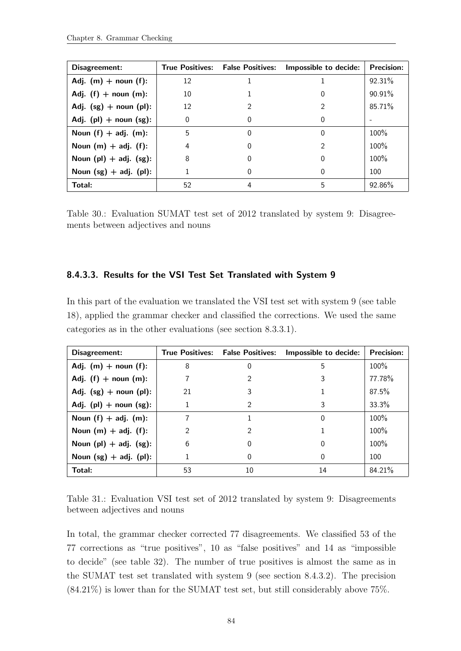| Disagreement:               |          | <b>True Positives: False Positives:</b> | Impossible to decide: | <b>Precision:</b> |
|-----------------------------|----------|-----------------------------------------|-----------------------|-------------------|
| Adj. $(m)$ + noun $(f)$ :   | 12       |                                         |                       | 92.31%            |
| Adj. $(f)$ + noun $(m)$ :   | 10       |                                         | 0                     | 90.91%            |
| Adj. $(sg)$ + noun (pl):    | 12       | 2                                       |                       | 85.71%            |
| Adj. $(pl)$ + noun $(sg)$ : | $\Omega$ | 0                                       | 0                     |                   |
| Noun $(f)$ + adj. $(m)$ :   | 5        | 0                                       | 0                     | 100%              |
| Noun $(m)$ + adj. (f):      | 4        | 0                                       |                       | 100%              |
| Noun $(pl)$ + adj. $(sg)$ : | 8        | O                                       | 0                     | 100%              |
| Noun $(sg) + adj.$ (pl):    |          | 0                                       | 0                     | 100               |
| Total:                      | 52       | 4                                       | 5                     | 92.86%            |

<span id="page-95-0"></span>Table 30.: Evaluation SUMAT test set of 2012 translated by system 9: Disagreements between adjectives and nouns

#### 8.4.3.3. Results for the VSI Test Set Translated with System 9

In this part of the evaluation we translated the VSI test set with system 9 (see table [18\)](#page-66-1), applied the grammar checker and classified the corrections. We used the same categories as in the other evaluations (see section [8.3.3.1\)](#page-82-0).

| Disagreement:               |    |    | True Positives: False Positives: Impossible to decide: | <b>Precision:</b> |
|-----------------------------|----|----|--------------------------------------------------------|-------------------|
| Adj. $(m)$ + noun $(f)$ :   | 8  | 0  | 5                                                      | $100\%$           |
| Adj. $(f)$ + noun $(m)$ :   |    |    |                                                        | 77.78%            |
| Adj. $(sg)$ + noun (pl):    | 21 | 3  |                                                        | 87.5%             |
| Adj. $(pl)$ + noun $(sg)$ : | 1  | 2  | 3                                                      | 33.3%             |
| Noun $(f) + adj.$ (m):      | 7  |    | 0                                                      | 100%              |
| Noun $(m)$ + adj. $(f)$ :   | 2  | 2  |                                                        | 100%              |
| Noun $(pl)$ + adj. $(sg)$ : | 6  |    | 0                                                      | 100%              |
| Noun $(sg) + adj.$ (pl):    | 1  | 0  | 0                                                      | 100               |
| Total:                      | 53 | 10 | 14                                                     | 84.21%            |

Table 31.: Evaluation VSI test set of 2012 translated by system 9: Disagreements between adjectives and nouns

In total, the grammar checker corrected 77 disagreements. We classified 53 of the 77 corrections as "true positives", 10 as "false positives" and 14 as "impossible to decide" (see table [32\)](#page-96-0). The number of true positives is almost the same as in the SUMAT test set translated with system 9 (see section [8.4.3.2\)](#page-94-1). The precision  $(84.21\%)$  is lower than for the SUMAT test set, but still considerably above 75%.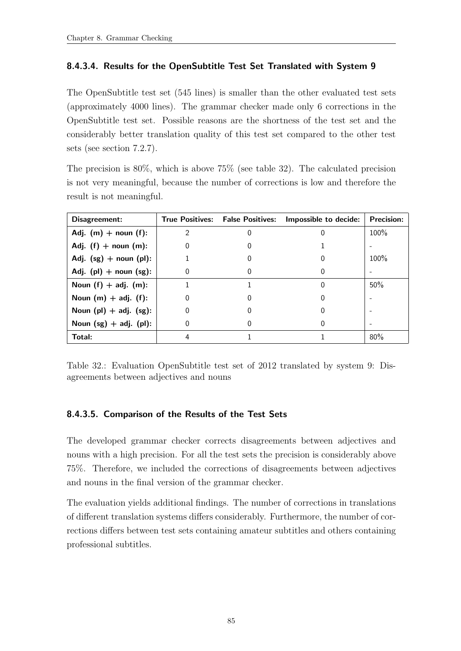# 8.4.3.4. Results for the OpenSubtitle Test Set Translated with System 9

The OpenSubtitle test set (545 lines) is smaller than the other evaluated test sets (approximately 4000 lines). The grammar checker made only 6 corrections in the OpenSubtitle test set. Possible reasons are the shortness of the test set and the considerably better translation quality of this test set compared to the other test sets (see section [7.2.7\)](#page-66-0).

The precision is 80%, which is above 75% (see table [32\)](#page-96-0). The calculated precision is not very meaningful, because the number of corrections is low and therefore the result is not meaningful.

| Disagreement:               |               | <b>True Positives: False Positives:</b> | Impossible to decide: | <b>Precision:</b> |
|-----------------------------|---------------|-----------------------------------------|-----------------------|-------------------|
| Adj. $(m)$ + noun (f):      | $\mathcal{P}$ |                                         |                       | $100\%$           |
| Adj. $(f)$ + noun $(m)$ :   | 0             |                                         |                       |                   |
| Adj. $(sg)$ + noun (pl):    |               |                                         |                       | $100\%$           |
| Adj. $(pl)$ + noun $(sg)$ : | 0             |                                         |                       |                   |
| Noun $(f)$ + adj. $(m)$ :   |               |                                         | $\left( \right)$      | 50%               |
| Noun $(m)$ + adj. $(f)$ :   | 0             |                                         |                       |                   |
| Noun $(pl)$ + adj. $(sg)$ : | 0             |                                         |                       |                   |
| Noun $(sg) + adj.$ (pl):    | 0             |                                         |                       |                   |
| Total:                      | 4             |                                         |                       | 80%               |

<span id="page-96-0"></span>Table 32.: Evaluation OpenSubtitle test set of 2012 translated by system 9: Disagreements between adjectives and nouns

# 8.4.3.5. Comparison of the Results of the Test Sets

The developed grammar checker corrects disagreements between adjectives and nouns with a high precision. For all the test sets the precision is considerably above 75%. Therefore, we included the corrections of disagreements between adjectives and nouns in the final version of the grammar checker.

The evaluation yields additional findings. The number of corrections in translations of different translation systems differs considerably. Furthermore, the number of corrections differs between test sets containing amateur subtitles and others containing professional subtitles.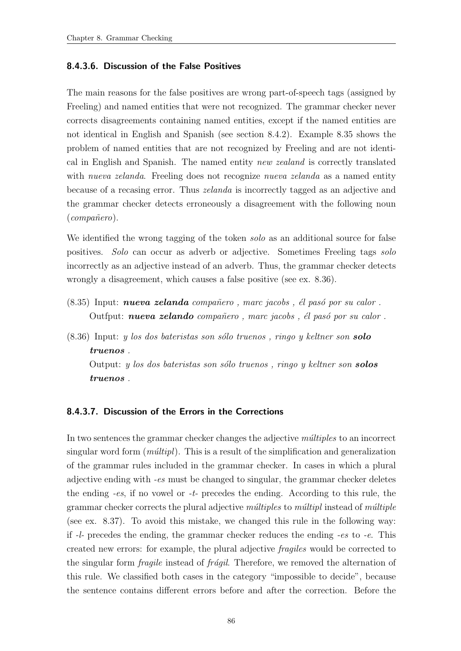#### 8.4.3.6. Discussion of the False Positives

The main reasons for the false positives are wrong part-of-speech tags (assigned by Freeling) and named entities that were not recognized. The grammar checker never corrects disagreements containing named entities, except if the named entities are not identical in English and Spanish (see section [8.4.2\)](#page-91-3). Example [8.35](#page-97-0) shows the problem of named entities that are not recognized by Freeling and are not identical in English and Spanish. The named entity new zealand is correctly translated with nueva zelanda. Freeling does not recognize nueva zelanda as a named entity because of a recasing error. Thus zelanda is incorrectly tagged as an adjective and the grammar checker detects erroneously a disagreement with the following noun  $(compa\v{n}ero).$ 

We identified the wrong tagging of the token solo as an additional source for false positives. Solo can occur as adverb or adjective. Sometimes Freeling tags solo incorrectly as an adjective instead of an adverb. Thus, the grammar checker detects wrongly a disagreement, which causes a false positive (see ex. [8.36\)](#page-97-1).

- <span id="page-97-0"></span> $(8.35)$  Input: nueva zelanda compañero, marc jacobs, él pasó por su calor. Outfput: nueva zelando compañero, marc jacobs, él pasó por su calor.
- <span id="page-97-1"></span> $(8.36)$  Input: y los dos bateristas son sólo truenos, ringo y keltner son **solo** truenos .

Output: y los dos bateristas son sólo truenos, ringo y keltner son **solos** truenos .

# 8.4.3.7. Discussion of the Errors in the Corrections

In two sentences the grammar checker changes the adjective  $m\hat{u}$ tiples to an incorrect singular word form  $(mûltipl)$ . This is a result of the simplification and generalization of the grammar rules included in the grammar checker. In cases in which a plural adjective ending with -es must be changed to singular, the grammar checker deletes the ending -es, if no vowel or -t- precedes the ending. According to this rule, the grammar checker corrects the plural adjective  $m\ellityles$  to  $m\ellityle$  instead of m $\ellityle$ (see ex. [8.37\)](#page-98-0). To avoid this mistake, we changed this rule in the following way: if -l- precedes the ending, the grammar checker reduces the ending -es to -e. This created new errors: for example, the plural adjective fragiles would be corrected to the singular form *fragile* instead of *frágil*. Therefore, we removed the alternation of this rule. We classified both cases in the category "impossible to decide", because the sentence contains different errors before and after the correction. Before the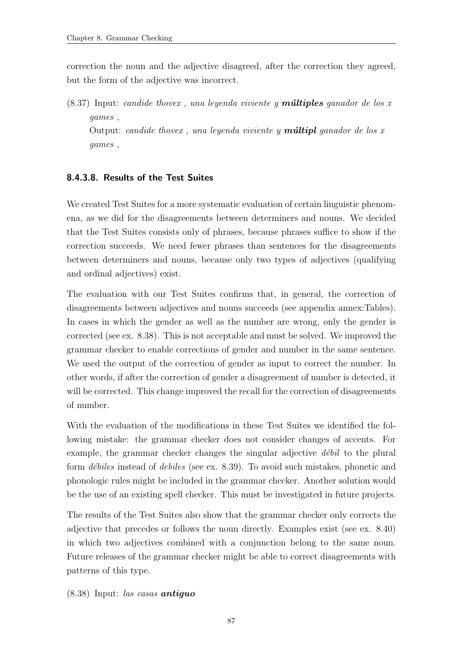correction the noun and the adjective disagreed, after the correction they agreed, but the form of the adjective was incorrect.

<span id="page-98-0"></span> $(8.37)$  Input: candide thovex, una leyenda viviente y **múltiples** ganador de los x games , Output: candide thovex, una leyenda viviente y **múltipl** ganador de los x games ,

# 8.4.3.8. Results of the Test Suites

We created Test Suites for a more systematic evaluation of certain linguistic phenomena, as we did for the disagreements between determiners and nouns. We decided that the Test Suites consists only of phrases, because phrases suffice to show if the correction succeeds. We need fewer phrases than sentences for the disagreements between determiners and nouns, because only two types of adjectives (qualifying and ordinal adjectives) exist.

The evaluation with our Test Suites confirms that, in general, the correction of disagreements between adjectives and nouns succeeds (see appendix annex:Tables). In cases in which the gender as well as the number are wrong, only the gender is corrected (see ex. [8.38\)](#page-98-1). This is not acceptable and must be solved. We improved the grammar checker to enable corrections of gender and number in the same sentence. We used the output of the correction of gender as input to correct the number. In other words, if after the correction of gender a disagreement of number is detected, it will be corrected. This change improved the recall for the correction of disagreements of number.

With the evaluation of the modifications in these Test Suites we identified the following mistake: the grammar checker does not consider changes of accents. For example, the grammar checker changes the singular adjective  $d\acute{e}bil$  to the plural form *débiles* instead of *debiles* (see ex. [8.39\)](#page-99-1). To avoid such mistakes, phonetic and phonologic rules might be included in the grammar checker. Another solution would be the use of an existing spell checker. This must be investigated in future projects.

The results of the Test Suites also show that the grammar checker only corrects the adjective that precedes or follows the noun directly. Examples exist (see ex. [8.40\)](#page-99-2) in which two adjectives combined with a conjunction belong to the same noun. Future releases of the grammar checker might be able to correct disagreements with patterns of this type.

<span id="page-98-1"></span> $(8.38)$  Input: las casas **antiguo**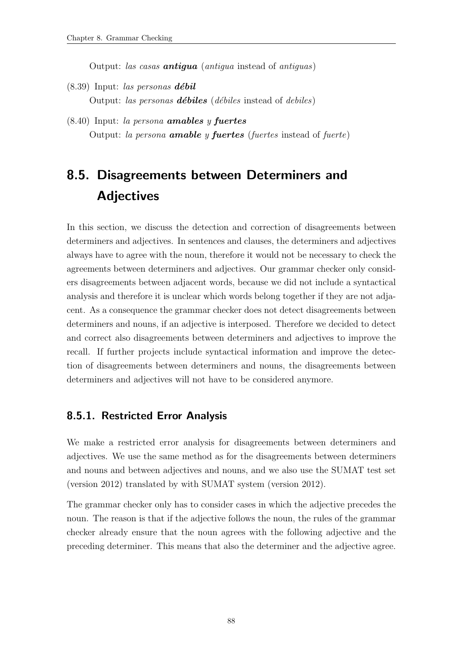Output: las casas **antigua** (antigua instead of antiguas)

- <span id="page-99-1"></span> $(8.39)$  Input: las personas **débil** Output: las personas **débiles** (débiles instead of debiles)
- <span id="page-99-2"></span> $(8.40)$  Input: la persona **amables** y **fuertes** Output: la persona **amable** y **fuertes** (fuertes instead of fuerte)

# <span id="page-99-0"></span>8.5. Disagreements between Determiners and **Adjectives**

In this section, we discuss the detection and correction of disagreements between determiners and adjectives. In sentences and clauses, the determiners and adjectives always have to agree with the noun, therefore it would not be necessary to check the agreements between determiners and adjectives. Our grammar checker only considers disagreements between adjacent words, because we did not include a syntactical analysis and therefore it is unclear which words belong together if they are not adjacent. As a consequence the grammar checker does not detect disagreements between determiners and nouns, if an adjective is interposed. Therefore we decided to detect and correct also disagreements between determiners and adjectives to improve the recall. If further projects include syntactical information and improve the detection of disagreements between determiners and nouns, the disagreements between determiners and adjectives will not have to be considered anymore.

# 8.5.1. Restricted Error Analysis

We make a restricted error analysis for disagreements between determiners and adjectives. We use the same method as for the disagreements between determiners and nouns and between adjectives and nouns, and we also use the SUMAT test set (version 2012) translated by with SUMAT system (version 2012).

The grammar checker only has to consider cases in which the adjective precedes the noun. The reason is that if the adjective follows the noun, the rules of the grammar checker already ensure that the noun agrees with the following adjective and the preceding determiner. This means that also the determiner and the adjective agree.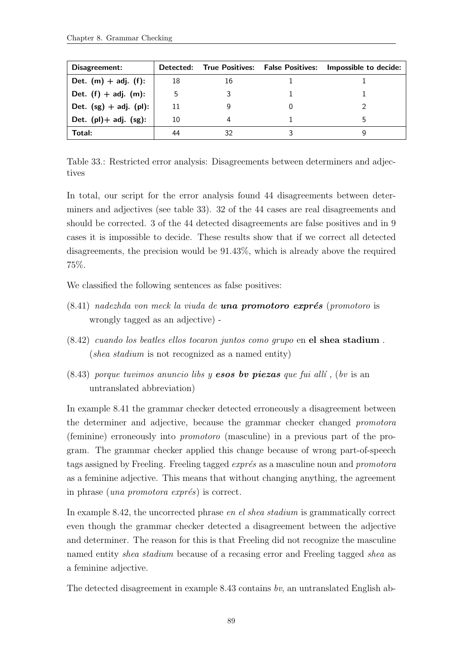| Disagreement:               |    |    | Detected: True Positives: False Positives: Impossible to decide: |
|-----------------------------|----|----|------------------------------------------------------------------|
| Det. $(m) + adj.$ (f):      | 18 | 16 |                                                                  |
| Det. $(f) + adj.$ $(m)$ :   | 5  |    |                                                                  |
| Det. $(sg) + adj.$ (pl):    | 11 |    |                                                                  |
| Det. $(pl)$ + adj. $(sg)$ : | 10 |    |                                                                  |
| Total:                      | 44 |    |                                                                  |

<span id="page-100-0"></span>Table 33.: Restricted error analysis: Disagreements between determiners and adjectives

In total, our script for the error analysis found 44 disagreements between determiners and adjectives (see table [33\)](#page-100-0). 32 of the 44 cases are real disagreements and should be corrected. 3 of the 44 detected disagreements are false positives and in 9 cases it is impossible to decide. These results show that if we correct all detected disagreements, the precision would be 91.43%, which is already above the required 75%.

<span id="page-100-1"></span>We classified the following sentences as false positives:

- $(8.41)$  nadezhda von meck la viuda de **una promotoro exprés** (promotoro is wrongly tagged as an adjective) -
- <span id="page-100-2"></span>(8.42) cuando los beatles ellos tocaron juntos como grupo en el shea stadium . (shea stadium is not recognized as a named entity)
- <span id="page-100-3"></span> $(8.43)$  porque tuvimos anuncio libs y **esos by piezas** que fui allí, (by is an untranslated abbreviation)

In example [8.41](#page-100-1) the grammar checker detected erroneously a disagreement between the determiner and adjective, because the grammar checker changed promotora (feminine) erroneously into promotoro (masculine) in a previous part of the program. The grammar checker applied this change because of wrong part-of-speech tags assigned by Freeling. Freeling tagged *exprés* as a masculine noun and *promotora* as a feminine adjective. This means that without changing anything, the agreement in phrase (*una promotora exprés*) is correct.

In example [8.42,](#page-100-2) the uncorrected phrase en el shea stadium is grammatically correct even though the grammar checker detected a disagreement between the adjective and determiner. The reason for this is that Freeling did not recognize the masculine named entity shea stadium because of a recasing error and Freeling tagged shea as a feminine adjective.

The detected disagreement in example [8.43](#page-100-3) contains bv, an untranslated English ab-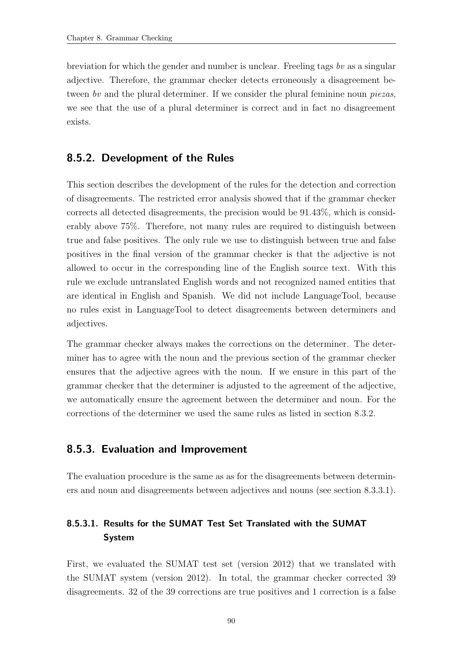breviation for which the gender and number is unclear. Freeling tags by as a singular adjective. Therefore, the grammar checker detects erroneously a disagreement between by and the plural determiner. If we consider the plural feminine noun piezas, we see that the use of a plural determiner is correct and in fact no disagreement exists.

# 8.5.2. Development of the Rules

This section describes the development of the rules for the detection and correction of disagreements. The restricted error analysis showed that if the grammar checker corrects all detected disagreements, the precision would be 91.43%, which is considerably above 75%. Therefore, not many rules are required to distinguish between true and false positives. The only rule we use to distinguish between true and false positives in the final version of the grammar checker is that the adjective is not allowed to occur in the corresponding line of the English source text. With this rule we exclude untranslated English words and not recognized named entities that are identical in English and Spanish. We did not include LanguageTool, because no rules exist in LanguageTool to detect disagreements between determiners and adjectives.

The grammar checker always makes the corrections on the determiner. The determiner has to agree with the noun and the previous section of the grammar checker ensures that the adjective agrees with the noun. If we ensure in this part of the grammar checker that the determiner is adjusted to the agreement of the adjective, we automatically ensure the agreement between the determiner and noun. For the corrections of the determiner we used the same rules as listed in section [8.3.2.](#page-79-3)

# 8.5.3. Evaluation and Improvement

The evaluation procedure is the same as as for the disagreements between determiners and noun and disagreements between adjectives and nouns (see section [8.3.3.1\)](#page-82-0).

# 8.5.3.1. Results for the SUMAT Test Set Translated with the SUMAT System

First, we evaluated the SUMAT test set (version 2012) that we translated with the SUMAT system (version 2012). In total, the grammar checker corrected 39 disagreements. 32 of the 39 corrections are true positives and 1 correction is a false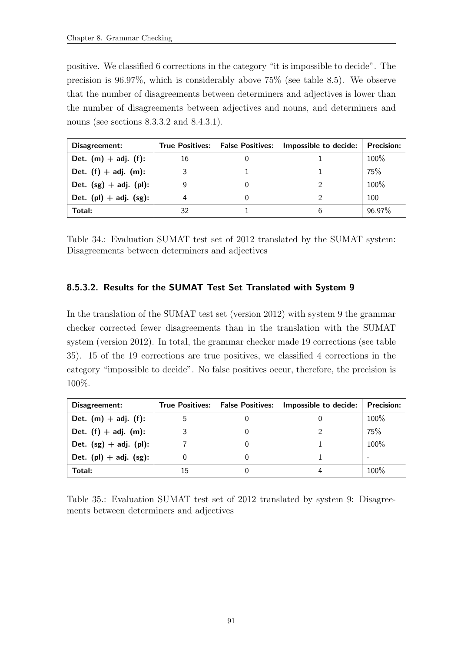positive. We classified 6 corrections in the category "it is impossible to decide". The precision is 96.97%, which is considerably above 75% (see table [8.5\)](#page-99-0). We observe that the number of disagreements between determiners and adjectives is lower than the number of disagreements between adjectives and nouns, and determiners and nouns (see sections [8.3.3.2](#page-84-1) and [8.4.3.1\)](#page-93-0).

| Disagreement:               |    | True Positives: False Positives: Impossible to decide: | <b>Precision:</b> |
|-----------------------------|----|--------------------------------------------------------|-------------------|
| Det. $(m) + adj.$ (f):      | 16 |                                                        | 100%              |
| Det. $(f) + adj.$ (m):      |    |                                                        | 75%               |
| Det. $(sg) + adj.$ (pl):    |    |                                                        | 100%              |
| Det. $(pl) + adj.$ $(sg)$ : |    |                                                        | 100               |
| Total:                      | 32 |                                                        | 96.97%            |

Table 34.: Evaluation SUMAT test set of 2012 translated by the SUMAT system: Disagreements between determiners and adjectives

# 8.5.3.2. Results for the SUMAT Test Set Translated with System 9

In the translation of the SUMAT test set (version 2012) with system 9 the grammar checker corrected fewer disagreements than in the translation with the SUMAT system (version 2012). In total, the grammar checker made 19 corrections (see table [35\)](#page-102-0). 15 of the 19 corrections are true positives, we classified 4 corrections in the category "impossible to decide". No false positives occur, therefore, the precision is 100%.

| Disagreement:               | <b>True Positives:</b> | <b>False Positives:</b> | Impossible to decide: | <b>Precision:</b> |
|-----------------------------|------------------------|-------------------------|-----------------------|-------------------|
| Det. $(m) + adj.$ (f):      |                        |                         |                       | 100%              |
| Det. $(f) + adj.$ $(m)$ :   |                        |                         |                       | 75%               |
| Det. $(sg) + adj.$ (pl):    |                        |                         |                       | 100%              |
| Det. $(pl) + adj.$ $(sg)$ : |                        |                         |                       | $\sim$            |
| Total:                      | 15                     |                         |                       | $100\%$           |

<span id="page-102-0"></span>Table 35.: Evaluation SUMAT test set of 2012 translated by system 9: Disagreements between determiners and adjectives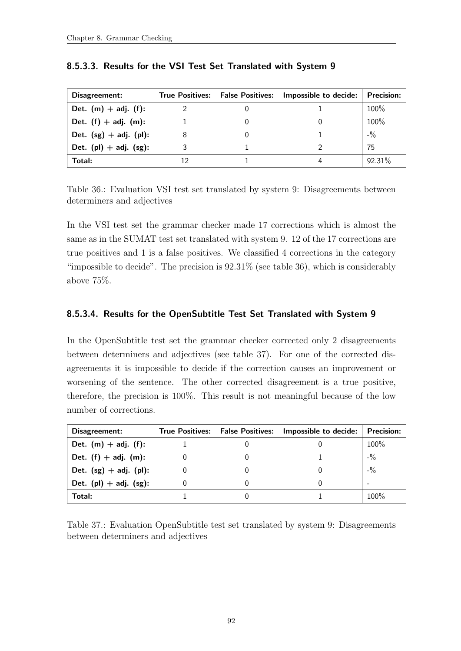| Disagreement:               |    | True Positives: False Positives: | Impossible to decide: | <b>Precision:</b>               |
|-----------------------------|----|----------------------------------|-----------------------|---------------------------------|
| Det. $(m) + adj.$ (f):      |    |                                  |                       | 100%                            |
| Det. $(f) + adj.$ $(m)$ :   |    |                                  |                       | 100%                            |
| Det. $(sg) + adj.$ (pl):    | 8  |                                  |                       | $-$ <sup>0</sup> / <sub>0</sub> |
| Det. $(pl) + adj.$ $(sg)$ : |    |                                  |                       | 75                              |
| Total:                      | 12 |                                  |                       | $92.31\%$                       |

# 8.5.3.3. Results for the VSI Test Set Translated with System 9

<span id="page-103-0"></span>Table 36.: Evaluation VSI test set translated by system 9: Disagreements between determiners and adjectives

In the VSI test set the grammar checker made 17 corrections which is almost the same as in the SUMAT test set translated with system 9. 12 of the 17 corrections are true positives and 1 is a false positives. We classified 4 corrections in the category "impossible to decide". The precision is  $92.31\%$  (see table [36\)](#page-103-0), which is considerably above 75%.

# 8.5.3.4. Results for the OpenSubtitle Test Set Translated with System 9

In the OpenSubtitle test set the grammar checker corrected only 2 disagreements between determiners and adjectives (see table [37\)](#page-103-1). For one of the corrected disagreements it is impossible to decide if the correction causes an improvement or worsening of the sentence. The other corrected disagreement is a true positive, therefore, the precision is 100%. This result is not meaningful because of the low number of corrections.

| Disagreement:               | <b>True Positives: False Positives:</b> | Impossible to decide: | <b>Precision:</b> |
|-----------------------------|-----------------------------------------|-----------------------|-------------------|
| Det. $(m) + adj.$ (f):      |                                         |                       | 100%              |
| Det. $(f) + adj.$ $(m)$ :   |                                         |                       | $-$ %             |
| Det. $(sg) + adj.$ (pl):    |                                         |                       | $-$ %             |
| Det. $(pl) + adj.$ $(sg)$ : |                                         |                       | -                 |
| Total:                      |                                         |                       | 100%              |

<span id="page-103-1"></span>Table 37.: Evaluation OpenSubtitle test set translated by system 9: Disagreements between determiners and adjectives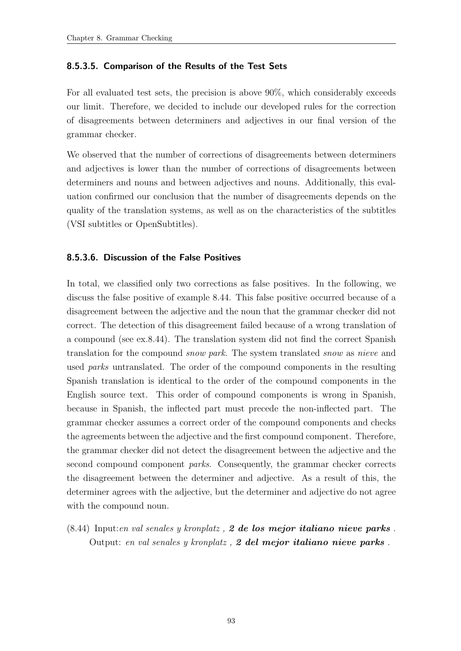#### 8.5.3.5. Comparison of the Results of the Test Sets

For all evaluated test sets, the precision is above 90%, which considerably exceeds our limit. Therefore, we decided to include our developed rules for the correction of disagreements between determiners and adjectives in our final version of the grammar checker.

We observed that the number of corrections of disagreements between determiners and adjectives is lower than the number of corrections of disagreements between determiners and nouns and between adjectives and nouns. Additionally, this evaluation confirmed our conclusion that the number of disagreements depends on the quality of the translation systems, as well as on the characteristics of the subtitles (VSI subtitles or OpenSubtitles).

#### 8.5.3.6. Discussion of the False Positives

In total, we classified only two corrections as false positives. In the following, we discuss the false positive of example [8.44.](#page-104-0) This false positive occurred because of a disagreement between the adjective and the noun that the grammar checker did not correct. The detection of this disagreement failed because of a wrong translation of a compound (see ex[.8.44\)](#page-104-0). The translation system did not find the correct Spanish translation for the compound snow park. The system translated snow as nieve and used parks untranslated. The order of the compound components in the resulting Spanish translation is identical to the order of the compound components in the English source text. This order of compound components is wrong in Spanish, because in Spanish, the inflected part must precede the non-inflected part. The grammar checker assumes a correct order of the compound components and checks the agreements between the adjective and the first compound component. Therefore, the grammar checker did not detect the disagreement between the adjective and the second compound component parks. Consequently, the grammar checker corrects the disagreement between the determiner and adjective. As a result of this, the determiner agrees with the adjective, but the determiner and adjective do not agree with the compound noun.

<span id="page-104-0"></span> $(8.44)$  Input:en val senales y kronplatz, 2 de los mejor italiano nieve parks. Output: en val senales y kronplatz,  $2$  del mejor italiano nieve parks.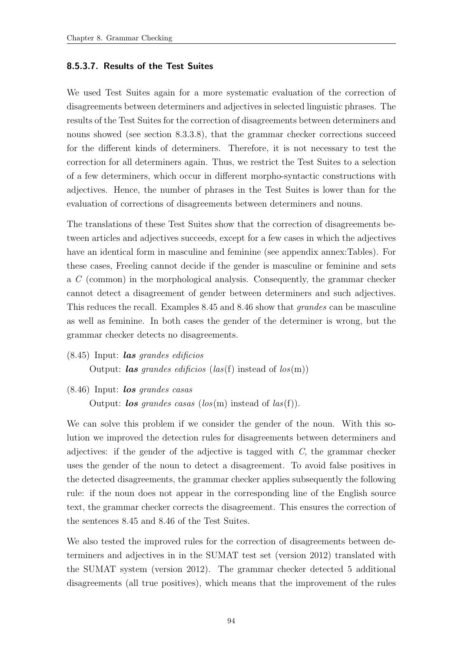#### 8.5.3.7. Results of the Test Suites

We used Test Suites again for a more systematic evaluation of the correction of disagreements between determiners and adjectives in selected linguistic phrases. The results of the Test Suites for the correction of disagreements between determiners and nouns showed (see section [8.3.3.8\)](#page-87-2), that the grammar checker corrections succeed for the different kinds of determiners. Therefore, it is not necessary to test the correction for all determiners again. Thus, we restrict the Test Suites to a selection of a few determiners, which occur in different morpho-syntactic constructions with adjectives. Hence, the number of phrases in the Test Suites is lower than for the evaluation of corrections of disagreements between determiners and nouns.

The translations of these Test Suites show that the correction of disagreements between articles and adjectives succeeds, except for a few cases in which the adjectives have an identical form in masculine and feminine (see appendix annex:Tables). For these cases, Freeling cannot decide if the gender is masculine or feminine and sets a C (common) in the morphological analysis. Consequently, the grammar checker cannot detect a disagreement of gender between determiners and such adjectives. This reduces the recall. Examples [8.45](#page-105-0) and [8.46](#page-105-1) show that grandes can be masculine as well as feminine. In both cases the gender of the determiner is wrong, but the grammar checker detects no disagreements.

<span id="page-105-0"></span> $(8.45)$  Input: *las grandes edificios* 

Output: *las grandes edificios* (*las*(f) instead of  $\log(m)$ )

<span id="page-105-1"></span> $(8.46)$  Input: los grandes casas

Output: *los* grandes casas ( $\log(m)$ ) instead of  $\log(f)$ ).

We can solve this problem if we consider the gender of the noun. With this solution we improved the detection rules for disagreements between determiners and adjectives: if the gender of the adjective is tagged with C, the grammar checker uses the gender of the noun to detect a disagreement. To avoid false positives in the detected disagreements, the grammar checker applies subsequently the following rule: if the noun does not appear in the corresponding line of the English source text, the grammar checker corrects the disagreement. This ensures the correction of the sentences [8.45](#page-105-0) and [8.46](#page-105-1) of the Test Suites.

We also tested the improved rules for the correction of disagreements between determiners and adjectives in in the SUMAT test set (version 2012) translated with the SUMAT system (version 2012). The grammar checker detected 5 additional disagreements (all true positives), which means that the improvement of the rules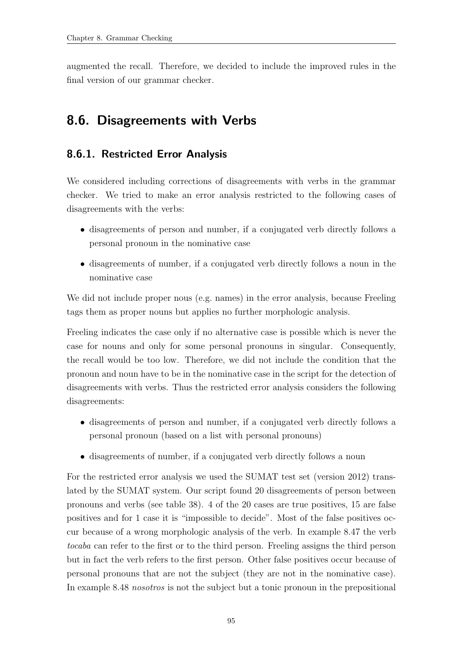augmented the recall. Therefore, we decided to include the improved rules in the final version of our grammar checker.

# <span id="page-106-0"></span>8.6. Disagreements with Verbs

# 8.6.1. Restricted Error Analysis

We considered including corrections of disagreements with verbs in the grammar checker. We tried to make an error analysis restricted to the following cases of disagreements with the verbs:

- disagreements of person and number, if a conjugated verb directly follows a personal pronoun in the nominative case
- disagreements of number, if a conjugated verb directly follows a noun in the nominative case

We did not include proper nous (e.g. names) in the error analysis, because Freeling tags them as proper nouns but applies no further morphologic analysis.

Freeling indicates the case only if no alternative case is possible which is never the case for nouns and only for some personal pronouns in singular. Consequently, the recall would be too low. Therefore, we did not include the condition that the pronoun and noun have to be in the nominative case in the script for the detection of disagreements with verbs. Thus the restricted error analysis considers the following disagreements:

- disagreements of person and number, if a conjugated verb directly follows a personal pronoun (based on a list with personal pronouns)
- disagreements of number, if a conjugated verb directly follows a noun

For the restricted error analysis we used the SUMAT test set (version 2012) translated by the SUMAT system. Our script found 20 disagreements of person between pronouns and verbs (see table [38\)](#page-107-0). 4 of the 20 cases are true positives, 15 are false positives and for 1 case it is "impossible to decide". Most of the false positives occur because of a wrong morphologic analysis of the verb. In example [8.47](#page-107-1) the verb tocaba can refer to the first or to the third person. Freeling assigns the third person but in fact the verb refers to the first person. Other false positives occur because of personal pronouns that are not the subject (they are not in the nominative case). In example [8.48](#page-107-2) nosotros is not the subject but a tonic pronoun in the prepositional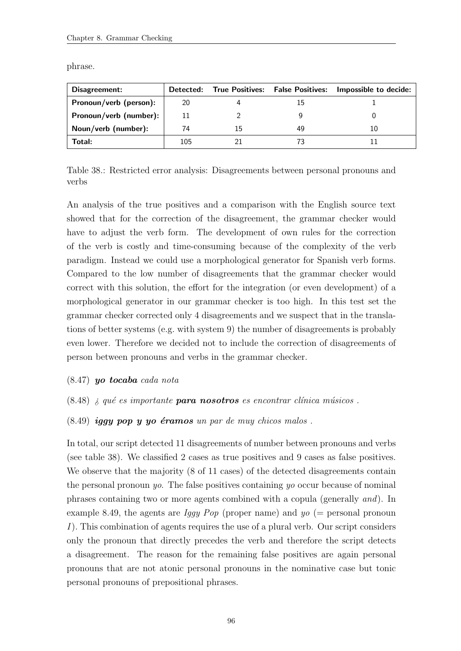| Disagreement:          |     |    | Detected: True Positives: False Positives: | Impossible to decide: |
|------------------------|-----|----|--------------------------------------------|-----------------------|
| Pronoun/verb (person): | 20  |    |                                            |                       |
| Pronoun/verb (number): | 11  |    |                                            |                       |
| Noun/verb (number):    | 74  | 15 | 49                                         |                       |
| Total:                 | 105 |    |                                            |                       |

phrase.

<span id="page-107-0"></span>Table 38.: Restricted error analysis: Disagreements between personal pronouns and verbs

An analysis of the true positives and a comparison with the English source text showed that for the correction of the disagreement, the grammar checker would have to adjust the verb form. The development of own rules for the correction of the verb is costly and time-consuming because of the complexity of the verb paradigm. Instead we could use a morphological generator for Spanish verb forms. Compared to the low number of disagreements that the grammar checker would correct with this solution, the effort for the integration (or even development) of a morphological generator in our grammar checker is too high. In this test set the grammar checker corrected only 4 disagreements and we suspect that in the translations of better systems (e.g. with system 9) the number of disagreements is probably even lower. Therefore we decided not to include the correction of disagreements of person between pronouns and verbs in the grammar checker.

- <span id="page-107-2"></span><span id="page-107-1"></span> $(8.47)$  yo tocaba cada nota
- <span id="page-107-3"></span> $(8.48)$  *i* qué es importante **para nosotros** es encontrar clínica músicos.
- $(8.49)$  iggy pop y yo éramos un par de muy chicos malos.

In total, our script detected 11 disagreements of number between pronouns and verbs (see table [38\)](#page-107-0). We classified 2 cases as true positives and 9 cases as false positives. We observe that the majority (8 of 11 cases) of the detected disagreements contain the personal pronoun yo. The false positives containing yo occur because of nominal phrases containing two or more agents combined with a copula (generally and). In example [8.49,](#page-107-3) the agents are *Iggy Pop* (proper name) and  $yo (=$  personal pronoun I). This combination of agents requires the use of a plural verb. Our script considers only the pronoun that directly precedes the verb and therefore the script detects a disagreement. The reason for the remaining false positives are again personal pronouns that are not atonic personal pronouns in the nominative case but tonic personal pronouns of prepositional phrases.

96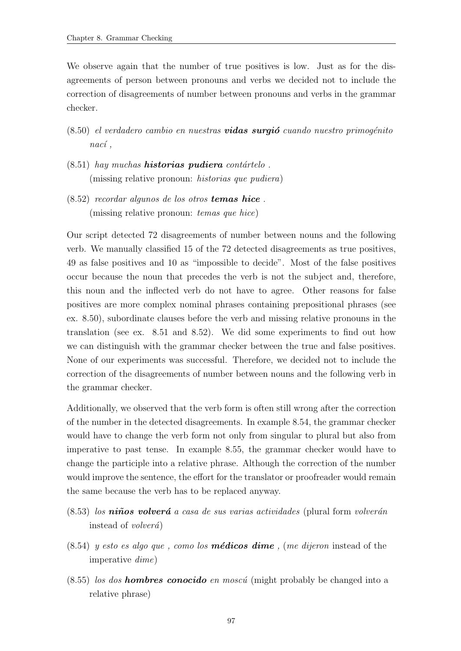We observe again that the number of true positives is low. Just as for the disagreements of person between pronouns and verbs we decided not to include the correction of disagreements of number between pronouns and verbs in the grammar checker.

- <span id="page-108-0"></span> $(8.50)$  el verdadero cambio en nuestras **vidas surgió** cuando nuestro primogénito  $naci$ ,
- <span id="page-108-1"></span> $(8.51)$  hay muchas **historias pudiera** contártelo. (missing relative pronoun: historias que pudiera)
- <span id="page-108-2"></span>(8.52) recordar algunos de los otros temas hice . (missing relative pronoun: temas que hice)

Our script detected 72 disagreements of number between nouns and the following verb. We manually classified 15 of the 72 detected disagreements as true positives, 49 as false positives and 10 as "impossible to decide". Most of the false positives occur because the noun that precedes the verb is not the subject and, therefore, this noun and the inflected verb do not have to agree. Other reasons for false positives are more complex nominal phrases containing prepositional phrases (see ex. [8.50\)](#page-108-0), subordinate clauses before the verb and missing relative pronouns in the translation (see ex. [8.51](#page-108-1) and [8.52\)](#page-108-2). We did some experiments to find out how we can distinguish with the grammar checker between the true and false positives. None of our experiments was successful. Therefore, we decided not to include the correction of the disagreements of number between nouns and the following verb in the grammar checker.

Additionally, we observed that the verb form is often still wrong after the correction of the number in the detected disagreements. In example [8.54,](#page-108-3) the grammar checker would have to change the verb form not only from singular to plural but also from imperative to past tense. In example [8.55,](#page-108-4) the grammar checker would have to change the participle into a relative phrase. Although the correction of the number would improve the sentence, the effort for the translator or proofreader would remain the same because the verb has to be replaced anyway.

- $(8.53)$  los niños volverá a casa de sus varias actividades (plural form volverán instead of *volverá*)
- <span id="page-108-3"></span> $(8.54)$  y esto es algo que, como los **médicos dime**, (me dijeron instead of the imperative dime)
- <span id="page-108-4"></span> $(8.55)$  los dos **hombres conocido** en moscú (might probably be changed into a relative phrase)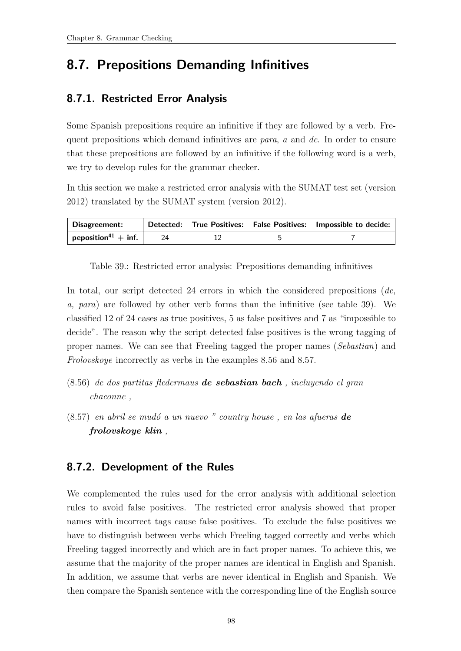### <span id="page-109-3"></span>8.7. Prepositions Demanding Infinitives

#### 8.7.1. Restricted Error Analysis

Some Spanish prepositions require an infinitive if they are followed by a verb. Frequent prepositions which demand infinitives are para, a and de. In order to ensure that these prepositions are followed by an infinitive if the following word is a verb, we try to develop rules for the grammar checker.

In this section we make a restricted error analysis with the SUMAT test set (version 2012) translated by the SUMAT system (version 2012).

| Disagreement:                   |  | Detected: True Positives: False Positives: Impossible to decide: |
|---------------------------------|--|------------------------------------------------------------------|
| peposition <sup>41</sup> + inf. |  |                                                                  |

<span id="page-109-0"></span>Table 39.: Restricted error analysis: Prepositions demanding infinitives

In total, our script detected 24 errors in which the considered prepositions  $(de,$ a, para) are followed by other verb forms than the infinitive (see table [39\)](#page-109-0). We classified 12 of 24 cases as true positives, 5 as false positives and 7 as "impossible to decide". The reason why the script detected false positives is the wrong tagging of proper names. We can see that Freeling tagged the proper names (Sebastian) and Frolovskoye incorrectly as verbs in the examples [8.56](#page-109-1) and [8.57.](#page-109-2)

- <span id="page-109-1"></span> $(8.56)$  de dos partitas fledermaus **de sebastian bach**, incluyendo el gran chaconne ,
- <span id="page-109-2"></span> $(8.57)$  en abril se mudó a un nuevo " country house, en las afueras **de** frolovskoye klin ,

#### 8.7.2. Development of the Rules

We complemented the rules used for the error analysis with additional selection rules to avoid false positives. The restricted error analysis showed that proper names with incorrect tags cause false positives. To exclude the false positives we have to distinguish between verbs which Freeling tagged correctly and verbs which Freeling tagged incorrectly and which are in fact proper names. To achieve this, we assume that the majority of the proper names are identical in English and Spanish. In addition, we assume that verbs are never identical in English and Spanish. We then compare the Spanish sentence with the corresponding line of the English source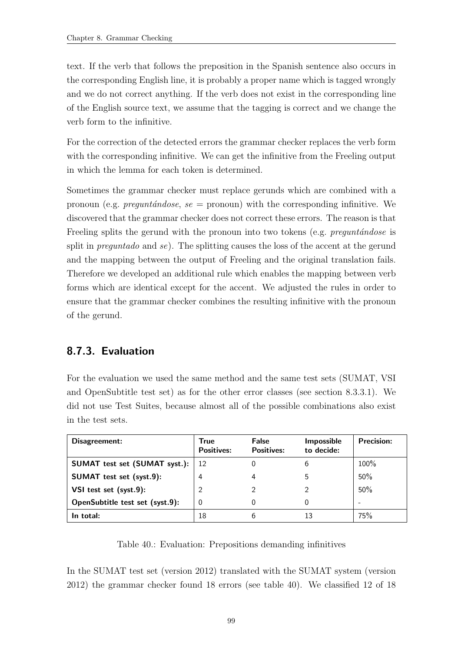text. If the verb that follows the preposition in the Spanish sentence also occurs in the corresponding English line, it is probably a proper name which is tagged wrongly and we do not correct anything. If the verb does not exist in the corresponding line of the English source text, we assume that the tagging is correct and we change the verb form to the infinitive.

For the correction of the detected errors the grammar checker replaces the verb form with the corresponding infinitive. We can get the infinitive from the Freeling output in which the lemma for each token is determined.

Sometimes the grammar checker must replace gerunds which are combined with a pronoun (e.g. *preguntándose, se =* pronoun) with the corresponding infinitive. We discovered that the grammar checker does not correct these errors. The reason is that Freeling splits the gerund with the pronoun into two tokens (e.g. pregunt $\hat{a}$ ndose is split in *preguntado* and se). The splitting causes the loss of the accent at the gerund and the mapping between the output of Freeling and the original translation fails. Therefore we developed an additional rule which enables the mapping between verb forms which are identical except for the accent. We adjusted the rules in order to ensure that the grammar checker combines the resulting infinitive with the pronoun of the gerund.

#### 8.7.3. Evaluation

For the evaluation we used the same method and the same test sets (SUMAT, VSI and OpenSubtitle test set) as for the other error classes (see section [8.3.3.1\)](#page-82-0). We did not use Test Suites, because almost all of the possible combinations also exist in the test sets.

| Disagreement:                   | True<br><b>Positives:</b> | False<br><b>Positives:</b> | <b>Impossible</b><br>to decide: | <b>Precision:</b> |
|---------------------------------|---------------------------|----------------------------|---------------------------------|-------------------|
| SUMAT test set (SUMAT syst.):   | 12                        |                            | 6                               | 100%              |
| SUMAT test set (syst.9):        | 4                         |                            | 5                               | 50%               |
| VSI test set (syst.9):          | $\overline{2}$            | ာ                          |                                 | 50%               |
| OpenSubtitle test set (syst.9): | 0                         |                            | 0                               | -                 |
| In total:                       | 18                        | 6                          | 13                              | 75%               |

Table 40.: Evaluation: Prepositions demanding infinitives

<span id="page-110-0"></span>In the SUMAT test set (version 2012) translated with the SUMAT system (version 2012) the grammar checker found 18 errors (see table [40\)](#page-110-0). We classified 12 of 18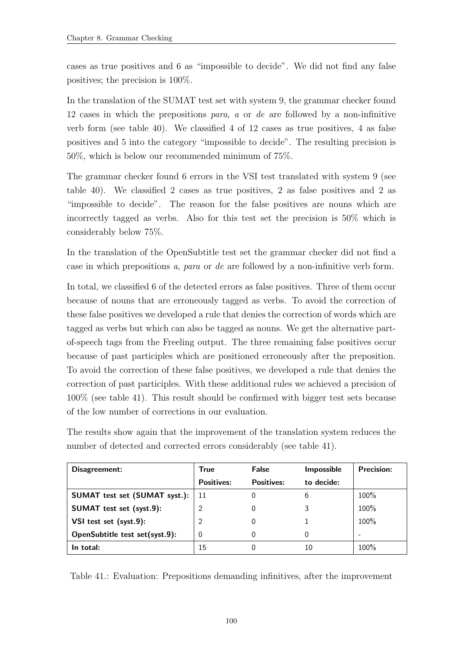cases as true positives and 6 as "impossible to decide". We did not find any false positives; the precision is 100%.

In the translation of the SUMAT test set with system 9, the grammar checker found 12 cases in which the prepositions para, a or de are followed by a non-infinitive verb form (see table [40\)](#page-110-0). We classified 4 of 12 cases as true positives, 4 as false positives and 5 into the category "impossible to decide". The resulting precision is 50%, which is below our recommended minimum of 75%.

The grammar checker found 6 errors in the VSI test translated with system 9 (see table [40\)](#page-110-0). We classified 2 cases as true positives, 2 as false positives and 2 as "impossible to decide". The reason for the false positives are nouns which are incorrectly tagged as verbs. Also for this test set the precision is 50% which is considerably below 75%.

In the translation of the OpenSubtitle test set the grammar checker did not find a case in which prepositions a, para or de are followed by a non-infinitive verb form.

In total, we classified 6 of the detected errors as false positives. Three of them occur because of nouns that are erroneously tagged as verbs. To avoid the correction of these false positives we developed a rule that denies the correction of words which are tagged as verbs but which can also be tagged as nouns. We get the alternative partof-speech tags from the Freeling output. The three remaining false positives occur because of past participles which are positioned erroneously after the preposition. To avoid the correction of these false positives, we developed a rule that denies the correction of past participles. With these additional rules we achieved a precision of 100% (see table [41\)](#page-111-0). This result should be confirmed with bigger test sets because of the low number of corrections in our evaluation.

The results show again that the improvement of the translation system reduces the number of detected and corrected errors considerably (see table [41\)](#page-111-0).

| Disagreement:                        | <b>True</b>       | False             | Impossible | Precision: |
|--------------------------------------|-------------------|-------------------|------------|------------|
|                                      | <b>Positives:</b> | <b>Positives:</b> | to decide: |            |
| <b>SUMAT</b> test set (SUMAT syst.): | -11               | 0                 | 6          | 100%       |
| SUMAT test set (syst.9):             | 2                 | 0                 |            | 100%       |
| VSI test set (syst.9):               | $\overline{2}$    |                   |            | 100%       |
| OpenSubtitle test set(syst.9):       | 0                 | 0                 | $\Omega$   |            |
| In total:                            | 15                | 0                 | 10         | $100\%$    |

<span id="page-111-0"></span>Table 41.: Evaluation: Prepositions demanding infinitives, after the improvement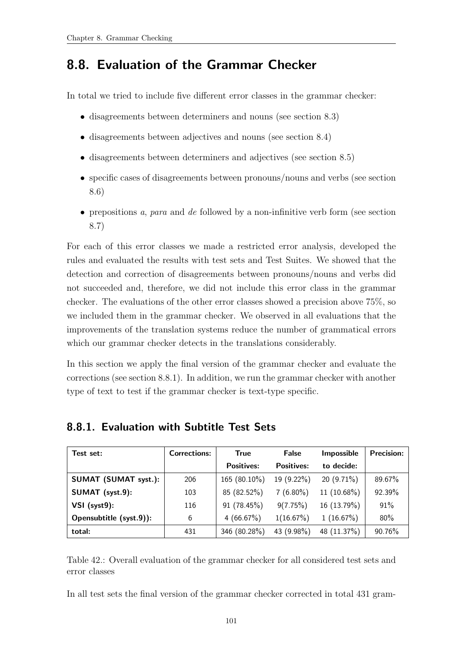### 8.8. Evaluation of the Grammar Checker

In total we tried to include five different error classes in the grammar checker:

- disagreements between determiners and nouns (see section [8.3\)](#page-76-0)
- disagreements between adjectives and nouns (see section [8.4\)](#page-89-0)
- disagreements between determiners and adjectives (see section [8.5\)](#page-99-0)
- specific cases of disagreements between pronouns/nouns and verbs (see section [8.6\)](#page-106-0)
- prepositions a, para and de followed by a non-infinitive verb form (see section [8.7\)](#page-109-3)

For each of this error classes we made a restricted error analysis, developed the rules and evaluated the results with test sets and Test Suites. We showed that the detection and correction of disagreements between pronouns/nouns and verbs did not succeeded and, therefore, we did not include this error class in the grammar checker. The evaluations of the other error classes showed a precision above 75%, so we included them in the grammar checker. We observed in all evaluations that the improvements of the translation systems reduce the number of grammatical errors which our grammar checker detects in the translations considerably.

In this section we apply the final version of the grammar checker and evaluate the corrections (see section [8.8.1\)](#page-112-0). In addition, we run the grammar checker with another type of text to test if the grammar checker is text-type specific.

| Test set:                   | <b>Corrections:</b> | <b>True</b>       | False             | Impossible   | <b>Precision:</b> |
|-----------------------------|---------------------|-------------------|-------------------|--------------|-------------------|
|                             |                     | <b>Positives:</b> | <b>Positives:</b> | to decide:   |                   |
| <b>SUMAT (SUMAT syst.):</b> | 206                 | 165 (80.10%)      | 19 (9.22%)        | $20(9.71\%)$ | 89.67%            |
| SUMAT (syst.9):             | 103                 | 85 (82.52%)       | $7(6.80\%)$       | 11 (10.68%)  | 92.39%            |
| $VSI$ (syst $9$ ):          | 116                 | 91 (78.45%)       | 9(7.75%)          | 16 (13.79%)  | 91%               |
| Opensubtitle (syst.9)):     | 6                   | 4 $(66.67\%)$     | 1(16.67%)         | 1(16.67%)    | 80%               |
| total:                      | 431                 | 346 (80.28%)      | 43 (9.98%)        | 48 (11.37%)  | 90.76%            |

#### <span id="page-112-0"></span>8.8.1. Evaluation with Subtitle Test Sets

Table 42.: Overall evaluation of the grammar checker for all considered test sets and error classes

In all test sets the final version of the grammar checker corrected in total 431 gram-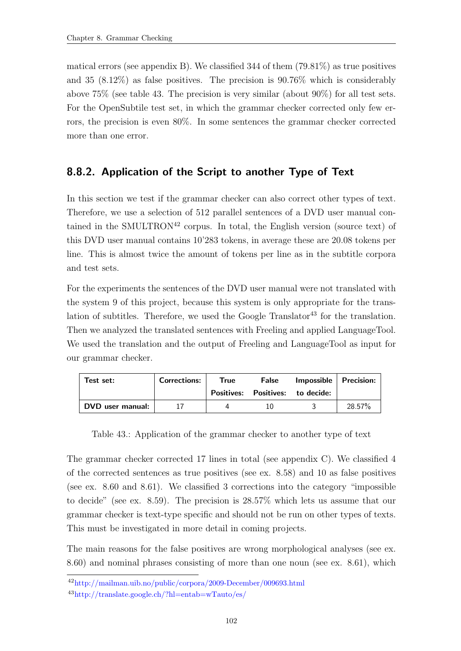matical errors (see appendix [B\)](#page-126-0). We classified 344 of them  $(79.81\%)$  as true positives and 35 (8.12%) as false positives. The precision is 90.76% which is considerably above 75% (see table [43.](#page-113-0) The precision is very similar (about 90%) for all test sets. For the OpenSubtile test set, in which the grammar checker corrected only few errors, the precision is even 80%. In some sentences the grammar checker corrected more than one error.

#### 8.8.2. Application of the Script to another Type of Text

In this section we test if the grammar checker can also correct other types of text. Therefore, we use a selection of 512 parallel sentences of a DVD user manual contained in the SMULTRON<sup>42</sup> corpus. In total, the English version (source text) of this DVD user manual contains 10'283 tokens, in average these are 20.08 tokens per line. This is almost twice the amount of tokens per line as in the subtitle corpora and test sets.

For the experiments the sentences of the DVD user manual were not translated with the system 9 of this project, because this system is only appropriate for the translation of subtitles. Therefore, we used the Google Translator<sup>43</sup> for the translation. Then we analyzed the translated sentences with Freeling and applied LanguageTool. We used the translation and the output of Freeling and LanguageTool as input for our grammar checker.

| Test set:        | <b>Corrections:</b> | True | False | Impossible   Precision:          |        |
|------------------|---------------------|------|-------|----------------------------------|--------|
|                  |                     |      |       | Positives: Positives: to decide: |        |
| DVD user manual: |                     |      |       |                                  | 28.57% |

<span id="page-113-0"></span>Table 43.: Application of the grammar checker to another type of text

The grammar checker corrected 17 lines in total (see appendix [C\)](#page-140-0). We classified 4 of the corrected sentences as true positives (see ex. [8.58\)](#page-114-0) and 10 as false positives (see ex. [8.60](#page-114-1) and [8.61\)](#page-114-2). We classified 3 corrections into the category "impossible to decide" (see ex. [8.59\)](#page-114-3). The precision is 28.57% which lets us assume that our grammar checker is text-type specific and should not be run on other types of texts. This must be investigated in more detail in coming projects.

The main reasons for the false positives are wrong morphological analyses (see ex. [8.60\)](#page-114-1) and nominal phrases consisting of more than one noun (see ex. [8.61\)](#page-114-2), which

<sup>42</sup>http://mailman.uib.no/public/corpora/2009-December/009693.html

<sup>43</sup>http://translate.google.ch/?hl=entab=wTauto/es/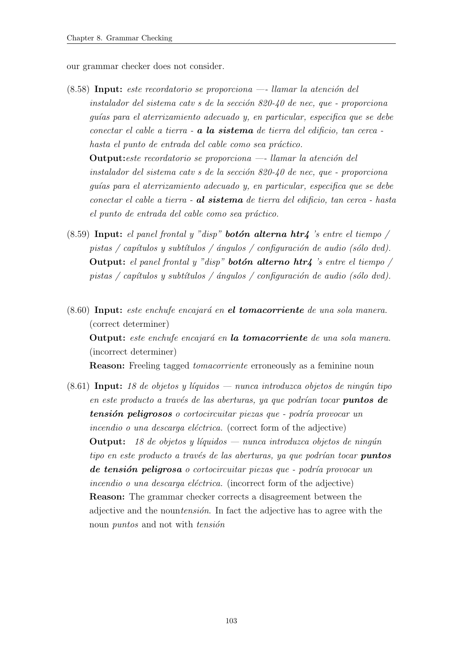<span id="page-114-0"></span>our grammar checker does not consider.

- $(8.58)$  Input: este recordatorio se proporciona —- llamar la atención del instalador del sistema catv s de la sección  $820-40$  de nec, que - proporciona guías para el aterrizamiento adecuado y, en particular, especifica que se debe conectar el cable a tierra - a la sistema de tierra del edificio, tan cerca hasta el punto de entrada del cable como sea práctico. Output: este recordatorio se proporciona —- llamar la atención del instalador del sistema catv s de la sección  $820-\frac{1}{10}$  de nec, que - proporciona quías para el aterrizamiento adecuado y, en particular, especifica que se debe conectar el cable a tierra - al sistema de tierra del edificio, tan cerca - hasta el punto de entrada del cable como sea práctico.
- <span id="page-114-3"></span>(8.59) Input: el panel frontal y "disp" **botón alterna htr4** 's entre el tiempo / pistas / capítulos y subtítulos / ángulos / configuración de audio (sólo dvd). Output: el panel frontal y "disp" **botón alterno htr4** 's entre el tiempo / pistas / capítulos y subtítulos / ángulos / configuración de audio (sólo dvd).
- <span id="page-114-1"></span> $(8.60)$  Input: este enchufe encajará en el tomacorriente de una sola manera. (correct determiner) Output: este enchufe encajará en la tomacorriente de una sola manera. (incorrect determiner) Reason: Freeling tagged tomacorriente erroneously as a feminine noun
- <span id="page-114-2"></span> $(8.61)$  Input: 18 de objetos y líquidos — nunca introduzca objetos de ningún tipo en este producto a través de las aberturas, ya que podrían tocar **puntos de** tensión peligrosos o cortocircuitar piezas que - podría provocar un incendio o una descarga eléctrica. (correct form of the adjective) **Output:** 18 de objetos y líquidos — nunca introduzca objetos de ningún tipo en este producto a través de las aberturas, ya que podrían tocar **puntos** de tensión peligrosa o cortocircuitar piezas que - podría provocar un incendio o una descarga eléctrica. (incorrect form of the adjective) Reason: The grammar checker corrects a disagreement between the adjective and the nountensión. In fact the adjective has to agree with the noun *puntos* and not with *tension*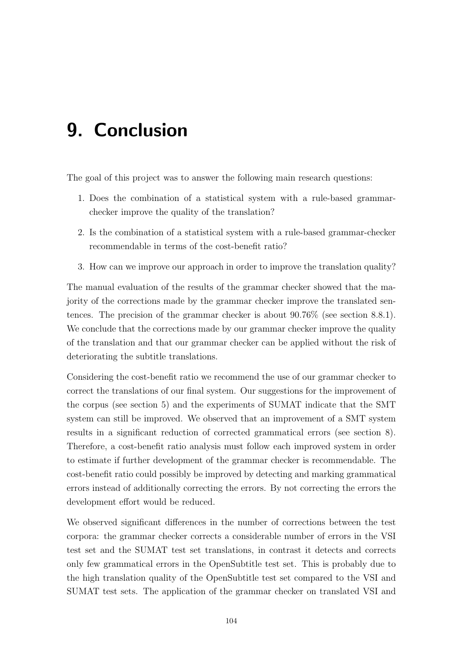# 9. Conclusion

The goal of this project was to answer the following main research questions:

- 1. Does the combination of a statistical system with a rule-based grammarchecker improve the quality of the translation?
- 2. Is the combination of a statistical system with a rule-based grammar-checker recommendable in terms of the cost-benefit ratio?
- 3. How can we improve our approach in order to improve the translation quality?

The manual evaluation of the results of the grammar checker showed that the majority of the corrections made by the grammar checker improve the translated sentences. The precision of the grammar checker is about 90.76% (see section [8.8.1\)](#page-112-0). We conclude that the corrections made by our grammar checker improve the quality of the translation and that our grammar checker can be applied without the risk of deteriorating the subtitle translations.

Considering the cost-benefit ratio we recommend the use of our grammar checker to correct the translations of our final system. Our suggestions for the improvement of the corpus (see section [5\)](#page-30-0) and the experiments of SUMAT indicate that the SMT system can still be improved. We observed that an improvement of a SMT system results in a significant reduction of corrected grammatical errors (see section [8\)](#page-72-0). Therefore, a cost-benefit ratio analysis must follow each improved system in order to estimate if further development of the grammar checker is recommendable. The cost-benefit ratio could possibly be improved by detecting and marking grammatical errors instead of additionally correcting the errors. By not correcting the errors the development effort would be reduced.

We observed significant differences in the number of corrections between the test corpora: the grammar checker corrects a considerable number of errors in the VSI test set and the SUMAT test set translations, in contrast it detects and corrects only few grammatical errors in the OpenSubtitle test set. This is probably due to the high translation quality of the OpenSubtitle test set compared to the VSI and SUMAT test sets. The application of the grammar checker on translated VSI and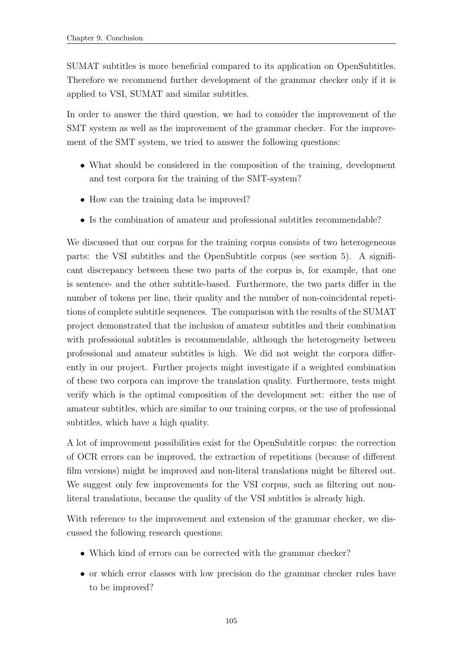SUMAT subtitles is more beneficial compared to its application on OpenSubtitles. Therefore we recommend further development of the grammar checker only if it is applied to VSI, SUMAT and similar subtitles.

In order to answer the third question, we had to consider the improvement of the SMT system as well as the improvement of the grammar checker. For the improvement of the SMT system, we tried to answer the following questions:

- What should be considered in the composition of the training, development and test corpora for the training of the SMT-system?
- How can the training data be improved?
- Is the combination of amateur and professional subtitles recommendable?

We discussed that our corpus for the training corpus consists of two heterogeneous parts: the VSI subtitles and the OpenSubtitle corpus (see section [5\)](#page-30-0). A significant discrepancy between these two parts of the corpus is, for example, that one is sentence- and the other subtitle-based. Furthermore, the two parts differ in the number of tokens per line, their quality and the number of non-coincidental repetitions of complete subtitle sequences. The comparison with the results of the SUMAT project demonstrated that the inclusion of amateur subtitles and their combination with professional subtitles is recommendable, although the heterogeneity between professional and amateur subtitles is high. We did not weight the corpora differently in our project. Further projects might investigate if a weighted combination of these two corpora can improve the translation quality. Furthermore, tests might verify which is the optimal composition of the development set: either the use of amateur subtitles, which are similar to our training corpus, or the use of professional subtitles, which have a high quality.

A lot of improvement possibilities exist for the OpenSubtitle corpus: the correction of OCR errors can be improved, the extraction of repetitions (because of different film versions) might be improved and non-literal translations might be filtered out. We suggest only few improvements for the VSI corpus, such as filtering out nonliteral translations, because the quality of the VSI subtitles is already high.

With reference to the improvement and extension of the grammar checker, we discussed the following research questions:

- Which kind of errors can be corrected with the grammar checker?
- or which error classes with low precision do the grammar checker rules have to be improved?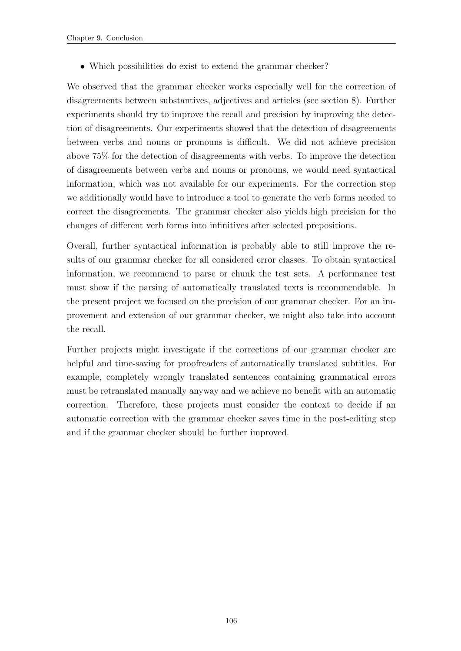• Which possibilities do exist to extend the grammar checker?

We observed that the grammar checker works especially well for the correction of disagreements between substantives, adjectives and articles (see section [8\)](#page-72-0). Further experiments should try to improve the recall and precision by improving the detection of disagreements. Our experiments showed that the detection of disagreements between verbs and nouns or pronouns is difficult. We did not achieve precision above 75% for the detection of disagreements with verbs. To improve the detection of disagreements between verbs and nouns or pronouns, we would need syntactical information, which was not available for our experiments. For the correction step we additionally would have to introduce a tool to generate the verb forms needed to correct the disagreements. The grammar checker also yields high precision for the changes of different verb forms into infinitives after selected prepositions.

Overall, further syntactical information is probably able to still improve the results of our grammar checker for all considered error classes. To obtain syntactical information, we recommend to parse or chunk the test sets. A performance test must show if the parsing of automatically translated texts is recommendable. In the present project we focused on the precision of our grammar checker. For an improvement and extension of our grammar checker, we might also take into account the recall.

Further projects might investigate if the corrections of our grammar checker are helpful and time-saving for proofreaders of automatically translated subtitles. For example, completely wrongly translated sentences containing grammatical errors must be retranslated manually anyway and we achieve no benefit with an automatic correction. Therefore, these projects must consider the context to decide if an automatic correction with the grammar checker saves time in the post-editing step and if the grammar checker should be further improved.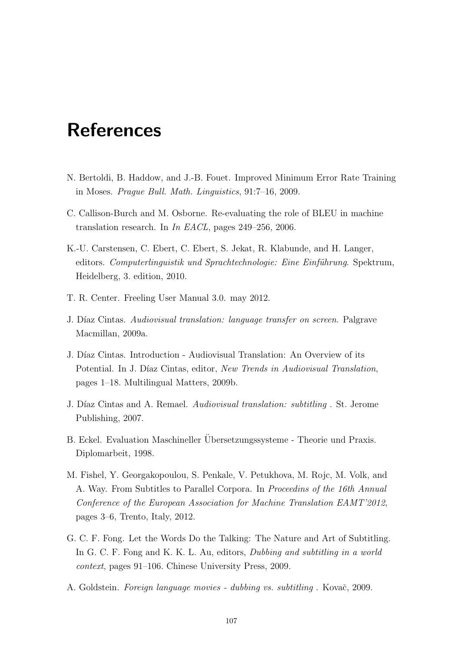# References

- N. Bertoldi, B. Haddow, and J.-B. Fouet. Improved Minimum Error Rate Training in Moses. Prague Bull. Math. Linguistics, 91:7–16, 2009.
- C. Callison-Burch and M. Osborne. Re-evaluating the role of BLEU in machine translation research. In In EACL, pages 249–256, 2006.
- K.-U. Carstensen, C. Ebert, C. Ebert, S. Jekat, R. Klabunde, and H. Langer, editors. Computerlinguistik und Sprachtechnologie: Eine Einführung. Spektrum, Heidelberg, 3. edition, 2010.
- T. R. Center. Freeling User Manual 3.0. may 2012.
- J. Díaz Cintas. Audiovisual translation: language transfer on screen. Palgrave Macmillan, 2009a.
- J. Díaz Cintas. Introduction Audiovisual Translation: An Overview of its Potential. In J. Díaz Cintas, editor, New Trends in Audiovisual Translation, pages 1–18. Multilingual Matters, 2009b.
- J. Díaz Cintas and A. Remael. Audiovisual translation: subtitling. St. Jerome Publishing, 2007.
- B. Eckel. Evaluation Maschineller Übersetzungssysteme Theorie und Praxis. Diplomarbeit, 1998.
- M. Fishel, Y. Georgakopoulou, S. Penkale, V. Petukhova, M. Rojc, M. Volk, and A. Way. From Subtitles to Parallel Corpora. In Proceedins of the 16th Annual Conference of the European Association for Machine Translation EAMT'2012, pages 3–6, Trento, Italy, 2012.
- G. C. F. Fong. Let the Words Do the Talking: The Nature and Art of Subtitling. In G. C. F. Fong and K. K. L. Au, editors, *Dubbing and subtitling in a world* context, pages 91–106. Chinese University Press, 2009.
- A. Goldstein. Foreign language movies dubbing vs. subtitling. Kovač, 2009.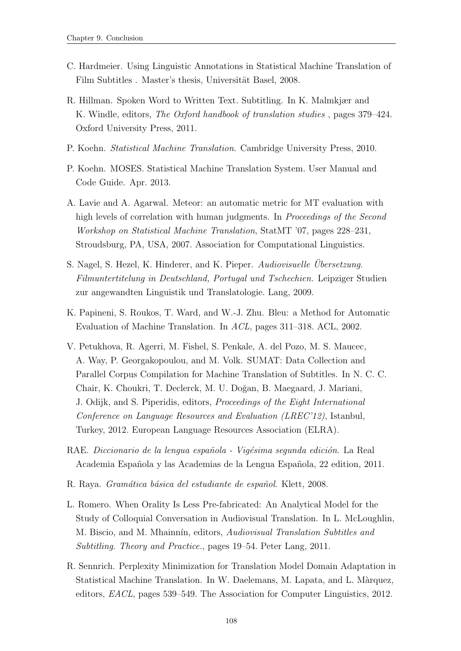- C. Hardmeier. Using Linguistic Annotations in Statistical Machine Translation of Film Subtitles . Master's thesis, Universität Basel, 2008.
- R. Hillman. Spoken Word to Written Text. Subtitling. In K. Malmkjær and K. Windle, editors, *The Oxford handbook of translation studies*, pages 379–424. Oxford University Press, 2011.
- P. Koehn. Statistical Machine Translation. Cambridge University Press, 2010.
- P. Koehn. MOSES. Statistical Machine Translation System. User Manual and Code Guide. Apr. 2013.
- A. Lavie and A. Agarwal. Meteor: an automatic metric for MT evaluation with high levels of correlation with human judgments. In *Proceedings of the Second* Workshop on Statistical Machine Translation, StatMT '07, pages 228–231, Stroudsburg, PA, USA, 2007. Association for Computational Linguistics.
- S. Nagel, S. Hezel, K. Hinderer, and K. Pieper. Audiovisuelle Ubersetzung. Filmuntertitelung in Deutschland, Portugal und Tschechien. Leipziger Studien zur angewandten Linguistik und Translatologie. Lang, 2009.
- K. Papineni, S. Roukos, T. Ward, and W.-J. Zhu. Bleu: a Method for Automatic Evaluation of Machine Translation. In ACL, pages 311–318. ACL, 2002.
- V. Petukhova, R. Agerri, M. Fishel, S. Penkale, A. del Pozo, M. S. Maucec, A. Way, P. Georgakopoulou, and M. Volk. SUMAT: Data Collection and Parallel Corpus Compilation for Machine Translation of Subtitles. In N. C. C. Chair, K. Choukri, T. Declerck, M. U. Doğan, B. Maegaard, J. Mariani, J. Odijk, and S. Piperidis, editors, Proceedings of the Eight International Conference on Language Resources and Evaluation (LREC'12), Istanbul, Turkey, 2012. European Language Resources Association (ELRA).
- RAE. Diccionario de la lengua española Vigésima segunda edición. La Real Academia Espa˜nola y las Academias de la Lengua Espa˜nola, 22 edition, 2011.
- R. Raya. Gramática básica del estudiante de español. Klett, 2008.
- L. Romero. When Orality Is Less Pre-fabricated: An Analytical Model for the Study of Colloquial Conversation in Audiovisual Translation. In L. McLoughlin, M. Biscio, and M. Mhainnín, editors, Audiovisual Translation Subtitles and Subtitling. Theory and Practice., pages 19–54. Peter Lang, 2011.
- R. Sennrich. Perplexity Minimization for Translation Model Domain Adaptation in Statistical Machine Translation. In W. Daelemans, M. Lapata, and L. Màrquez, editors, EACL, pages 539–549. The Association for Computer Linguistics, 2012.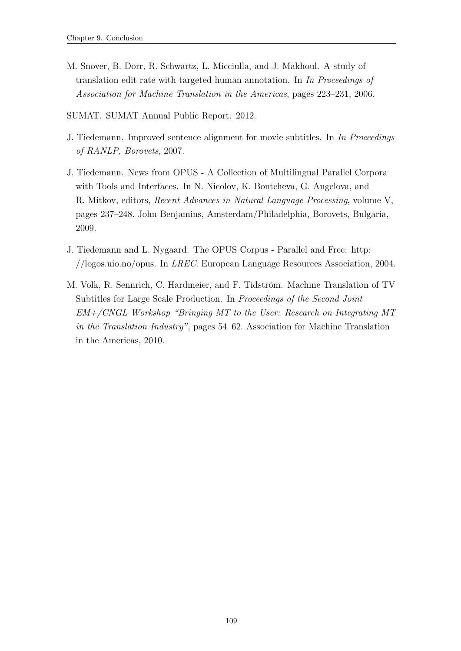- M. Snover, B. Dorr, R. Schwartz, L. Micciulla, and J. Makhoul. A study of translation edit rate with targeted human annotation. In In Proceedings of Association for Machine Translation in the Americas, pages 223–231, 2006.
- SUMAT. SUMAT Annual Public Report. 2012.
- J. Tiedemann. Improved sentence alignment for movie subtitles. In In Proceedings of RANLP, Borovets, 2007.
- J. Tiedemann. News from OPUS A Collection of Multilingual Parallel Corpora with Tools and Interfaces. In N. Nicolov, K. Bontcheva, G. Angelova, and R. Mitkov, editors, Recent Advances in Natural Language Processing, volume V, pages 237–248. John Benjamins, Amsterdam/Philadelphia, Borovets, Bulgaria, 2009.
- J. Tiedemann and L. Nygaard. The OPUS Corpus Parallel and Free: http: //logos.uio.no/opus. In LREC. European Language Resources Association, 2004.
- M. Volk, R. Sennrich, C. Hardmeier, and F. Tidström. Machine Translation of TV Subtitles for Large Scale Production. In Proceedings of the Second Joint EM+/CNGL Workshop "Bringing MT to the User: Research on Integrating MT in the Translation Industry", pages 54–62. Association for Machine Translation in the Americas, 2010.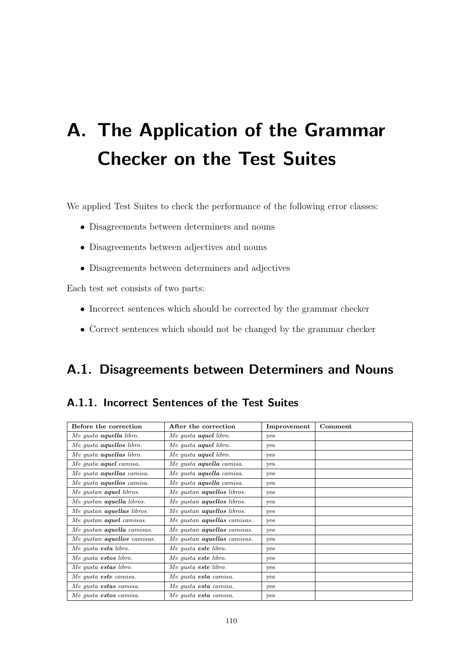# A. The Application of the Grammar Checker on the Test Suites

We applied Test Suites to check the performance of the following error classes:

- Disagreements between determiners and nouns
- Disagreements between adjectives and nouns
- Disagreements between determiners and adjectives

Each test set consists of two parts:

- Incorrect sentences which should be corrected by the grammar checker
- Correct sentences which should not be changed by the grammar checker

### A.1. Disagreements between Determiners and Nouns

#### A.1.1. Incorrect Sentences of the Test Suites

| Before the correction              | After the correction               | Improvement | Comment |
|------------------------------------|------------------------------------|-------------|---------|
| Me gusta <b>aquella</b> libro.     | Me gusta <b>aquel</b> libro.       | yes         |         |
| Me qusta <b>aquellos</b> libro.    | Me qusta <b>aquel</b> libro.       | yes         |         |
| Me qusta <b>aquellas</b> libro.    | Me qusta <b>aquel</b> libro.       | yes         |         |
| Me qusta <b>aquel</b> camisa.      | Me qusta <b>aquella</b> camisa.    | yes         |         |
| Me gusta <b>aquellas</b> camisa.   | Me gusta <b>aquella</b> camisa.    | yes         |         |
| Me gusta <b>aquellos</b> camisa.   | Me gusta <b>aquella</b> camisa.    | yes         |         |
| Me qustan <b>aquel</b> libros.     | Me gustan <b>aquellos</b> libros.  | yes         |         |
| Me qustan <b>aquella</b> libros.   | Me gustan <b>aquellos</b> libros.  | yes         |         |
| Me gustan <b>aquellas</b> libros.  | Me gustan <b>aquellos</b> libros.  | yes         |         |
| Me gustan <b>aquel</b> camisas.    | Me gustan aquellas camisas.        | yes         |         |
| Me qustan <b>aquella</b> camisas.  | Me qustan aquellas camisas.        | yes         |         |
| Me qustan <b>aquellos</b> camisas. | Me qustan <b>aquellas</b> camisas. | yes         |         |
| Me qusta esta libro.               | Me qusta este libro.               | yes         |         |
| Me qusta estos libro.              | Me qusta este libro.               | yes         |         |
| Me gusta estas libro.              | Me gusta este libro.               | yes         |         |
| Me qusta este camisa.              | Me qusta esta camisa.              | yes         |         |
| Me qusta estas camisa.             | Me qusta esta camisa.              | yes         |         |
| Me gusta estos camisa.             | Me gusta esta camisa.              | yes         |         |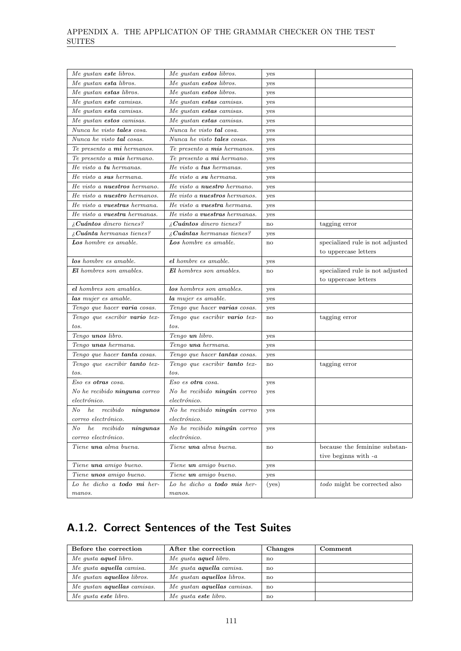| Me gustan este libros.                      | Me qustan estos libros.              | yes   |                                     |
|---------------------------------------------|--------------------------------------|-------|-------------------------------------|
| Me gustan esta libros.                      | Me gustan estos libros.              | yes   |                                     |
| Me qustan estas libros.                     | Me gustan estos libros.              | yes   |                                     |
| Me gustan este camisas.                     | Me gustan estas camisas.             | yes   |                                     |
| Me gustan <b>esta</b> camisas.              | Me gustan estas camisas.             | yes   |                                     |
| Me qustan estos camisas.                    | Me gustan <b>estas</b> camisas.      | yes   |                                     |
| Nunca he visto tales cosa.                  | Nunca he visto tal cosa.             | yes   |                                     |
| Nunca he visto <b>tal</b> cosas.            | Nunca he visto tales cosas.          | yes   |                                     |
| Te presento a mi hermanos.                  | Te presento a mis hermanos.          | yes   |                                     |
| Te presento a mis hermano.                  | Te presento a mi hermano.            | yes   |                                     |
| He visto a <b>tu</b> hermanas.              | He visto a tus hermanas.             | yes   |                                     |
| He visto a sus hermana.                     | He visto a su hermana.               | yes   |                                     |
| He visto a <b>nuestros</b> hermano.         | He visto a nuestro hermano.          | yes   |                                     |
| He visto a nuestro hermanos.                | He visto a <b>nuestros</b> hermanos. | yes   |                                     |
| He visto a <b>vuestras</b> hermana.         | He visto a <b>vuestra</b> hermana.   | yes   |                                     |
| He visto a <b>vuestra</b> hermanas.         | He visto a <b>vuestras</b> hermanas. | yes   |                                     |
| $\delta$ Cuántos dinero tienes?             | $i$ Cuántos dinero tienes?           | no    | tagging error                       |
| $\lambda$ Cuánta hermanas tienes?           | $\lambda$ Cuántas hermanas tienes?   | yes   |                                     |
| Los hombre es amable.                       | Los hombre es amable.                | no    | specialized rule is not adjusted    |
|                                             |                                      |       | to uppercase letters                |
| los hombre es amable.                       | el hombre es amable.                 | yes   |                                     |
| <b>El</b> hombres son amables.              | <b>El</b> hombres son amables.       | no    | specialized rule is not adjusted    |
|                                             |                                      |       | to uppercase letters                |
|                                             |                                      |       |                                     |
| el hombres son amables.                     | los hombres son amables.             | yes   |                                     |
| las mujer es amable.                        | la mujer es amable.                  | yes   |                                     |
| Tengo que hacer varia cosas.                | Tengo que hacer varias cosas.        | yes   |                                     |
| Tengo que escribir vario tex-               | Tengo que escribir vario tex-        | no    | tagging error                       |
| tos.                                        | tos.                                 |       |                                     |
| Tengo unos libro.                           | Tengo un libro.                      | yes   |                                     |
| Tengo unas hermana.                         | Tengo una hermana.                   | yes   |                                     |
| Tengo que hacer tanta cosas.                | Tengo que hacer <b>tantas</b> cosas. | yes   |                                     |
| Tengo que escribir <b>tanto</b> tex-        | Tengo que escribir tanto tex-        | no    | tagging error                       |
| tos.                                        | tos.                                 |       |                                     |
| Eso es otras cosa.                          | Eso es otra cosa.                    | yes   |                                     |
| No he recibido ninguna correo               | No he recibido ningún correo         | yes   |                                     |
| $electr\'onico.$                            | electrónico.                         |       |                                     |
| N o<br>he<br>recibido<br>$n$ <i>ingunos</i> | No he recibido ningún correo         | yes   |                                     |
| correo electrónico.                         | $electr\'onico.$                     |       |                                     |
| he<br>recibido<br>$N_{O}$<br>$\it ningunas$ | No he recibido ningún correo         | yes   |                                     |
| correo electrónico.                         | $electr\'onico.$                     |       |                                     |
| Tiene una alma buena.                       | Tiene una alma buena.                | no    | because the feminine substan-       |
|                                             |                                      |       | tive beginns with $-a$              |
| Tiene una amigo bueno.                      | Tiene un amigo bueno.                | yes   |                                     |
| Tiene unos amigo bueno.                     | Tiene un amigo bueno.                | yes   |                                     |
| Lo he dicho a <b>todo</b> mi her-           | Lo he dicho a <b>todo</b> mis her-   | (yes) | <i>todo</i> might be corrected also |

### A.1.2. Correct Sentences of the Test Suites

| Before the correction              | After the correction               | Changes | Comment |
|------------------------------------|------------------------------------|---------|---------|
| Me qusta <b>aquel</b> libro.       | Me qusta <b>aquel</b> libro.       | no      |         |
| Me qusta <b>aquella</b> camisa.    | Me qusta <b>aquella</b> camisa.    | no      |         |
| Me qustan <b>aquellos</b> libros.  | Me qustan <b>aquellos</b> libros.  | no      |         |
| Me qustan <b>aquellas</b> camisas. | Me qustan <b>aquellas</b> camisas. | no      |         |
| Me qusta este libro.               | Me qusta este libro.               | no      |         |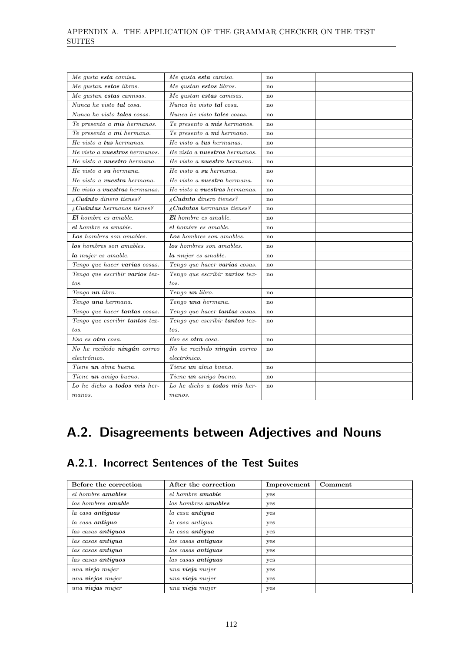| Me gusta esta camisa.                | Me gusta esta camisa.                      | $\mathbf{n}$ |  |
|--------------------------------------|--------------------------------------------|--------------|--|
| Me qustan estos libros.              | Me qustan estos libros.                    | no           |  |
| Me gustan estas camisas.             | Me gustan estas camisas.                   | no           |  |
| Nunca he visto tal cosa.             | Nunca he visto tal cosa.                   | no           |  |
| Nunca he visto tales cosas.          | Nunca he visto tales cosas.                | no           |  |
| Te presento a mis hermanos.          | Te presento a mis hermanos.                | no           |  |
| Te presento a mi hermano.            | Te presento a mi hermano.                  | $\mathbf{n}$ |  |
| He visto a tus hermanas.             | He visto a tus hermanas.                   | no           |  |
| He visto a nuestros hermanos.        | He visto a nuestros hermanos.              | no           |  |
| He visto a <b>nuestro</b> hermano.   | He visto a <b>nuestro</b> hermano.         | no           |  |
| He visto a su hermana.               | He visto a su hermana.                     | no           |  |
| He visto a <b>vuestra</b> hermana.   | He visto a <b>vuestra</b> hermana.         | no           |  |
| He visto a <b>vuestras</b> hermanas. | He visto a <b>vuestras</b> hermanas.       | no           |  |
| $i$ Cuánto dinero tienes?            | $i$ Cuánto dinero tienes?                  | no           |  |
| $\lambda$ Cuántas hermanas tienes?   | $i_{\mathcal{E}}$ Cuántas hermanas tienes? | $\mathbf{n}$ |  |
| $El$ hombre es amable.               | $El$ hombre es amable.                     | $\mathbf{n}$ |  |
| el hombre es amable.                 | el hombre es amable.                       | no           |  |
| Los hombres son amables.             | Los hombres son amables.                   | no           |  |
| los hombres son amables.             | los hombres son amables.                   | no           |  |
| la mujer es amable.                  | la mujer es amable.                        | no           |  |
| Tengo que hacer varias cosas.        | Tengo que hacer varias cosas.              | no           |  |
| Tengo que escribir varios tex-       | Tengo que escribir varios tex-             | no           |  |
| tos.                                 | tos.                                       |              |  |
| Tengo un libro.                      | Tengo un libro.                            | no           |  |
| Tengo una hermana.                   | Tengo una hermana.                         | no           |  |
| Tengo que hacer tantas cosas.        | Tengo que hacer tantas cosas.              | no           |  |
| Tengo que escribir tantos tex-       | Tengo que escribir tantos tex-             | $\mathbf{n}$ |  |
| tos.                                 | tos.                                       |              |  |
| Eso es <b>otra</b> cosa.             | Eso es otra cosa.                          | no           |  |
| No he recibido ningún correo         | No he recibido ningún correo               | no           |  |
| electrónico.                         | $electr\'onico.$                           |              |  |
| Tiene un alma buena.                 | Tiene un alma buena.                       | no           |  |
| Tiene un amigo bueno.                | Tiene un amigo bueno.                      | no           |  |
| Lo he dicho a <b>todos mis</b> her-  | Lo he dicho a <b>todos mis</b> her-        | no           |  |
| manos.                               | manos.                                     |              |  |
|                                      |                                            |              |  |

### A.2. Disagreements between Adjectives and Nouns

### A.2.1. Incorrect Sentences of the Test Suites

| Before the correction     | After the correction       | Improvement | Comment |
|---------------------------|----------------------------|-------------|---------|
| el hombre amables         | el hombre amable           | yes         |         |
| los hombres <b>amable</b> | los hombres <b>amables</b> | yes         |         |
| la casa antiguas          | la casa antigua            | yes         |         |
| la casa antiguo           | la casa antiqua            | yes         |         |
| las casas antiguos        | la casa antigua            | yes         |         |
| las casas antiqua         | las casas antiquas         | yes         |         |
| las casas antiquo         | las casas antiquas         | yes         |         |
| las casas antiguos        | las casas antiguas         | yes         |         |
| una viejo mujer           | una vieja mujer            | yes         |         |
| una viejos mujer          | una vieja mujer            | yes         |         |
| una viejas mujer          | una vieja mujer            | yes         |         |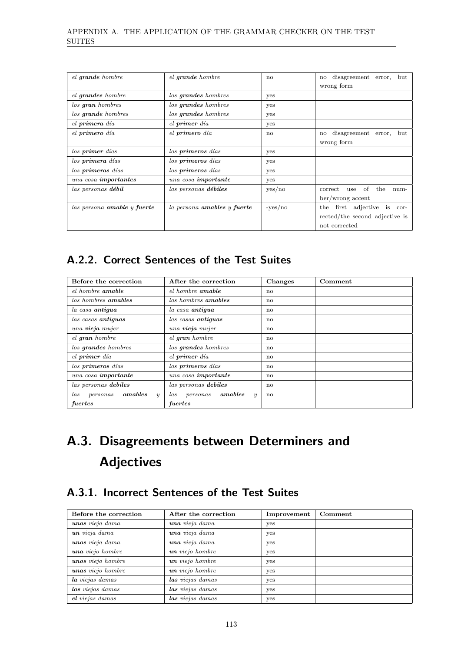| el grande hombre            | el grande hombre            | no           | disagreement error,<br>but<br>$\mathbf{n}$ |
|-----------------------------|-----------------------------|--------------|--------------------------------------------|
|                             |                             |              | wrong form                                 |
| el grandes hombre           | los grandes hombres         | yes          |                                            |
| los gran hombres            | los grandes hombres         | yes          |                                            |
| los grande hombres          | los grandes hombres         | yes          |                                            |
| el primera día              | el primer día               | yes          |                                            |
| el primero día              | el primero día              | $\mathbf{n}$ | disagreement error,<br>but<br>$\mathbf{n}$ |
|                             |                             |              | wrong form                                 |
| los primer días             | los primeros días           | yes          |                                            |
| los primera días            | los primeros días           | yes          |                                            |
| los primeras días           | los primeros días           | yes          |                                            |
| una cosa importantes        | una cosa importante         | yes          |                                            |
| las personas débil          | las personas débiles        | yes/no       | of the<br>correct<br>use<br>$num-$         |
|                             |                             |              | ber/wrong accent                           |
| las persona amable y fuerte | la persona amables y fuerte | $-yes/no$    | the first adjective<br>is cor-             |
|                             |                             |              | rected/the second adjective is             |
|                             |                             |              | not corrected                              |

### A.2.2. Correct Sentences of the Test Suites

| Before the correction                          | After the correction                           | <b>Changes</b> | Comment |
|------------------------------------------------|------------------------------------------------|----------------|---------|
| el hombre amable                               | el hombre amable                               | no             |         |
| los hombres <b>amables</b>                     | los hombres <b>amables</b>                     | no             |         |
| la casa antiqua                                | la casa antiqua                                | $\mathbf{n}$   |         |
| las casas antiguas                             | las casas antiguas                             | $\mathbf{n}$   |         |
| una vieja mujer                                | una vieja mujer                                | no             |         |
| el gran hombre                                 | el gran hombre                                 | no             |         |
| los grandes hombres                            | los grandes hombres                            | no             |         |
| el primer día                                  | el primer día                                  | no             |         |
| los primeros días                              | los primeros días                              | no             |         |
| una cosa importante                            | una cosa importante                            | no             |         |
| las personas debiles                           | las personas debiles                           | no             |         |
| amables<br>las<br>personas<br>$\boldsymbol{u}$ | amables<br>personas<br>las<br>$\boldsymbol{y}$ | $\mathbf{n}$   |         |
| fuertes                                        | fuertes                                        |                |         |

# A.3. Disagreements between Determiners and Adjectives

### A.3.1. Incorrect Sentences of the Test Suites

| Before the correction | After the correction | Improvement | Comment |
|-----------------------|----------------------|-------------|---------|
| unas vieja dama       | una vieja dama       | yes         |         |
| $un$ vieja dama       | una vieja dama       | yes         |         |
| unos vieja dama       | una vieja dama       | yes         |         |
| una viejo hombre      | un viejo hombre      | yes         |         |
| unos viejo hombre     | un viejo hombre      | yes         |         |
| unas viejo hombre     | un viejo hombre      | yes         |         |
| la viejas damas       | las viejas damas     | yes         |         |
| los viejas damas      | las viejas damas     | yes         |         |
| el viejas damas       | las viejas damas     | yes         |         |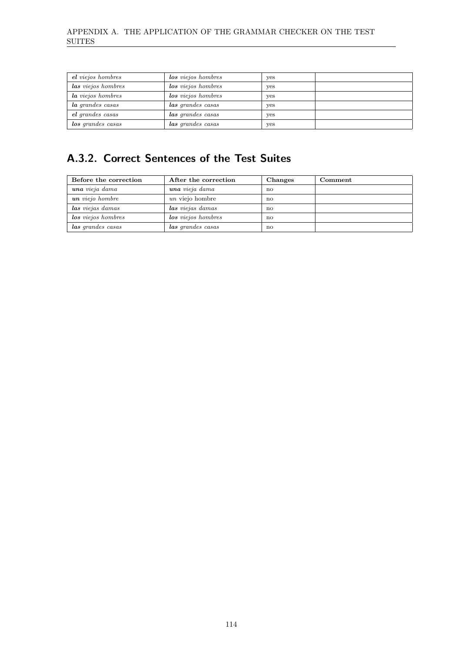| el viejos hombres       | los viejos hombres | yes |  |
|-------------------------|--------------------|-----|--|
| las viejos hombres      | los viejos hombres | yes |  |
| la viejos hombres       | los viejos hombres | yes |  |
| <i>la grandes casas</i> | las grandes casas  | yes |  |
| el grandes casas        | las grandes casas  | yes |  |
| los grandes casas       | las grandes casas  | yes |  |

### A.3.2. Correct Sentences of the Test Suites

| Before the correction | After the correction | Changes                | Comment |
|-----------------------|----------------------|------------------------|---------|
| una vieja dama        | una vieja dama       | $\mathbf{n}\mathbf{o}$ |         |
| un viejo hombre       | un viejo hombre      | $\mathbf{n}\mathbf{o}$ |         |
| las viejas damas      | las viejas damas     | $\mathbf{n}$           |         |
| los viejos hombres    | los viejos hombres   | $\mathbf{n}\mathbf{o}$ |         |
| las grandes casas     | las grandes casas    | $\mathbf{n}$           |         |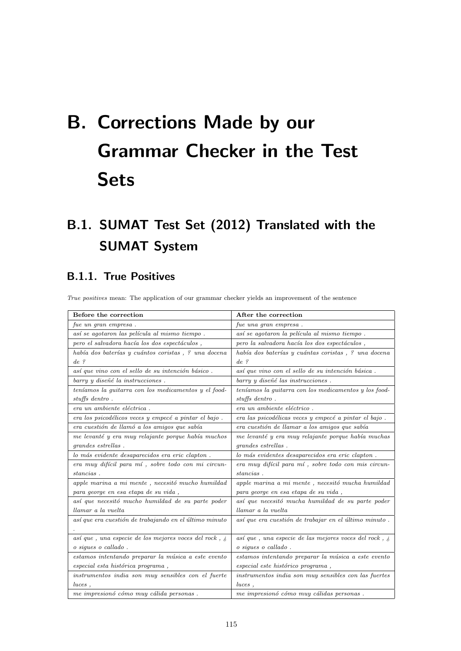# <span id="page-126-0"></span>B. Corrections Made by our Grammar Checker in the Test **Sets**

## B.1. SUMAT Test Set (2012) Translated with the SUMAT System

### B.1.1. True Positives

True positives mean: The application of our grammar checker yields an improvement of the sentence

| Before the correction                                         | After the correction                                          |
|---------------------------------------------------------------|---------------------------------------------------------------|
| fue un gran empresa.                                          | fue una gran empresa.                                         |
|                                                               |                                                               |
| así se agotaron las película al mismo tiempo.                 | así se agotaron la película al mismo tiempo.                  |
| pero el salvadora hacía los dos espectáculos,                 | pero la salvadora hacía los dos espectáculos,                 |
| había dos baterías y cuántos coristas, ? una docena           | había dos baterías y cuántas coristas, ? una docena           |
| $de$ ?                                                        | $de$ ?                                                        |
| así que vino con el sello de su intención básico.             | así que vino con el sello de su intención básica.             |
| barry y diseñé la instrucciones.                              | barry y diseñé las instrucciones.                             |
| teníamos la quitarra con los medicamentos y el food-          | teníamos la quitarra con los medicamentos y los food-         |
| $stuffs\,dentro.$                                             | stuffs dentro.                                                |
| era un ambiente eléctrica.                                    | era un ambiente eléctrico.                                    |
| era los psicodélicos veces y empecé a pintar el bajo.         | era las psicodélicas veces y empecé a pintar el bajo.         |
| era cuestión de llamó a los amigos que sabía                  | era cuestión de llamar a los amigos que sabía                 |
| me levanté y era muy relajante porque había muchos            | me levanté y era muy relajante porque había muchas            |
| grandes estrellas.                                            | grandes estrellas.                                            |
| lo más evidente desaparecidos era eric clapton.               | lo más evidentes desaparecidos era eric clapton.              |
| era muy difícil para mí, sobre todo con mi circun-            | era muy difícil para mí, sobre todo con mis circun-           |
| stancias.                                                     | stancias.                                                     |
| $apple$ marina a mi mente , necesitó mucho humildad           | apple marina a mi mente, necesitó mucha humildad              |
| para george en esa etapa de su vida,                          | para george en esa etapa de su vida,                          |
| así que necesitó mucho humildad de su parte poder             | así que necesitó mucha humildad de su parte poder             |
| llamar a la vuelta                                            | llamar a la vuelta                                            |
| así que era cuestión de trabajando en el último minuto        | así que era cuestión de trabajar en el último minuto.         |
|                                                               |                                                               |
| así que, una especie de los mejores voces del rock, $\lambda$ | así que, una especie de las mejores voces del rock, $\lambda$ |
| o sigues o callado.                                           | o sigues o callado.                                           |
| estamos intentando preparar la música a este evento           | estamos intentando preparar la música a este evento           |
| especial esta histórica programa,                             | especial este histórico programa,                             |
| instrumentos india son muy sensibles con el fuerte            | instrumentos india son muy sensibles con las fuertes          |
| luces.                                                        | luces,                                                        |
| me impresionó cómo muy cálida personas.                       | me impresionó cómo muy cálidas personas.                      |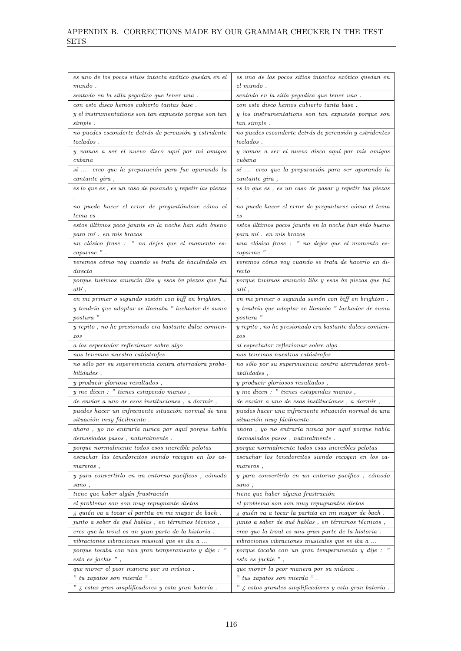| es uno de los pocos sitios intacta exótico quedan en el                                        | es uno de los pocos sitios intactos exótico quedan en                                            |
|------------------------------------------------------------------------------------------------|--------------------------------------------------------------------------------------------------|
| $mundo$ .                                                                                      | el mundo.                                                                                        |
| sentado en la silla pegadizo que tener una.                                                    | sentado en la silla pegadiza que tener una.                                                      |
| con este disco hemos cubierto tantas base.                                                     | con este disco hemos cubierto tanta base.                                                        |
| y el instrumentations son tan expuesto porque son tan                                          | y los instrumentations son tan expuesto porque son                                               |
| simple.                                                                                        | tan simple.                                                                                      |
| no puedes esconderte detrás de percusión y estridente                                          | $no\,\,puedes\,\,esconderte\,\,detrás\,\,de\,\,percusión\,\,y\,\,estridentes$                    |
| $teclados$ .                                                                                   | $teclados$ .                                                                                     |
| $y$ vamos a ser el nuevo disco aquí por mi amigos                                              | y vamos a ser el nuevo disco aquí por mis amigos                                                 |
| $\emph{cubana}$                                                                                | $\emph{cubana}$                                                                                  |
| sí  creo que la preparación para fue apurando la                                               | sí  creo que la preparación para ser apurando la                                                 |
| cantante gira,<br>$\emph{es}$ lo que es , es un caso de pasando y repetir las piezas           | cantante gira,<br>es lo que es, es un caso de pasar y repetir las piezas                         |
|                                                                                                |                                                                                                  |
| no puede hacer el error de preguntándose cómo el                                               | no puede hacer el error de preguntarse cómo el tema                                              |
| tema es                                                                                        | $_{es}$                                                                                          |
| estos últimos poco jaunts en la noche han sido bueno                                           | estos últimos pocos jaunts en la noche han sido bueno                                            |
| para mí. en mis brazos                                                                         | para mí. en mis brazos                                                                           |
| un clásico frase : " no dejes que el momento es-                                               | una clásica frase : " no dejes que el momento es-                                                |
| caparme".                                                                                      | caparme".                                                                                        |
| veremos cómo voy cuando se trata de haciéndolo en                                              | veremos cómo voy cuando se trata de hacerlo en di-                                               |
| $\emph{directo}$                                                                               | recto                                                                                            |
| porque tuvimos anuncio libs y esos by piezas que fui                                           | porque tuvimos anuncio libs y esas by piezas que fui                                             |
| $\it alli$ ,                                                                                   | $\textit{allí}$ ,                                                                                |
| en mi primer o segundo sesión con biff en brighton.                                            | $\emph{en}$ mi primer o segunda sesión con biff en brighton .                                    |
| y tendría que adoptar se llamaba "luchador de sumo                                             | y tendría que adoptar se llamaba "luchador de suma                                               |
| postura "                                                                                      | postura "                                                                                        |
| y repito, no he presionado era bastante dulce comien-                                          | $y$ repito , no he presionado era bastante dulces comien-                                        |
| $_{zos}$                                                                                       | zos                                                                                              |
| a los espectador reflexionar sobre algo                                                        | al espectador reflexionar sobre algo                                                             |
| nos tenemos nuestra catástrofes                                                                | nos tenemos nuestras catástrofes                                                                 |
| no sólo por su supervivencia contra aterradora proba-                                          | no sólo por su supervivencia contra aterradoras prob-                                            |
|                                                                                                |                                                                                                  |
| $bilidades$ ,                                                                                  | abilities,                                                                                       |
| $\boldsymbol{y}$ producir gloriosa resultados ,                                                | $y$ producir gloriosos resultados,                                                               |
| $y$ me dicen : " tienes estupendo manos,                                                       | $y$ me dicen : " tienes estupendas manos,                                                        |
| de enviar a uno de esos instituciones, a dormir,                                               | de enviar a uno de esas instituciones, a dormir,                                                 |
| puedes hacer un infrecuente situación normal de una                                            | puedes hacer una infrecuente situación normal de una                                             |
| situación muy fácilmente.                                                                      | situación muy fácilmente.                                                                        |
| ahora, yo no entraría nunca por aquí porque había<br>demasiadas pasos, naturalmente.           | ahora, yo no entraría nunca por aquí porque había<br>demasiados pasos, naturalmente.             |
| porque normalmente todos esos increíble pelotas                                                | porque normalmente todos esas increíbles pelotas                                                 |
| escuchar las tenedorcitos siendo recogen en los ca-                                            | escuchar los tenedorcitos siendo recogen en los ca-                                              |
| mareros,                                                                                       | mareros,                                                                                         |
| y para convertirlo en un entorno pacíficos, cómodo                                             | y para convertirlo en un entorno pacífico, cómodo                                                |
| sano,                                                                                          | sano,                                                                                            |
| tiene que haber algún frustración                                                              | tiene que haber alguna frustración                                                               |
| el problema son son muy repugnante dietas                                                      | el problema son son muy repugnantes dietas                                                       |
| i quién va a tocar el partita en mi mayor de bach.                                             | i quién va a tocar la partita en mi mayor de bach.                                               |
| junto a saber de qué hablas, en términos técnico,                                              | junto a saber de qué hablas, en términos técnicos,                                               |
| creo que la trout es un gran parte de la historia.                                             | creo que la trout es una gran parte de la historia.                                              |
| vibraciones vibraciones musical que se iba a                                                   | <i>vibraciones vibraciones musicales que se iba a</i>                                            |
| porque tocaba con una gran temperamento y dije : "                                             | porque tocaba con un gran temperamento y dije : "                                                |
| esto es jackie",                                                                               | $esto$ es jackie",                                                                               |
| que mover el peor manera por su música.                                                        | que mover la peor manera por su música.                                                          |
| $"$ tu zapatos son mierda $"$ .<br>" $\lambda$ estas gran amplificadores y esta gran batería . | $"$ tus zapatos son mierda $"$ .<br>" $\delta$ estos grandes amplificadores y esta gran batería. |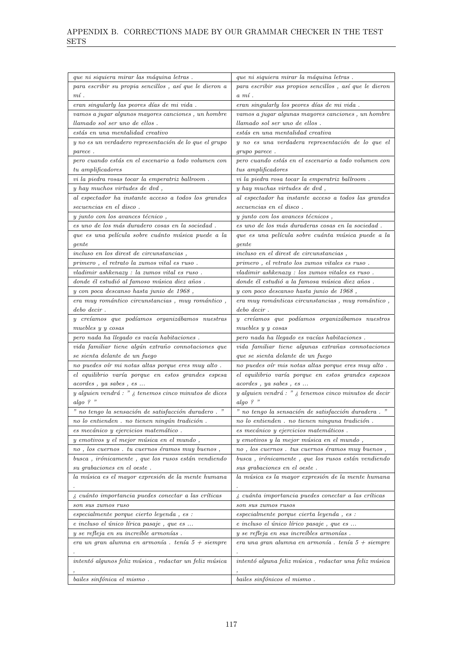| que ni siquiera mirar las máquina letras.                                          | que ni siquiera mirar la máquina letras.                         |
|------------------------------------------------------------------------------------|------------------------------------------------------------------|
| para escribir su propia sencillos, así que le dieron a                             | para escribir sus propios sencillos, así que le dieron           |
| $m$ í.                                                                             | $a \; mi$ .                                                      |
| eran singularly las peores días de mi vida.                                        | eran singularly los peores días de mi vida.                      |
| vamos a jugar algunos mayores canciones, un hombre                                 | vamos a jugar algunas mayores canciones, un hombre               |
| llamado sol ser uno de ellos.                                                      | llamado sol ser uno de ellos.                                    |
| estás en una mentalidad creativo                                                   | estás en una mentalidad creativa                                 |
| y no es un verdadero representación de lo que el grupo                             | y no es una verdadera representación de lo que el                |
| parece.                                                                            | grupo parece.                                                    |
| pero cuando estás en el escenario a todo volumen con                               | pero cuando estás en el escenario a todo volumen con             |
| tu amplificadores                                                                  | tus amplificadores                                               |
| vi la piedra rosas tocar la emperatriz ballroom.                                   | vi la piedra rosa tocar la emperatriz ballroom.                  |
| y hay muchos virtudes de dvd,                                                      | y hay muchas virtudes de dvd,                                    |
| al espectador ha instante acceso a todos los grandes                               | al espectador ha instante acceso a todos las grandes             |
| secuencias en el disco.                                                            | secuencias en el disco.                                          |
| $y$ junto con los avances técnico,                                                 | y junto con los avances técnicos,                                |
| es uno de los más duradero cosas en la sociedad.                                   | es uno de los más duraderas cosas en la sociedad.                |
| que es una película sobre cuánto música puede a la                                 | que es una película sobre cuánta música puede a la               |
| $\emph{gent}$ e                                                                    | gente                                                            |
| <i>incluso en los direst de circunstancias</i> ,                                   | <i>incluso en el direst de circunstancias</i> ,                  |
| primero, el retrato la zumos vital es ruso.                                        | primero, el retrato los zumos vitales es ruso.                   |
| vladimir ashkenazy : la zumos vital es ruso.                                       | vladimir ashkenazy : los zumos vitales es ruso.                  |
| donde él estudió al famoso música diez años.                                       | donde él estudió a la famosa música diez años.                   |
| y con poca descanso hasta junio de 1968,                                           | y con poco descanso hasta junio de 1968,                         |
| $\emph{era}$ muy romántico circunstancias , muy romántico ,                        | era muy románticas circunstancias, muy romántico,                |
| $debo$ $decir$ .                                                                   | $debo$ $decir$ .                                                 |
| y creíamos que podíamos organizábamos nuestras                                     | y creíamos que podíamos organizábamos nuestros                   |
| muebles y y cosas                                                                  | muebles y y cosas                                                |
| pero nada ha llegado es vacía habitaciones.                                        | pero nada ha llegado es vacías habitaciones.                     |
| vida familiar tiene algún extraño connotaciones que                                | vida familiar tiene algunas extrañas connotaciones               |
| se sienta delante de un fuego                                                      | que se sienta delante de un fuego                                |
| no puedes oír mi notas altas porque eres muy alto.                                 | no puedes oír mis notas altas porque eres muy alto.              |
| el equilibrio varía porque en estos grandes espesa                                 | el equilibrio varía porque en estos grandes espesos              |
| acordes, ya sabes, es                                                              | acordes, ya sabes, es                                            |
| $y$ alguien vendrá : " $\lambda$ tenemos cinco minutos de dices                    | $y$ alguien vendrá : " $\delta$ tenemos cinco minutos de decir   |
| algo ? "                                                                           | algo?"                                                           |
| $"$ no tengo la sensación de satisfacción duradero.                                | " no tengo la sensación de satisfacción duradera. "              |
| no lo entienden. no tienen ningún tradición.                                       | no lo entienden. no tienen ninguna tradición.                    |
| es mecánico y ejercicios matemático                                                | es mecánico y ejercicios matemáticos .                           |
| y emotivos y el mejor música en el mundo,                                          | y emotivos y la mejor música en el mundo,                        |
| $no$ , $los$ $cuernos$ . $tu$ $cuernos$ $\acute{e}ramos$ $muy$ $buenos$ ,          | no, los cuernos. tus cuernos éramos muy buenos,                  |
| $busca$ , $ir\'onicamente$ , $que$ $los$ $rusos$ $est\'an$ $vendiendo$             | busca, irónicamente, que los rusos están vendiendo               |
| su grabaciones en el oeste.                                                        | sus grabaciones en el oeste.                                     |
| la música es el mayor expresión de la mente humana                                 | la música es la mayor expresión de la mente humana               |
|                                                                                    |                                                                  |
| i cuánto importancia puedes conectar a las críticas                                | i cuánta importancia puedes conectar a las críticas              |
| son sus zumos ruso                                                                 | son sus zumos rusos                                              |
| especialmente porque cierto leyenda, es :                                          | especialmente porque cierta leyenda, es :                        |
|                                                                                    | e incluso el único lírico pasaje, que es                         |
| e incluso el único lírica pasaje, que es<br>y se refleja en su increíble armonías. | y se refleja en sus increíbles armonías.                         |
| era un gran alumna en armonía. $tenía 5 + siempre$                                 | era una gran alumna en armonía. $tenía 5 + siempre$              |
|                                                                                    |                                                                  |
| $intentó\;algunos\;felix\;música$ , $redactar\;un\;felix\;música$                  | $intentó\ alguna\ feliz\ música$ , $redactar$ una feliz $música$ |
|                                                                                    |                                                                  |
| bailes sinfónica el mismo.                                                         | bailes sinfónicos el mismo.                                      |
|                                                                                    |                                                                  |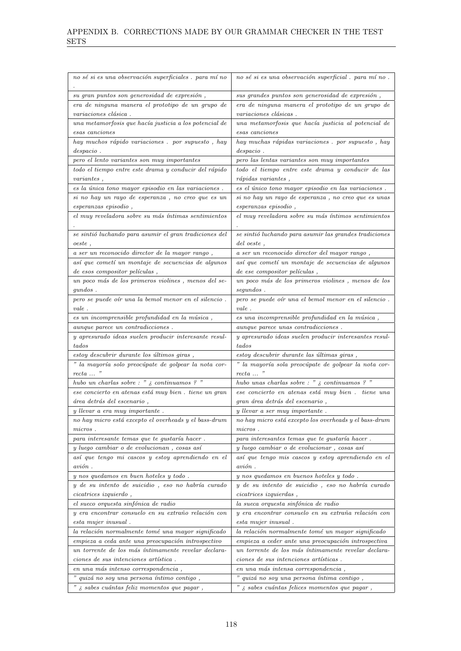| no sé si es una observación superficiales. para míno                 | no sé si es una observación superficial. para míno.                                 |
|----------------------------------------------------------------------|-------------------------------------------------------------------------------------|
| su gran puntos son generosidad de expresión,                         | sus grandes puntos son generosidad de expresión,                                    |
| era de ninguna manera el prototipo de un grupo de                    | era de ninguna manera el prototipo de un grupo de                                   |
| variaciones clásica.                                                 | variaciones clásicas.                                                               |
| una metamorfosis que hacía justicia a los potencial de               | una metamorfosis que hacía justicia al potencial de                                 |
| esas canciones                                                       | esas canciones                                                                      |
| hay muchos rápido variaciones. por supuesto, hay                     | hay muchas rápidas variaciones. por supuesto, hay                                   |
| $despaceio$ .                                                        | $despacio$ .                                                                        |
| pero el lento variantes son muy importantes                          | pero las lentas variantes son muy importantes                                       |
| todo el tiempo entre este drama y conducir del rápido                | todo el tiempo entre este drama y conducir de las                                   |
| variances,                                                           | $r\acute{a}pidas\ variantes$ ,                                                      |
| $\emph{es}$ la única tono mayor episodio en las variaciones .        | es el único tono mayor episodio en las variaciones.                                 |
| si no hay un rayo de esperanza, no creo que es un                    | si no hay un rayo de esperanza, no creo que es unas                                 |
| esperanzas episodio,                                                 | esperanzas episodio,                                                                |
| $el$ muy reveladora sobre su más íntimas sentimientos                | el muy reveladora sobre su más íntimos sentimientos                                 |
| se sintió luchando para asumir el gran tradiciones del               | se sintió luchando para asumir las grandes tradiciones                              |
| oeste,                                                               | del oeste,                                                                          |
| a ser un reconocido director de la mayor rango,                      | a ser un reconocido director del mayor rango,                                       |
| así que cometí un montaje de secuencias de algunos                   | así que cometí un montaje de secuencias de algunos                                  |
| de esos compositor películas,                                        | de ese compositor películas,                                                        |
| un poco más de los primeros violines, menos del se-                  | un poco más de los primeros violines, menos de los                                  |
| qundos.                                                              | segundos.                                                                           |
| pero se puede oír una la bemol menor en el silencio.                 | pero se puede oír una el bemol menor en el silencio.                                |
| $\emph{vale}$ .                                                      | $\emph{vale}$ .                                                                     |
| es un incomprensible profundidad en la música,                       | es una incomprensible profundidad en la música,                                     |
| aunque parece un contradicciones.                                    | aunque parece unas contradicciones.                                                 |
| y apresurado ideas suelen producir interesante resul-                | y apresurado ideas suelen producir interesantes resul-                              |
| tados                                                                | tados                                                                               |
| estoy descubrir durante los últimos giras,                           | estoy descubrir durante las últimas giras,                                          |
| " la mayoría solo preocúpate de golpear la nota cor-                 | " la mayoría sola preocúpate de golpear la nota cor-                                |
| $recta \dots$ "                                                      | $recta \dots$ "                                                                     |
| hubo un charlas sobre : " $\delta$ continuamos ? "                   | hubo unas charlas sobre : " $\lambda$ continuamos ? "                               |
| ese concierto en atenas está muy bien. tiene un gran                 | ese concierto en atenas está muy bien. tiene una<br>gran área detrás del escenario, |
| área detrás del escenario,<br>y llevar a era muy importante.         | $y$ llevar a ser muy importante.                                                    |
| no hay micro está excepto el overheads $\boldsymbol{y}$ el bass-drum | no hay micro está excepto los overheads y el bass-drum                              |
| $micros$ .                                                           | $micros$ .                                                                          |
| para interesante temas que te gustaría hacer.                        | para interesantes temas que te gustaría hacer.                                      |
| y luego cambiar o de evolucionan, cosas así                          | y luego cambiar o de evolucionar, cosas así                                         |
| así que tengo mi cascos y estoy aprendiendo en el                    | así que tengo mis cascos y estoy aprendiendo en el                                  |
| avión.                                                               | $avi\acute{o}n$ .                                                                   |
| y nos quedamos en buen hoteles y todo.                               | y nos quedamos en buenos hoteles y todo.                                            |
| $y$ de su intento de suicidio, eso no habría curado                  | y de su intento de suicidio, eso no habría curado                                   |
| cicatrices~izquierdo,                                                | $cicatrices\;izquierdas\;,$                                                         |
| el sueco orquesta sinfónica de radio                                 | la sueca orquesta sinfónica de radio                                                |
| y era encontrar consuelo en su extraño relación con                  | y era encontrar consuelo en su extraña relación con                                 |
| esta mujer inusual.                                                  | esta mujer inusual.                                                                 |
| la relación normalmente tomé una mayor significado                   | la relación normalmente tomé un mayor significado                                   |
| empieza a ceda ante una preocupación introspectivo                   | empieza a ceder ante una preocupación introspectiva                                 |
| un torrente de los más íntimamente revelar declara-                  | un torrente de los más íntimamente revelar declara-                                 |
| ciones de sus intenciones artística.                                 | ciones de sus intenciones artísticas.                                               |
| en una más intenso correspondencia,                                  | en una más intensa correspondencia,                                                 |
| " quizá no soy una persona íntimo contigo,                           | quizá no soy una persona íntima contigo,<br>"                                       |
| " $\dot{\varepsilon}$ sabes cuántas feliz momentos que pagar,        | " $\zeta$ sabes cuántas felices momentos que pagar,                                 |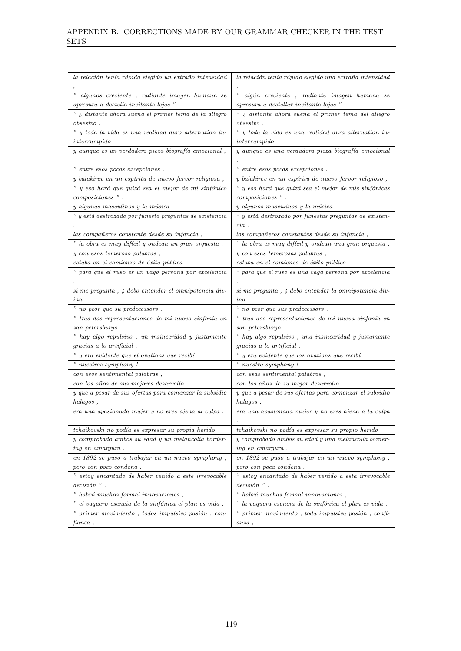| la relación tenía rápido elegido un extraño intensidad                    | la relación tenía rápido elegido una extraña intensidad            |
|---------------------------------------------------------------------------|--------------------------------------------------------------------|
| " algunos creciente, radiante imagen humana se                            | "<br>algún creciente, radiante imagen humana se                    |
| apresura a destella incitante lejos ".                                    | apresura a destellar incitante lejos ".                            |
| " $\delta$ distante ahora suena el primer tema de la allegro              | " ¿ distante ahora suena el primer tema del allegro                |
| <i>obsesivo</i> .                                                         | <i>obsesivo</i> .                                                  |
| " y toda la vida es una realidad duro alternation in-                     | " y toda la vida es una realidad dura alternation in-              |
| $\int$ <i>interrumpido</i>                                                | $\int$ interrumpido                                                |
| $y$ aunque es un verdadero pieza biografía emocional,                     | y aunque es una verdadera pieza biografía emocional                |
| " entre esos pocos excepciones.                                           | " entre esos pocas excepciones.                                    |
| y balakirev en un espíritu de nuevo fervor religiosa,                     | y balakirev en un espíritu de nuevo fervor religioso,              |
| " y eso hará que quizá sea el mejor de mi sinfónico                       | " y eso hará que quizá sea el mejor de mis sinfónicas              |
| composiciones".                                                           | composiciones".                                                    |
| y algunas masculinos y la música                                          | y algunos masculinos y la música                                   |
| " y está destrozado por funesta preguntas de existencia                   | " y está destrozado por funestas preguntas de existen-             |
|                                                                           | $cia$ .                                                            |
| las compañeros constante desde su infancia,                               | los compañeros constantes desde su infancia,                       |
| " la obra es muy difícil y ondean un gran orquesta.                       | " la obra es muy difícil y ondean una gran orquesta.               |
| $y$ con esos temeroso palabras,                                           | $y$ con esas temerosas palabras,                                   |
| estaba en el comienzo de éxito pública                                    | estaba en el comienzo de éxito público                             |
| " para que el ruso es un vago persona por excelencia                      | " para que el ruso es una vaga persona por excelencia              |
| $si$ me pregunta , $\emph{\textbf{z}}$ debo entender el omnipotencia div- | $si$ me pregunta, $\delta$ debo entender la omnipotencia div-      |
| $_{ina}$                                                                  | ina                                                                |
| " no peor que su predecessors.                                            | $"$ no peor que sus predecessors.                                  |
| $"$ tras dos representaciones de mi nuevo sinfonía en $"$                 | " tras dos representaciones de mi nueva sinfonía en                |
| san petersburgo                                                           | san petersburgo                                                    |
| " hay algo repulsivo, un insinceridad y justamente                        | " hay algo repulsivo, una insinceridad y justamente                |
| gracias a lo artificial.                                                  | gracias a lo artificial.                                           |
| $\emph{''}$ y era evidente que el ovations que recibí                     | $\emph{''}$ y era evidente que los ovations que recibí             |
| " nuestros symphony !                                                     | " nuestro symphony !                                               |
| $\emph{con}$ esos sentimental palabras,                                   | $\emph{con}$ esas sentimental palabras,                            |
| con los años de sus mejores desarrollo.                                   | con los años de su mejor desarrollo.                               |
| y que a pesar de sus ofertas para comenzar la subsidio                    | y que a pesar de sus ofertas para comenzar el subsidio             |
| halagos,                                                                  | halagos,                                                           |
| era una apasionada mujer y no eres ajena al culpa.                        | era una apasionada mujer y no eres ajena a la culpa                |
| tchaikovski no podía es expresar su propia herido                         | tchaikovski no podía es expresar su propio herido                  |
| y comprobado ambos su edad y un melancolía border-                        | y comprobado ambos su edad y una melancolía border-                |
| ing en amargura.                                                          | <i>ing en amargura</i> .                                           |
| en 1892 se puso a trabajar en un nuevo symphony,                          | en 1892 se puso a trabajar en un nuevo symphony,                   |
| pero con poco condena.                                                    | pero con poca condena.                                             |
| $\!$ estoy encantado de haber venido a este irrevocable                   | $\emph{''}$ esto<br>y encantado de haber venido a esta irrevocable |
| $decision$ ".                                                             | $decision$ ".                                                      |
| " habrá muchos formal innovaciones,                                       | $"$ habrá muchas formal innovaciones , $"$                         |
| " el vaquero esencia de la sinfónica el plan es vida.                     | $\emph{"}$ la vaquera esencia de la sinfónica el plan es vida .    |
| " primer movimiento, todos impulsivo pasión, con-                         | " primer movimiento, toda impulsiva pasión, confi-                 |
| fianza,                                                                   | $anza$ ,                                                           |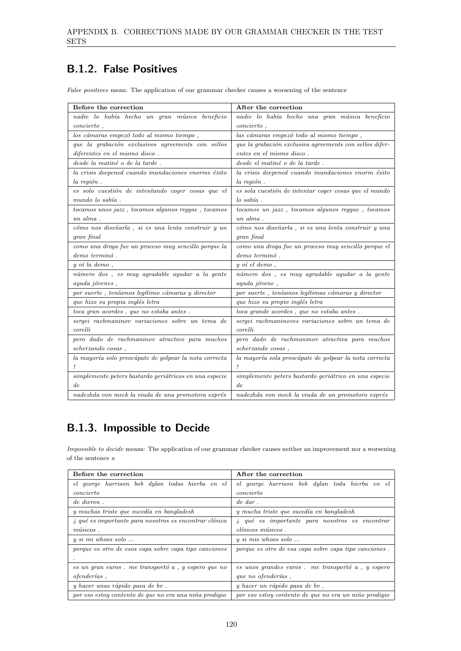### B.1.2. False Positives

False positives mean: The application of our grammar checker causes a worsening of the sentence

| Before the correction                                  | After the correction                                        |
|--------------------------------------------------------|-------------------------------------------------------------|
| nadie lo había hecho un gran música beneficio          | nadie lo había hecho una gran música beneficio              |
| $concierto$ ,                                          | $concierto$ ,                                               |
| los cámaras empezó todo al mismo tiempo,               | las cámaras empezó todo al mismo tiempo,                    |
| que la grabación exclusivos agreements con sellos      | que la grabación exclusiva agreements con sellos difer-     |
| diferentes en el mismo disco.                          | entes en el mismo disco.                                    |
| desde la matiné o de la tarde.                         | desde el matiné o de la tarde.                              |
| la crisis deepened cuando inundaciones enorme éxito    | la crisis deepened cuando inundaciones enorm éxito          |
| $la$ región.                                           | $la$ región.                                                |
| es solo cuestión de intentando coger cosas que el      | es sola cuestión de intentar coger cosas que el mundo       |
| mundo lo sabía.                                        | $\log sabia$ .                                              |
| tocamos unos jazz, tocamos algunos reggae, tocamos     | tocamos un jazz, tocamos algunos reggae, tocamos            |
| $un\ alma$ .                                           | $un\ alma$ .                                                |
| cómo nos diseñarla, si es una lenta construir y un     | cómo nos diseñarla, si es una lenta construir y una         |
| gran final                                             | gran final                                                  |
| como una droga fue un proceso muy sencillo porque la   | como una droga fue un proceso muy sencillo porque el        |
| demo terminó.                                          | demo terminó.                                               |
| $y$ oí la demo,                                        | $y$ oí el demo,                                             |
| número dos, es muy agradable ayudar a la gente         | número dos, es muy agradable ayudar a la gente              |
| ayuda jóvenes,                                         | ayuda jóvene,                                               |
| por suerte, teníamos legítimo cámaras y director       | por suerte, teníamos legítimas cámaras y director           |
| que hizo su propia inglés letra                        | que hizo su propio inglés letra                             |
| $toca\ gran\ acordes$ , $que$ $no\ estaba\ antes$ .    | toca grande acordes, que no estaba antes.                   |
| sergei rachmaninov variaciones sobre un tema de        | sergei rachmaninoves variaciones sobre un tema de           |
| corelli                                                | corelli                                                     |
| pero dado de rachmaninov atractivo para muchos         | pero dado de rachmaninov atractiva para muchos              |
| scherzando cosas,                                      | scherzando cosas,                                           |
| la mayoría solo preocúpate de golpear la nota correcta | la mayoría sola preocúpate de golpear la nota correcta<br>Ţ |
| simplemente peters bastardo geriátricos en una especie | simplemente peters bastardo geriátrico en una especie       |
| de.                                                    | de                                                          |
| nadezhda von meck la viuda de una promotora exprés     | nadezhda von meck la viuda de un promotoro exprés           |

### B.1.3. Impossible to Decide

Impossible to decide means: The application of our grammar checker causes neither an improvement nor a worsening of the sentence x

| Before the correction                                                         | After the correction                                                            |
|-------------------------------------------------------------------------------|---------------------------------------------------------------------------------|
| el george harrison bob dylan todas hierba en el                               | el george harrison bob dylan toda hierba en el                                  |
| concierto                                                                     | concierto                                                                       |
| de dieron.                                                                    | $de\; dar$ .                                                                    |
| y muchas triste que sucedía en bangladesh                                     | y mucha triste que sucedía en bangladesh                                        |
| $\lambda$ , qué es importante para nosotros es encontrar clínica              | $\lambda$ qué es importante para nosotros es encontrar                          |
| $m\'isicos$ .                                                                 | $\overline{clínicos \; músicos}$ .                                              |
| $y \, \textit{si} \, \textit{mi} \, \textit{whoos} \, \textit{solo} \, \dots$ | $y \, \textit{si} \, \textit{mis} \, \textit{whoos} \, \textit{ solo} \, \dots$ |
| porque es otro de esos capa sobre capa tipo canciones                         | porque es otro de esa capa sobre capa tipo canciones.                           |
|                                                                               |                                                                                 |
| es un gran euros. me transportó a, y espero que no                            | es unos grandes euros. me transportó a, y espero                                |
| <i>ofenderías</i> ,                                                           | que no ofenderías,                                                              |
| y hacer unas rápido pasa de bv.                                               | y hacer un rápido pasa de bv.                                                   |
| por eso estoy contento de que no era una niña prodigio                        | por eso estoy contento de que no era un niño prodigio                           |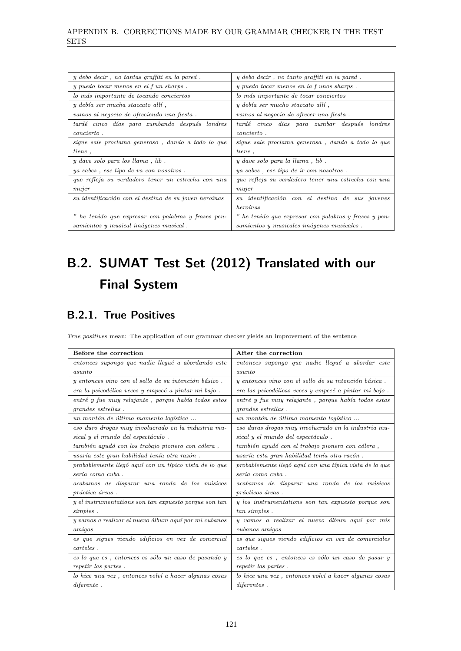| y debo decir, no tantas graffiti en la pared.         | y debo decir, no tanto graffiti en la pared.          |
|-------------------------------------------------------|-------------------------------------------------------|
| y puedo tocar menos en el f un sharps.                | y puedo tocar menos en la funos sharps.               |
| lo más importante de tocando conciertos               | lo más importante de tocar conciertos                 |
| $y \text{ debía ser mucha staccato allí},$            | $y$ debía ser mucho staccato allí,                    |
| vamos al negocio de ofreciendo una fiesta.            | vamos al negocio de ofrecer una fiesta.               |
| tardé cinco días para zumbando después londres        | tardé cinco días para zumbar después londres          |
| <i>concierto</i> .                                    | <i>concierto</i> .                                    |
| sigue sale proclama generoso, dando a todo lo que     | sigue sale proclama generosa, dando a todo lo que     |
| tiene,                                                | tiene,                                                |
| $y$ dave solo para los llama, lib.                    | y dave solo para la llama, lib.                       |
| ya sabes, ese tipo de va con nosotros.                | ya sabes, ese tipo de ir con nosotros.                |
| que refleja su verdadero tener un estrecha con una    | que refleja su verdadero tener una estrecha con una   |
| mujer                                                 | mujer                                                 |
| su identificación con el destino de su joven heroínas | su identificación con el destino de sus jovenes       |
|                                                       | heroínas                                              |
| " he tenido que expresar con palabras y frases pen-   | " he tenido que expresar con palabras y frases y pen- |
| samientos y musical imágenes musical.                 | samientos y musicales imágenes musicales.             |

# B.2. SUMAT Test Set (2012) Translated with our Final System

### B.2.1. True Positives

True positives mean: The application of our grammar checker yields an improvement of the sentence

| Before the correction                                  | After the correction                                    |
|--------------------------------------------------------|---------------------------------------------------------|
| entonces supongo que nadie llegué a abordando este     | entonces supongo que nadie llegué a abordar este        |
| asunto                                                 | asunto                                                  |
| y entonces vino con el sello de su intención básico.   | y entonces vino con el sello de su intención básica.    |
| era la psicodélica veces y empecé a pintar mi bajo.    | era las psicodélicas veces y empecé a pintar mi bajo.   |
| entré y fue muy relajante, porque había todos estos    | entré y fue muy relajante, porque había todos estas     |
| <i>grandes estrellas.</i>                              | <i>grandes estrellas.</i>                               |
| un montón de último momento logística                  | un montón de último momento logístico                   |
| eso duro drogas muy involucrado en la industria mu-    | eso duras drogas muy involucrado en la industria mu-    |
| sical y el mundo del espectáculo.                      | sical y el mundo del espectáculo.                       |
| también ayudó con los trabajo pionero con cólera,      | también ayudó con el trabajo pionero con cólera,        |
| usaría este gran habilidad tenía otra razón.           | usaría esta gran habilidad tenía otra razón.            |
| probablemente llegó aguí con un típico vista de lo que | probablemente llegó aguí con una típica vista de lo que |
| sería como cuba.                                       | sería como cuba.                                        |
| acabamos de disparar una ronda de los músicos          | acabamos de disparar una ronda de los músicos           |
| práctica áreas.                                        | prácticos áreas.                                        |
| y el instrumentations son tan expuesto porque son tan  | y los instrumentations son tan expuesto porque son      |
| simples.                                               | tan simples.                                            |
| y vamos a realizar el nuevo álbum aquí por mi cubanos  | y vamos a realizar el nuevo álbum aquí por mis          |
| amiqos                                                 | cubanos amigos                                          |
| es que sigues viendo edificios en vez de comercial     | es que sigues viendo edificios en vez de comerciales    |
| carteles.                                              | carteles.                                               |
| es lo que es, entonces es sólo un caso de pasando y    | es lo que es, entonces es sólo un caso de pasar y       |
| repetir las partes.                                    | repetir las partes.                                     |
| lo hice una vez, entonces volví a hacer algunas cosas  | lo hice una vez, entonces volví a hacer algunas cosas   |
| difference.                                            | diferentes.                                             |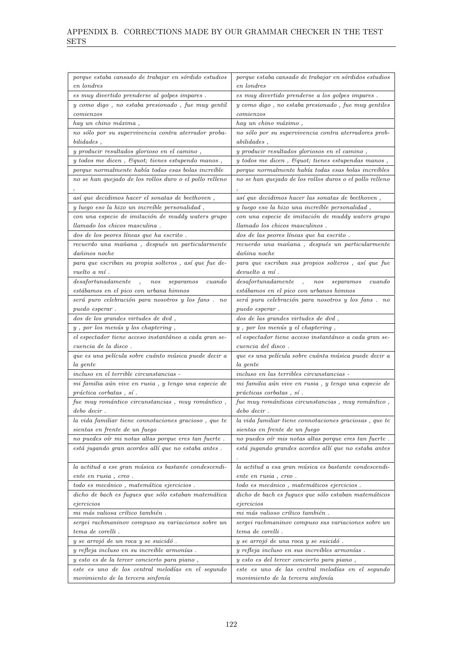| porque estaba cansado de trabajar en sórdido estudios                               | porque estaba cansado de trabajar en sórdidos estudios                                  |
|-------------------------------------------------------------------------------------|-----------------------------------------------------------------------------------------|
| en londres                                                                          | en londres                                                                              |
| $\emph{es}$ muy divertido prenderse al golpes impares .                             | es muy divertido prenderse a los golpes impares.                                        |
| y como digo, no estaba presionado, fue muy gentil                                   | y como digo, no estaba presionado, fue muy gentiles                                     |
| comienzos                                                                           | comienzos                                                                               |
| hay un chino máxima,                                                                | hay un chino máximo,                                                                    |
| no sólo por su supervivencia contra aterrador proba-                                | no sólo por su supervivencia contra aterradores prob-                                   |
| $bilidades$ ,                                                                       | abilities,                                                                              |
| y producir resultados glorioso en el camino,                                        | y producir resultados gloriosos en el camino,                                           |
| y todos me dicen, & quot; tienes estupendo manos,                                   | y todos me dicen, Equot; tienes estupendas manos,                                       |
| porque normalmente había todas esas bolas increíble                                 | porque normalmente había todas esas bolas increíbles                                    |
| no se han quejado de los rollos duro o el pollo relleno                             | no se han quejado de los rollos duros o el pollo relleno                                |
|                                                                                     |                                                                                         |
| así que decidimos hacer el sonatas de beethoven,                                    | así que decidimos hacer las sonatas de beethoven,                                       |
| y luego eso la hizo un increíble personalidad,                                      | y luego eso la hizo una increíble personalidad,                                         |
| con una especie de imitación de muddy waters grupo                                  | con una especie de imitación de muddy waters grupo                                      |
| llamado los chicos masculina.                                                       | llamado los chicos masculinos.                                                          |
| dos de los peores líneas que ha escrito.                                            | dos de las peores líneas que ha escrito.                                                |
| $recuendo\ una\ ma\tilde na\, a$ , $despu\acute{e}s$ un particular<br>mente         | recuerdo una mañana, después un particularmente                                         |
| dañinos noche                                                                       | dañina noche                                                                            |
| para que escriban su propia solteros, así que fue de-                               | para que escriban sus propios solteros, así que fue                                     |
| vuelto a mí.                                                                        | $devuelto a m\hat{i}$ .                                                                 |
| des a fortunadamente<br>separamos<br>cuando<br>nos<br>$\cdot$ ,                     | des a fortunadamente<br>separamos<br>cuando<br>$\overline{1}$<br>nos                    |
| estábamos en el pico con urbana himnos                                              | estábamos en el pico con urbanos himnos                                                 |
| será puro celebración para nosotros y los fans. no                                  | será pura celebración para nosotros y los fans. no                                      |
| <i>puedo esperar.</i>                                                               | <i>puedo esperar.</i>                                                                   |
| dos de los grandes virtudes de dvd,                                                 | dos de las grandes virtudes de dvd,                                                     |
| $y$ , por los menús $y$ los chaptering,                                             | $\boldsymbol{y}$ , por los menús $\boldsymbol{y}$ el chaptering ,                       |
| el espectador tiene acceso instantáneo a cada gran se-                              | el espectador tiene acceso instantáneo a cada gran se-                                  |
| <i>cuencia de la disco.</i>                                                         | cuencia del disco.                                                                      |
| que es una película sobre cuánto música puede decir a                               | que es una película sobre cuánta música puede decir a                                   |
| la gente                                                                            | la gente                                                                                |
| <i>incluso en el terrible circunstancias</i> -                                      | <i>incluso en las terribles circunstancias</i> -                                        |
| $m i$ familia aún vive en rusia , y tengo una especie de                            | $m i$ familia aún vive en rusia , y tengo una especie de                                |
| $práctica$ corbatas, sí.                                                            | prácticas corbatas , s <sub>i</sub> .                                                   |
| fue muy romántico circunstancias, muy romántico,                                    | $\emph{fue muy románticas circunstancias}$ , muy romántico ,                            |
| $debo$ $decir$ .<br>$\emph{la vida familiar tiene connotaciones gracioso}$ , que te | $debo$ $decir$ .                                                                        |
| sientas en frente de un fuego                                                       | la vida familiar tiene connotaciones graciosas, que te<br>sientas en frente de un fuego |
| no puedes oír $m\bar{\imath}$ notas altas porque eres tan fuerte .                  | no puedes oír mis notas altas porque eres tan fuerte .                                  |
| está jugando gran acordes allí que no estaba antes.                                 | está jugando grandes acordes allí que no estaba antes                                   |
|                                                                                     |                                                                                         |
| la actitud a ese gran música es bastante condescendi-                               | la actitud a esa gran música es bastante condescendi-                                   |
| ente en rusia, creo.                                                                | ente en rusia, creo.                                                                    |
| $todo\;es\; mec\'anico$ , $matem\'atica\;ejericios$ .                               | $todo\;es\; mec\'anico$ , $matem\'aticos\;ejericios$ .                                  |
| dicho de bach es fugues que sólo estaban matemática                                 | dicho de bach es fugues que sólo estaban matemáticos                                    |
| eje <sub>rc</sub> icos                                                              | ejercicios                                                                              |
| $mi$ más valiosa crítico también .                                                  | mi más valioso crítico también.                                                         |
| sergei rachmaninov compuso su variaciones sobre un                                  | sergei rachmaninov compuso sus variaciones sobre un                                     |
| tema de corelli.                                                                    | tema de corelli.                                                                        |
| y se arrojó de un roca y se suicidó.                                                | y se arrojó de una roca y se suicidó.                                                   |
| y refleja incluso en su increíble armonías.                                         | y refleja incluso en sus increíbles armonías.                                           |
| y esto es de la tercer concierto para piano,                                        | y esto es del tercer concierto para piano,                                              |
| este es uno de los central melodías en el segundo                                   | este es uno de las central melodías en el segundo                                       |
| movimiento de la tercera sinfonía                                                   | movimiento de la tercera sinfonía                                                       |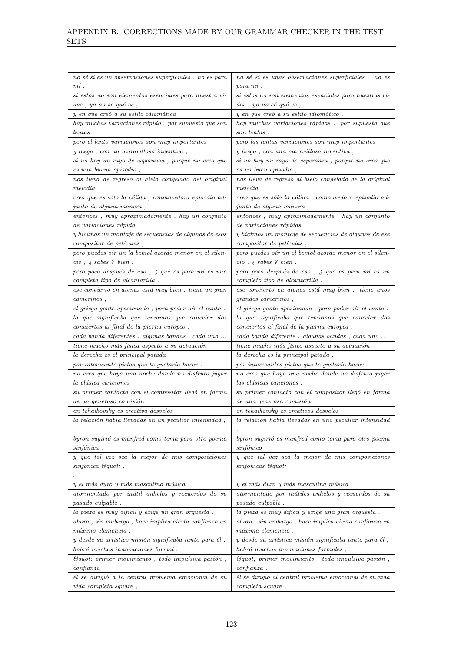| no sé si es un observaciones superficiales . no es para              | $no\;s\acute{e}\;si\;es\;unas\;observaciones\;superficiales\;.\;no\;es$ |
|----------------------------------------------------------------------|-------------------------------------------------------------------------|
| $m$ í.                                                               | para mí.                                                                |
| si estos no son elementos esenciales para nuestra vi-                | si estos no son elementos esenciales para nuestras vi-                  |
| das, yo no sé qué es,                                                | das , yo no sé qué es ,                                                 |
| y en que creó a su estilo idiomática.                                | y en que creó a su estilo idiomático.                                   |
| hay muchas variaciones rápido. por supuesto que son                  | hay muchas variaciones rápidas. por supuesto que                        |
| $lentas$ .                                                           | son lentas.                                                             |
| pero el lento variaciones son muy importantes                        | pero las lentas variaciones son muy importantes                         |
| y luego, con un maravilloso inventiva,                               | y luego, con una maravillosa inventiva,                                 |
| si no hay un rayo de esperanza, porque no creo que                   | si no hay un rayo de esperanza, porque no creo que                      |
| es una buena episodio,                                               | es un buen episodio,                                                    |
| nos lleva de regreso al hielo congelado del original                 | nos lleva de regreso al hielo congelado de la original                  |
| melodía                                                              | melodía                                                                 |
| creo que es sólo la cálida, conmovedora episodio ad-                 | creo que es sólo la cálida, conmovedoro episodio ad-                    |
| <i>junto de alguna manera</i> ,                                      | <i>junto de alguna manera</i> ,                                         |
| entonces, muy aproximadamente, hay un conjunto                       | entonces, muy aproximadamente, hay un conjunto                          |
| de variaciones rápido                                                | de variaciones rápidas                                                  |
| y hicimos un montaje de secuencias de algunos de esos                | y hicimos un montaje de secuencias de algunos de ese                    |
| compositor de películas,                                             | compositor de películas,                                                |
| pero puedes oír un la bemol acorde menor en el silen-                | pero puedes oír un el bemol acorde menor en el silen-                   |
| $cio$ , $\dot{s}$ sabes ? bien.                                      | $cio$ , $\dot{s}$ sabes ? bien.                                         |
| pero poco después de eso, ¿ qué es para mí es una                    | pero poco después de eso, $\mathrel{\mathcal{E}}$ qué es para mí es un  |
| completa tipo de alcantarilla.                                       | completo tipo de alcantarilla.                                          |
| ese concierto en atenas está muy bien. tiene un gran                 | ese concierto en atenas está muy bien. tiene unos                       |
| camerinos,                                                           | grandes camerinos,                                                      |
| $\it{el}$ griego gente apasionado , para poder oír $\it{el}$ canto . | $\it{el}$ griega gente apasionado , para poder oír $\it{el}$ canto .    |
| lo que significaba que teníamos que cancelar dos                     | lo que significaba que teníamos que cancelar dos                        |
| conciertos al final de la pierna europeo.                            | conciertos al final de la pierna europea.                               |
|                                                                      |                                                                         |
| $cada\ banda\ diferentes$ . $algunas\ bandas$ , $cada\ uno$ $\ldots$ | $cada\ banda\ differente$ . $algunas\ bandas$ , $cada\ uno$ $\ldots$    |
| tiene mucho más física aspecto a su actuación                        | $\emph{tiene mucho más físico aspecto a su actuación}$                  |
| la derecha es el principal patada.                                   | la derecha es la principal patada.                                      |
| por interesante pistas que te gustaría hacer.                        | por interesantes pistas que te gustaría hacer.                          |
| no creo que haya una noche donde no disfruto jugar                   | no creo que haya una noche donde no disfruto jugar                      |
| la clásica canciones.                                                | las clásicas canciones.                                                 |
| su primer contacto con el compositor llegó en forma                  | su primer contacto con el compositor llegó en forma                     |
| de un generoso comisión                                              | de una generosa comisión                                                |
| en tchaikovsky es creativa desvelos.                                 | en tchaikovsky es creativos desvelos.                                   |
|                                                                      | la relación había llevadas en una peculiar intensidad                   |
| $la$ relación había llevadas en un peculiar intensidad $\, ,$        |                                                                         |
| byron sugirió es manfred como tema para otro poema                   | byron sugirió es manfred como tema para otro poema                      |
| sinfónica.                                                           | sinfónico.                                                              |
| y que tal vez sea la mejor de mis composiciones                      | y que tal vez sea la mejor de mis composiciones                         |
| $sinf \, ónica$ $\mathcal{C}$ quot; .                                | sinfónicas & quot;                                                      |
|                                                                      |                                                                         |
| y el más duro y más masculino música                                 | $\boldsymbol{y}$ el más duro $\boldsymbol{y}$ más masculina música      |
| atormentado por inútil anhelos y recuerdos de su                     | atormentado por inútiles anhelos y recuerdos de su                      |
| pasado culpable.                                                     | pasado culpable.                                                        |
| la pieza es muy difícil y exige un gran orquesta.                    | la pieza es muy difícil y exige una gran orquesta.                      |
| ahora, sin embargo, hace implica cierta confianza en                 | ahora, sin embargo, hace implica cierta confianza en                    |
| máximo clemencia.                                                    | máxima clemencia.                                                       |
| y desde su artístico misión significaba tanto para él,               | y desde su artística misión significaba tanto para él,                  |
| habrá muchas innovaciones formal,                                    | habrá muchas innovaciones formales,                                     |
| $\mathcal{C}quot$ ; primer movimiento, todo impulsiva pasión,        | $\&$ quot; primer movimiento, toda impulsiva pasión,                    |
| $\it confianza$ ,                                                    | $\it confianza$ ,                                                       |
| él se dirigió a la central problema emocional de su                  | él se dirigió al central problema emocional de su vida                  |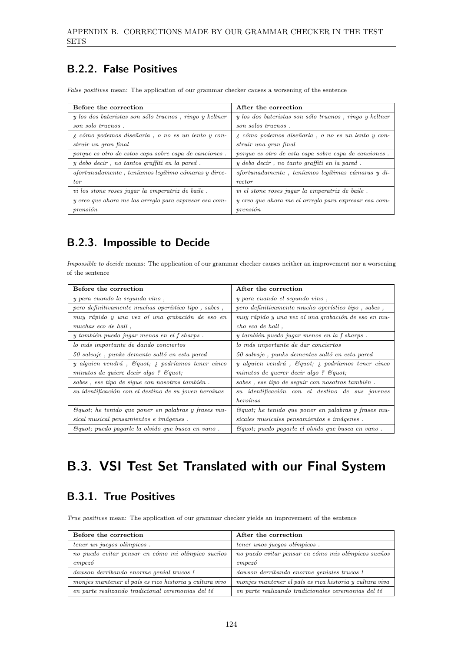### B.2.2. False Positives

False positives mean: The application of our grammar checker causes a worsening of the sentence

| Before the correction                                     | After the correction                                      |
|-----------------------------------------------------------|-----------------------------------------------------------|
| y los dos bateristas son sólo truenos, ringo y keltner    | y los dos bateristas son sólo truenos, ringo y keltner    |
| son solo truenos.                                         | son solos truenos.                                        |
| $\lambda$ cómo podemos diseñarla, o no es un lento y con- | $\lambda$ cómo podemos diseñarla, o no es un lento y con- |
| struir un gran final                                      | struir una gran final                                     |
| porque es otro de estos capa sobre capa de canciones.     | porque es otro de esta capa sobre capa de canciones.      |
| $y$ debo decir, no tantos graffiti en la pared.           | $y$ debo decir, no tanto graffiti en la pared.            |
| afortunadamente, teníamos legítimo cámaras y direc-       | afortunadamente, teníamos legítimas cámaras y di-         |
| tor                                                       | rector                                                    |
| vi los stone roses jugar la emperatriz de baile.          | vi el stone roses jugar la emperatriz de baile.           |
| y creo que ahora me las arreglo para expresar esa com-    | y creo que ahora me el arreglo para expresar esa com-     |
| $prensi\acute{o}n$                                        | $prensi\acute{o}n$                                        |

### B.2.3. Impossible to Decide

Impossible to decide means: The application of our grammar checker causes neither an improvement nor a worsening of the sentence

| Before the correction                                            | After the correction                                                  |
|------------------------------------------------------------------|-----------------------------------------------------------------------|
| y para cuando la segunda vino,                                   | y para cuando el segundo vino,                                        |
| pero definitivamente muchas operístico tipo, sabes,              | pero definitivamente mucho operístico tipo, sabes,                    |
| muy rápido y una vez oí una grabación de eso en                  | muy rápido y una vez oí una grabación de eso en mu-                   |
| muchas eco de hall,                                              | cho eco de hall,                                                      |
| y también puedo jugar menos en el f sharps.                      | y también puedo jugar menos en la f sharps.                           |
| lo más importante de dando conciertos                            | lo más importante de dar conciertos                                   |
| 50 salvaje, punks demente saltó en esta pared                    | 50 salvaje, punks dementes saltó en esta pared                        |
| y alguien vendrá, Equot, a podríamos tener cinco                 | y alguien vendrá, $\mathcal{C}$ quot; $\lambda$ podríamos tener cinco |
| minutos de quiere decir algo ? Equot;                            | minutos de querer decir algo ? Equot,                                 |
| sabes, ese tipo de sigue con nosotros también.                   | sabes, ese tipo de seguir con nosotros también.                       |
| su identificación con el destino de su joven heroínas            | su identificación con el destino de sus jovenes                       |
|                                                                  | heroínas                                                              |
| $\mathcal{C}$ quot; he tenido que poner en palabras y frases mu- | $\mathcal{C}$ quot; he tenido que poner en palabras y frases mu-      |
| sical musical pensamientos e imágenes.                           | sicales musicales pensamientos e imágenes.                            |
| $\mathcal{C}$ quot; puedo pagarle la olvido que busca en vano.   | Equot; puedo pagarle el olvido que busca en vano.                     |

### B.3. VSI Test Set Translated with our Final System

### B.3.1. True Positives

True positives mean: The application of our grammar checker yields an improvement of the sentence

| Before the correction                                   | After the correction                                    |
|---------------------------------------------------------|---------------------------------------------------------|
| tener un juegos olímpicos.                              | tener unos juegos olímpicos.                            |
| no puedo evitar pensar en cómo mi olímpico sueños       | no puedo evitar pensar en cómo mis olímpicos sueños     |
| empezó                                                  | empezó                                                  |
| dawson derribando enorme genial trucos!                 | dawson derribando enorme geniales trucos!               |
| monjes mantener el país es rico historia y cultura vivo | monjes mantener el país es rica historia y cultura viva |
| en parte realizando tradicional ceremonias del té       | en parte realizando tradicionales ceremonias del té     |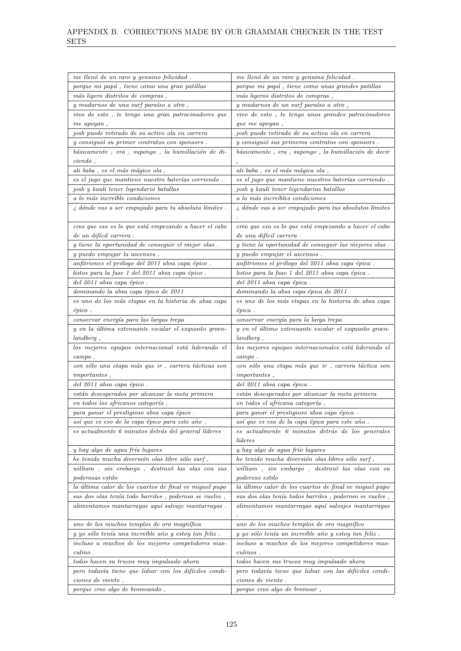| me llenó de un raro y genuino felicidad.                     | me llenó de un raro y genuina felicidad.                                 |
|--------------------------------------------------------------|--------------------------------------------------------------------------|
| porque mi papá, tiene como una gran patillas                 | $\emph{porque mi pap\'a}$ , tiene como unas grandes patillas             |
| más ligero distritos de compras,                             | más ligeros distritos de compras,                                        |
| y mudarnos de una surf paraíso a otro,                       | $y$ mudarnos de un surf paraíso a otro,                                  |
| vivo de esto, te tengo una gran patrocinadores que           | vivo de esto, te tengo unos grandes patrocinadores                       |
| me apoyan,                                                   | que me apoyan,                                                           |
| josh puede retirado de su activo ola en carrera              | josh puede retirado de su activa ola en carrera                          |
| y consiguió su primer contratos con sponsors.                | y consiguió sus primeros contratos con sponsors.                         |
| básicamente, era, supongo, la humillación de di-             | básicamente, era, supongo, la humillación de decir                       |
| ciendo,                                                      |                                                                          |
| $\emph{ali baba}$ , es el más mágico ola ,                   | ali baba, es el más mágica ola,                                          |
| es el jugo que mantiene nuestro baterías corriendo.          | es el jugo que mantiene nuestros baterías corriendo.                     |
| josh y kauli tener legendario batallas                       | josh y kauli tener legendarias batallas                                  |
| a lo más increíble condiciones                               | a lo más increíbles condiciones                                          |
| $\lambda$ dónde vas a ser empujado para tu absoluta límites. | $\lambda$ dónde vas a ser empujado para tus absolutos límites            |
|                                                              |                                                                          |
| creo que eso es lo que está empezando a hacer el cabo        | creo que eso es lo que está empezando a hacer el cabo                    |
| de un difícil carrera.                                       | de una difícil carrera.                                                  |
| y tiene la oportunidad de conseguir el mejor olas.           | y tiene la oportunidad de conseguir las mejores olas.                    |
| y puedo empujar la ascensos.                                 | y puedo empujar el ascensos.                                             |
| anfitriones el prólogo del 2011 absa capa épico.             | anfitriones el prólogo del 2011 absa capa épica.                         |
| listos para la fase 1 del 2011 absa capa épico.              | listos para la fase 1 del 2011 absa capa épica.                          |
| del 2011 absa capa épico.                                    | del 2011 absa capa épica.                                                |
| dominando la absa capa épico de 2011                         | dominando la absa capa épica de 2011                                     |
| es uno de los más etapas en la historia de absa capa         | es uno de los más etapas en la historia de absa capa                     |
| $\'epico$ .                                                  | $\'epica$ .                                                              |
| conservar energía para las largas trepa                      | conservar energía para la larga trepa                                    |
| y en la última extenuante escalar el exquisito groen-        | y en el último extenuante escalar el exquisito groen-                    |
| landberg,                                                    | landberg,                                                                |
| los mejores equipos internacional está liderando el          | los mejores equipos internacionales está liderando el                    |
| $campo$ .                                                    | $campo$ .                                                                |
| con sólo una etapa más que ir, carrera tácticas son          | con sólo una etapa más que ir, carrera táctica son                       |
| <i>importantes</i> ,                                         | <i>importantes</i> ,                                                     |
| del 2011 absa capa épico.                                    | del 2011 absa capa épica.                                                |
| están desesperados por alcanzar la meta primero              | están desesperados por alcanzar la meta primera                          |
| en todos los africanos categoría,                            | en todos el africana categoría,                                          |
| para ganar el prestigioso absa capa épico.                   | para ganar el prestigioso absa capa épica.                               |
| así que es eso de la capa épico para este año.               | así que es eso de la capa épica para este año.                           |
| es actualmente 6 minutos detrás del general líderes          | es actualmente 6 minutos detrás de los generales                         |
|                                                              | líderes                                                                  |
| y hay algo de agua fría lugares                              | y hay algo de agua frío lugares                                          |
| he tenido mucha diversión olas libre sólo surf,              | he tenido mucha diversión olas libres sólo surf,                         |
| william, sin embargo, destrozó las olas con sus              | william, sin embargo, destrozó las olas con su                           |
| poderosas estilo                                             | poderoso estilo                                                          |
| la última calor de los cuartos de final ve miguel pupo       | la último calor de los cuartos de final ve miguel pupo                   |
| sus dos olas tenía todo barriles, poderoso se vuelve,        | sus dos olas tenía todos barriles, poderoso se vuelve,                   |
| alimentamos mantarrayas aquí salvaje mantarrayas.            | $\label{eq:1} a linear tamos\ matrix y as\ aqu\'s\ subajes\ matrix y as$ |
|                                                              |                                                                          |
| uno de los muchos templos de oro magnífica                   | uno de los muchos templos de oro magnífico                               |
| y yo sólo tenía una increíble año y estoy tan feliz.         | y yo sólo tenía un increíble año y estoy tan feliz.                      |
| incluso a muchos de los mejores competidores mas-            | incluso a muchos de los mejores competidores mas-                        |
| $culino$ .                                                   | culinos.                                                                 |
| todos hacen su trucos muy impulsado ahora                    | todos hacen sus trucos muy impulsado ahora                               |
| pero todavía tiene que lidiar con los difíciles condi-       | pero todavía tiene que lidiar con las difíciles condi-                   |
| ciones de viento.                                            | ciones de viento.                                                        |
| porque creo algo de bromeando,                               | $\emph{porque creo algo de bromear}$ ,                                   |
|                                                              |                                                                          |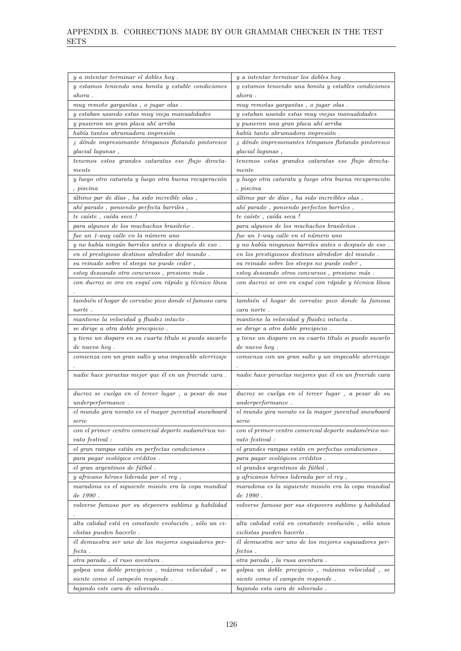| $\boldsymbol{y}$ a intentar terminar el dobles hoy .              | y a intentar terminar los dobles hoy.                                  |
|-------------------------------------------------------------------|------------------------------------------------------------------------|
| y estamos teniendo una bonita y estable condiciones               | y estamos teniendo una bonita y estables condiciones                   |
| ahora.                                                            | $\it a hora$ .                                                         |
| muy remoto gargantas, o jugar olas.                               | muy remotas gargantas, o jugar olas.                                   |
| y estaban usando estas muy vieja manualidades                     | y estaban usando estas muy viejas manualidades                         |
| y pusieron un gran placa ahí arriba                               | y pusieron una gran placa ahí arriba                                   |
| $había$ $tantos$ $abrumadora$ $impresi\'on$ .                     | había tanto abrumadora impresión.                                      |
| $\lambda$ dónde impresionante témpanos flotando pintoresco        | $\lambda$ dónde impresionantes témpanos flotando pintoresco            |
| glacial lagunas,                                                  | glacial lagunas,                                                       |
| tenemos estos grandes cataratas ese flujo directa-                | tenemos estas grandes cataratas ese flujo directa-                     |
| mente                                                             | $\emph{mente}$                                                         |
| y luego otro catarata y luego otra buena recuperación             | y luego otra catarata y luego otra buena recuperación                  |
| , piscina                                                         | <i>niscina</i>                                                         |
| último par de días, ha sido increíble olas,                       | último par de días, ha sido increíbles olas,                           |
| $\emph{ah\'i}$ parado<br>, poniendo perfecta barriles ,           | ahí parado, poniendo perfectos barriles,                               |
| te caíste, caída seco!                                            | te caíste, caída seca!                                                 |
| para algunos de los muchachos brasileño.                          | para algunos de los muchachos brasileños.                              |
| fue un 1-way calle en la número uno                               | fue un 1-way calle en el número uno                                    |
| y no había ningún barriles antes o después de eso.                | y no había ningunos barriles antes o después de eso.                   |
| $\emph{en}$ el prestigioso destinos alrededor del mundo .         | en los prestigiosos destinos alrededor del mundo.                      |
|                                                                   | su reinado sobre los steeps no puede ceder,                            |
| estoy deseando otro concursos, presione más.                      | $estoy\ deseando\ otros\ concursos$ , $\operatorname{presione}\ más$ . |
| con ducroz se oro en esquí con rápido y técnico línea             | con ducroz se oro en esquí con rápido y técnica línea                  |
|                                                                   |                                                                        |
| también el hogar de corvatsc pico donde el famoso cara            | también el hogar de corvatsc pico donde la famosa                      |
| norte.                                                            | cara norte .                                                           |
| mantiene la velocidad y fluidez intacto.                          | mantiene la velocidad y fluidez intacta.                               |
| se dirige a otra doble precipicio.                                | se dirige a otro doble precipicio.                                     |
| y tiene un disparo en su cuarta título si puedo sacarlo           | y tiene un disparo en su cuarto título si puedo sacarlo                |
| de nuevo hoy.                                                     | de nuevo hoy.                                                          |
| $comienza\ con\ un\ gran\ salto\ y\ una\ impe cable\ a terrizaje$ | $comienza\ con\ un\ gran\ salto\ y\ un\ impe cable\ a terrizaje$       |
|                                                                   |                                                                        |
| nadie hace piruetas mejor que él en un freeride cara.             | nadie hace piruetas mejores que él en un freeride cara                 |
|                                                                   |                                                                        |
| ducroz se cuelga en el tercer lugar, a pesar de sus               | ducroz se cuelga en el tercer lugar, a pesar de su                     |
| <i>underperformance</i> .                                         | <i>underperformance</i> .                                              |
| el mundo gira novato es el mayor juventud snowboard               | el mundo gira novato es la mayor juventud snowboard                    |
| $_{sere}$                                                         | serve                                                                  |
| con el primer centro comercial deporte sudamérica no-             | con el primer centro comercial deporte sudamérico no-                  |
| vato festival:                                                    | vato festival:                                                         |
| el gran rampas están en perfectas condiciones.                    | el grandes rampas están en perfectas condiciones.                      |
| para pagar ecológico créditos.                                    | para pagar ecológicos créditos.                                        |
| el gran argentinos de fútbol.                                     | el grandes argentinos de fútbol.                                       |
| y africano héroes liderada por el rey,                            | y africanos héroes liderada por el rey,                                |
| maradona es el siguiente misión era la copa mundial               | maradona es la siguiente misión era la copa mundial                    |
| $de\ 1990$ .                                                      | $de\ 1990$ .                                                           |
| volverse famoso por su stepovers sublime y habilidad              | volverse famoso por sus stepovers sublime y habilidad                  |
|                                                                   |                                                                        |
| alta calidad está en constante evolución, sólo un ci-             | alta calidad está en constante evolución, sólo unos                    |
| clistas pueden hacerlo.                                           | ciclistas pueden hacerlo.                                              |
| él demuestra ser uno de los mejores esquiadores per-              | él demuestra ser uno de los mejores esquiadores per-                   |
| $fecta$ .                                                         | <i>fectos</i> .                                                        |
| otra parada, el ruso aventura.                                    | otra parada, la rusa aventura.                                         |
| golpea una doble precipicio, máxima velocidad, se                 | golpea un doble precipicio, máxima velocidad, se                       |
| siente como el campeón responde.                                  | siente como el campeón responde.                                       |
|                                                                   | bajando esta cara de silverado.                                        |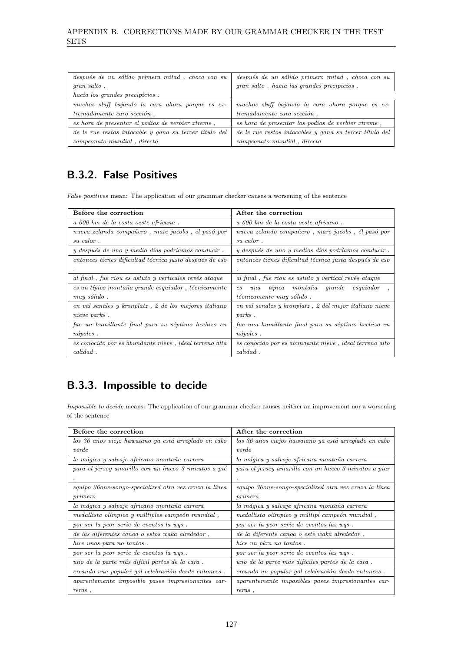| después de un sólido primera mitad, choca con su       | después de un sólido primero mitad, choca con su        |
|--------------------------------------------------------|---------------------------------------------------------|
| gran salto.                                            | gran salto. hacia las grandes precipicios.              |
| hacia los grandes precipicios.                         |                                                         |
| muchos sluff bajando la cara ahora porque es ex-       | muchos sluff bajando la cara ahora porque es ex-        |
| tremadamente caro sección.                             | tremadamente cara sección.                              |
| es hora de presentar el podios de verbier xtreme,      | es hora de presentar los podios de verbier xtreme,      |
| de le rue restos intocable y gana su tercer título del | de le rue restos intocables y gana su tercer título del |
| campeonato mundial, directo                            | campeonato mundial, directo                             |

### B.3.2. False Positives

False positives mean: The application of our grammar checker causes a worsening of the sentence

| Before the correction                                   | After the correction                                    |
|---------------------------------------------------------|---------------------------------------------------------|
| a 600 km de la costa oeste africana.                    | a 600 km de la costa oeste africano.                    |
| nueva zelanda compañero, marc jacobs, él pasó por       | nueva zelando compañero, marc jacobs, él pasó por       |
| su calor.                                               | su calor.                                               |
| y después de uno y medio días podríamos conducir.       | y después de uno y medios días podríamos conducir.      |
| entonces tienes dificultad técnica justo después de eso | entonces tienes dificultad técnica justa después de eso |
|                                                         |                                                         |
| al final, fue riou es astuto y verticales revés ataque  | al final, fue riou es astuto y vertical revés ataque    |
| es un típico montaña grande esquiador, técnicamente     | típica montaña grande<br>esquiador<br>una<br>es         |
| muy sólido.                                             | <i>técnicamente muy sólido.</i>                         |
| en val senales y kronplatz, 2 de los mejores italiano   | en val senales y kronplatz, 2 del mejor italiano nieve  |
| nieve parks.                                            | parks.                                                  |
| fue un humillante final para su séptimo hechizo en      | fue una humillante final para su séptimo hechizo en     |
| $n\acute{a}poles$ .                                     | $n\acute{a}poles$ .                                     |
| es conocido por es abundante nieve, ideal terreno alta  | es conocido por es abundante nieve, ideal terreno alto  |
| cali                                                    | cali                                                    |

### B.3.3. Impossible to decide

Impossible to decide means: The application of our grammar checker causes neither an improvement nor a worsening of the sentence

| Before the correction                                  | After the correction                                    |
|--------------------------------------------------------|---------------------------------------------------------|
| los 36 años viejo hawaiano ya está arreglado en cabo   | los 36 años viejos hawaiano ya está arreglado en cabo   |
| $\emph{verde}$                                         | $\emph{verde}$                                          |
| la mágica y salvaje africano montaña carrera           | la mágica y salvaje africana montaña carrera            |
| para el jersey amarillo con un hueco 3 minutos a pié   | para el jersey amarillo con un hueco 3 minutos a piar   |
|                                                        |                                                         |
| equipo 360ne-songo-specialized otra vez cruza la línea | equipo 36 one-songo-specialized otra vez cruza la línea |
| prime to                                               | prime a                                                 |
| la mágica y salvaje africano montaña carrera           | la mágica y salvaje africana montaña carrera            |
| medallista olímpico y múltiples campeón mundial,       | medallista olímpico y múltipl campeón mundial,          |
| por ser la peor serie de eventos la wqs.               | por ser la peor serie de eventos las wqs.               |
| de las diferentes canoa o estos waka alrededor,        | de la diferente canoa o este waka alrededor,            |
| hice unos pkra no tantos.                              | hice un pkra no tantos.                                 |
| por ser la peor serie de eventos la was.               | por ser la peor serie de eventos las wqs.               |
| uno de la parte más difícil partes de la cara.         | uno de la parte más difíciles partes de la cara.        |
| creando una popular gol celebración desde entonces.    | creando un popular gol celebración desde entonces.      |
| aparentemente imposible pases impresionantes car-      | aparentemente imposibles pases impresionantes car-      |
| reras,                                                 | reras,                                                  |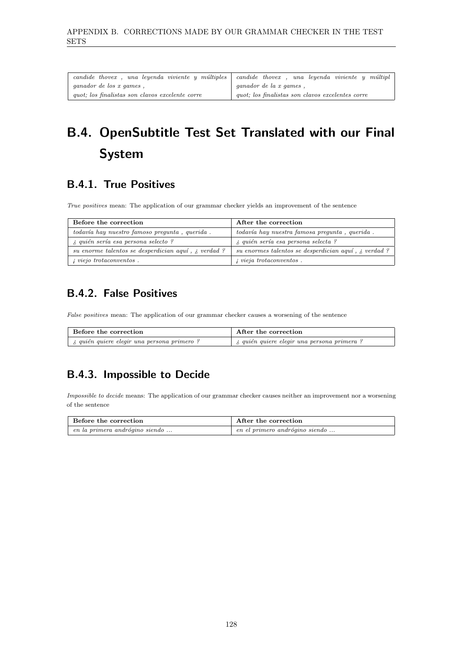| $candide$ thovex, una levenda viviente y múltiples | candide thovex, una leyenda viviente y múltipl   |
|----------------------------------------------------|--------------------------------------------------|
| <i>ganador de los x games</i> .                    | <i>ganador de la x games</i> .                   |
| quot; los finalistas son clavos excelente corre    | quot; los finalistas son clavos excelentes corre |

## B.4. OpenSubtitle Test Set Translated with our Final System

### B.4.1. True Positives

True positives mean: The application of our grammar checker yields an improvement of the sentence

| Before the correction                                       | After the correction                                 |
|-------------------------------------------------------------|------------------------------------------------------|
| todavía hay nuestro famoso pregunta, querida.               | todavía hay nuestra famosa pregunta, querida.        |
| <i>i</i> , quién sería esa persona selecto?                 | <i>i</i> , quién sería esa persona selecta ?         |
| su enorme talentos se desperdician aquí, $\lambda$ verdad ? | su enormes talentos se desperdician aguí, ¿ verdad ? |
| <i>i</i> viejo trotaconventos.                              | <i>i</i> vieja trotaconventos.                       |

### B.4.2. False Positives

False positives mean: The application of our grammar checker causes a worsening of the sentence

| Before the correction                             | After the correction                               |
|---------------------------------------------------|----------------------------------------------------|
| <i>i</i> quién quiere elegir una persona primero? | $\lambda$ quién quiere elegir una persona primera? |

### B.4.3. Impossible to Decide

Impossible to decide means: The application of our grammar checker causes neither an improvement nor a worsening of the sentence

| Before the correction                | After the correction           |
|--------------------------------------|--------------------------------|
| $\mu$ en la primera andrógino siendo | en el primero andrógino siendo |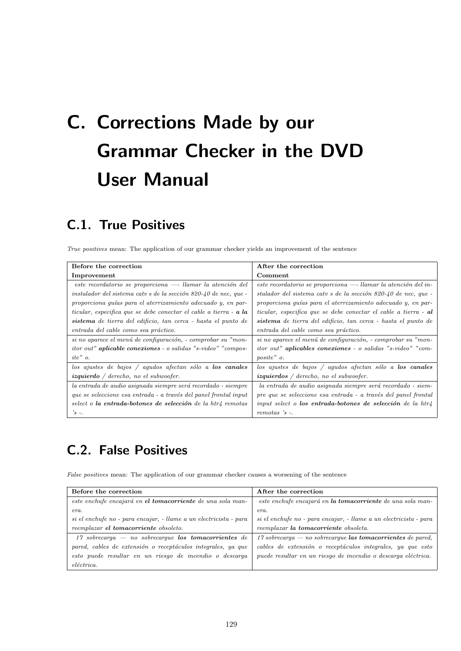# <span id="page-140-0"></span>C. Corrections Made by our Grammar Checker in the DVD User Manual

### C.1. True Positives

True positives mean: The application of our grammar checker yields an improvement of the sentence

| Before the correction                                                        | After the correction                                             |
|------------------------------------------------------------------------------|------------------------------------------------------------------|
| Improvement                                                                  | Comment                                                          |
| este recordatorio se proporciona -- llamar la atención del                   | $e$ ste recordatorio se proporciona — llamar la atención del in- |
| instalador del sistema catv s de la sección 820-40 de nec, que -             | stalador del sistema catv s de la sección 820-40 de nec, que -   |
| proporciona quías para el aterrizamiento adecuado y, en par-                 | proporciona quías para el aterrizamiento adecuado y, en par-     |
| ticular, especifica que se debe conectar el cable a tierra - <b>a la</b>     | ticular, especifica que se debe conectar el cable a tierra - al  |
| sistema de tierra del edificio, tan cerca - hasta el punto de                | sistema de tierra del edificio, tan cerca - hasta el punto de    |
| entrada del cable como sea práctico.                                         | entrada del cable como sea práctico.                             |
| si no aparece el menú de configuración, - comprobar su "mon-                 | si no aparece el menú de configuración, - comprobar su "mon-     |
| <i>itor out</i> " <b>aplicable conexiones</b> - o salidas "s-video" "compos- | itor out" aplicables conexiones - o salidas "s-video" "com-      |
| $ite"$ o.                                                                    | posite" o.                                                       |
| $\log$ ajustes de bajos / agudos afectan sólo a los canales                  | los ajustes de bajos / agudos afectan sólo a los canales         |
| izquierdo / derecho, no el subwoofer.                                        | <i>izquierdos / derecho, no el subwoofer.</i>                    |
| la entrada de audio asignada siempre será recordado - siempre                | la entrada de audio asignada siempre será recordado - siem-      |
| que se seleccione esa entrada - a través del panel frontal input             | pre que se seleccione esa entrada - a través del panel frontal   |
| select o la entrada-botones de selección de la htr4 remotas                  | input select o los entrada-botones de selección de la htr $\mu$  |
| $'s -$                                                                       | $remotas$ 's $-$ .                                               |

## C.2. False Positives

False positives mean: The application of our grammar checker causes a worsening of the sentence

| Before the correction                                             | After the correction                                              |
|-------------------------------------------------------------------|-------------------------------------------------------------------|
| este enchufe encajará en el tomacorriente de una sola man-        | este enchufe encajará en la tomacorriente de una sola man-        |
| era.                                                              | era.                                                              |
| si el enchufe no - para encajar, - llame a un electricista - para | si el enchufe no - para encajar, - llame a un electricista - para |
| reemplazar el tomacorriente obsoleto.                             | reemplazar la tomacorriente obsoleta.                             |
| $17$ sobrecarga — no sobrecargue los tomacorrientes de            | 17 sobrecarga — no sobrecargue las tomacorrientes de pared,       |
| pared, cables de extensión o receptáculos integrales, ya que      | cables de extensión o receptáculos integrales, ya que esto        |
| esto puede resultar en un riesgo de incendio o descarga           | puede resultar en un riesgo de incendio o descarga eléctrica.     |
| eléctrica.                                                        |                                                                   |